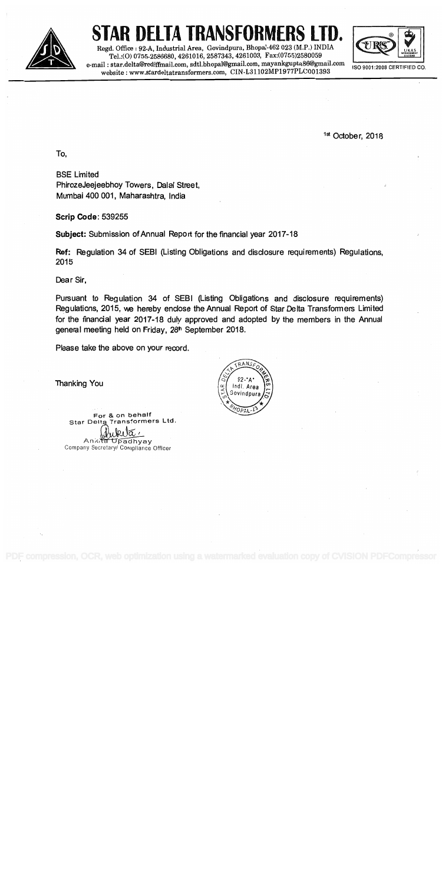

# STAR DELTA TRANSFORM

Regd. Office: 92-A, Industrial Area, Govindpura, Bhopal-462 023 (M.P.) INDIA Tel.:(O) 0755-2586680, 4261016, 2587343, 4261003, Fax:(0755)2580059 e-mail: star.delta@rediffmail.com, sdtl.bhopal@gmail.com, mayankgupta86@gmail.com website: www.stardeltatransformers.com, CIN-L31102MP1977PLC001393



ISO 9001:2008 CERTIFIED

1st October, 2018

To,

BSE Limited PhirozeJeejeebhoy Towers, Dalai Street, Mumbai 400 001, Maharashtra, India

Scrip Code: 539255

Subject: Submission of Annual Report for the financial year 2017-18

Ref: Regulation 34 of SEBI (Listing Obligations and disclosure requirements) Regulations, 2015

Dear Sir,

Pursuant to Regulation 34 of SEBI (Listing Obligations and disclosure requirements) Regulations, 2015, we hereby enclose the Annual Report of Star Delta Transformers Limited for the financial year 2017-18 duly approved and adopted by the members in the Annual general meeting held on Friday, 28" September 2018.

Please take the above on your record.

Thanking You

**RANS**  $92 - A$ Indi, Area Govindpura OPAL

For & on behalf Star Delta Transformers Ltd. ہ ر Ankita Upadhyay Company Secretary/ Compliance Officer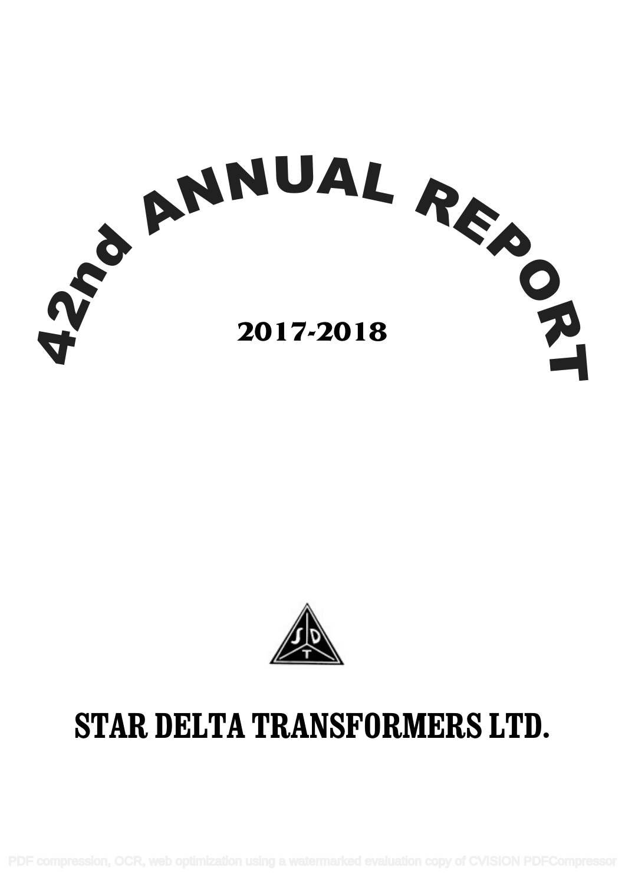



# STAR DELTA TRANSFORMERS LTD.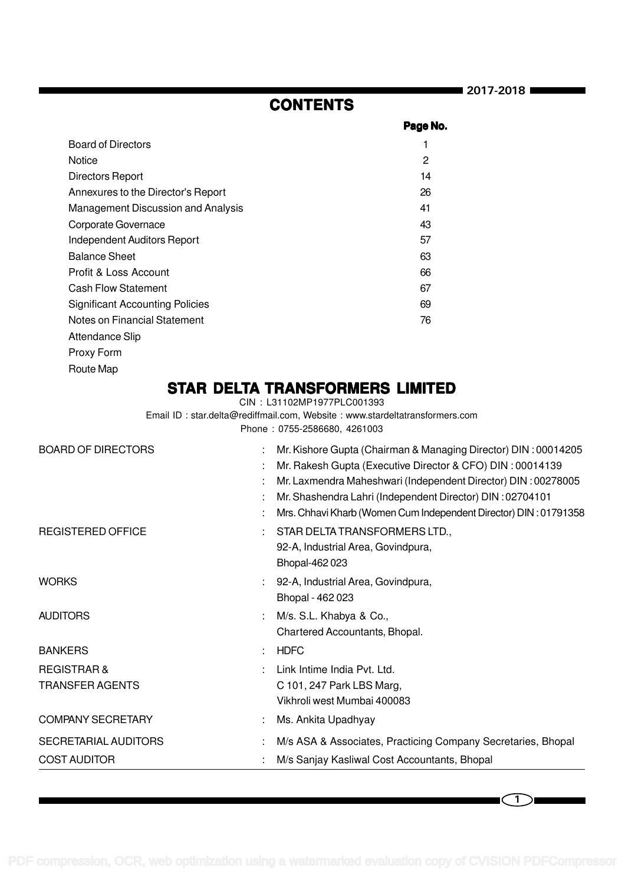# **CONTENTS**

|                                        | Page No. |
|----------------------------------------|----------|
| <b>Board of Directors</b>              |          |
| Notice                                 | 2        |
| <b>Directors Report</b>                | 14       |
| Annexures to the Director's Report     | 26       |
| Management Discussion and Analysis     | 41       |
| Corporate Governace                    | 43       |
| Independent Auditors Report            | 57       |
| <b>Balance Sheet</b>                   | 63       |
| Profit & Loss Account                  | 66       |
| <b>Cash Flow Statement</b>             | 67       |
| <b>Significant Accounting Policies</b> | 69       |
| Notes on Financial Statement           | 76       |
| <b>Attendance Slip</b>                 |          |
| Proxy Form                             |          |

Route Map

# **STAR DELTA TRANSFORMERS LIMITED**

CIN : L31102MP1977PLC001393

Email ID : star.delta@rediffmail.com, Website : www.stardeltatransformers.com

Phone : 0755-2586680, 4261003

| <b>BOARD OF DIRECTORS</b>                        | Mr. Kishore Gupta (Chairman & Managing Director) DIN: 00014205<br>Mr. Rakesh Gupta (Executive Director & CFO) DIN: 00014139<br>Mr. Laxmendra Maheshwari (Independent Director) DIN: 00278005<br>Mr. Shashendra Lahri (Independent Director) DIN: 02704101 |
|--------------------------------------------------|-----------------------------------------------------------------------------------------------------------------------------------------------------------------------------------------------------------------------------------------------------------|
|                                                  | Mrs. Chhavi Kharb (Women Cum Independent Director) DIN: 01791358                                                                                                                                                                                          |
| <b>REGISTERED OFFICE</b>                         | STAR DELTA TRANSFORMERS LTD.,<br>92-A, Industrial Area, Govindpura,<br>Bhopal-462 023                                                                                                                                                                     |
| <b>WORKS</b>                                     | : 92-A, Industrial Area, Govindpura,<br>Bhopal - 462 023                                                                                                                                                                                                  |
| <b>AUDITORS</b>                                  | M/s. S.L. Khabya & Co.,<br>Chartered Accountants, Bhopal.                                                                                                                                                                                                 |
| <b>BANKERS</b>                                   | <b>HDFC</b>                                                                                                                                                                                                                                               |
| <b>REGISTRAR &amp;</b><br><b>TRANSFER AGENTS</b> | Link Intime India Pvt. Ltd.<br>C 101, 247 Park LBS Marg,<br>Vikhroli west Mumbai 400083                                                                                                                                                                   |
| <b>COMPANY SECRETARY</b>                         | Ms. Ankita Upadhyay                                                                                                                                                                                                                                       |
| <b>SECRETARIAL AUDITORS</b>                      | M/s ASA & Associates, Practicing Company Secretaries, Bhopal                                                                                                                                                                                              |
| <b>COST AUDITOR</b>                              | M/s Sanjay Kasliwal Cost Accountants, Bhopal                                                                                                                                                                                                              |

 $\sqrt{1}$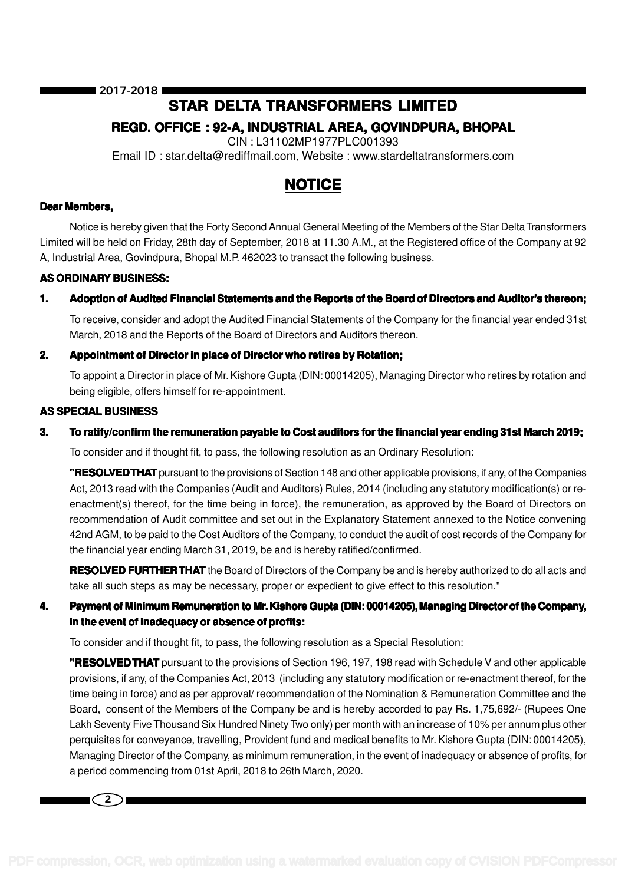$\blacksquare$  2017-2018

# **STAR DELTA TRANSFORMERS LIMITED**

# **REGD. OFFICE : 92-A, INDUSTRIAL AREA, GOVINDPURA, BHOPAL**

CIN : L31102MP1977PLC001393

Email ID : star.delta@rediffmail.com, Website : www.stardeltatransformers.com

# **NOTICE**

## **Dear Members,**

Notice is hereby given that the Forty Second Annual General Meeting of the Members of the Star Delta Transformers Limited will be held on Friday, 28th day of September, 2018 at 11.30 A.M., at the Registered office of the Company at 92 A, Industrial Area, Govindpura, Bhopal M.P. 462023 to transact the following business.

# **AS ORDINARY BUSINESS:**

# **1. Adoption of Audited Financial Statements and the Reports of the Board of Directors and Auditor's thereon;**

To receive, consider and adopt the Audited Financial Statements of the Company for the financial year ended 31st March, 2018 and the Reports of the Board of Directors and Auditors thereon.

# **2. Appointment of Director in place of Director who retires by Rotation;**

To appoint a Director in place of Mr. Kishore Gupta (DIN: 00014205), Managing Director who retires by rotation and being eligible, offers himself for re-appointment.

# **AS SPECIAL BUSINESS**

# **3. To ratify/confirm the remuneration payable to Cost auditors for the financial year ending 31st March 2019;**

To consider and if thought fit, to pass, the following resolution as an Ordinary Resolution:

**"RESOLVED THAT** pursuant to the provisions of Section 148 and other applicable provisions, if any, of the Companies Act, 2013 read with the Companies (Audit and Auditors) Rules, 2014 (including any statutory modification(s) or reenactment(s) thereof, for the time being in force), the remuneration, as approved by the Board of Directors on recommendation of Audit committee and set out in the Explanatory Statement annexed to the Notice convening 42nd AGM, to be paid to the Cost Auditors of the Company, to conduct the audit of cost records of the Company for the financial year ending March 31, 2019, be and is hereby ratified/confirmed.

**RESOLVED FURTHER THAT** the Board of Directors of the Company be and is hereby authorized to do all acts and take all such steps as may be necessary, proper or expedient to give effect to this resolution."

# **4. Payment of Minimum Remuneration to Mr. Kishore Gupta (DIN: 00014205), Managing Director of the Company, in the event of inadequacy or absence of profits:**

To consider and if thought fit, to pass, the following resolution as a Special Resolution:

**"RESOLVED THAT** pursuant to the provisions of Section 196, 197, 198 read with Schedule V and other applicable provisions, if any, of the Companies Act, 2013 (including any statutory modification or re-enactment thereof, for the time being in force) and as per approval/ recommendation of the Nomination & Remuneration Committee and the Board, consent of the Members of the Company be and is hereby accorded to pay Rs. 1,75,692/- (Rupees One Lakh Seventy Five Thousand Six Hundred Ninety Two only) per month with an increase of 10% per annum plus other perquisites for conveyance, travelling, Provident fund and medical benefits to Mr. Kishore Gupta (DIN: 00014205), Managing Director of the Company, as minimum remuneration, in the event of inadequacy or absence of profits, for a period commencing from 01st April, 2018 to 26th March, 2020.

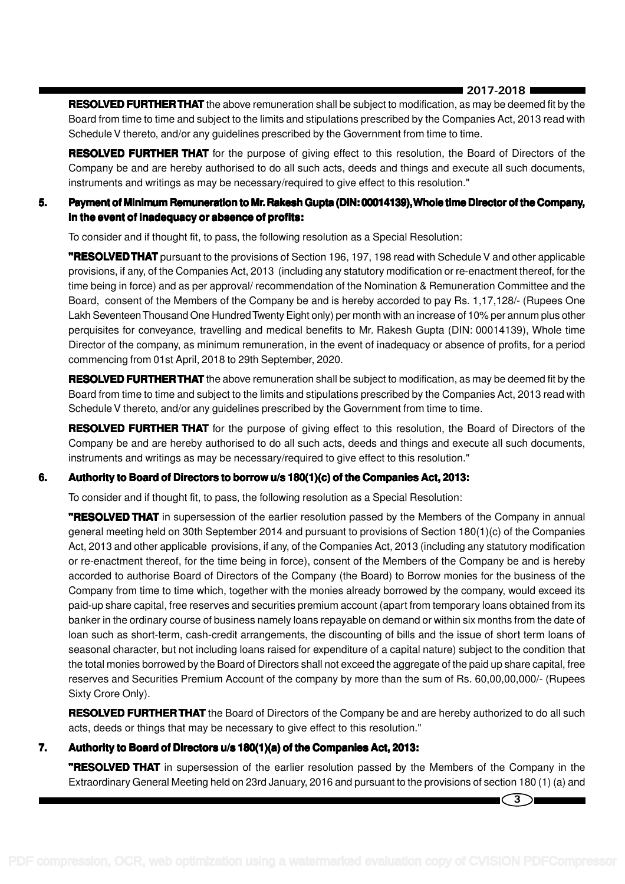$\overline{3}$ 

**RESOLVED FURTHER THAT** the above remuneration shall be subject to modification, as may be deemed fit by the Board from time to time and subject to the limits and stipulations prescribed by the Companies Act, 2013 read with Schedule V thereto, and/or any guidelines prescribed by the Government from time to time.

**RESOLVED FURTHER THAT** for the purpose of giving effect to this resolution, the Board of Directors of the Company be and are hereby authorised to do all such acts, deeds and things and execute all such documents, instruments and writings as may be necessary/required to give effect to this resolution."

## **5. Payment of Minimum Remuneration to Mr. Rakesh Gupta (DIN: 00014139), Whole time Director of the Company, in the event of inadequacy or absence of profits:**

To consider and if thought fit, to pass, the following resolution as a Special Resolution:

**"RESOLVED THAT** pursuant to the provisions of Section 196, 197, 198 read with Schedule V and other applicable provisions, if any, of the Companies Act, 2013 (including any statutory modification or re-enactment thereof, for the time being in force) and as per approval/ recommendation of the Nomination & Remuneration Committee and the Board, consent of the Members of the Company be and is hereby accorded to pay Rs. 1,17,128/- (Rupees One Lakh Seventeen Thousand One Hundred Twenty Eight only) per month with an increase of 10% per annum plus other perquisites for conveyance, travelling and medical benefits to Mr. Rakesh Gupta (DIN: 00014139), Whole time Director of the company, as minimum remuneration, in the event of inadequacy or absence of profits, for a period commencing from 01st April, 2018 to 29th September, 2020.

**RESOLVED FURTHER THAT** the above remuneration shall be subject to modification, as may be deemed fit by the Board from time to time and subject to the limits and stipulations prescribed by the Companies Act, 2013 read with Schedule V thereto, and/or any guidelines prescribed by the Government from time to time.

**RESOLVED FURTHER THAT** for the purpose of giving effect to this resolution, the Board of Directors of the Company be and are hereby authorised to do all such acts, deeds and things and execute all such documents, instruments and writings as may be necessary/required to give effect to this resolution."

### **6. Authority to Board of Directors to borrow u/s 180(1)(c) of the Companies Act, 2013:**

To consider and if thought fit, to pass, the following resolution as a Special Resolution:

**"RESOLVED THAT** in supersession of the earlier resolution passed by the Members of the Company in annual general meeting held on 30th September 2014 and pursuant to provisions of Section 180(1)(c) of the Companies Act, 2013 and other applicable provisions, if any, of the Companies Act, 2013 (including any statutory modification or re-enactment thereof, for the time being in force), consent of the Members of the Company be and is hereby accorded to authorise Board of Directors of the Company (the Board) to Borrow monies for the business of the Company from time to time which, together with the monies already borrowed by the company, would exceed its paid-up share capital, free reserves and securities premium account (apart from temporary loans obtained from its banker in the ordinary course of business namely loans repayable on demand or within six months from the date of loan such as short-term, cash-credit arrangements, the discounting of bills and the issue of short term loans of seasonal character, but not including loans raised for expenditure of a capital nature) subject to the condition that the total monies borrowed by the Board of Directors shall not exceed the aggregate of the paid up share capital, free reserves and Securities Premium Account of the company by more than the sum of Rs. 60,00,00,000/- (Rupees Sixty Crore Only).

**RESOLVED FURTHER THAT** the Board of Directors of the Company be and are hereby authorized to do all such acts, deeds or things that may be necessary to give effect to this resolution."

# **7. Authority to Board of Directors u/s 180(1)(a) of the Companies Act, 2013:**

**"RESOLVED THAT** in supersession of the earlier resolution passed by the Members of the Company in the Extraordinary General Meeting held on 23rd January, 2016 and pursuant to the provisions of section 180 (1) (a) and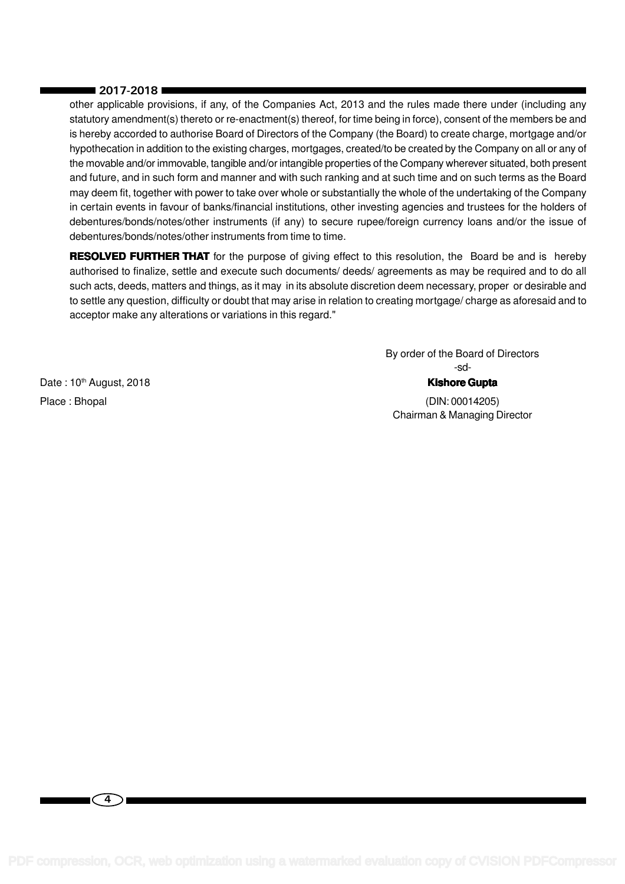#### ■ 2017-2018 ■

other applicable provisions, if any, of the Companies Act, 2013 and the rules made there under (including any statutory amendment(s) thereto or re-enactment(s) thereof, for time being in force), consent of the members be and is hereby accorded to authorise Board of Directors of the Company (the Board) to create charge, mortgage and/or hypothecation in addition to the existing charges, mortgages, created/to be created by the Company on all or any of the movable and/or immovable, tangible and/or intangible properties of the Company wherever situated, both present and future, and in such form and manner and with such ranking and at such time and on such terms as the Board may deem fit, together with power to take over whole or substantially the whole of the undertaking of the Company in certain events in favour of banks/financial institutions, other investing agencies and trustees for the holders of debentures/bonds/notes/other instruments (if any) to secure rupee/foreign currency loans and/or the issue of debentures/bonds/notes/other instruments from time to time.

**RESOLVED FURTHER THAT** for the purpose of giving effect to this resolution, the Board be and is hereby authorised to finalize, settle and execute such documents/ deeds/ agreements as may be required and to do all such acts, deeds, matters and things, as it may in its absolute discretion deem necessary, proper or desirable and to settle any question, difficulty or doubt that may arise in relation to creating mortgage/ charge as aforesaid and to acceptor make any alterations or variations in this regard."

By order of the Board of Directors -sd-Date : 10<sup>th</sup> August, 2018 **Kishore Gupta Kishore Gupta Kishore Gupta** 

Place : Bhopal (DIN: 00014205) Chairman & Managing Director

 $\overline{4}$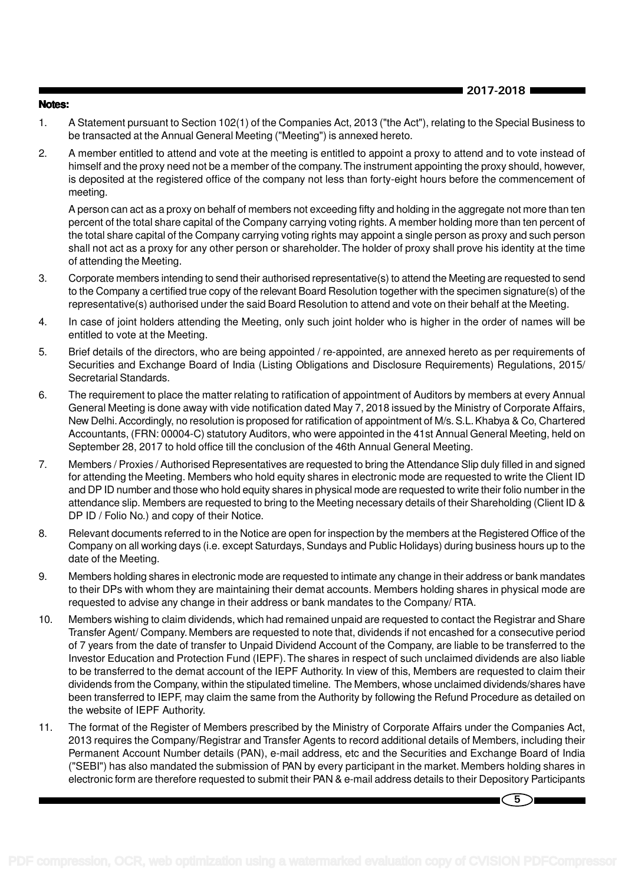5

#### **Notes:**

- 1. A Statement pursuant to Section 102(1) of the Companies Act, 2013 ("the Act"), relating to the Special Business to be transacted at the Annual General Meeting ("Meeting") is annexed hereto.
- 2. A member entitled to attend and vote at the meeting is entitled to appoint a proxy to attend and to vote instead of himself and the proxy need not be a member of the company. The instrument appointing the proxy should, however, is deposited at the registered office of the company not less than forty-eight hours before the commencement of meeting.

A person can act as a proxy on behalf of members not exceeding fifty and holding in the aggregate not more than ten percent of the total share capital of the Company carrying voting rights. A member holding more than ten percent of the total share capital of the Company carrying voting rights may appoint a single person as proxy and such person shall not act as a proxy for any other person or shareholder. The holder of proxy shall prove his identity at the time of attending the Meeting.

- 3. Corporate members intending to send their authorised representative(s) to attend the Meeting are requested to send to the Company a certified true copy of the relevant Board Resolution together with the specimen signature(s) of the representative(s) authorised under the said Board Resolution to attend and vote on their behalf at the Meeting.
- 4. In case of joint holders attending the Meeting, only such joint holder who is higher in the order of names will be entitled to vote at the Meeting.
- 5. Brief details of the directors, who are being appointed / re-appointed, are annexed hereto as per requirements of Securities and Exchange Board of India (Listing Obligations and Disclosure Requirements) Regulations, 2015/ Secretarial Standards.
- 6. The requirement to place the matter relating to ratification of appointment of Auditors by members at every Annual General Meeting is done away with vide notification dated May 7, 2018 issued by the Ministry of Corporate Affairs, New Delhi. Accordingly, no resolution is proposed for ratification of appointment of M/s. S.L. Khabya & Co, Chartered Accountants, (FRN: 00004-C) statutory Auditors, who were appointed in the 41st Annual General Meeting, held on September 28, 2017 to hold office till the conclusion of the 46th Annual General Meeting.
- 7. Members / Proxies / Authorised Representatives are requested to bring the Attendance Slip duly filled in and signed for attending the Meeting. Members who hold equity shares in electronic mode are requested to write the Client ID and DP ID number and those who hold equity shares in physical mode are requested to write their folio number in the attendance slip. Members are requested to bring to the Meeting necessary details of their Shareholding (Client ID & DP ID / Folio No.) and copy of their Notice.
- 8. Relevant documents referred to in the Notice are open for inspection by the members at the Registered Office of the Company on all working days (i.e. except Saturdays, Sundays and Public Holidays) during business hours up to the date of the Meeting.
- 9. Members holding shares in electronic mode are requested to intimate any change in their address or bank mandates to their DPs with whom they are maintaining their demat accounts. Members holding shares in physical mode are requested to advise any change in their address or bank mandates to the Company/ RTA.
- 10. Members wishing to claim dividends, which had remained unpaid are requested to contact the Registrar and Share Transfer Agent/ Company. Members are requested to note that, dividends if not encashed for a consecutive period of 7 years from the date of transfer to Unpaid Dividend Account of the Company, are liable to be transferred to the Investor Education and Protection Fund (IEPF).The shares in respect of such unclaimed dividends are also liable to be transferred to the demat account of the IEPF Authority. In view of this, Members are requested to claim their dividends from the Company, within the stipulated timeline. The Members, whose unclaimed dividends/shares have been transferred to IEPF, may claim the same from the Authority by following the Refund Procedure as detailed on the website of IEPF Authority.
- 11. The format of the Register of Members prescribed by the Ministry of Corporate Affairs under the Companies Act, 2013 requires the Company/Registrar and Transfer Agents to record additional details of Members, including their Permanent Account Number details (PAN), e-mail address, etc and the Securities and Exchange Board of India ("SEBI") has also mandated the submission of PAN by every participant in the market. Members holding shares in electronic form are therefore requested to submit their PAN & e-mail address details to their Depository Participants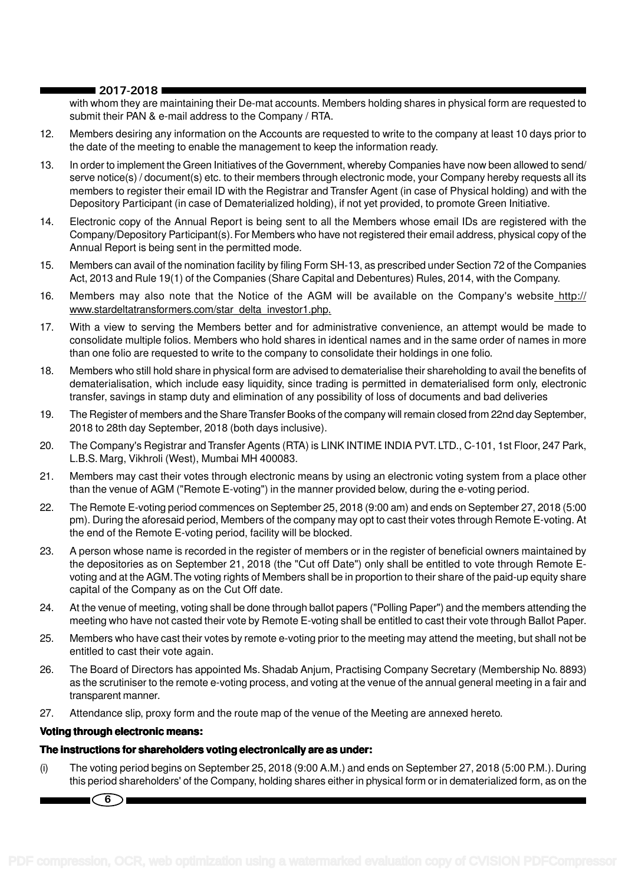with whom they are maintaining their De-mat accounts. Members holding shares in physical form are requested to submit their PAN & e-mail address to the Company / RTA.

- 12. Members desiring any information on the Accounts are requested to write to the company at least 10 days prior to the date of the meeting to enable the management to keep the information ready.
- 13. In order to implement the Green Initiatives of the Government, whereby Companies have now been allowed to send/ serve notice(s) / document(s) etc. to their members through electronic mode, your Company hereby requests all its members to register their email ID with the Registrar and Transfer Agent (in case of Physical holding) and with the Depository Participant (in case of Dematerialized holding), if not yet provided, to promote Green Initiative.
- 14. Electronic copy of the Annual Report is being sent to all the Members whose email IDs are registered with the Company/Depository Participant(s). For Members who have not registered their email address, physical copy of the Annual Report is being sent in the permitted mode.
- 15. Members can avail of the nomination facility by filing Form SH-13, as prescribed under Section 72 of the Companies Act, 2013 and Rule 19(1) of the Companies (Share Capital and Debentures) Rules, 2014, with the Company.
- 16. Members may also note that the Notice of the AGM will be available on the Company's website http:// www.stardeltatransformers.com/star\_delta\_investor1.php.
- 17. With a view to serving the Members better and for administrative convenience, an attempt would be made to consolidate multiple folios. Members who hold shares in identical names and in the same order of names in more than one folio are requested to write to the company to consolidate their holdings in one folio.
- 18. Members who still hold share in physical form are advised to dematerialise their shareholding to avail the benefits of dematerialisation, which include easy liquidity, since trading is permitted in dematerialised form only, electronic transfer, savings in stamp duty and elimination of any possibility of loss of documents and bad deliveries
- 19. The Register of members and the Share Transfer Books of the company will remain closed from 22nd day September, 2018 to 28th day September, 2018 (both days inclusive).
- 20. The Company's Registrar and Transfer Agents (RTA) is LINK INTIME INDIA PVT. LTD., C-101, 1st Floor, 247 Park, L.B.S. Marg, Vikhroli (West), Mumbai MH 400083.
- 21. Members may cast their votes through electronic means by using an electronic voting system from a place other than the venue of AGM ("Remote E-voting") in the manner provided below, during the e-voting period.
- 22. The Remote E-voting period commences on September 25, 2018 (9:00 am) and ends on September 27, 2018 (5:00 pm). During the aforesaid period, Members of the company may opt to cast their votes through Remote E-voting. At the end of the Remote E-voting period, facility will be blocked.
- 23. A person whose name is recorded in the register of members or in the register of beneficial owners maintained by the depositories as on September 21, 2018 (the "Cut off Date") only shall be entitled to vote through Remote Evoting and at the AGM.The voting rights of Members shall be in proportion to their share of the paid-up equity share capital of the Company as on the Cut Off date.
- 24. At the venue of meeting, voting shall be done through ballot papers ("Polling Paper") and the members attending the meeting who have not casted their vote by Remote E-voting shall be entitled to cast their vote through Ballot Paper.
- 25. Members who have cast their votes by remote e-voting prior to the meeting may attend the meeting, but shall not be entitled to cast their vote again.
- 26. The Board of Directors has appointed Ms. Shadab Anjum, Practising Company Secretary (Membership No. 8893) as the scrutiniser to the remote e-voting process, and voting at the venue of the annual general meeting in a fair and transparent manner.
- 27. Attendance slip, proxy form and the route map of the venue of the Meeting are annexed hereto.

#### **Voting through electronic means:**

#### **The instructions for shareholders voting electronically are as under:**

(i) The voting period begins on September 25, 2018 (9:00 A.M.) and ends on September 27, 2018 (5:00 P.M.). During this period shareholders' of the Company, holding shares either in physical form or in dematerialized form, as on the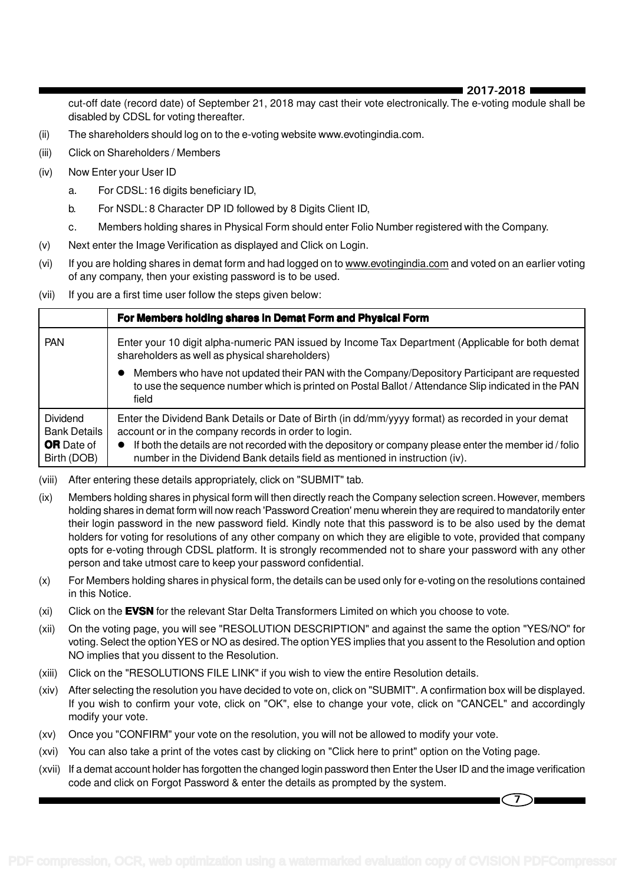#### ■ 2017-2018 I

7

cut-off date (record date) of September 21, 2018 may cast their vote electronically. The e-voting module shall be disabled by CDSL for voting thereafter.

- (ii) The shareholders should log on to the e-voting website www.evotingindia.com.
- (iii) Click on Shareholders / Members
- (iv) Now Enter your User ID
	- a. For CDSL: 16 digits beneficiary ID,
	- b. For NSDL: 8 Character DP ID followed by 8 Digits Client ID,
	- c. Members holding shares in Physical Form should enter Folio Number registered with the Company.
- (v) Next enter the Image Verification as displayed and Click on Login.
- (vi) If you are holding shares in demat form and had logged on to www.evotingindia.com and voted on an earlier voting of any company, then your existing password is to be used.
- (vii) If you are a first time user follow the steps given below:

|                                                                            | For Members holding shares in Demat Form and Physical Form                                                                                                                                                                                                                                                                                                      |
|----------------------------------------------------------------------------|-----------------------------------------------------------------------------------------------------------------------------------------------------------------------------------------------------------------------------------------------------------------------------------------------------------------------------------------------------------------|
| <b>PAN</b>                                                                 | Enter your 10 digit alpha-numeric PAN issued by Income Tax Department (Applicable for both demat<br>shareholders as well as physical shareholders)                                                                                                                                                                                                              |
|                                                                            | Members who have not updated their PAN with the Company/Depository Participant are requested<br>to use the sequence number which is printed on Postal Ballot / Attendance Slip indicated in the PAN<br>field                                                                                                                                                    |
| <b>Dividend</b><br><b>Bank Details</b><br><b>OR</b> Date of<br>Birth (DOB) | Enter the Dividend Bank Details or Date of Birth (in dd/mm/yyyy format) as recorded in your demat<br>account or in the company records in order to login.<br>If both the details are not recorded with the depository or company please enter the member id / folio<br>$\bullet$<br>number in the Dividend Bank details field as mentioned in instruction (iv). |

- (viii) After entering these details appropriately, click on "SUBMIT" tab.
- (ix) Members holding shares in physical form will then directly reach the Company selection screen. However, members holding shares in demat form will now reach 'Password Creation' menu wherein they are required to mandatorily enter their login password in the new password field. Kindly note that this password is to be also used by the demat holders for voting for resolutions of any other company on which they are eligible to vote, provided that company opts for e-voting through CDSL platform. It is strongly recommended not to share your password with any other person and take utmost care to keep your password confidential.
- (x) For Members holding shares in physical form, the details can be used only for e-voting on the resolutions contained in this Notice.
- (xi) Click on the **EVSN** for the relevant Star Delta Transformers Limited on which you choose to vote.
- (xii) On the voting page, you will see "RESOLUTION DESCRIPTION" and against the same the option "YES/NO" for voting. Select the option YES or NO as desired.The option YES implies that you assent to the Resolution and option NO implies that you dissent to the Resolution.
- (xiii) Click on the "RESOLUTIONS FILE LINK" if you wish to view the entire Resolution details.
- (xiv) After selecting the resolution you have decided to vote on, click on "SUBMIT". A confirmation box will be displayed. If you wish to confirm your vote, click on "OK", else to change your vote, click on "CANCEL" and accordingly modify your vote.
- (xv) Once you "CONFIRM" your vote on the resolution, you will not be allowed to modify your vote.
- (xvi) You can also take a print of the votes cast by clicking on "Click here to print" option on the Voting page.
- (xvii) If a demat account holder has forgotten the changed login password then Enter the User ID and the image verification code and click on Forgot Password & enter the details as prompted by the system.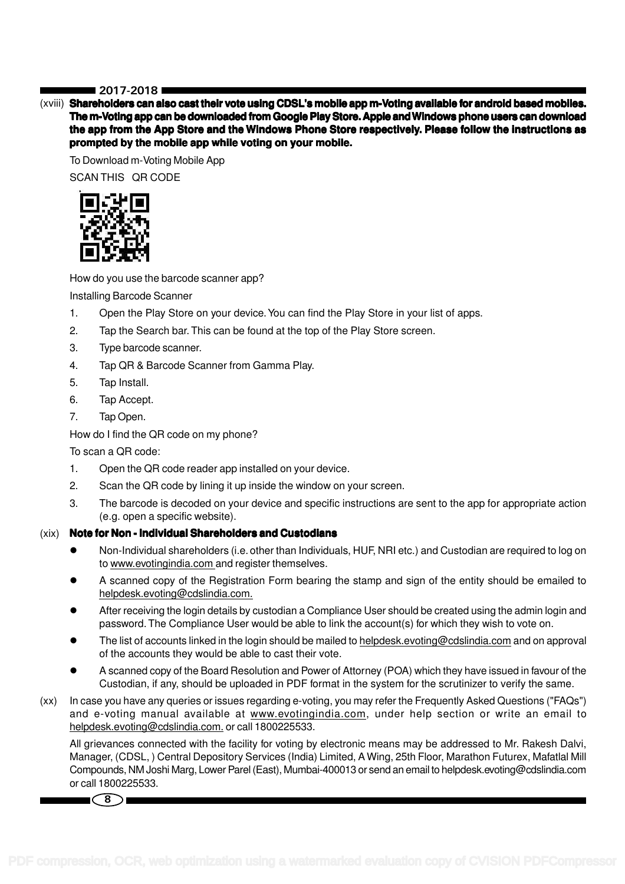(xviii) **Shareholders can also cast their vote using CDSL's mobile app m-Voting available for android based mobiles. The m-Voting app can be downloaded from Google Play Store. Apple and Windows phone users can download the app from the App Store and the Windows Phone Store respectively. Please follow the instructions as prompted by the mobile app while voting on your mobile.**

To Download m-Voting Mobile App

SCAN THIS QR CODE



How do you use the barcode scanner app?

Installing Barcode Scanner

- 1. Open the Play Store on your device. You can find the Play Store in your list of apps.
- 2. Tap the Search bar. This can be found at the top of the Play Store screen.
- 3. Type barcode scanner.
- 4. Tap QR & Barcode Scanner from Gamma Play.
- 5. Tap Install.
- 6. Tap Accept.
- 7. Tap Open.

How do I find the QR code on my phone?

To scan a QR code:

- 1. Open the QR code reader app installed on your device.
- 2. Scan the QR code by lining it up inside the window on your screen.
- 3. The barcode is decoded on your device and specific instructions are sent to the app for appropriate action (e.g. open a specific website).

# (xix) **Note for Non - Individual Shareholders and Custodians**

- l Non-Individual shareholders (i.e. other than Individuals, HUF, NRI etc.) and Custodian are required to log on to www.evotingindia.com and register themselves.
- l A scanned copy of the Registration Form bearing the stamp and sign of the entity should be emailed to helpdesk.evoting@cdslindia.com.
- l After receiving the login details by custodian a Compliance User should be created using the admin login and password.The Compliance User would be able to link the account(s) for which they wish to vote on.
- The list of accounts linked in the login should be mailed to helpdesk.evoting@cdslindia.com and on approval of the accounts they would be able to cast their vote.
- A scanned copy of the Board Resolution and Power of Attorney (POA) which they have issued in favour of the Custodian, if any, should be uploaded in PDF format in the system for the scrutinizer to verify the same.
- (xx) In case you have any queries or issues regarding e-voting, you may refer the Frequently Asked Questions ("FAQs") and e-voting manual available at www.evotingindia.com, under help section or write an email to helpdesk.evoting@cdslindia.com. or call 1800225533.

All grievances connected with the facility for voting by electronic means may be addressed to Mr. Rakesh Dalvi, Manager, (CDSL, ) Central Depository Services (India) Limited, A Wing, 25th Floor, Marathon Futurex, Mafatlal Mill Compounds, NM Joshi Marg, Lower Parel (East), Mumbai-400013 or send an email to helpdesk.evoting@cdslindia.com or call 1800225533.

 $\sqrt{8}$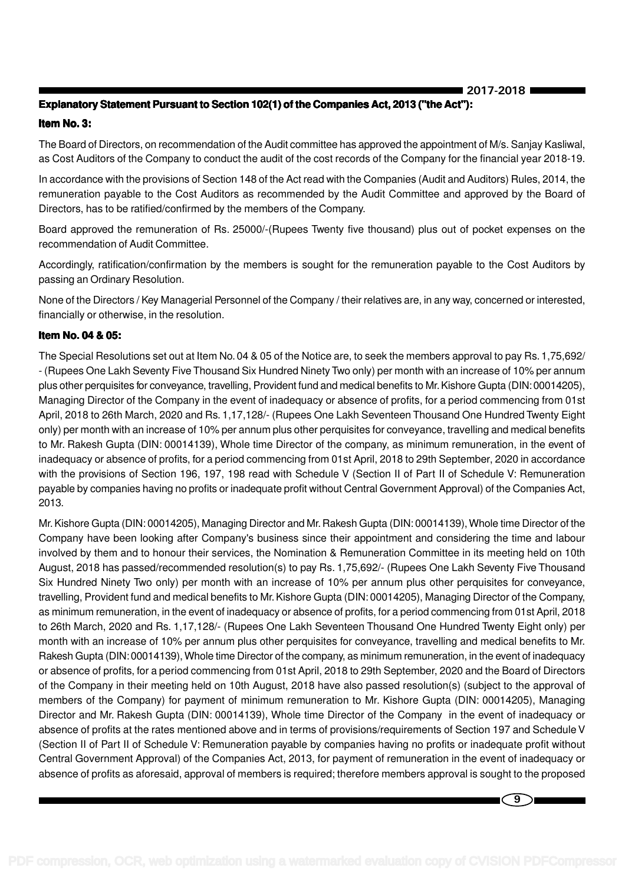ି 9

#### **Explanatory Statement Pursuant to Section 102(1) of the Companies Act, 2013 ("the Act"):**

#### **Item No. 3:**

The Board of Directors, on recommendation of the Audit committee has approved the appointment of M/s. Sanjay Kasliwal, as Cost Auditors of the Company to conduct the audit of the cost records of the Company for the financial year 2018-19.

In accordance with the provisions of Section 148 of the Act read with the Companies (Audit and Auditors) Rules, 2014, the remuneration payable to the Cost Auditors as recommended by the Audit Committee and approved by the Board of Directors, has to be ratified/confirmed by the members of the Company.

Board approved the remuneration of Rs. 25000/-(Rupees Twenty five thousand) plus out of pocket expenses on the recommendation of Audit Committee.

Accordingly, ratification/confirmation by the members is sought for the remuneration payable to the Cost Auditors by passing an Ordinary Resolution.

None of the Directors / Key Managerial Personnel of the Company / their relatives are, in any way, concerned or interested, financially or otherwise, in the resolution.

#### **Item No. 04 & 05:**

The Special Resolutions set out at Item No. 04 & 05 of the Notice are, to seek the members approval to pay Rs. 1,75,692/ - (Rupees One Lakh Seventy Five Thousand Six Hundred Ninety Two only) per month with an increase of 10% per annum plus other perquisites for conveyance, travelling, Provident fund and medical benefits to Mr. Kishore Gupta (DIN: 00014205), Managing Director of the Company in the event of inadequacy or absence of profits, for a period commencing from 01st April, 2018 to 26th March, 2020 and Rs. 1,17,128/- (Rupees One Lakh Seventeen Thousand One Hundred Twenty Eight only) per month with an increase of 10% per annum plus other perquisites for conveyance, travelling and medical benefits to Mr. Rakesh Gupta (DIN: 00014139), Whole time Director of the company, as minimum remuneration, in the event of inadequacy or absence of profits, for a period commencing from 01st April, 2018 to 29th September, 2020 in accordance with the provisions of Section 196, 197, 198 read with Schedule V (Section II of Part II of Schedule V: Remuneration payable by companies having no profits or inadequate profit without Central Government Approval) of the Companies Act, 2013.

Mr. Kishore Gupta (DIN: 00014205), Managing Director and Mr. Rakesh Gupta (DIN: 00014139), Whole time Director of the Company have been looking after Company's business since their appointment and considering the time and labour involved by them and to honour their services, the Nomination & Remuneration Committee in its meeting held on 10th August, 2018 has passed/recommended resolution(s) to pay Rs. 1,75,692/- (Rupees One Lakh Seventy Five Thousand Six Hundred Ninety Two only) per month with an increase of 10% per annum plus other perquisites for conveyance, travelling, Provident fund and medical benefits to Mr. Kishore Gupta (DIN: 00014205), Managing Director of the Company, as minimum remuneration, in the event of inadequacy or absence of profits, for a period commencing from 01st April, 2018 to 26th March, 2020 and Rs. 1,17,128/- (Rupees One Lakh Seventeen Thousand One Hundred Twenty Eight only) per month with an increase of 10% per annum plus other perquisites for conveyance, travelling and medical benefits to Mr. Rakesh Gupta (DIN: 00014139), Whole time Director of the company, as minimum remuneration, in the event of inadequacy or absence of profits, for a period commencing from 01st April, 2018 to 29th September, 2020 and the Board of Directors of the Company in their meeting held on 10th August, 2018 have also passed resolution(s) (subject to the approval of members of the Company) for payment of minimum remuneration to Mr. Kishore Gupta (DIN: 00014205), Managing Director and Mr. Rakesh Gupta (DIN: 00014139), Whole time Director of the Company in the event of inadequacy or absence of profits at the rates mentioned above and in terms of provisions/requirements of Section 197 and Schedule V (Section II of Part II of Schedule V: Remuneration payable by companies having no profits or inadequate profit without Central Government Approval) of the Companies Act, 2013, for payment of remuneration in the event of inadequacy or absence of profits as aforesaid, approval of members is required; therefore members approval is sought to the proposed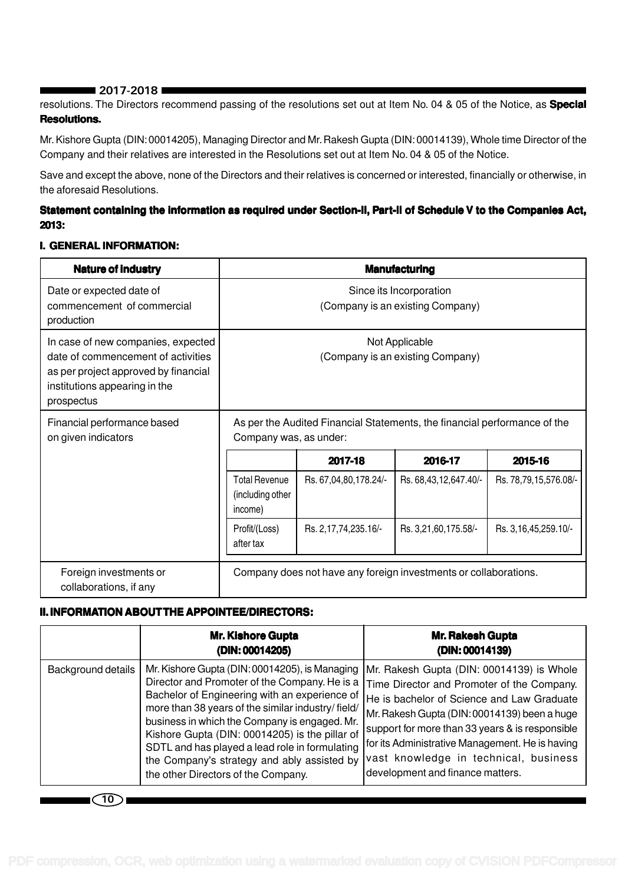resolutions. The Directors recommend passing of the resolutions set out at Item No. 04 & 05 of the Notice, as **Special Resolutions.**

Mr. Kishore Gupta (DIN: 00014205), Managing Director and Mr. Rakesh Gupta (DIN: 00014139), Whole time Director of the Company and their relatives are interested in the Resolutions set out at Item No. 04 & 05 of the Notice.

Save and except the above, none of the Directors and their relatives is concerned or interested, financially or otherwise, in the aforesaid Resolutions.

# **Statement containing the information as required under Section-II, Part-II of Schedule V to the Companies Act, 2013:**

### **I. GENERAL INFORMATION:**

| <b>Nature of industry</b>                                                                                                                                       | <b>Manufacturing</b>                                                                                |                       |                           |                       |
|-----------------------------------------------------------------------------------------------------------------------------------------------------------------|-----------------------------------------------------------------------------------------------------|-----------------------|---------------------------|-----------------------|
| Date or expected date of<br>commencement of commercial<br>production                                                                                            | Since its Incorporation<br>(Company is an existing Company)                                         |                       |                           |                       |
| In case of new companies, expected<br>date of commencement of activities<br>as per project approved by financial<br>institutions appearing in the<br>prospectus | Not Applicable<br>(Company is an existing Company)                                                  |                       |                           |                       |
| Financial performance based<br>on given indicators                                                                                                              | As per the Audited Financial Statements, the financial performance of the<br>Company was, as under: |                       |                           |                       |
|                                                                                                                                                                 |                                                                                                     | 2017-18               | 2016-17                   | 2015-16               |
|                                                                                                                                                                 | <b>Total Revenue</b><br>(including other<br>income)                                                 | Rs. 67,04,80,178.24/- | Rs. 68, 43, 12, 647. 40/- | Rs. 78,79,15,576.08/- |
|                                                                                                                                                                 | Profit/(Loss)<br>after tax                                                                          | Rs. 2,17,74,235.16/-  | Rs. 3,21,60,175.58/-      | Rs. 3,16,45,259.10/-  |
| Foreign investments or<br>collaborations, if any                                                                                                                | Company does not have any foreign investments or collaborations.                                    |                       |                           |                       |

# **II. INFORMATION ABOUT THE APPOINTEE/DIRECTORS:**

|                    | <b>Mr. Kishore Gupta</b><br>(DIN: 00014205)                                                                                                                                                                                                                                                                                                                                                                                                      | <b>Mr. Rakesh Gupta</b><br>(DIN: 00014139)                                                                                                                                                                                                                                                                                                                               |
|--------------------|--------------------------------------------------------------------------------------------------------------------------------------------------------------------------------------------------------------------------------------------------------------------------------------------------------------------------------------------------------------------------------------------------------------------------------------------------|--------------------------------------------------------------------------------------------------------------------------------------------------------------------------------------------------------------------------------------------------------------------------------------------------------------------------------------------------------------------------|
| Background details | Mr. Kishore Gupta (DIN: 00014205), is Managing<br>Director and Promoter of the Company. He is a<br>Bachelor of Engineering with an experience of<br>more than 38 years of the similar industry/field/<br>business in which the Company is engaged. Mr.<br>Kishore Gupta (DIN: 00014205) is the pillar of<br>SDTL and has played a lead role in formulating<br>the Company's strategy and ably assisted by<br>the other Directors of the Company. | Mr. Rakesh Gupta (DIN: 00014139) is Whole<br>Time Director and Promoter of the Company.<br>He is bachelor of Science and Law Graduate<br>Mr. Rakesh Gupta (DIN: 00014139) been a huge<br>support for more than 33 years & is responsible<br>for its Administrative Management. He is having<br>vast knowledge in technical, business<br>development and finance matters. |

 $(10)$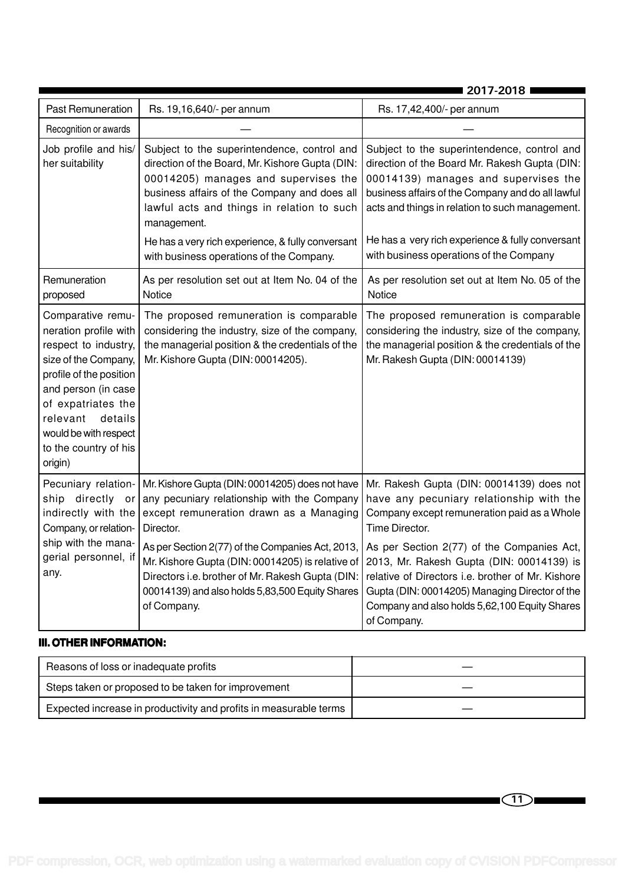|                                                                                                                                                                                                                                                        |                                                                                                                                                                                                                                                                                                                                                      | ■ 2017-2018 ■                                                                                                                                                                                                                                                                                                                               |
|--------------------------------------------------------------------------------------------------------------------------------------------------------------------------------------------------------------------------------------------------------|------------------------------------------------------------------------------------------------------------------------------------------------------------------------------------------------------------------------------------------------------------------------------------------------------------------------------------------------------|---------------------------------------------------------------------------------------------------------------------------------------------------------------------------------------------------------------------------------------------------------------------------------------------------------------------------------------------|
| Past Remuneration                                                                                                                                                                                                                                      | Rs. 19,16,640/- per annum                                                                                                                                                                                                                                                                                                                            | Rs. 17,42,400/- per annum                                                                                                                                                                                                                                                                                                                   |
| Recognition or awards                                                                                                                                                                                                                                  |                                                                                                                                                                                                                                                                                                                                                      |                                                                                                                                                                                                                                                                                                                                             |
| Job profile and his/<br>her suitability                                                                                                                                                                                                                | Subject to the superintendence, control and<br>direction of the Board, Mr. Kishore Gupta (DIN:<br>00014205) manages and supervises the<br>business affairs of the Company and does all<br>lawful acts and things in relation to such<br>management.<br>He has a very rich experience, & fully conversant<br>with business operations of the Company. | Subject to the superintendence, control and<br>direction of the Board Mr. Rakesh Gupta (DIN:<br>00014139) manages and supervises the<br>business affairs of the Company and do all lawful<br>acts and things in relation to such management.<br>He has a very rich experience & fully conversant<br>with business operations of the Company |
| Remuneration<br>proposed                                                                                                                                                                                                                               | As per resolution set out at Item No. 04 of the<br>Notice                                                                                                                                                                                                                                                                                            | As per resolution set out at Item No. 05 of the<br>Notice                                                                                                                                                                                                                                                                                   |
| Comparative remu-<br>neration profile with<br>respect to industry,<br>size of the Company,<br>profile of the position<br>and person (in case<br>of expatriates the<br>relevant<br>details<br>would be with respect<br>to the country of his<br>origin) | The proposed remuneration is comparable<br>considering the industry, size of the company,<br>the managerial position & the credentials of the<br>Mr. Kishore Gupta (DIN: 00014205).                                                                                                                                                                  | The proposed remuneration is comparable<br>considering the industry, size of the company,<br>the managerial position & the credentials of the<br>Mr. Rakesh Gupta (DIN: 00014139)                                                                                                                                                           |
| Pecuniary relation-<br>ship directly or<br>indirectly with the<br>Company, or relation-<br>ship with the mana-<br>gerial personnel, if                                                                                                                 | Mr. Kishore Gupta (DIN: 00014205) does not have<br>any pecuniary relationship with the Company<br>except remuneration drawn as a Managing<br>Director.<br>As per Section 2(77) of the Companies Act, 2013,<br>Mr. Kishore Gupta (DIN: 00014205) is relative of                                                                                       | Mr. Rakesh Gupta (DIN: 00014139) does not<br>have any pecuniary relationship with the<br>Company except remuneration paid as a Whole<br>Time Director.<br>As per Section 2(77) of the Companies Act,<br>2013, Mr. Rakesh Gupta (DIN: 00014139) is                                                                                           |
| any.                                                                                                                                                                                                                                                   | Directors i.e. brother of Mr. Rakesh Gupta (DIN:<br>00014139) and also holds 5,83,500 Equity Shares<br>of Company.                                                                                                                                                                                                                                   | relative of Directors i.e. brother of Mr. Kishore<br>Gupta (DIN: 00014205) Managing Director of the<br>Company and also holds 5,62,100 Equity Shares<br>of Company.                                                                                                                                                                         |

# **III. OTHER INFORMATION:**

| Reasons of loss or inadequate profits                             |  |
|-------------------------------------------------------------------|--|
| Steps taken or proposed to be taken for improvement               |  |
| Expected increase in productivity and profits in measurable terms |  |

 $\Box$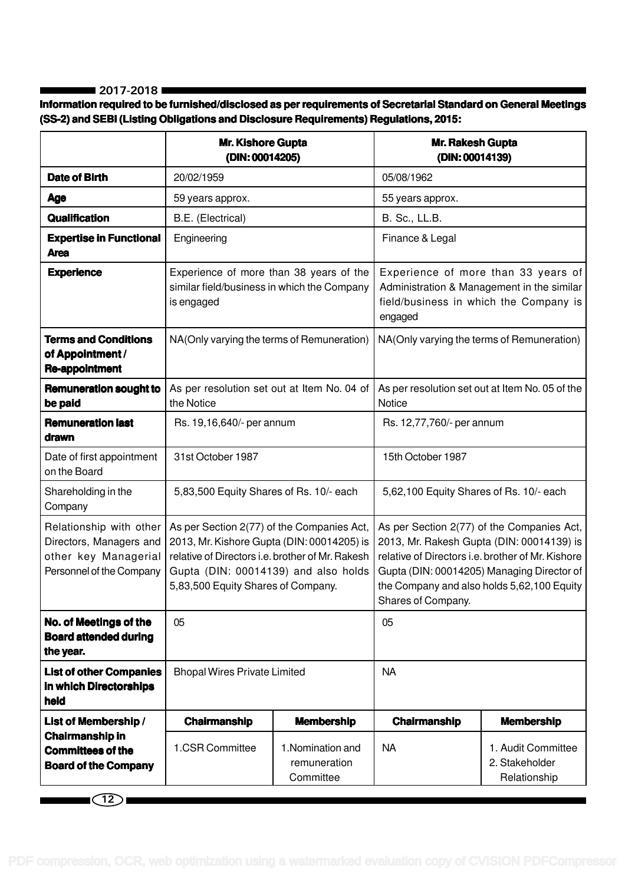**Information required to be furnished/disclosed as per requirements of Secretarial Standard on General Meetings (SS-2) and SEBI (Listing Obligations and Disclosure Requirements) Regulations, 2015:**

|                                                                                                        | <b>Mr. Kishore Gupta</b><br>(DIN: 00014205)                                                                                                                                                                                |                                                | <b>Mr. Rakesh Gupta</b><br>(DIN: 00014139)                                                                                                                         |                                                                                          |
|--------------------------------------------------------------------------------------------------------|----------------------------------------------------------------------------------------------------------------------------------------------------------------------------------------------------------------------------|------------------------------------------------|--------------------------------------------------------------------------------------------------------------------------------------------------------------------|------------------------------------------------------------------------------------------|
| <b>Date of Birth</b>                                                                                   | 20/02/1959                                                                                                                                                                                                                 |                                                | 05/08/1962                                                                                                                                                         |                                                                                          |
| <b>Age</b>                                                                                             | 59 years approx.                                                                                                                                                                                                           |                                                | 55 years approx.                                                                                                                                                   |                                                                                          |
| <b>Qualification</b>                                                                                   | B.E. (Electrical)                                                                                                                                                                                                          |                                                | <b>B. Sc., LL.B.</b>                                                                                                                                               |                                                                                          |
| <b>Expertise in Functional</b><br><b>Area</b>                                                          | Engineering                                                                                                                                                                                                                |                                                | Finance & Legal                                                                                                                                                    |                                                                                          |
| <b>Experience</b>                                                                                      | Experience of more than 38 years of the<br>similar field/business in which the Company<br>is engaged                                                                                                                       |                                                | Experience of more than 33 years of<br>Administration & Management in the similar<br>field/business in which the Company is<br>engaged                             |                                                                                          |
| <b>Terms and Conditions</b><br>of Appointment /<br><b>Re-appointment</b>                               | NA(Only varying the terms of Remuneration)                                                                                                                                                                                 |                                                | NA(Only varying the terms of Remuneration)                                                                                                                         |                                                                                          |
| <b>Remuneration sought to</b><br>be paid                                                               | As per resolution set out at Item No. 04 of<br>the Notice                                                                                                                                                                  |                                                | As per resolution set out at Item No. 05 of the<br>Notice                                                                                                          |                                                                                          |
| <b>Remuneration last</b><br>drawn                                                                      | Rs. 19,16,640/- per annum                                                                                                                                                                                                  |                                                | Rs. 12,77,760/- per annum                                                                                                                                          |                                                                                          |
| Date of first appointment<br>on the Board                                                              | 31st October 1987                                                                                                                                                                                                          |                                                | 15th October 1987                                                                                                                                                  |                                                                                          |
| Shareholding in the<br>Company                                                                         | 5,83,500 Equity Shares of Rs. 10/- each                                                                                                                                                                                    |                                                | 5,62,100 Equity Shares of Rs. 10/- each                                                                                                                            |                                                                                          |
| Relationship with other<br>Directors, Managers and<br>other key Managerial<br>Personnel of the Company | As per Section 2(77) of the Companies Act,<br>2013, Mr. Kishore Gupta (DIN: 00014205) is<br>relative of Directors i.e. brother of Mr. Rakesh<br>Gupta (DIN: 00014139) and also holds<br>5,83,500 Equity Shares of Company. |                                                | As per Section 2(77) of the Companies Act,<br>2013, Mr. Rakesh Gupta (DIN: 00014139) is<br>relative of Directors i.e. brother of Mr. Kishore<br>Shares of Company. | Gupta (DIN: 00014205) Managing Director of<br>the Company and also holds 5,62,100 Equity |
| No. of Meetings of the<br><b>Board attended during</b><br>the year.                                    | 05                                                                                                                                                                                                                         |                                                | 05                                                                                                                                                                 |                                                                                          |
| <b>List of other Companies</b><br>in which Directorships<br>held                                       | <b>Bhopal Wires Private Limited</b>                                                                                                                                                                                        |                                                | <b>NA</b>                                                                                                                                                          |                                                                                          |
| <b>List of Membership /</b>                                                                            | Chairmanship                                                                                                                                                                                                               | <b>Membership</b>                              | Chairmanship                                                                                                                                                       | <b>Membership</b>                                                                        |
| <b>Chairmanship in</b><br><b>Committees of the</b><br><b>Board of the Company</b>                      | 1.CSR Committee                                                                                                                                                                                                            | 1. Nomination and<br>remuneration<br>Committee | <b>NA</b>                                                                                                                                                          | 1. Audit Committee<br>2. Stakeholder<br>Relationship                                     |
| (12)                                                                                                   |                                                                                                                                                                                                                            |                                                |                                                                                                                                                                    |                                                                                          |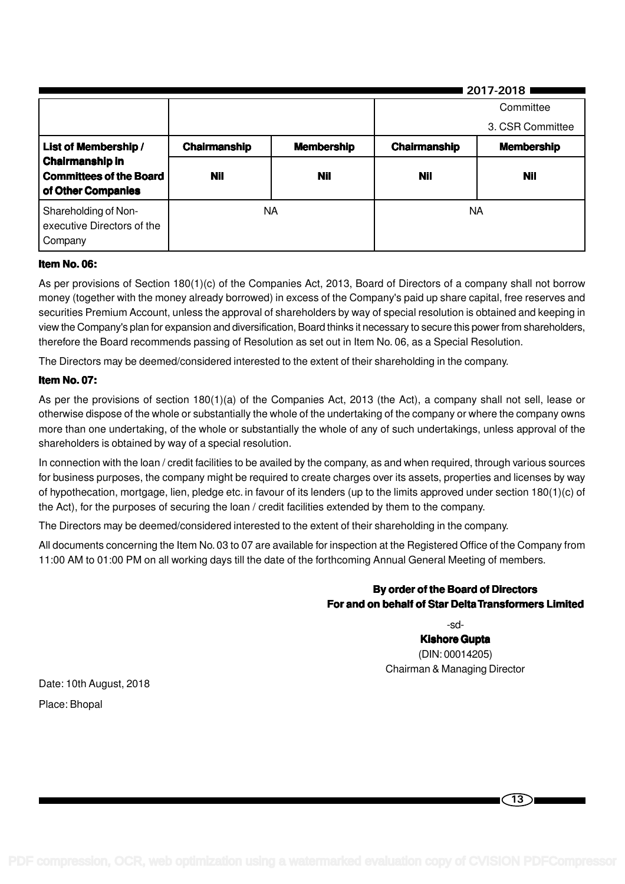|                                                                                |              |                   |              | 2017-2018         |
|--------------------------------------------------------------------------------|--------------|-------------------|--------------|-------------------|
|                                                                                |              |                   |              | Committee         |
|                                                                                |              |                   |              | 3. CSR Committee  |
| List of Membership /                                                           | Chairmanship | <b>Membership</b> | Chairmanship | <b>Membership</b> |
| <b>Chairmanship in</b><br><b>Committees of the Board</b><br>of Other Companies | <b>Nil</b>   | <b>Nil</b>        | <b>Nil</b>   | <b>Nil</b>        |
| Shareholding of Non-<br>executive Directors of the<br>Company                  | NA.          |                   |              | <b>NA</b>         |

### **Item No. 06:**

As per provisions of Section 180(1)(c) of the Companies Act, 2013, Board of Directors of a company shall not borrow money (together with the money already borrowed) in excess of the Company's paid up share capital, free reserves and securities Premium Account, unless the approval of shareholders by way of special resolution is obtained and keeping in view the Company's plan for expansion and diversification, Board thinks it necessary to secure this power from shareholders, therefore the Board recommends passing of Resolution as set out in Item No. 06, as a Special Resolution.

The Directors may be deemed/considered interested to the extent of their shareholding in the company.

# **Item No. 07:**

As per the provisions of section 180(1)(a) of the Companies Act, 2013 (the Act), a company shall not sell, lease or otherwise dispose of the whole or substantially the whole of the undertaking of the company or where the company owns more than one undertaking, of the whole or substantially the whole of any of such undertakings, unless approval of the shareholders is obtained by way of a special resolution.

In connection with the loan / credit facilities to be availed by the company, as and when required, through various sources for business purposes, the company might be required to create charges over its assets, properties and licenses by way of hypothecation, mortgage, lien, pledge etc. in favour of its lenders (up to the limits approved under section 180(1)(c) of the Act), for the purposes of securing the loan / credit facilities extended by them to the company.

The Directors may be deemed/considered interested to the extent of their shareholding in the company.

All documents concerning the Item No. 03 to 07 are available for inspection at the Registered Office of the Company from 11:00 AM to 01:00 PM on all working days till the date of the forthcoming Annual General Meeting of members.

# **By order of the Board of Directors For and on behalf of Star Delta Transformers Limited**

-sd-

**Kishore Gupta** (DIN: 00014205) Chairman & Managing Director

Date: 10th August, 2018 Place: Bhopal

 $(13)$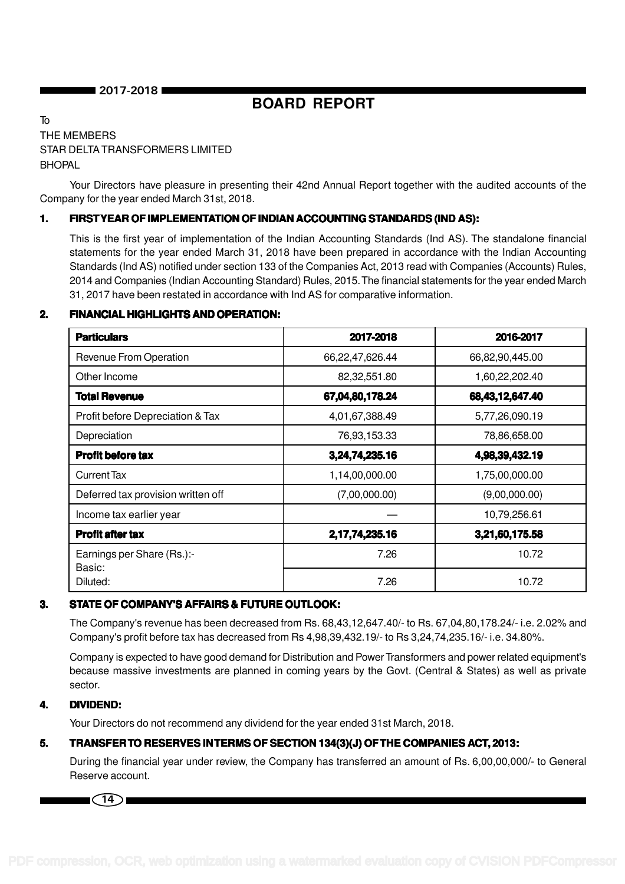$\blacksquare$  2017-2018  $\blacksquare$ 

# **BOARD REPORT**

# To THE MEMBERS STAR DELTA TRANSFORMERS LIMITED BHOPAL

Your Directors have pleasure in presenting their 42nd Annual Report together with the audited accounts of the Company for the year ended March 31st, 2018.

# **1. FIRST YEAR OF IMPLEMENTATION OF INDIAN ACCOUNTING STANDARDS (IND AS):**

This is the first year of implementation of the Indian Accounting Standards (Ind AS). The standalone financial statements for the year ended March 31, 2018 have been prepared in accordance with the Indian Accounting Standards (Ind AS) notified under section 133 of the Companies Act, 2013 read with Companies (Accounts) Rules, 2014 and Companies (Indian Accounting Standard) Rules, 2015.The financial statements for the year ended March 31, 2017 have been restated in accordance with Ind AS for comparative information.

# **2. FINANCIAL HIGHLIGHTS AND OPERATION:**

| <b>Particulars</b>                   | 2017-2018       | 2016-2017       |
|--------------------------------------|-----------------|-----------------|
| Revenue From Operation               | 66,22,47,626.44 | 66,82,90,445.00 |
| Other Income                         | 82,32,551.80    | 1,60,22,202.40  |
| <b>Total Revenue</b>                 | 67,04,80,178.24 | 68,43,12,647.40 |
| Profit before Depreciation & Tax     | 4,01,67,388.49  | 5,77,26,090.19  |
| Depreciation                         | 76,93,153.33    | 78,86,658.00    |
| <b>Profit before tax</b>             | 3,24,74,235.16  | 4,98,39,432.19  |
| <b>Current Tax</b>                   | 1,14,00,000.00  | 1,75,00,000.00  |
| Deferred tax provision written off   | (7,00,000.00)   | (9,00,000.00)   |
| Income tax earlier year              |                 | 10,79,256.61    |
| <b>Profit after tax</b>              | 2,17,74,235.16  | 3,21,60,175.58  |
| Earnings per Share (Rs.):-<br>Basic: | 7.26            | 10.72           |
| Diluted:                             | 7.26            | 10.72           |

### **3. STATE OF COMPANY'S AFFAIRS & FUTURE OUTLOOK:**

The Company's revenue has been decreased from Rs. 68,43,12,647.40/- to Rs. 67,04,80,178.24/- i.e. 2.02% and Company's profit before tax has decreased from Rs 4,98,39,432.19/- to Rs 3,24,74,235.16/- i.e. 34.80%.

Company is expected to have good demand for Distribution and Power Transformers and power related equipment's because massive investments are planned in coming years by the Govt. (Central & States) as well as private sector.

### **4. DIVIDEND:**

Your Directors do not recommend any dividend for the year ended 31st March, 2018.

# **5. TRANSFER TO RESERVES IN TERMS OF SECTION 134(3)(J) OF THE COMPANIES ACT, 2013:**

During the financial year under review, the Company has transferred an amount of Rs. 6,00,00,000/- to General Reserve account.

 $\sqrt{14}$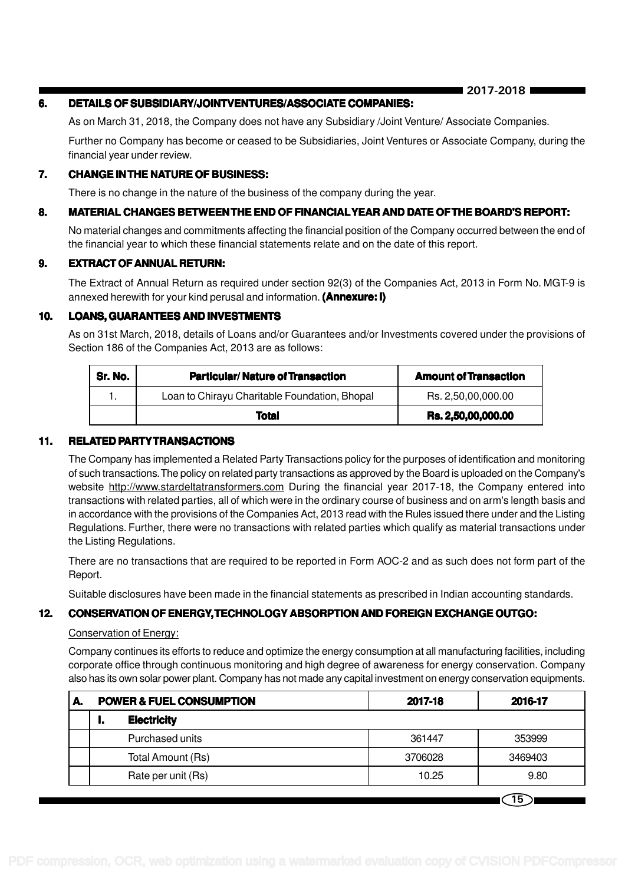■ 2017-2018 ■

# **6. DETAILS OF SUBSIDIARY/JOINTVENTURES/ASSOCIATE COMPANIES:**

As on March 31, 2018, the Company does not have any Subsidiary /Joint Venture/ Associate Companies.

Further no Company has become or ceased to be Subsidiaries, Joint Ventures or Associate Company, during the financial year under review.

# **7. CHANGE IN THE NATURE OF BUSINESS:**

There is no change in the nature of the business of the company during the year.

## **8. MATERIAL CHANGES BETWEEN THE END OF FINANCIAL YEAR AND DATE OF THE BOARD'S REPORT:**

No material changes and commitments affecting the financial position of the Company occurred between the end of the financial year to which these financial statements relate and on the date of this report.

# **9. EXTRACT OF ANNUAL RETURN:**

The Extract of Annual Return as required under section 92(3) of the Companies Act, 2013 in Form No. MGT-9 is annexed herewith for your kind perusal and information. **(Annexure: I)**

# **10. LOANS, GUARANTEES AND INVESTMENTS**

As on 31st March, 2018, details of Loans and/or Guarantees and/or Investments covered under the provisions of Section 186 of the Companies Act, 2013 are as follows:

| Sr. No. | <b>Particular/Nature of Transaction</b>       | <b>Amount of Transaction</b> |
|---------|-----------------------------------------------|------------------------------|
|         | Loan to Chirayu Charitable Foundation, Bhopal | Rs. 2,50,00,000.00           |
|         | Total                                         | Rs. 2,50,00,000.00           |

# **11. RELATED PARTY TRANSACTIONS**

The Company has implemented a Related Party Transactions policy for the purposes of identification and monitoring of such transactions. The policy on related party transactions as approved by the Board is uploaded on the Company's website http://www.stardeltatransformers.com During the financial year 2017-18, the Company entered into transactions with related parties, all of which were in the ordinary course of business and on arm's length basis and in accordance with the provisions of the Companies Act, 2013 read with the Rules issued there under and the Listing Regulations. Further, there were no transactions with related parties which qualify as material transactions under the Listing Regulations.

There are no transactions that are required to be reported in Form AOC-2 and as such does not form part of the Report.

Suitable disclosures have been made in the financial statements as prescribed in Indian accounting standards.

# **12. CONSERVATION OF ENERGY, TECHNOLOGY ABSORPTION AND FOREIGN EXCHANGE OUTGO:**

### Conservation of Energy:

Company continues its efforts to reduce and optimize the energy consumption at all manufacturing facilities, including corporate office through continuous monitoring and high degree of awareness for energy conservation. Company also has its own solar power plant. Company has not made any capital investment on energy conservation equipments.

| A. |                        | <b>POWER &amp; FUEL CONSUMPTION</b> | 2017-18 | 2016-17 |  |
|----|------------------------|-------------------------------------|---------|---------|--|
|    | <b>Electricity</b><br> |                                     |         |         |  |
|    |                        | Purchased units                     | 361447  | 353999  |  |
|    |                        | Total Amount (Rs)                   | 3706028 | 3469403 |  |
|    |                        | Rate per unit (Rs)                  | 10.25   | 9.80    |  |
|    |                        |                                     |         |         |  |

15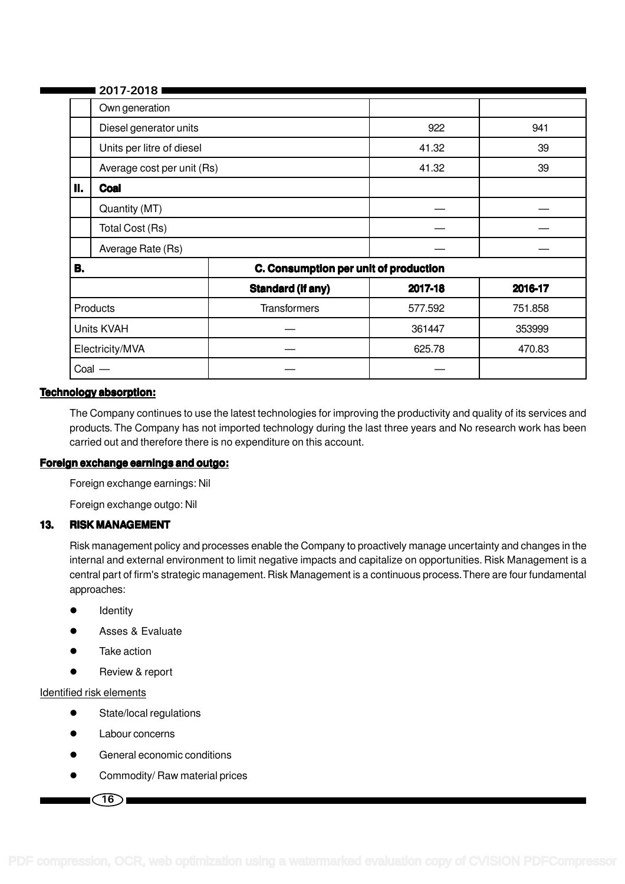|                 | 2017-2018                  |                          |                                       |         |  |  |  |
|-----------------|----------------------------|--------------------------|---------------------------------------|---------|--|--|--|
|                 | Own generation             |                          |                                       |         |  |  |  |
|                 | Diesel generator units     |                          | 922                                   | 941     |  |  |  |
|                 | Units per litre of diesel  |                          | 41.32                                 | 39      |  |  |  |
|                 | Average cost per unit (Rs) |                          | 41.32                                 | 39      |  |  |  |
| II.             | <b>Coal</b>                |                          |                                       |         |  |  |  |
|                 | Quantity (MT)              |                          |                                       |         |  |  |  |
|                 | Total Cost (Rs)            |                          |                                       |         |  |  |  |
|                 | Average Rate (Rs)          |                          |                                       |         |  |  |  |
| <b>B.</b>       |                            |                          | C. Consumption per unit of production |         |  |  |  |
|                 |                            | <b>Standard (if any)</b> | 2017-18                               | 2016-17 |  |  |  |
| Products        |                            | <b>Transformers</b>      | 577.592                               | 751.858 |  |  |  |
| Units KVAH      |                            |                          | 361447                                | 353999  |  |  |  |
| Electricity/MVA |                            |                          | 625.78                                | 470.83  |  |  |  |
|                 | $Coal$ $-$                 |                          |                                       |         |  |  |  |

### **Technology absorption:**

The Company continues to use the latest technologies for improving the productivity and quality of its services and products. The Company has not imported technology during the last three years and No research work has been carried out and therefore there is no expenditure on this account.

### **Foreign exchange earnings and outgo:**

Foreign exchange earnings: Nil

Foreign exchange outgo: Nil

# **13. RISK MANAGEMENT**

Risk management policy and processes enable the Company to proactively manage uncertainty and changes in the internal and external environment to limit negative impacts and capitalize on opportunities. Risk Management is a central part of firm's strategic management. Risk Management is a continuous process. There are four fundamental approaches:

- **Identity**
- Asses & Evaluate
- Take action
- Review & report

### Identified risk elements

- **•** State/local regulations
- l Labour concerns
- General economic conditions
- Commodity/ Raw material prices

 $\sqrt{16}$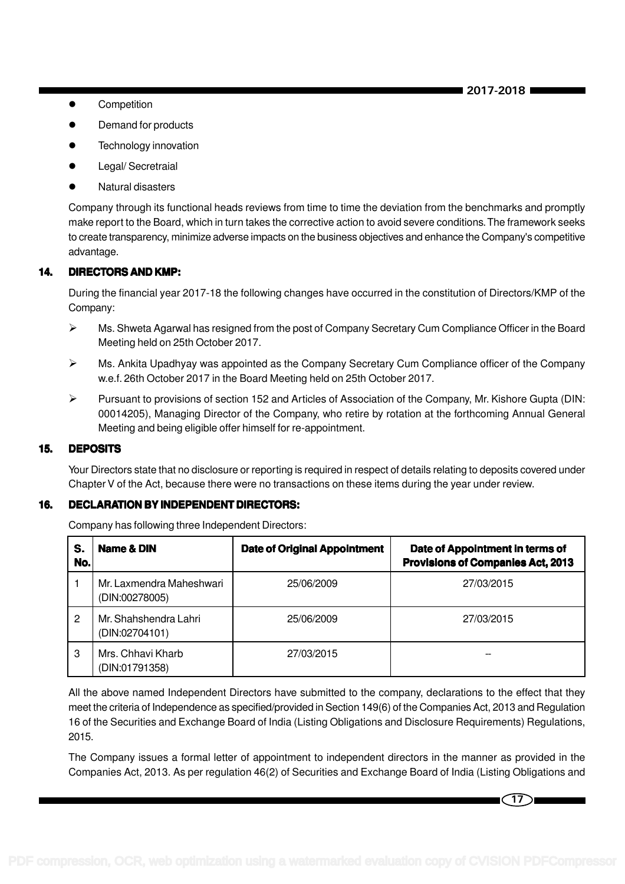- **•** Competition
- Demand for products
- **Technology innovation**
- Legal/ Secretraial
- Natural disasters

Company through its functional heads reviews from time to time the deviation from the benchmarks and promptly make report to the Board, which in turn takes the corrective action to avoid severe conditions. The framework seeks to create transparency, minimize adverse impacts on the business objectives and enhance the Company's competitive advantage.

# **14. DIRECTORS AND KMP:**

During the financial year 2017-18 the following changes have occurred in the constitution of Directors/KMP of the Company:

- Ø Ms. Shweta Agarwal has resigned from the post of Company Secretary Cum Compliance Officer in the Board Meeting held on 25th October 2017.
- $\triangleright$  Ms. Ankita Upadhyay was appointed as the Company Secretary Cum Compliance officer of the Company w.e.f. 26th October 2017 in the Board Meeting held on 25th October 2017.
- Ø Pursuant to provisions of section 152 and Articles of Association of the Company, Mr. Kishore Gupta (DIN: 00014205), Managing Director of the Company, who retire by rotation at the forthcoming Annual General Meeting and being eligible offer himself for re-appointment.

### **15. DEPOSITS**

Your Directors state that no disclosure or reporting is required in respect of details relating to deposits covered under Chapter V of the Act, because there were no transactions on these items during the year under review.

### **16. DECLARATION BY INDEPENDENT DIRECTORS:**

Company has following three Independent Directors:

| S.<br>No. | <b>Name &amp; DIN</b>                      | <b>Date of Original Appointment</b> | Date of Appointment in terms of<br><b>Provisions of Companies Act, 2013</b> |
|-----------|--------------------------------------------|-------------------------------------|-----------------------------------------------------------------------------|
|           | Mr. Laxmendra Maheshwari<br>(DIN:00278005) | 25/06/2009                          | 27/03/2015                                                                  |
| 2         | Mr. Shahshendra Lahri<br>(DIN:02704101)    | 25/06/2009                          | 27/03/2015                                                                  |
| 3         | Mrs. Chhavi Kharb<br>(DIN:01791358)        | 27/03/2015                          |                                                                             |

All the above named Independent Directors have submitted to the company, declarations to the effect that they meet the criteria of Independence as specified/provided in Section 149(6) of the Companies Act, 2013 and Regulation 16 of the Securities and Exchange Board of India (Listing Obligations and Disclosure Requirements) Regulations, 2015.

The Company issues a formal letter of appointment to independent directors in the manner as provided in the Companies Act, 2013. As per regulation 46(2) of Securities and Exchange Board of India (Listing Obligations and

17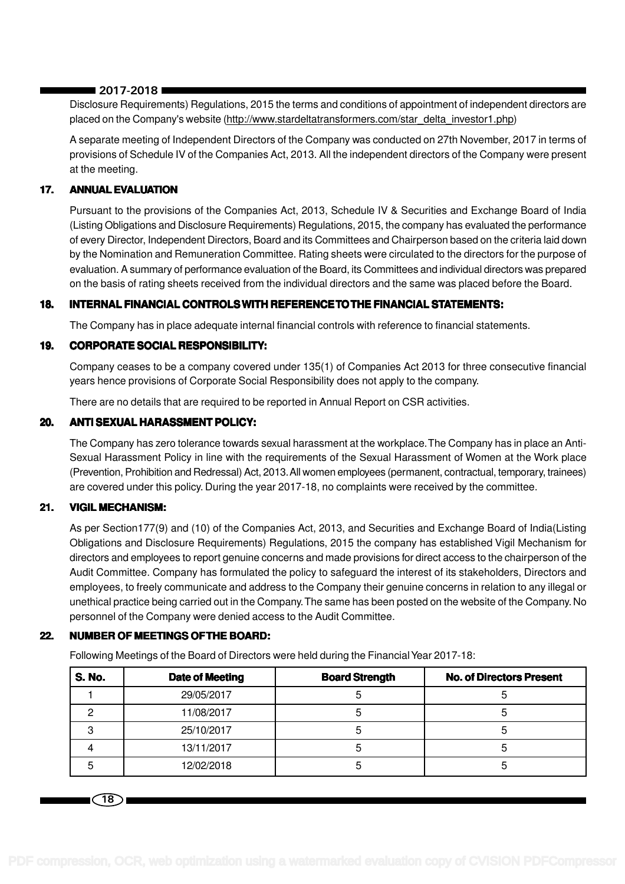Disclosure Requirements) Regulations, 2015 the terms and conditions of appointment of independent directors are placed on the Company's website (http://www.stardeltatransformers.com/star\_delta\_investor1.php)

A separate meeting of Independent Directors of the Company was conducted on 27th November, 2017 in terms of provisions of Schedule IV of the Companies Act, 2013. All the independent directors of the Company were present at the meeting.

# **17. ANNUAL EVALUATION**

Pursuant to the provisions of the Companies Act, 2013, Schedule IV & Securities and Exchange Board of India (Listing Obligations and Disclosure Requirements) Regulations, 2015, the company has evaluated the performance of every Director, Independent Directors, Board and its Committees and Chairperson based on the criteria laid down by the Nomination and Remuneration Committee. Rating sheets were circulated to the directors for the purpose of evaluation. A summary of performance evaluation of the Board, its Committees and individual directors was prepared on the basis of rating sheets received from the individual directors and the same was placed before the Board.

# **18. INTERNAL FINANCIAL CONTROLS WITH REFERENCE TO THE FINANCIAL STATEMENTS:**

The Company has in place adequate internal financial controls with reference to financial statements.

### **19. CORPORATE SOCIAL RESPONSIBILITY:**

Company ceases to be a company covered under 135(1) of Companies Act 2013 for three consecutive financial years hence provisions of Corporate Social Responsibility does not apply to the company.

There are no details that are required to be reported in Annual Report on CSR activities.

### **20. ANTI SEXUAL HARASSMENT POLICY:**

The Company has zero tolerance towards sexual harassment at the workplace. The Company has in place an Anti-Sexual Harassment Policy in line with the requirements of the Sexual Harassment of Women at the Work place (Prevention, Prohibition and Redressal) Act, 2013. All women employees (permanent, contractual, temporary, trainees) are covered under this policy. During the year 2017-18, no complaints were received by the committee.

### **21. VIGIL MECHANISM:**

As per Section177(9) and (10) of the Companies Act, 2013, and Securities and Exchange Board of India(Listing Obligations and Disclosure Requirements) Regulations, 2015 the company has established Vigil Mechanism for directors and employees to report genuine concerns and made provisions for direct access to the chairperson of the Audit Committee. Company has formulated the policy to safeguard the interest of its stakeholders, Directors and employees, to freely communicate and address to the Company their genuine concerns in relation to any illegal or unethical practice being carried out in the Company. The same has been posted on the website of the Company. No personnel of the Company were denied access to the Audit Committee.

### **22. NUMBER OF MEETINGS OF THE BOARD:**

| <b>S. No.</b> | Date of Meeting | <b>Board Strength</b> | <b>No. of Directors Present</b> |
|---------------|-----------------|-----------------------|---------------------------------|
|               | 29/05/2017      |                       |                                 |
|               | 11/08/2017      |                       |                                 |
|               | 25/10/2017      |                       |                                 |
|               | 13/11/2017      |                       |                                 |
|               | 12/02/2018      |                       |                                 |

Following Meetings of the Board of Directors were held during the Financial Year 2017-18:

 $(18)$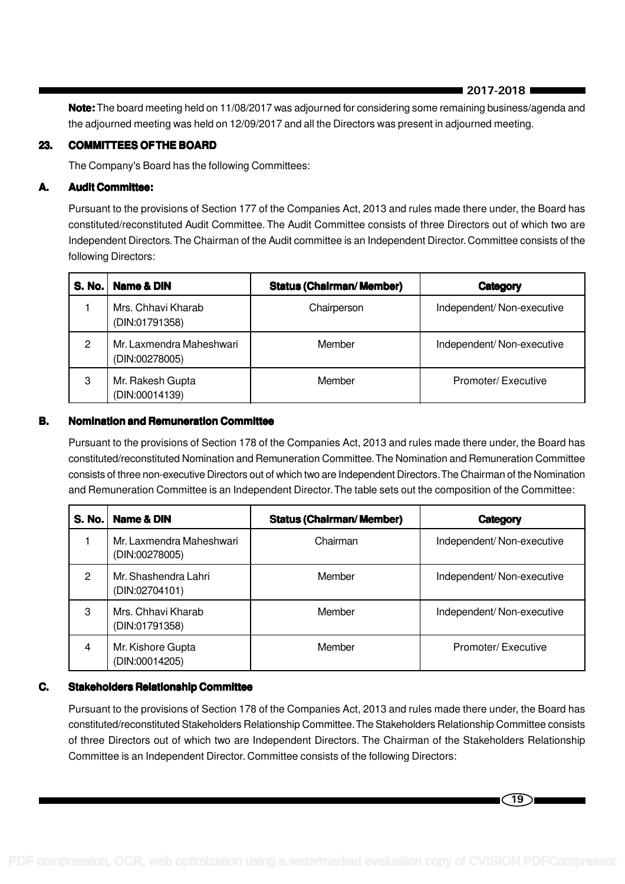**Note:**The board meeting held on 11/08/2017 was adjourned for considering some remaining business/agenda and the adjourned meeting was held on 12/09/2017 and all the Directors was present in adjourned meeting.

## **23. COMMITTEES OF THE BOARD**

The Company's Board has the following Committees:

## **A. Audit Committee:**

Pursuant to the provisions of Section 177 of the Companies Act, 2013 and rules made there under, the Board has constituted/reconstituted Audit Committee. The Audit Committee consists of three Directors out of which two are Independent Directors. The Chairman of the Audit committee is an Independent Director. Committee consists of the following Directors:

| <b>S. No.</b> | <b>Name &amp; DIN</b>                      | <b>Status (Chairman/Member)</b> | Category                  |
|---------------|--------------------------------------------|---------------------------------|---------------------------|
|               | Mrs. Chhavi Kharab<br>(DIN:01791358)       | Chairperson                     | Independent/Non-executive |
| 2             | Mr. Laxmendra Maheshwari<br>(DIN:00278005) | Member                          | Independent/Non-executive |
| 3             | Mr. Rakesh Gupta<br>(DIN:00014139)         | Member                          | Promoter/Executive        |

#### **B. Nomination and Remuneration Committee**

Pursuant to the provisions of Section 178 of the Companies Act, 2013 and rules made there under, the Board has constituted/reconstituted Nomination and Remuneration Committee. The Nomination and Remuneration Committee consists of three non-executive Directors out of which two are Independent Directors. The Chairman of the Nomination and Remuneration Committee is an Independent Director. The table sets out the composition of the Committee:

| <b>S. No.</b> | <b>Name &amp; DIN</b>                      | <b>Status (Chairman/ Member)</b> | <b>Category</b>           |
|---------------|--------------------------------------------|----------------------------------|---------------------------|
|               | Mr. Laxmendra Maheshwari<br>(DIN:00278005) | Chairman                         | Independent/Non-executive |
| 2             | Mr. Shashendra Lahri<br>(DIN:02704101)     | Member                           | Independent/Non-executive |
| 3             | Mrs. Chhavi Kharab<br>(DIN:01791358)       | Member                           | Independent/Non-executive |
| 4             | Mr. Kishore Gupta<br>(DIN:00014205)        | Member                           | Promoter/Executive        |

### **C. Stakeholders Relationship Committee**

Pursuant to the provisions of Section 178 of the Companies Act, 2013 and rules made there under, the Board has constituted/reconstituted Stakeholders Relationship Committee. The Stakeholders Relationship Committee consists of three Directors out of which two are Independent Directors. The Chairman of the Stakeholders Relationship Committee is an Independent Director. Committee consists of the following Directors:

 $\bigcirc$  19  $\bigcirc$   $\blacksquare$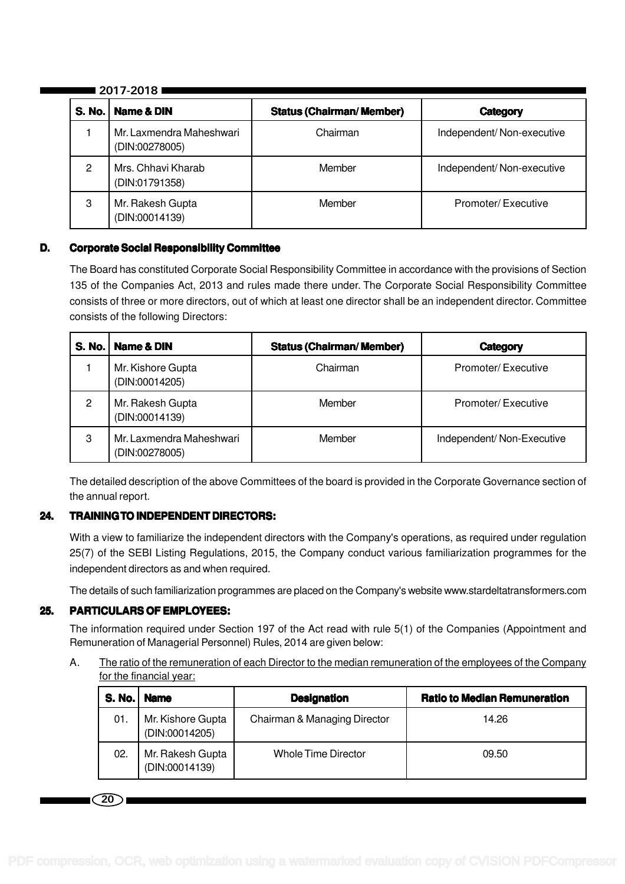|  | ■ 2017-2018 ■ |  |
|--|---------------|--|
|  |               |  |

| $S.$ No. | <b>Name &amp; DIN</b>                      | <b>Status (Chairman/Member)</b> |                           |  |  |
|----------|--------------------------------------------|---------------------------------|---------------------------|--|--|
|          | Mr. Laxmendra Maheshwari<br>(DIN:00278005) | Chairman                        | Independent/Non-executive |  |  |
| 2        | Mrs. Chhavi Kharab<br>(DIN:01791358)       | Member                          | Independent/Non-executive |  |  |
| 3        | Mr. Rakesh Gupta<br>(DIN:00014139)         | Member                          | Promoter/Executive        |  |  |

# **D. Corporate Social Responsibility Committee**

The Board has constituted Corporate Social Responsibility Committee in accordance with the provisions of Section 135 of the Companies Act, 2013 and rules made there under. The Corporate Social Responsibility Committee consists of three or more directors, out of which at least one director shall be an independent director. Committee consists of the following Directors:

| <b>S. No.</b> | Name & DIN                                 | <b>Status (Chairman/Member)</b> |                           |  |  |
|---------------|--------------------------------------------|---------------------------------|---------------------------|--|--|
|               | Mr. Kishore Gupta<br>(DIN:00014205)        | Chairman                        | Promoter/Executive        |  |  |
| 2             | Mr. Rakesh Gupta<br>(DIN:00014139)         | Member                          | Promoter/Executive        |  |  |
| 3             | Mr. Laxmendra Maheshwari<br>(DIN:00278005) | Member                          | Independent/Non-Executive |  |  |

The detailed description of the above Committees of the board is provided in the Corporate Governance section of the annual report.

### **24. TRAINING TO INDEPENDENT DIRECTORS:**

With a view to familiarize the independent directors with the Company's operations, as required under regulation 25(7) of the SEBI Listing Regulations, 2015, the Company conduct various familiarization programmes for the independent directors as and when required.

The details of such familiarization programmes are placed on the Company's website www.stardeltatransformers.com

### **25. PARTICULARS OF EMPLOYEES:**

The information required under Section 197 of the Act read with rule 5(1) of the Companies (Appointment and Remuneration of Managerial Personnel) Rules, 2014 are given below:

A. The ratio of the remuneration of each Director to the median remuneration of the employees of the Company for the financial year:

| <b>S. No.</b> | <b>Ratio to Median Remuneration</b><br><b>Name</b><br><b>Designation</b> |                              |       |  |  |
|---------------|--------------------------------------------------------------------------|------------------------------|-------|--|--|
| 01.           | Mr. Kishore Gupta<br>(DIN:00014205)                                      | Chairman & Managing Director | 14.26 |  |  |
| 02.           | Mr. Rakesh Gupta<br>(DIN:00014139)                                       | Whole Time Director          | 09.50 |  |  |

 $\sqrt{20}$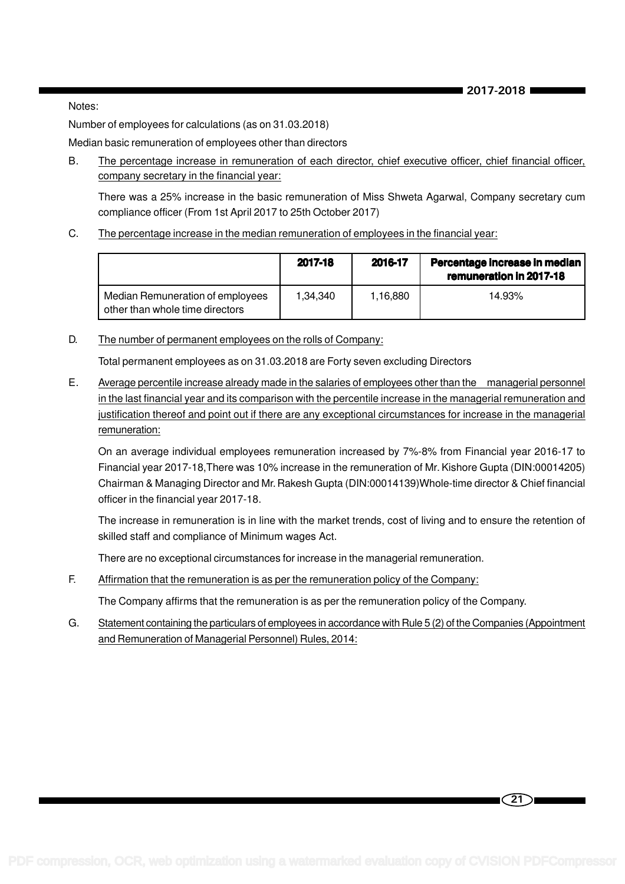Notes:

Number of employees for calculations (as on 31.03.2018)

Median basic remuneration of employees other than directors

B. The percentage increase in remuneration of each director, chief executive officer, chief financial officer, company secretary in the financial year:

There was a 25% increase in the basic remuneration of Miss Shweta Agarwal, Company secretary cum compliance officer (From 1st April 2017 to 25th October 2017)

C. The percentage increase in the median remuneration of employees in the financial year:

|                                                                     | 2017-18  | 2016-17  | Percentage increase in median<br>remuneration in 2017-18 |
|---------------------------------------------------------------------|----------|----------|----------------------------------------------------------|
| Median Remuneration of employees<br>other than whole time directors | 1.34.340 | 1,16,880 | 14.93%                                                   |

D. The number of permanent employees on the rolls of Company:

Total permanent employees as on 31.03.2018 are Forty seven excluding Directors

E. Average percentile increase already made in the salaries of employees other than the managerial personnel in the last financial year and its comparison with the percentile increase in the managerial remuneration and justification thereof and point out if there are any exceptional circumstances for increase in the managerial remuneration:

On an average individual employees remuneration increased by 7%-8% from Financial year 2016-17 to Financial year 2017-18,There was 10% increase in the remuneration of Mr. Kishore Gupta (DIN:00014205) Chairman & Managing Director and Mr. Rakesh Gupta (DIN:00014139)Whole-time director & Chief financial officer in the financial year 2017-18.

The increase in remuneration is in line with the market trends, cost of living and to ensure the retention of skilled staff and compliance of Minimum wages Act.

There are no exceptional circumstances for increase in the managerial remuneration.

F. Affirmation that the remuneration is as per the remuneration policy of the Company:

The Company affirms that the remuneration is as per the remuneration policy of the Company.

G. Statement containing the particulars of employees in accordance with Rule 5 (2) of the Companies (Appointment and Remuneration of Managerial Personnel) Rules, 2014:

 $\bigcirc$  21  $\bigcirc$  1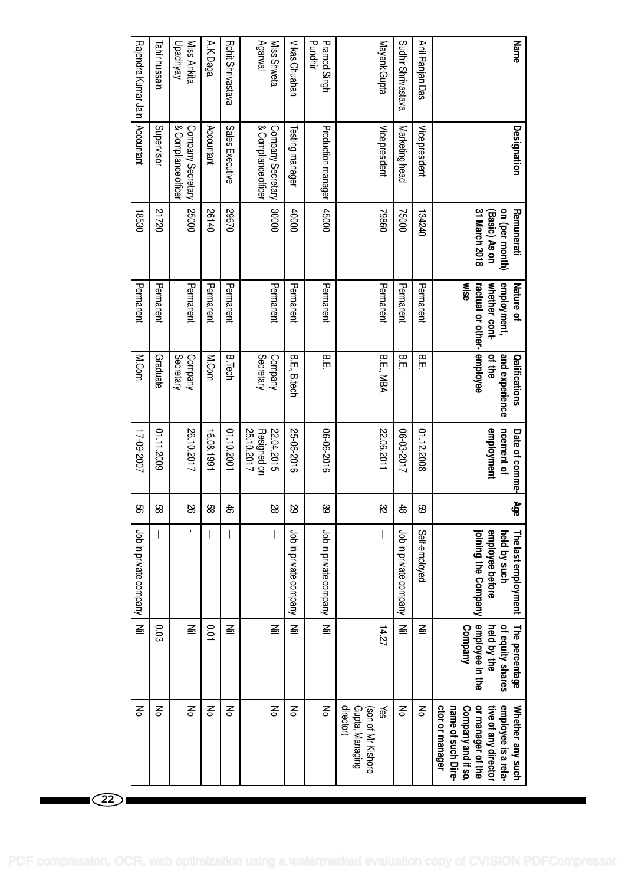| Mayank Gupta<br>Sudhir Shrivastava<br>Anil Ranjan Das<br>Marketing head<br>Vice president<br>Vice president              |                              | Pramod Singh<br>Pundhir<br>Production manager | <b>Vikas Chuahan</b><br>Testing manager |                        | Agarwal<br>Miss Shweta<br>& Compliance officer<br>Company Secretary | Rohit Shrivastava<br>Sales Executive | A.K.Daga<br>Accountant | Miss Ankita<br>Verdhed<br>& Compliance officer<br>Company Secretary | Tahir hussain<br>Supervisor |
|--------------------------------------------------------------------------------------------------------------------------|------------------------------|-----------------------------------------------|-----------------------------------------|------------------------|---------------------------------------------------------------------|--------------------------------------|------------------------|---------------------------------------------------------------------|-----------------------------|
| 31 March 2018<br>75000<br>134240<br>79860                                                                                |                              |                                               | 45000                                   | 40000                  | 30000                                                               | 29670                                | 26140                  | 0002                                                                | 21720                       |
| Permanent<br>Mise<br>Permanent<br>Permanent<br>ractual or other-                                                         |                              |                                               | Permanent                               | Permanent              | Permanent                                                           | Permanent                            | Permanent              | Permanent                                                           | Permanent                   |
| employee<br>B.E., MBA<br>В.<br>Ш<br>В.Е.                                                                                 |                              | В.Е.                                          |                                         | B.E., B.tech           | Secretary<br>Company                                                | <b>B.</b> Tech                       | M.Com                  | Secretary<br>Company                                                | Graduate                    |
| 22.06.2011<br>01.12.2008<br>06-03-2017                                                                                   |                              | 06-06-2016                                    |                                         | 25-06-2016             | Resigned on<br>25.10.2017<br>22.04.2015                             | 01.10.2001                           | 16.08.1991             | 26.10.2017                                                          | 01.11.2009                  |
| လ<br>48<br>8                                                                                                             |                              | မ္မ                                           |                                         | 8                      | 8                                                                   | र्क                                  | 89                     | တ္တ                                                                 | 89                          |
| Job in private company<br>Self-employed<br>joining the Company                                                           |                              | Job in private company                        |                                         | Job in private company | $\overline{\phantom{a}}$                                            | I                                    |                        |                                                                     |                             |
| $\leq$<br>employee in the<br>14.27<br>≧<br>Company                                                                       |                              | $\leq$                                        |                                         | $\leq$                 | $\leq$                                                              | ≧                                    | <b>D.O1</b>            | $\leq$                                                              | <b>C.O3</b>                 |
| 종<br>종<br>ctor or manager<br>or manager of the<br>శ్ల<br>(son of Mr Kishore)<br>name of such Dire-<br>Company and if so, | director)<br>Gupta, Managing | $\lesssim$                                    |                                         | 종                      | 종                                                                   | 종                                    | 종                      | 3                                                                   | 종                           |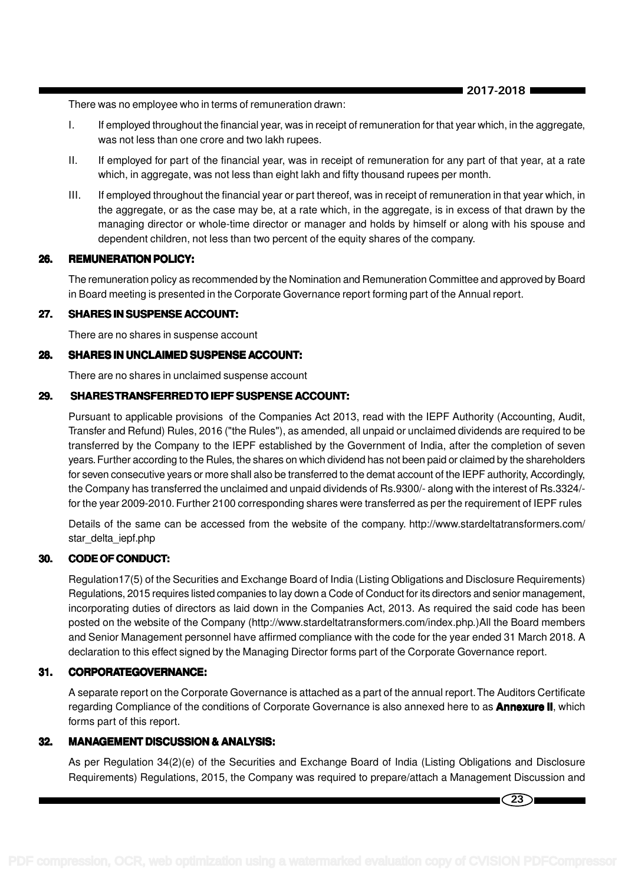$\blacksquare$  2017-2018  $\blacksquare$ 

 $\sqrt{23}$ 

There was no employee who in terms of remuneration drawn:

- I. If employed throughout the financial year, was in receipt of remuneration for that year which, in the aggregate, was not less than one crore and two lakh rupees.
- II. If employed for part of the financial year, was in receipt of remuneration for any part of that year, at a rate which, in aggregate, was not less than eight lakh and fifty thousand rupees per month.
- III. If employed throughout the financial year or part thereof, was in receipt of remuneration in that year which, in the aggregate, or as the case may be, at a rate which, in the aggregate, is in excess of that drawn by the managing director or whole-time director or manager and holds by himself or along with his spouse and dependent children, not less than two percent of the equity shares of the company.

#### **26. REMUNERATION POLICY:**

The remuneration policy as recommended by the Nomination and Remuneration Committee and approved by Board in Board meeting is presented in the Corporate Governance report forming part of the Annual report.

#### **27. SHARES IN SUSPENSE ACCOUNT:**

There are no shares in suspense account

#### **28. SHARES IN UNCLAIMED SUSPENSE ACCOUNT:**

There are no shares in unclaimed suspense account

# **29. SHARES TRANSFERRED TO IEPF SUSPENSE ACCOUNT:**

Pursuant to applicable provisions of the Companies Act 2013, read with the IEPF Authority (Accounting, Audit, Transfer and Refund) Rules, 2016 ("the Rules"), as amended, all unpaid or unclaimed dividends are required to be transferred by the Company to the IEPF established by the Government of India, after the completion of seven years. Further according to the Rules, the shares on which dividend has not been paid or claimed by the shareholders for seven consecutive years or more shall also be transferred to the demat account of the IEPF authority, Accordingly, the Company has transferred the unclaimed and unpaid dividends of Rs.9300/- along with the interest of Rs.3324/ for the year 2009-2010. Further 2100 corresponding shares were transferred as per the requirement of IEPF rules

Details of the same can be accessed from the website of the company. http://www.stardeltatransformers.com/ star\_delta\_iepf.php

# **30. CODE OF CONDUCT:**

Regulation17(5) of the Securities and Exchange Board of India (Listing Obligations and Disclosure Requirements) Regulations, 2015 requires listed companies to lay down a Code of Conduct for its directors and senior management, incorporating duties of directors as laid down in the Companies Act, 2013. As required the said code has been posted on the website of the Company (http://www.stardeltatransformers.com/index.php.)All the Board members and Senior Management personnel have affirmed compliance with the code for the year ended 31 March 2018. A declaration to this effect signed by the Managing Director forms part of the Corporate Governance report.

### **31. CORPORATEGOVERNANCE:**

A separate report on the Corporate Governance is attached as a part of the annual report.The Auditors Certificate regarding Compliance of the conditions of Corporate Governance is also annexed here to as **Annexure II**, which forms part of this report.

## **32. MANAGEMENT DISCUSSION & ANALYSIS:**

As per Regulation 34(2)(e) of the Securities and Exchange Board of India (Listing Obligations and Disclosure Requirements) Regulations, 2015, the Company was required to prepare/attach a Management Discussion and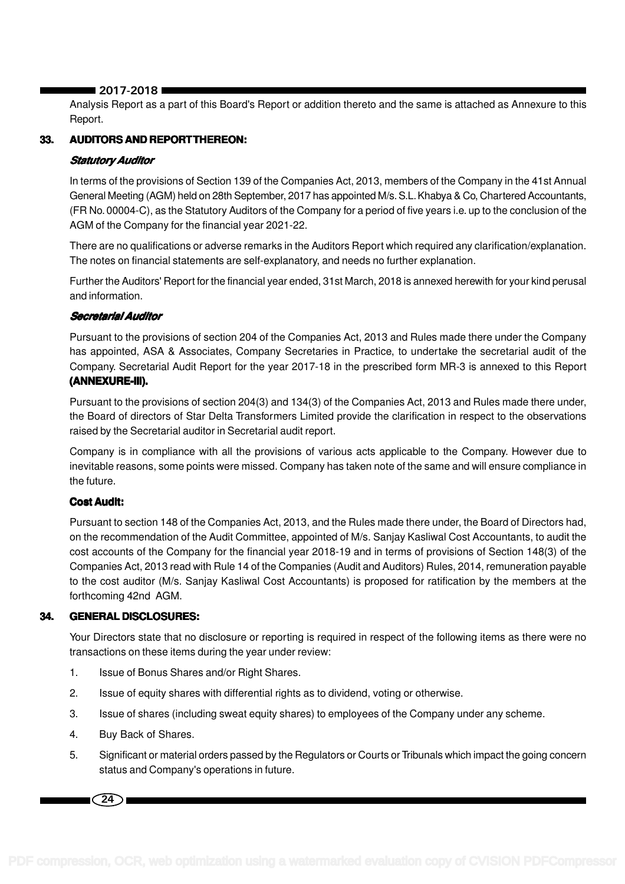#### $\blacksquare$  2017-2018  $\blacksquare$

Analysis Report as a part of this Board's Report or addition thereto and the same is attached as Annexure to this Report.

#### **33. AUDITORS AND REPORT THEREON:**

#### *Statutory Auditor*

In terms of the provisions of Section 139 of the Companies Act, 2013, members of the Company in the 41st Annual General Meeting (AGM) held on 28th September, 2017 has appointed M/s. S.L. Khabya & Co, Chartered Accountants, (FR No. 00004-C), as the Statutory Auditors of the Company for a period of five years i.e. up to the conclusion of the AGM of the Company for the financial year 2021-22.

There are no qualifications or adverse remarks in the Auditors Report which required any clarification/explanation. The notes on financial statements are self-explanatory, and needs no further explanation.

Further the Auditors' Report for the financial year ended, 31st March, 2018 is annexed herewith for your kind perusal and information.

#### *Secretarial Auditor*

Pursuant to the provisions of section 204 of the Companies Act, 2013 and Rules made there under the Company has appointed, ASA & Associates, Company Secretaries in Practice, to undertake the secretarial audit of the Company. Secretarial Audit Report for the year 2017-18 in the prescribed form MR-3 is annexed to this Report **(ANNEXURE-III).**

Pursuant to the provisions of section 204(3) and 134(3) of the Companies Act, 2013 and Rules made there under, the Board of directors of Star Delta Transformers Limited provide the clarification in respect to the observations raised by the Secretarial auditor in Secretarial audit report.

Company is in compliance with all the provisions of various acts applicable to the Company. However due to inevitable reasons, some points were missed. Company has taken note of the same and will ensure compliance in the future.

#### **Cost Audit:**

Pursuant to section 148 of the Companies Act, 2013, and the Rules made there under, the Board of Directors had, on the recommendation of the Audit Committee, appointed of M/s. Sanjay Kasliwal Cost Accountants, to audit the cost accounts of the Company for the financial year 2018-19 and in terms of provisions of Section 148(3) of the Companies Act, 2013 read with Rule 14 of the Companies (Audit and Auditors) Rules, 2014, remuneration payable to the cost auditor (M/s. Sanjay Kasliwal Cost Accountants) is proposed for ratification by the members at the forthcoming 42nd AGM.

### **34. GENERAL DISCLOSURES:**

Your Directors state that no disclosure or reporting is required in respect of the following items as there were no transactions on these items during the year under review:

- 1. Issue of Bonus Shares and/or Right Shares.
- 2. Issue of equity shares with differential rights as to dividend, voting or otherwise.
- 3. Issue of shares (including sweat equity shares) to employees of the Company under any scheme.
- 4. Buy Back of Shares.
- 5. Significant or material orders passed by the Regulators or Courts or Tribunals which impact the going concern status and Company's operations in future.

 $\bigcirc$  24  $\bigcirc$   $\blacksquare$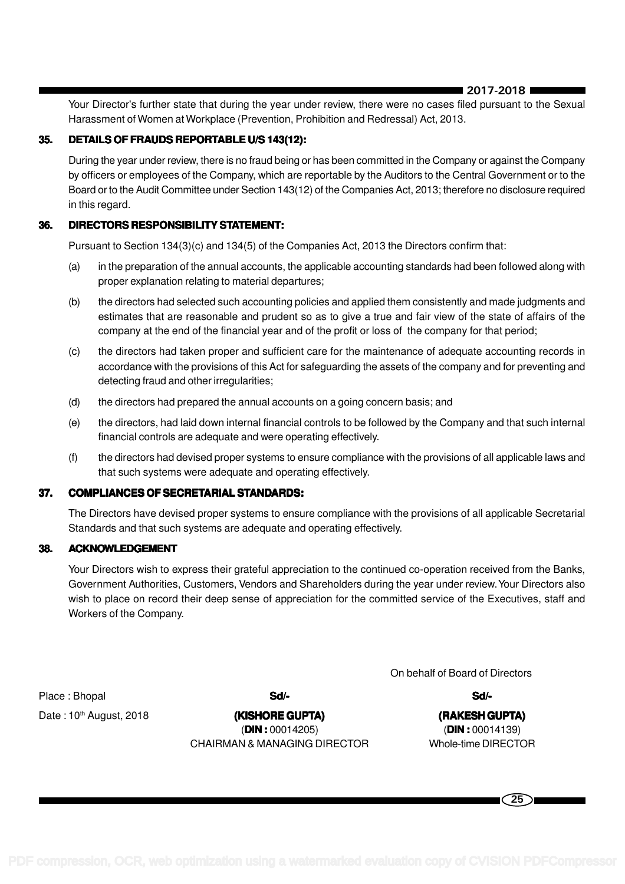#### ■ 2017-2018 ■

Your Director's further state that during the year under review, there were no cases filed pursuant to the Sexual Harassment of Women at Workplace (Prevention, Prohibition and Redressal) Act, 2013.

### **35. DETAILS OF FRAUDS REPORTABLE U/S 143(12):**

During the year under review, there is no fraud being or has been committed in the Company or against the Company by officers or employees of the Company, which are reportable by the Auditors to the Central Government or to the Board or to the Audit Committee under Section 143(12) of the Companies Act, 2013; therefore no disclosure required in this regard.

# **36. DIRECTORS RESPONSIBILITY STATEMENT:**

Pursuant to Section 134(3)(c) and 134(5) of the Companies Act, 2013 the Directors confirm that:

- (a) in the preparation of the annual accounts, the applicable accounting standards had been followed along with proper explanation relating to material departures;
- (b) the directors had selected such accounting policies and applied them consistently and made judgments and estimates that are reasonable and prudent so as to give a true and fair view of the state of affairs of the company at the end of the financial year and of the profit or loss of the company for that period;
- (c) the directors had taken proper and sufficient care for the maintenance of adequate accounting records in accordance with the provisions of this Act for safeguarding the assets of the company and for preventing and detecting fraud and other irregularities;
- (d) the directors had prepared the annual accounts on a going concern basis; and
- (e) the directors, had laid down internal financial controls to be followed by the Company and that such internal financial controls are adequate and were operating effectively.
- (f) the directors had devised proper systems to ensure compliance with the provisions of all applicable laws and that such systems were adequate and operating effectively.

### **37. COMPLIANCES OF SECRETARIAL STANDARDS:**

The Directors have devised proper systems to ensure compliance with the provisions of all applicable Secretarial Standards and that such systems are adequate and operating effectively.

### **38. ACKNOWLEDGEMENT**

Your Directors wish to express their grateful appreciation to the continued co-operation received from the Banks, Government Authorities, Customers, Vendors and Shareholders during the year under review. Your Directors also wish to place on record their deep sense of appreciation for the committed service of the Executives, staff and Workers of the Company.

On behalf of Board of Directors

Place : Bhopal **Sd/- Sd/-**

Date : 10<sup>th</sup> August, 2018 **(KISHORE GUPTA) (RAKESH GUPTA)** (**DIN :** 00014205) (**DIN :** 00014139) CHAIRMAN & MANAGING DIRECTOR Whole-time DIRECTOR

 $\sim$ 25)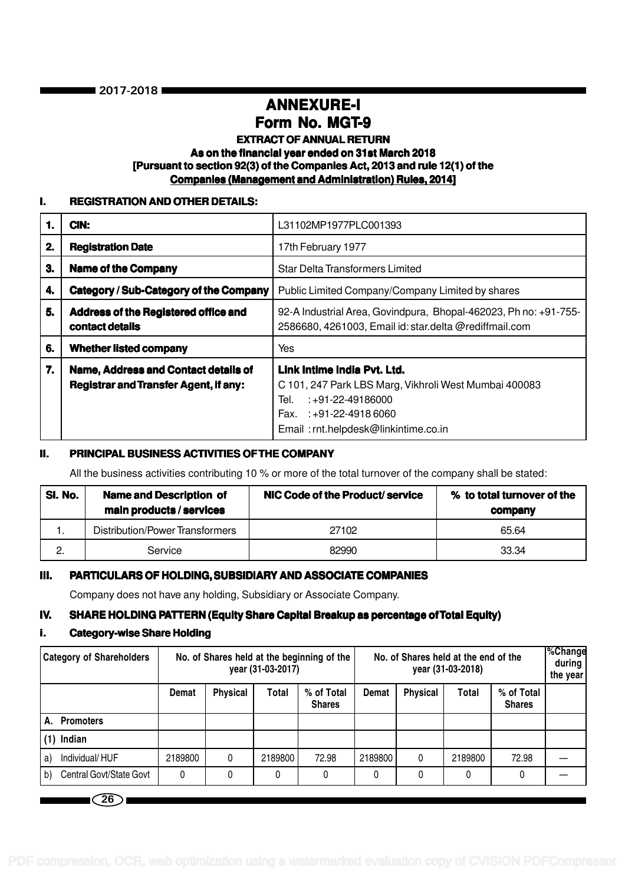$\blacksquare$  2017-2018

# **ANNEXURE-I Form No. MGT-9**

**EXTRACT OF ANNUAL RETURN**

**As on the financial year ended on 31st March 2018 [Pursuant to section 92(3) of the Companies Act, 2013 and rule 12(1) of the Companies (Management and Administration) Rules, 2014]**

# **I. REGISTRATION AND OTHER DETAILS:**

| 1. | CIN:                                                                                        | L31102MP1977PLC001393                                                                                                                                                                  |
|----|---------------------------------------------------------------------------------------------|----------------------------------------------------------------------------------------------------------------------------------------------------------------------------------------|
| 2. | <b>Registration Date</b>                                                                    | 17th February 1977                                                                                                                                                                     |
| 3. | <b>Name of the Company</b>                                                                  | Star Delta Transformers Limited                                                                                                                                                        |
| 4. | <b>Category / Sub-Category of the Company</b>                                               | Public Limited Company/Company Limited by shares                                                                                                                                       |
| 5. | <b>Address of the Registered office and</b><br>contact details                              | 92-A Industrial Area, Govindpura, Bhopal-462023, Ph no: +91-755-<br>2586680, 4261003, Email id: star.delta @rediffmail.com                                                             |
| 6. | <b>Whether listed company</b>                                                               | Yes                                                                                                                                                                                    |
| 7. | <b>Name, Address and Contact details of</b><br><b>Registrar and Transfer Agent, if any:</b> | Link Intime India Pvt. Ltd.<br>C 101, 247 Park LBS Marg, Vikhroli West Mumbai 400083<br>Tel.<br>$: +91-22-49186000$<br>Fax.: $+91-22-49186060$<br>Email: rnt.helpdesk@linkintime.co.in |

### **II. PRINCIPAL BUSINESS ACTIVITIES OF THE COMPANY**

All the business activities contributing 10 % or more of the total turnover of the company shall be stated:

| <b>SI. No.</b> | <b>Name and Description of</b><br>main products / services | NIC Code of the Product/ service | % to total turnover of the<br>company |
|----------------|------------------------------------------------------------|----------------------------------|---------------------------------------|
| . .            | Distribution/Power Transformers                            | 27102                            | 65.64                                 |
| ⌒<br><u>.</u>  | Service                                                    | 82990                            | 33.34                                 |

### **III. PARTICULARS OF HOLDING, SUBSIDIARY AND ASSOCIATE COMPANIES**

Company does not have any holding, Subsidiary or Associate Company.

### **IV. SHARE HOLDING PATTERN (Equity Share Capital Breakup as percentage of Total Equity)**

### **i. Category-wise Share Holding**

| <b>Category of Shareholders</b> | No. of Shares held at the beginning of the<br>year (31-03-2017) |                 |         | No. of Shares held at the end of the<br>year (31-03-2018) |              |                 |         | <b>%Change</b><br>during<br>the year |  |
|---------------------------------|-----------------------------------------------------------------|-----------------|---------|-----------------------------------------------------------|--------------|-----------------|---------|--------------------------------------|--|
|                                 | <b>Demat</b>                                                    | <b>Physical</b> | Total   | % of Total<br><b>Shares</b>                               | <b>Demat</b> | <b>Physical</b> | Total   | % of Total<br><b>Shares</b>          |  |
| A. Promoters                    |                                                                 |                 |         |                                                           |              |                 |         |                                      |  |
| Indian<br>(1)                   |                                                                 |                 |         |                                                           |              |                 |         |                                      |  |
| Individual/HUF<br>a)            | 2189800                                                         | 0               | 2189800 | 72.98                                                     | 2189800      | 0               | 2189800 | 72.98                                |  |
| Central Govt/State Govt<br>b)   | 0                                                               | 0               | 0       | 0                                                         | 0            | 0               | 0       | 0                                    |  |
|                                 |                                                                 |                 |         |                                                           |              |                 |         |                                      |  |

 $\overline{\phantom{a}}$  (26)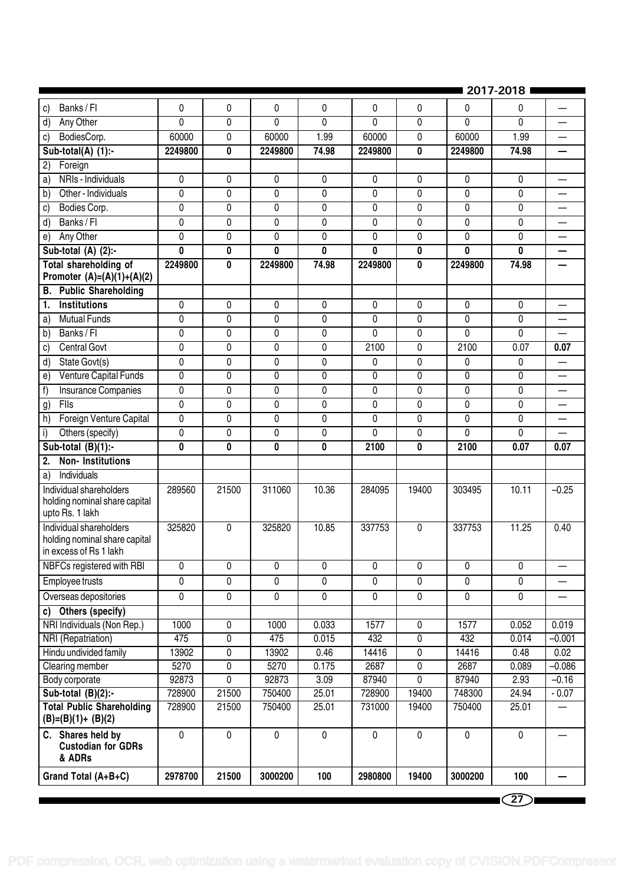|                                                                                    |                         |                |                |                         |                |                |                | 2017-2018      |          |
|------------------------------------------------------------------------------------|-------------------------|----------------|----------------|-------------------------|----------------|----------------|----------------|----------------|----------|
| Banks / Fl<br>C)                                                                   | 0                       | 0              | 0              | 0                       | 0              | 0              | 0              | 0              |          |
| Any Other<br>d)                                                                    | $\Omega$                | 0              | 0              | $\Omega$                | 0              | 0              | $\Omega$       | 0              |          |
| BodiesCorp.<br>C)                                                                  | 60000                   | 0              | 60000          | 1.99                    | 60000          | 0              | 60000          | 1.99           |          |
| Sub-total(A) (1):-                                                                 | 2249800                 | 0              | 2249800        | 74.98                   | 2249800        | 0              | 2249800        | 74.98          | -        |
| 2)<br>Foreign                                                                      |                         |                |                |                         |                |                |                |                |          |
| NRIs - Individuals<br>a)                                                           | 0                       | 0              | 0              | 0                       | 0              | 0              | 0              | 0              |          |
| Other - Individuals<br>b)                                                          | 0                       | 0              | 0              | 0                       | 0              | 0              | 0              | 0              |          |
| Bodies Corp.<br>C)                                                                 | 0                       | 0              | 0              | 0                       | 0              | 0              | 0              | 0              |          |
| Banks / Fl<br>d)                                                                   | 0                       | 0              | 0              | 0                       | 0              | 0              | 0              | 0              |          |
| Any Other<br>e)                                                                    | 0                       | 0              | 0              | 0                       | 0              | 0              | 0              | 0              |          |
| Sub-total (A) (2):-                                                                | $\overline{\mathbf{0}}$ | 0              | 0              | $\overline{\mathbf{0}}$ | 0              | 0              | 0              | 0              |          |
| Total shareholding of                                                              | 2249800                 | 0              | 2249800        | 74.98                   | 2249800        | 0              | 2249800        | 74.98          |          |
| Promoter $(A)=(A)(1)+(A)(2)$                                                       |                         |                |                |                         |                |                |                |                |          |
| <b>Public Shareholding</b><br>В.                                                   |                         |                |                |                         |                |                |                |                |          |
| <b>Institutions</b><br>1.                                                          | $\mathbf{0}$            | 0              | 0              | 0                       | 0              | 0              | 0              | 0              |          |
| <b>Mutual Funds</b><br>a)                                                          | $\mathbf 0$             | 0              | 0              | 0                       | 0              | 0              | 0              | 0              |          |
| Banks / Fl<br>b)                                                                   | 0                       | 0              | 0              | 0                       | 0              | 0              | 0              | 0              |          |
| Central Govt<br>C)                                                                 | 0                       | 0              | 0              | 0                       | 2100           | 0              | 2100           | 0.07           | 0.07     |
| State Govt(s)<br>d)                                                                | $\mathbf{0}$            | 0              | 0              | 0                       | 0              | 0              | 0              | 0              |          |
| <b>Venture Capital Funds</b><br>$\epsilon)$                                        | $\overline{0}$          | $\overline{0}$ | 0              | 0                       | 0              | 0              | 0              | 0              |          |
| Insurance Companies<br>f)                                                          | 0                       | 0              | 0              | 0                       | 0              | 0              | 0              | 0              |          |
| Flls<br>g)                                                                         | 0                       | 0              | 0              | 0                       | 0              | 0              | 0              | 0              | —        |
| Foreign Venture Capital<br>$\overline{h}$                                          | 0                       | $\overline{0}$ | 0              | 0                       | 0              | $\overline{0}$ | 0              | 0              |          |
| i)<br>Others (specify)                                                             | 0                       | 0              | 0              | 0                       | 0              | 0              | 0              | 0              |          |
| Sub-total $(B)(1)$ :-                                                              | 0                       | 0              | 0              | 0                       | 2100           | 0              | 2100           | 0.07           | 0.07     |
| <b>Non-Institutions</b><br>2.                                                      |                         |                |                |                         |                |                |                |                |          |
| Individuals<br>a)                                                                  |                         |                |                |                         |                |                |                |                |          |
| Individual shareholders                                                            | 289560                  | 21500          | 311060         | 10.36                   | 284095         | 19400          | 303495         | 10.11          | $-0.25$  |
| holding nominal share capital<br>upto Rs. 1 lakh                                   |                         |                |                |                         |                |                |                |                |          |
| Individual shareholders<br>holding nominal share capital<br>in excess of Rs 1 lakh | 325820                  | $\overline{0}$ | 325820         | 10.85                   | 337753         | $\overline{0}$ | 337753         | 11.25          | 0.40     |
| NBFCs registered with RBI                                                          | 0                       | 0              | 0              | 0                       | 0              | 0              | $\mathbf{0}$   | 0              |          |
| Employee trusts                                                                    | 0                       | 0              | 0              | $\overline{0}$          | 0              | 0              | 0              | 0              |          |
| Overseas depositories                                                              | $\overline{0}$          | $\overline{0}$ | $\overline{0}$ | $\overline{0}$          | $\overline{0}$ | $\overline{0}$ | $\overline{0}$ | $\overline{0}$ |          |
| Others (specify)<br>C)                                                             |                         |                |                |                         |                |                |                |                |          |
| NRI Individuals (Non Rep.)                                                         | 1000                    | $\overline{0}$ | 1000           | 0.033                   | 1577           | 0              | 1577           | 0.052          | 0.019    |
| <b>NRI</b> (Repatriation)                                                          | 475                     | 0              | 475            | 0.015                   | 432            | 0              | 432            | 0.014          | $-0.001$ |
| Hindu undivided family                                                             | 13902                   | $\overline{0}$ | 13902          | 0.46                    | 14416          | 0              | 14416          | 0.48           | 0.02     |
| Clearing member                                                                    | 5270                    | 0              | 5270           | 0.175                   | 2687           | 0              | 2687           | 0.089          | $-0.086$ |
| Body corporate                                                                     | 92873                   | 0              | 92873          | 3.09                    | 87940          | 0              | 87940          | 2.93           | $-0.16$  |
| Sub-total $(B)(2)$ :-                                                              | 728900                  | 21500          | 750400         | 25.01                   | 728900         | 19400          | 748300         | 24.94          | $-0.07$  |
| <b>Total Public Shareholding</b><br>$(B)=(B)(1)+(B)(2)$                            | 728900                  | 21500          | 750400         | 25.01                   | 731000         | 19400          | 750400         | 25.01          |          |
| C. Shares held by<br><b>Custodian for GDRs</b><br>& ADRs                           | 0                       | 0              | $\pmb{0}$      | 0                       | 0              | $\pmb{0}$      | $\mathbf 0$    | $\pmb{0}$      |          |
| Grand Total (A+B+C)                                                                | 2978700                 | 21500          | 3000200        | 100                     | 2980800        | 19400          | 3000200        | 100            |          |
|                                                                                    |                         |                |                |                         |                |                |                | 27             |          |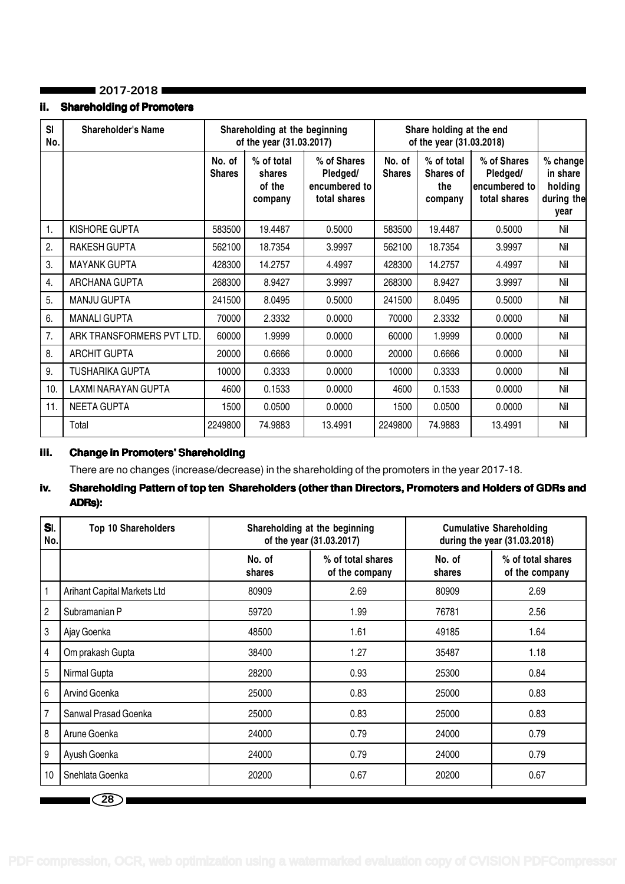#### $\blacksquare$  2017-2018

# **ii. Shareholding of Promoters**

| <b>SI</b><br>No. | <b>Shareholder's Name</b> |                         | Shareholding at the beginning<br>of the year (31.03.2017) | Share holding at the end<br>of the year (31.03.2018)     |                         |                                           |                                                          |                                                         |
|------------------|---------------------------|-------------------------|-----------------------------------------------------------|----------------------------------------------------------|-------------------------|-------------------------------------------|----------------------------------------------------------|---------------------------------------------------------|
|                  |                           | No. of<br><b>Shares</b> | % of total<br>shares<br>of the<br>company                 | % of Shares<br>Pledged/<br>encumbered to<br>total shares | No. of<br><b>Shares</b> | % of total<br>Shares of<br>the<br>company | % of Shares<br>Pledged/<br>encumbered to<br>total shares | $%$ change<br>in share<br>holding<br>during the<br>year |
| 1.               | KISHORE GUPTA             | 583500                  | 19.4487                                                   | 0.5000                                                   | 583500                  | 19.4487                                   | 0.5000                                                   | Nil                                                     |
| 2.               | RAKESH GUPTA              | 562100                  | 18.7354                                                   | 3.9997                                                   | 562100                  | 18.7354                                   | 3.9997                                                   | Nil                                                     |
| 3.               | <b>MAYANK GUPTA</b>       | 428300                  | 14.2757                                                   | 4.4997                                                   | 428300                  | 14.2757                                   | 4.4997                                                   | Nil                                                     |
| 4.               | ARCHANA GUPTA             | 268300                  | 8.9427                                                    | 3.9997                                                   | 268300                  | 8.9427                                    | 3.9997                                                   | Nil                                                     |
| 5.               | <b>MANJU GUPTA</b>        | 241500                  | 8.0495                                                    | 0.5000                                                   | 241500                  | 8.0495                                    | 0.5000                                                   | Nil                                                     |
| 6.               | <b>MANALI GUPTA</b>       | 70000                   | 2.3332                                                    | 0.0000                                                   | 70000                   | 2.3332                                    | 0.0000                                                   | Nil                                                     |
| 7.               | ARK TRANSFORMERS PVT LTD. | 60000                   | 1.9999                                                    | 0.0000                                                   | 60000                   | 1.9999                                    | 0.0000                                                   | Nil                                                     |
| 8.               | <b>ARCHIT GUPTA</b>       | 20000                   | 0.6666                                                    | 0.0000                                                   | 20000                   | 0.6666                                    | 0.0000                                                   | Nil                                                     |
| 9.               | TUSHARIKA GUPTA           | 10000                   | 0.3333                                                    | 0.0000                                                   | 10000                   | 0.3333                                    | 0.0000                                                   | Nil                                                     |
| 10.              | LAXMI NARAYAN GUPTA       | 4600                    | 0.1533                                                    | 0.0000                                                   | 4600                    | 0.1533                                    | 0.0000                                                   | Nil                                                     |
| 11.              | <b>NEETA GUPTA</b>        | 1500                    | 0.0500                                                    | 0.0000                                                   | 1500                    | 0.0500                                    | 0.0000                                                   | Nil                                                     |
|                  | Total                     | 2249800                 | 74.9883                                                   | 13.4991                                                  | 2249800                 | 74.9883                                   | 13.4991                                                  | Nil                                                     |

# **iii. Change in Promoters' Shareholding**

There are no changes (increase/decrease) in the shareholding of the promoters in the year 2017-18.

# **iv. Shareholding Pattern of top ten Shareholders (other than Directors, Promoters and Holders of GDRs and ADRs):**

| SI.<br>No.     | Top 10 Shareholders         |                  | Shareholding at the beginning<br>of the year (31.03.2017) |                  | <b>Cumulative Shareholding</b><br>during the year (31.03.2018) |
|----------------|-----------------------------|------------------|-----------------------------------------------------------|------------------|----------------------------------------------------------------|
|                |                             | No. of<br>shares | % of total shares<br>of the company                       | No. of<br>shares | % of total shares<br>of the company                            |
| 1              | Arihant Capital Markets Ltd | 80909            | 2.69                                                      | 80909            | 2.69                                                           |
| $\overline{c}$ | Subramanian P               | 59720            | 1.99                                                      | 76781            | 2.56                                                           |
| 3              | Ajay Goenka                 | 48500            | 1.61                                                      | 49185            | 1.64                                                           |
| 4              | Om prakash Gupta            | 38400            | 1.27                                                      | 35487            | 1.18                                                           |
| $\overline{5}$ | Nirmal Gupta                | 28200            | 0.93                                                      | 25300            | 0.84                                                           |
| 6              | Arvind Goenka               | 25000            | 0.83                                                      | 25000            | 0.83                                                           |
| $\overline{7}$ | Sanwal Prasad Goenka        | 25000            | 0.83                                                      | 25000            | 0.83                                                           |
| 8              | Arune Goenka                | 24000            | 0.79                                                      | 24000            | 0.79                                                           |
| 9              | Ayush Goenka                | 24000            | 0.79                                                      | 24000            | 0.79                                                           |
| 10             | Snehlata Goenka             | 20200            | 0.67                                                      | 20200            | 0.67                                                           |
|                | 28                          |                  |                                                           |                  |                                                                |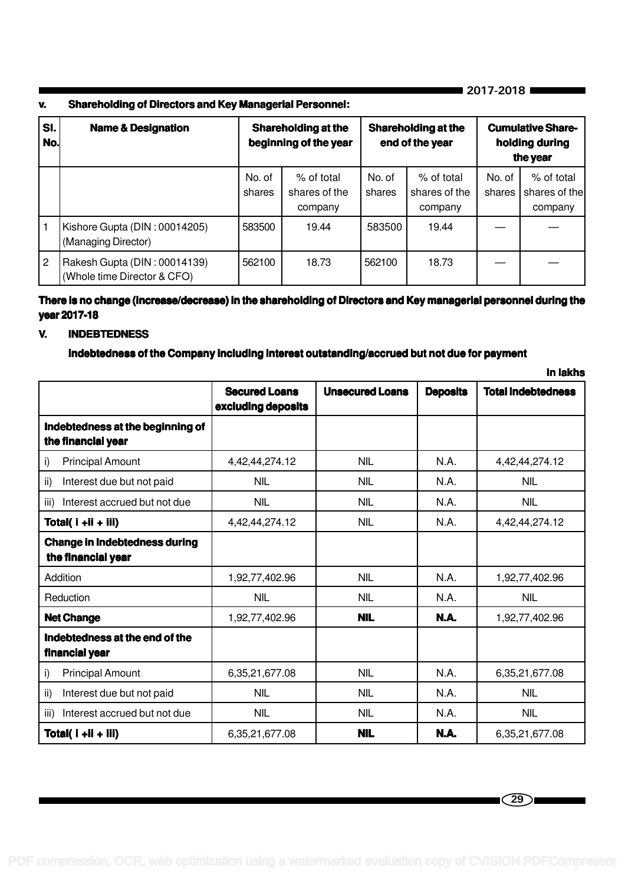**v. Shareholding of Directors and Key Managerial Personnel:**

| SI.<br>No. | <b>Name &amp; Designation</b>                               | <b>Shareholding at the</b><br>beginning of the year |                                        | <b>Shareholding at the</b><br>end of the year |                                        | <b>Cumulative Share-</b><br>holding during<br>the year |                                        |
|------------|-------------------------------------------------------------|-----------------------------------------------------|----------------------------------------|-----------------------------------------------|----------------------------------------|--------------------------------------------------------|----------------------------------------|
|            |                                                             | No. of<br>shares                                    | % of total<br>shares of the<br>company | No. of<br>shares                              | % of total<br>shares of the<br>company | No. of<br>shares                                       | % of total<br>shares of the<br>company |
|            | Kishore Gupta (DIN : 00014205)<br>(Managing Director)       | 583500                                              | 19.44                                  | 583500                                        | 19.44                                  |                                                        |                                        |
| 2          | Rakesh Gupta (DIN: 00014139)<br>(Whole time Director & CFO) | 562100                                              | 18.73                                  | 562100                                        | 18.73                                  |                                                        |                                        |

# **There is no change (increase/decrease) in the shareholding of Directors and Key managerial personnel during the year 2017-18**

# **V. INDEBTEDNESS**

# **Indebtedness of the Company including interest outstanding/accrued but not due for payment**

|                                                            | <b>Secured Loans</b><br>excluding deposits | <b>Unsecured Loans</b> | <b>Deposits</b> | <b>Total Indebtedness</b> |
|------------------------------------------------------------|--------------------------------------------|------------------------|-----------------|---------------------------|
| Indebtedness at the beginning of<br>the financial year     |                                            |                        |                 |                           |
| <b>Principal Amount</b><br>i)                              | 4,42,44,274.12                             | <b>NIL</b>             | N.A.            | 4,42,44,274.12            |
| ii)<br>Interest due but not paid                           | <b>NIL</b>                                 | <b>NIL</b>             | N.A.            | <b>NIL</b>                |
| Interest accrued but not due<br>iii)                       | <b>NIL</b>                                 | <b>NIL</b>             | N.A.            | <b>NIL</b>                |
| Total( $i + ii + iii$ )                                    | 4,42,44,274.12                             | <b>NIL</b>             | N.A.            | 4,42,44,274.12            |
| <b>Change in Indebtedness during</b><br>the financial year |                                            |                        |                 |                           |
| Addition                                                   | 1,92,77,402.96                             | <b>NIL</b>             | N.A.            | 1,92,77,402.96            |
| Reduction                                                  | <b>NIL</b>                                 | <b>NIL</b>             | N.A.            | NIL                       |
| <b>Net Change</b>                                          | 1,92,77,402.96                             | <b>NIL</b>             | <b>N.A.</b>     | 1,92,77,402.96            |
| Indebtedness at the end of the<br>financial year           |                                            |                        |                 |                           |
| i)<br><b>Principal Amount</b>                              | 6, 35, 21, 677. 08                         | <b>NIL</b>             | N.A.            | 6, 35, 21, 677. 08        |
| ii)<br>Interest due but not paid                           | <b>NIL</b>                                 | <b>NIL</b>             | N.A.            | <b>NIL</b>                |
| iii)<br>Interest accrued but not due                       | <b>NIL</b>                                 | <b>NIL</b>             | N.A.            | <b>NIL</b>                |
| Total( i +ii + iii)                                        | 6,35,21,677.08                             | <b>NIL</b>             | <b>N.A.</b>     | 6,35,21,677.08            |

**In lakhs**

 $(29)$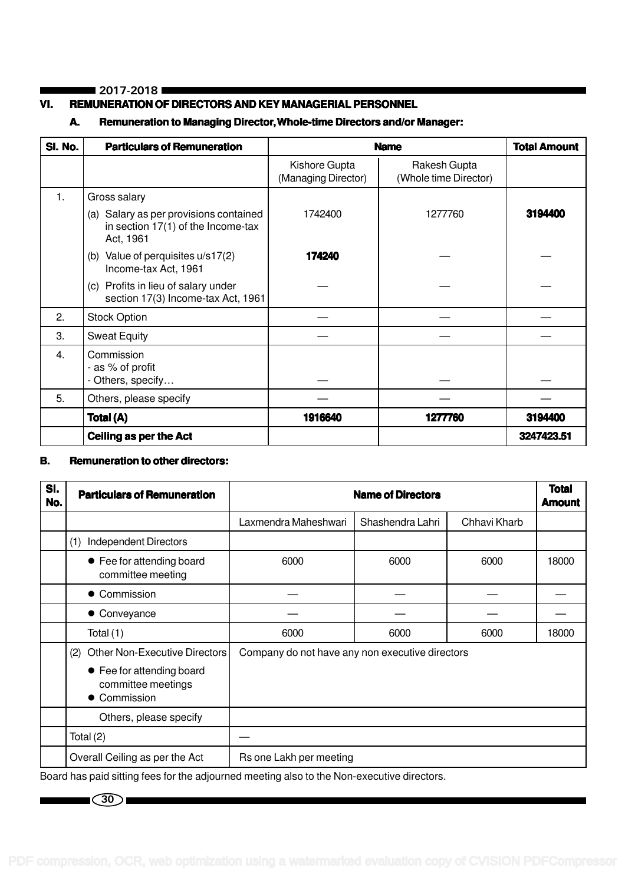## **VI. REMUNERATION OF DIRECTORS AND KEY MANAGERIAL PERSONNEL**

# **A. Remuneration to Managing Director, Whole-time Directors and/or Manager:**

| SI. No.          | <b>Particulars of Remuneration</b>                                                           |                                      | <b>Name</b>                           | <b>Total Amount</b> |
|------------------|----------------------------------------------------------------------------------------------|--------------------------------------|---------------------------------------|---------------------|
|                  |                                                                                              | Kishore Gupta<br>(Managing Director) | Rakesh Gupta<br>(Whole time Director) |                     |
| 1.               | Gross salary                                                                                 |                                      |                                       |                     |
|                  | Salary as per provisions contained<br>(a)<br>in section 17(1) of the Income-tax<br>Act, 1961 | 1742400                              | 1277760                               | 3194400             |
|                  | Value of perquisites u/s17(2)<br>(b)<br>Income-tax Act, 1961                                 | 174240                               |                                       |                     |
|                  | (c) Profits in lieu of salary under<br>section 17(3) Income-tax Act, 1961                    |                                      |                                       |                     |
| 2.               | <b>Stock Option</b>                                                                          |                                      |                                       |                     |
| 3.               | <b>Sweat Equity</b>                                                                          |                                      |                                       |                     |
| $\overline{4}$ . | Commission<br>- as % of profit<br>- Others, specify                                          |                                      |                                       |                     |
| 5.               | Others, please specify                                                                       |                                      |                                       |                     |
|                  | Total (A)                                                                                    | 1916640                              | 1277760                               | 3194400             |
|                  | <b>Ceiling as per the Act</b>                                                                |                                      |                                       | 3247423.51          |

#### **B. Remuneration to other directors:**

| SI.<br>No. | <b>Particulars of Remuneration</b>                                                                           |                         | <b>Name of Directors</b><br><b>Amount</b>       |              |       |  |  |  |
|------------|--------------------------------------------------------------------------------------------------------------|-------------------------|-------------------------------------------------|--------------|-------|--|--|--|
|            |                                                                                                              | Laxmendra Maheshwari    | Shashendra Lahri                                | Chhavi Kharb |       |  |  |  |
|            | <b>Independent Directors</b><br>(1)                                                                          |                         |                                                 |              |       |  |  |  |
|            | • Fee for attending board<br>committee meeting                                                               | 6000                    | 6000                                            | 6000         | 18000 |  |  |  |
|            | • Commission                                                                                                 |                         |                                                 |              |       |  |  |  |
|            | Conveyance<br>$\bullet$                                                                                      |                         |                                                 |              |       |  |  |  |
|            | Total (1)                                                                                                    | 6000                    | 6000                                            | 6000         | 18000 |  |  |  |
|            | <b>Other Non-Executive Directors</b><br>(2)<br>• Fee for attending board<br>committee meetings<br>Commission |                         | Company do not have any non executive directors |              |       |  |  |  |
|            | Others, please specify                                                                                       |                         |                                                 |              |       |  |  |  |
|            | Total (2)                                                                                                    |                         |                                                 |              |       |  |  |  |
|            | Overall Ceiling as per the Act                                                                               | Rs one Lakh per meeting |                                                 |              |       |  |  |  |

Board has paid sitting fees for the adjourned meeting also to the Non-executive directors.

 $\bigcirc$  30  $\bigcirc$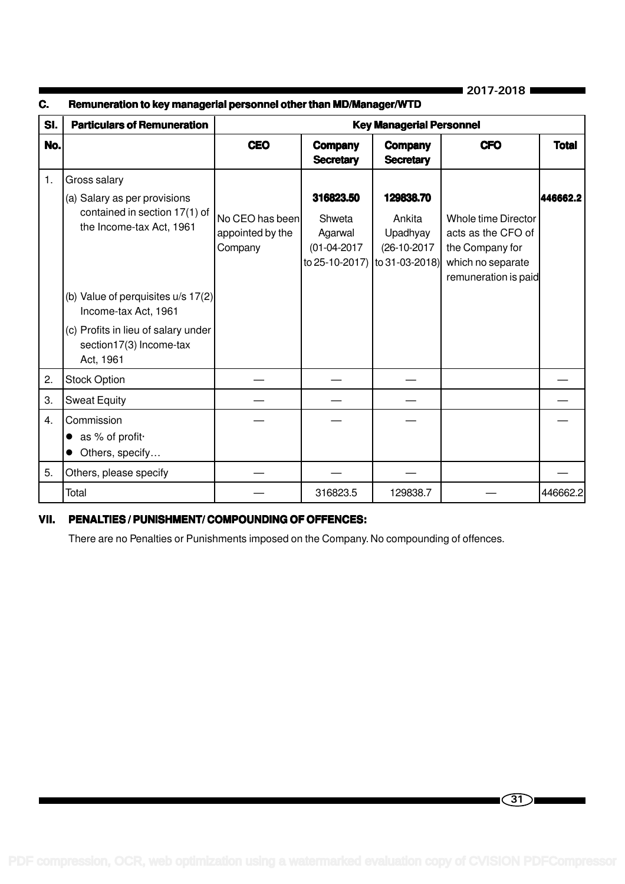$\blacksquare$  2017-2018

| SI. | <b>Particulars of Remuneration</b>                                                                                                                                                                                                                     |                                                | <b>Key Managerial Personnel</b>                                    |                                                                  |                                                                                                           |              |  |  |  |
|-----|--------------------------------------------------------------------------------------------------------------------------------------------------------------------------------------------------------------------------------------------------------|------------------------------------------------|--------------------------------------------------------------------|------------------------------------------------------------------|-----------------------------------------------------------------------------------------------------------|--------------|--|--|--|
| No. |                                                                                                                                                                                                                                                        | <b>CEO</b>                                     | <b>Company</b><br><b>Secretary</b>                                 | Company<br><b>Secretary</b>                                      | <b>CFO</b>                                                                                                | <b>Total</b> |  |  |  |
| 1.  | Gross salary<br>(a) Salary as per provisions<br>contained in section 17(1) of<br>the Income-tax Act, 1961<br>(b) Value of perquisites u/s 17(2)<br>Income-tax Act, 1961<br>(c) Profits in lieu of salary under<br>section17(3) Income-tax<br>Act, 1961 | No CEO has been<br>appointed by the<br>Company | 316823.50<br>Shweta<br>Agarwal<br>$(01-04-2017)$<br>to 25-10-2017) | 129838.70<br>Ankita<br>Upadhyay<br>(26-10-2017<br>to 31-03-2018) | Whole time Director<br>acts as the CFO of<br>the Company for<br>which no separate<br>remuneration is paid | 446662.2     |  |  |  |
| 2.  | <b>Stock Option</b>                                                                                                                                                                                                                                    |                                                |                                                                    |                                                                  |                                                                                                           |              |  |  |  |
| 3.  | <b>Sweat Equity</b>                                                                                                                                                                                                                                    |                                                |                                                                    |                                                                  |                                                                                                           |              |  |  |  |
| 4.  | Commission<br>as % of profit·<br>Others, specify                                                                                                                                                                                                       |                                                |                                                                    |                                                                  |                                                                                                           |              |  |  |  |
| 5.  | Others, please specify                                                                                                                                                                                                                                 |                                                |                                                                    |                                                                  |                                                                                                           |              |  |  |  |
|     | Total                                                                                                                                                                                                                                                  |                                                | 316823.5                                                           | 129838.7                                                         |                                                                                                           | 446662.2     |  |  |  |

#### **C. Remuneration to key managerial personnel other than MD/Manager/WTD**

# **VII. PENALTIES / PUNISHMENT/ COMPOUNDING OF OFFENCES:**

There are no Penalties or Punishments imposed on the Company. No compounding of offences.

 $\mathsf{I}(\mathsf{31})$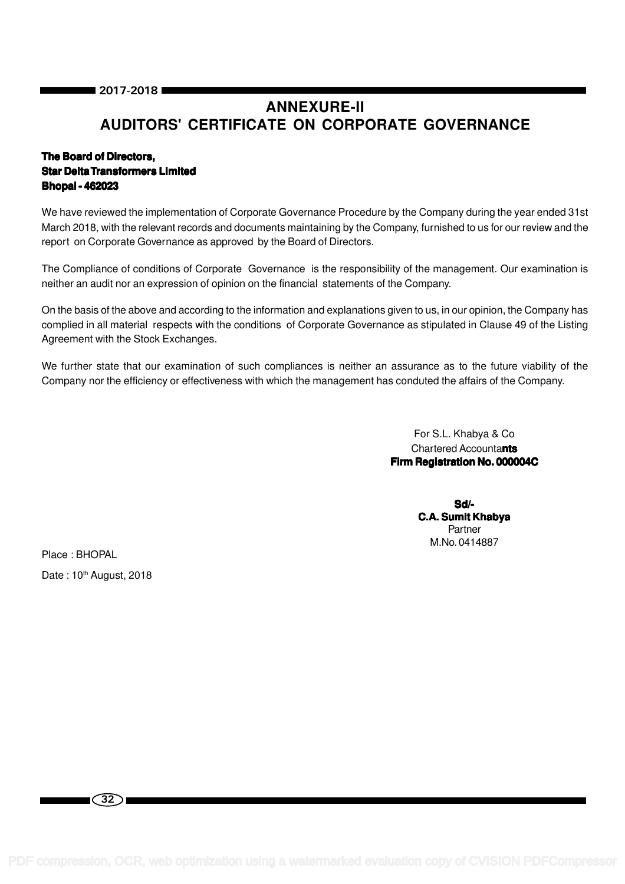# **ANNEXURE-II AUDITORS' CERTIFICATE ON CORPORATE GOVERNANCE**

# **The Board of Directors, Star Delta Transformers Limited Bhopal - 462023**

We have reviewed the implementation of Corporate Governance Procedure by the Company during the year ended 31st March 2018, with the relevant records and documents maintaining by the Company, furnished to us for our review and the report on Corporate Governance as approved by the Board of Directors.

The Compliance of conditions of Corporate Governance is the responsibility of the management. Our examination is neither an audit nor an expression of opinion on the financial statements of the Company.

On the basis of the above and according to the information and explanations given to us, in our opinion, the Company has complied in all material respects with the conditions of Corporate Governance as stipulated in Clause 49 of the Listing Agreement with the Stock Exchanges.

We further state that our examination of such compliances is neither an assurance as to the future viability of the Company nor the efficiency or effectiveness with which the management has conduted the affairs of the Company.

> For S.L. Khabya & Co Chartered Accounta**nts Firm Registration No. 000004C**

> > **Sd/- C.A. Sumit Khabya** Partner M.No. 0414887

Place : BHOPAL Date: 10th August, 2018

 $(32)$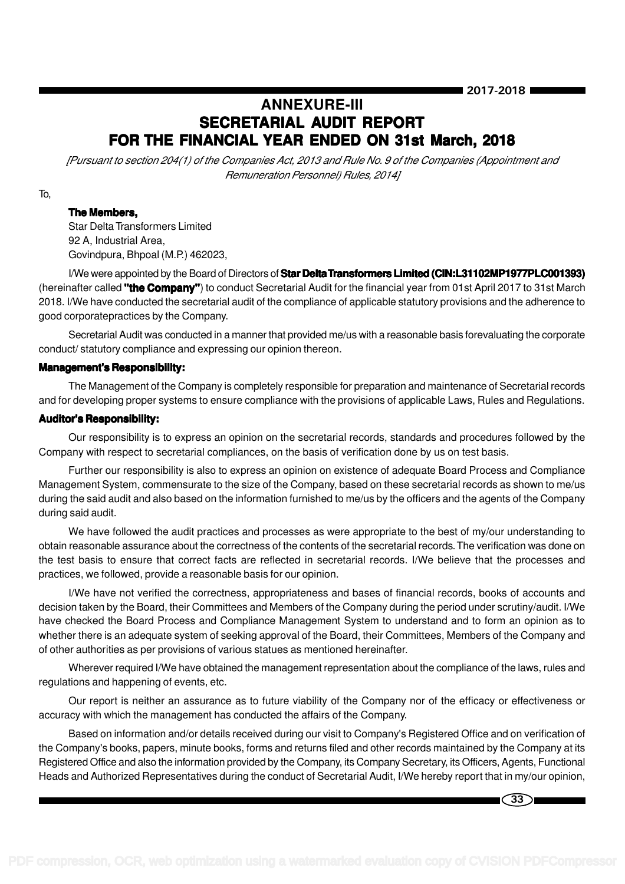$\blacksquare$  2017-2018  $\blacksquare$ 

 $\bigcirc$ 33

# **ANNEXURE-III SECRETARIAL AUDIT REPORT FOR THE FINANCIAL YEAR ENDED ON 31st March, 2018**

*[Pursuant to section 204(1) of the Companies Act, 2013 and Rule No. 9 of the Companies (Appointment and Remuneration Personnel) Rules, 2014]*

To,

# **The Members,**

Star Delta Transformers Limited 92 A, Industrial Area, Govindpura, Bhpoal (M.P.) 462023,

I/We were appointed by the Board of Directors of **Star Delta Transformers Limited (CIN:L31102MP1977PLC001393)** (hereinafter called **"the Company"**) to conduct Secretarial Audit for the financial year from 01st April 2017 to 31st March 2018. I/We have conducted the secretarial audit of the compliance of applicable statutory provisions and the adherence to good corporatepractices by the Company.

Secretarial Audit was conducted in a manner that provided me/us with a reasonable basis forevaluating the corporate conduct/ statutory compliance and expressing our opinion thereon.

#### **Management's Responsibility:**

The Management of the Company is completely responsible for preparation and maintenance of Secretarial records and for developing proper systems to ensure compliance with the provisions of applicable Laws, Rules and Regulations.

#### **Auditor's Responsibility:**

Our responsibility is to express an opinion on the secretarial records, standards and procedures followed by the Company with respect to secretarial compliances, on the basis of verification done by us on test basis.

Further our responsibility is also to express an opinion on existence of adequate Board Process and Compliance Management System, commensurate to the size of the Company, based on these secretarial records as shown to me/us during the said audit and also based on the information furnished to me/us by the officers and the agents of the Company during said audit.

We have followed the audit practices and processes as were appropriate to the best of my/our understanding to obtain reasonable assurance about the correctness of the contents of the secretarial records. The verification was done on the test basis to ensure that correct facts are reflected in secretarial records. I/We believe that the processes and practices, we followed, provide a reasonable basis for our opinion.

I/We have not verified the correctness, appropriateness and bases of financial records, books of accounts and decision taken by the Board, their Committees and Members of the Company during the period under scrutiny/audit. I/We have checked the Board Process and Compliance Management System to understand and to form an opinion as to whether there is an adequate system of seeking approval of the Board, their Committees, Members of the Company and of other authorities as per provisions of various statues as mentioned hereinafter.

Wherever required I/We have obtained the management representation about the compliance of the laws, rules and regulations and happening of events, etc.

Our report is neither an assurance as to future viability of the Company nor of the efficacy or effectiveness or accuracy with which the management has conducted the affairs of the Company.

Based on information and/or details received during our visit to Company's Registered Office and on verification of the Company's books, papers, minute books, forms and returns filed and other records maintained by the Company at its Registered Office and also the information provided by the Company, its Company Secretary, its Officers, Agents, Functional Heads and Authorized Representatives during the conduct of Secretarial Audit, I/We hereby report that in my/our opinion,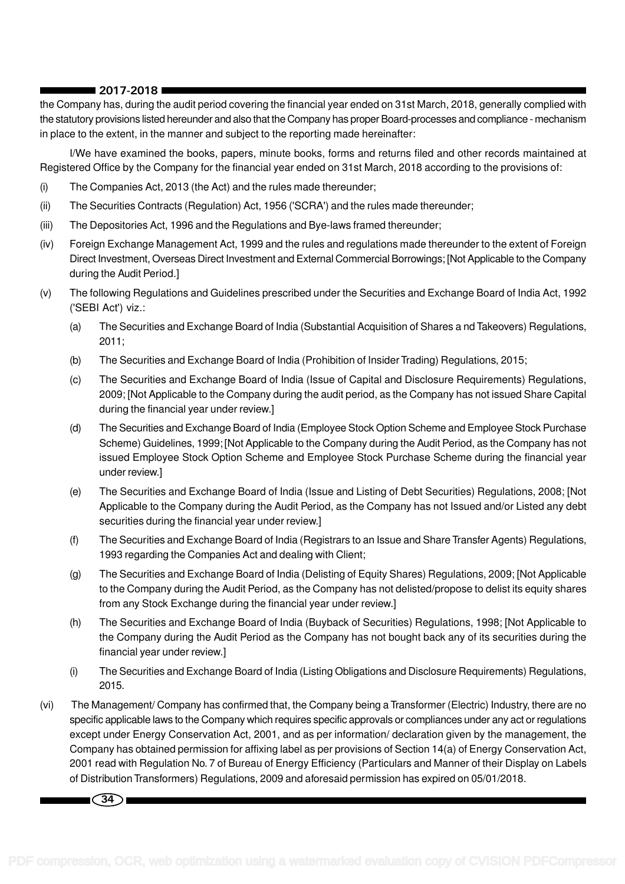#### $\blacksquare$  2017-2018  $\blacksquare$

the Company has, during the audit period covering the financial year ended on 31st March, 2018, generally complied with the statutory provisions listed hereunder and also that the Company has proper Board-processes and compliance - mechanism in place to the extent, in the manner and subject to the reporting made hereinafter:

I/We have examined the books, papers, minute books, forms and returns filed and other records maintained at Registered Office by the Company for the financial year ended on 31st March, 2018 according to the provisions of:

- (i) The Companies Act, 2013 (the Act) and the rules made thereunder;
- (ii) The Securities Contracts (Regulation) Act, 1956 ('SCRA') and the rules made thereunder;
- (iii) The Depositories Act, 1996 and the Regulations and Bye-laws framed thereunder;
- (iv) Foreign Exchange Management Act, 1999 and the rules and regulations made thereunder to the extent of Foreign Direct Investment, Overseas Direct Investment and External Commercial Borrowings; [Not Applicable to the Company during the Audit Period.]
- (v) The following Regulations and Guidelines prescribed under the Securities and Exchange Board of India Act, 1992 ('SEBI Act') viz.:
	- (a) The Securities and Exchange Board of India (Substantial Acquisition of Shares a nd Takeovers) Regulations, 2011;
	- (b) The Securities and Exchange Board of India (Prohibition of Insider Trading) Regulations, 2015;
	- (c) The Securities and Exchange Board of India (Issue of Capital and Disclosure Requirements) Regulations, 2009; [Not Applicable to the Company during the audit period, as the Company has not issued Share Capital during the financial year under review.]
	- (d) The Securities and Exchange Board of India (Employee Stock Option Scheme and Employee Stock Purchase Scheme) Guidelines, 1999; [Not Applicable to the Company during the Audit Period, as the Company has not issued Employee Stock Option Scheme and Employee Stock Purchase Scheme during the financial year under review.]
	- (e) The Securities and Exchange Board of India (Issue and Listing of Debt Securities) Regulations, 2008; [Not Applicable to the Company during the Audit Period, as the Company has not Issued and/or Listed any debt securities during the financial year under review.]
	- (f) The Securities and Exchange Board of India (Registrars to an Issue and Share Transfer Agents) Regulations, 1993 regarding the Companies Act and dealing with Client;
	- (g) The Securities and Exchange Board of India (Delisting of Equity Shares) Regulations, 2009; [Not Applicable to the Company during the Audit Period, as the Company has not delisted/propose to delist its equity shares from any Stock Exchange during the financial year under review.]
	- (h) The Securities and Exchange Board of India (Buyback of Securities) Regulations, 1998; [Not Applicable to the Company during the Audit Period as the Company has not bought back any of its securities during the financial year under review.]
	- (i) The Securities and Exchange Board of India (Listing Obligations and Disclosure Requirements) Regulations, 2015.
- (vi) The Management/ Company has confirmed that, the Company being a Transformer (Electric) Industry, there are no specific applicable laws to the Company which requires specific approvals or compliances under any act or regulations except under Energy Conservation Act, 2001, and as per information/ declaration given by the management, the Company has obtained permission for affixing label as per provisions of Section 14(a) of Energy Conservation Act, 2001 read with Regulation No. 7 of Bureau of Energy Efficiency (Particulars and Manner of their Display on Labels of Distribution Transformers) Regulations, 2009 and aforesaid permission has expired on 05/01/2018.

 $\sqrt{34}$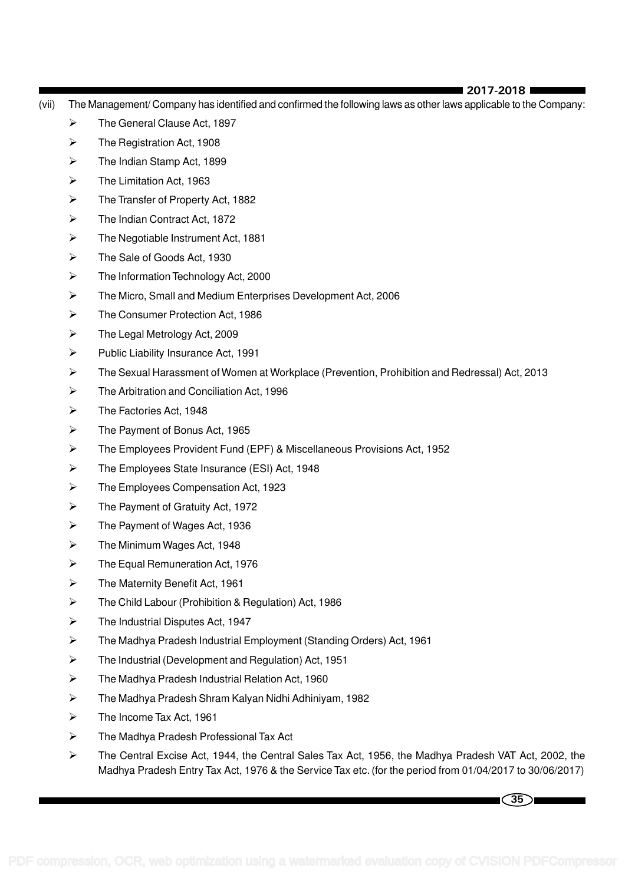#### ■ 2017-2018 ■

- (vii) The Management/ Company has identified and confirmed the following laws as other laws applicable to the Company:
	- $\triangleright$  The General Clause Act, 1897
	- $\triangleright$  The Registration Act, 1908
	- $\triangleright$  The Indian Stamp Act, 1899
	- $\triangleright$  The Limitation Act, 1963
	- $\triangleright$  The Transfer of Property Act, 1882
	- $\triangleright$  The Indian Contract Act, 1872
	- $\triangleright$  The Negotiable Instrument Act, 1881
	- Ø The Sale of Goods Act, 1930
	- $\triangleright$  The Information Technology Act, 2000
	- $\triangleright$  The Micro, Small and Medium Enterprises Development Act, 2006
	- Ø The Consumer Protection Act, 1986
	- $\triangleright$  The Legal Metrology Act, 2009
	- $\triangleright$  Public Liability Insurance Act, 1991
	- Ø The Sexual Harassment of Women at Workplace (Prevention, Prohibition and Redressal) Act, 2013
	- $\triangleright$  The Arbitration and Conciliation Act, 1996
	- $\triangleright$  The Factories Act, 1948
	- $\triangleright$  The Payment of Bonus Act, 1965
	- Ø The Employees Provident Fund (EPF) & Miscellaneous Provisions Act, 1952
	- $\triangleright$  The Employees State Insurance (ESI) Act, 1948
	- Ø The Employees Compensation Act, 1923
	- The Payment of Gratuity Act, 1972
	- $\triangleright$  The Payment of Wages Act, 1936
	- $\triangleright$  The Minimum Wages Act, 1948
	- $\triangleright$  The Equal Remuneration Act, 1976
	- $\triangleright$  The Maternity Benefit Act, 1961
	- Ø The Child Labour (Prohibition & Regulation) Act, 1986
	- $\triangleright$  The Industrial Disputes Act, 1947
	- Ø The Madhya Pradesh Industrial Employment (Standing Orders) Act, 1961
	- $\triangleright$  The Industrial (Development and Regulation) Act, 1951
	- $\triangleright$  The Madhya Pradesh Industrial Relation Act, 1960
	- $\triangleright$  The Madhya Pradesh Shram Kalyan Nidhi Adhiniyam, 1982
	- $\triangleright$  The Income Tax Act, 1961
	- $\triangleright$  The Madhya Pradesh Professional Tax Act
	- Ø The Central Excise Act, 1944, the Central Sales Tax Act, 1956, the Madhya Pradesh VAT Act, 2002, the Madhya Pradesh Entry Tax Act, 1976 & the Service Tax etc. (for the period from 01/04/2017 to 30/06/2017)

 $(35)$ I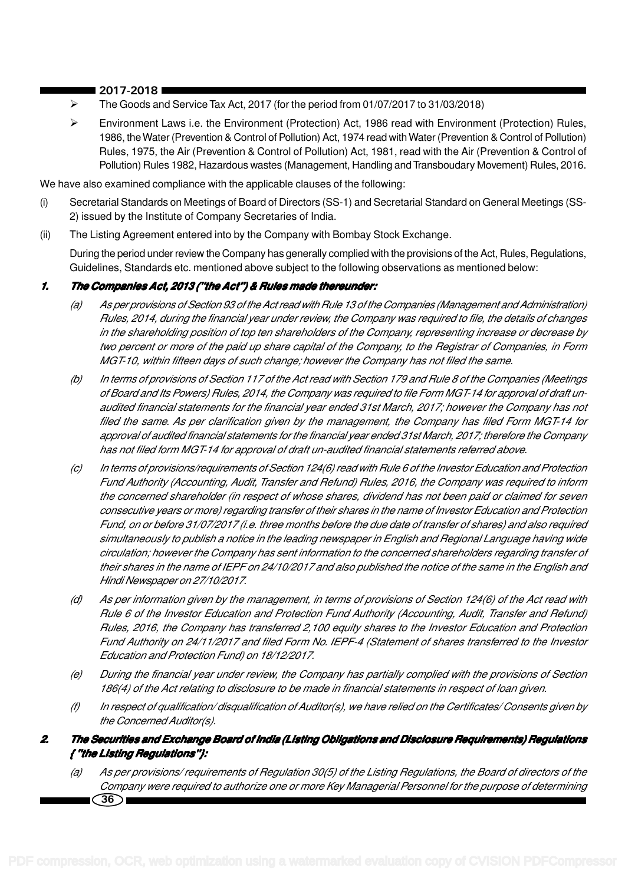- $\triangleright$  The Goods and Service Tax Act, 2017 (for the period from 01/07/2017 to 31/03/2018)
- $\triangleright$  Environment Laws i.e. the Environment (Protection) Act, 1986 read with Environment (Protection) Rules, 1986, the Water (Prevention & Control of Pollution) Act, 1974 read with Water (Prevention & Control of Pollution) Rules, 1975, the Air (Prevention & Control of Pollution) Act, 1981, read with the Air (Prevention & Control of Pollution) Rules 1982, Hazardous wastes (Management, Handling and Transboudary Movement) Rules, 2016.

We have also examined compliance with the applicable clauses of the following:

- (i) Secretarial Standards on Meetings of Board of Directors (SS-1) and Secretarial Standard on General Meetings (SS-2) issued by the Institute of Company Secretaries of India.
- (ii) The Listing Agreement entered into by the Company with Bombay Stock Exchange.

During the period under review the Company has generally complied with the provisions of the Act, Rules, Regulations, Guidelines, Standards etc. mentioned above subject to the following observations as mentioned below:

### *1. The Companies Act, 2013 ("the Act") & Rules made thereunder:*

- *(a) As per provisions of Section 93 of the Act read with Rule 13 of the Companies (Management and Administration) Rules, 2014, during the financial year under review, the Company was required to file, the details of changes in the shareholding position of top ten shareholders of the Company, representing increase or decrease by two percent or more of the paid up share capital of the Company, to the Registrar of Companies, in Form MGT-10, within fifteen days of such change; however the Company has not filed the same.*
- *(b) In terms of provisions of Section 117 of the Act read with Section 179 and Rule 8 of the Companies (Meetings of Board and Its Powers) Rules, 2014, the Company was required to file Form MGT-14 for approval of draft unaudited financial statements for the financial year ended 31st March, 2017; however the Company has not filed the same. As per clarification given by the management, the Company has filed Form MGT-14 for approval of audited financial statements for the financial year ended 31st March, 2017; therefore the Company has not filed form MGT-14 for approval of draft un-audited financial statements referred above.*
- *(c) In terms of provisions/requirements of Section 124(6) read with Rule 6 of the Investor Education and Protection Fund Authority (Accounting, Audit, Transfer and Refund) Rules, 2016, the Company was required to inform the concerned shareholder (in respect of whose shares, dividend has not been paid or claimed for seven consecutive years or more) regarding transfer of their shares in the name of Investor Education and Protection Fund, on or before 31/07/2017 (i.e. three months before the due date of transfer of shares) and also required simultaneously to publish a notice in the leading newspaper in English and Regional Language having wide circulation; however the Company has sent information to the concerned shareholders regarding transfer of their shares in the name of IEPF on 24/10/2017 and also published the notice of the same in the English and Hindi Newspaper on 27/10/2017.*
- *(d) As per information given by the management, in terms of provisions of Section 124(6) of the Act read with Rule 6 of the Investor Education and Protection Fund Authority (Accounting, Audit, Transfer and Refund) Rules, 2016, the Company has transferred 2,100 equity shares to the Investor Education and Protection Fund Authority on 24/11/2017 and filed Form No. IEPF-4 (Statement of shares transferred to the Investor Education and Protection Fund) on 18/12/2017.*
- *(e) During the financial year under review, the Company has partially complied with the provisions of Section 186(4) of the Act relating to disclosure to be made in financial statements in respect of loan given.*
- *(f) In respect of qualification/ disqualification of Auditor(s), we have relied on the Certificates/ Consents given by the Concerned Auditor(s).*
- *2. The Securities and Exchange Board of India (Listing Obligations and Disclosure Requirements) Regulations { "the Listing Regulations"}:*
	- $\overline{36}$ *(a) As per provisions/ requirements of Regulation 30(5) of the Listing Regulations, the Board of directors of the Company were required to authorize one or more Key Managerial Personnel for the purpose of determining*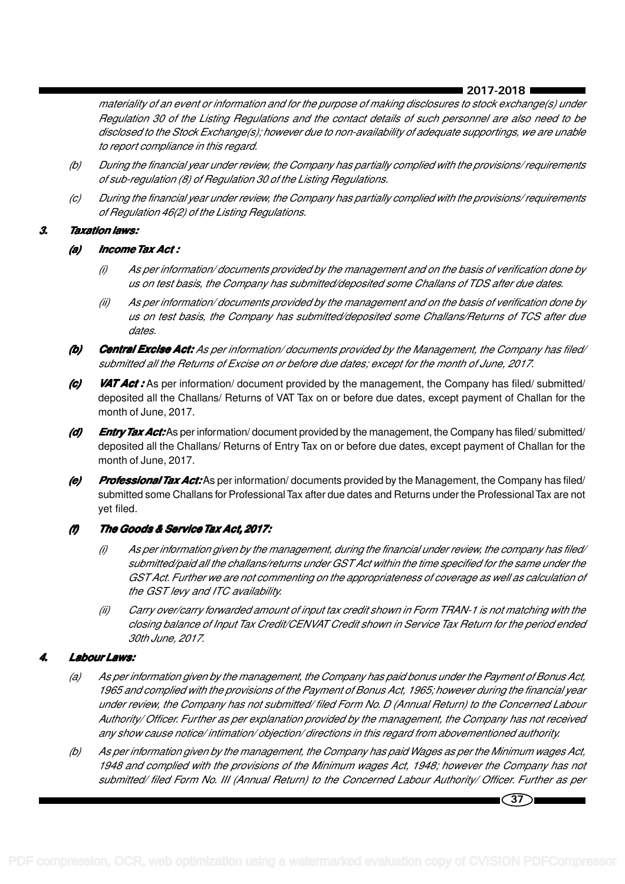#### ■ 2017-2018 ■

 $\bigcirc$ 37)

*materiality of an event or information and for the purpose of making disclosures to stock exchange(s) under Regulation 30 of the Listing Regulations and the contact details of such personnel are also need to be disclosed to the Stock Exchange(s); however due to non-availability of adequate supportings, we are unable to report compliance in this regard.*

- *(b) During the financial year under review, the Company has partially complied with the provisions/ requirements of sub-regulation (8) of Regulation 30 of the Listing Regulations.*
- *(c) During the financial year under review, the Company has partially complied with the provisions/ requirements of Regulation 46(2) of the Listing Regulations.*

#### *3. Taxation laws:*

### *(a) Income Tax Act :*

- *(i) As per information/ documents provided by the management and on the basis of verification done by us on test basis, the Company has submitted/deposited some Challans of TDS after due dates.*
- *(ii) As per information/ documents provided by the management and on the basis of verification done by us on test basis, the Company has submitted/deposited some Challans/Returns of TCS after due dates.*
- *(b) Central Excise Act: As per information/ documents provided by the Management, the Company has filed/ submitted all the Returns of Excise on or before due dates; except for the month of June, 2017.*
- *(c) VAT Act :*As per information/ document provided by the management, the Company has filed/ submitted/ deposited all the Challans/ Returns of VAT Tax on or before due dates, except payment of Challan for the month of June, 2017.
- *(d) Entry Tax Act:* As per information/ document provided by the management, the Company has filed/ submitted/ deposited all the Challans/ Returns of Entry Tax on or before due dates, except payment of Challan for the month of June, 2017.
- *(e) Professional Tax Act:* As per information/ documents provided by the Management, the Company has filed/ submitted some Challans for Professional Tax after due dates and Returns under the Professional Tax are not yet filed.

### *(f) The Goods & Service Tax Act, 2017:*

- *(i) As per information given by the management, during the financial under review, the company has filed/ submitted/paid all the challans/returns under GST Act within the time specified for the same under the GST Act. Further we are not commenting on the appropriateness of coverage as well as calculation of the GST levy and ITC availability.*
- *(ii) Carry over/carry forwarded amount of input tax credit shown in Form TRAN-1 is not matching with the closing balance of Input Tax Credit/CENVAT Credit shown in Service Tax Return for the period ended 30th June, 2017.*

### *4. Labour Laws:*

- *(a) As per information given by the management, the Company has paid bonus under the Payment of Bonus Act, 1965 and complied with the provisions of the Payment of Bonus Act, 1965; however during the financial year under review, the Company has not submitted/ filed Form No. D (Annual Return) to the Concerned Labour Authority/ Officer. Further as per explanation provided by the management, the Company has not received any show cause notice/ intimation/ objection/ directions in this regard from abovementioned authority.*
- *(b) As per information given by the management, the Company has paid Wages as per the Minimum wages Act, 1948 and complied with the provisions of the Minimum wages Act, 1948; however the Company has not submitted/ filed Form No. III (Annual Return) to the Concerned Labour Authority/ Officer. Further as per*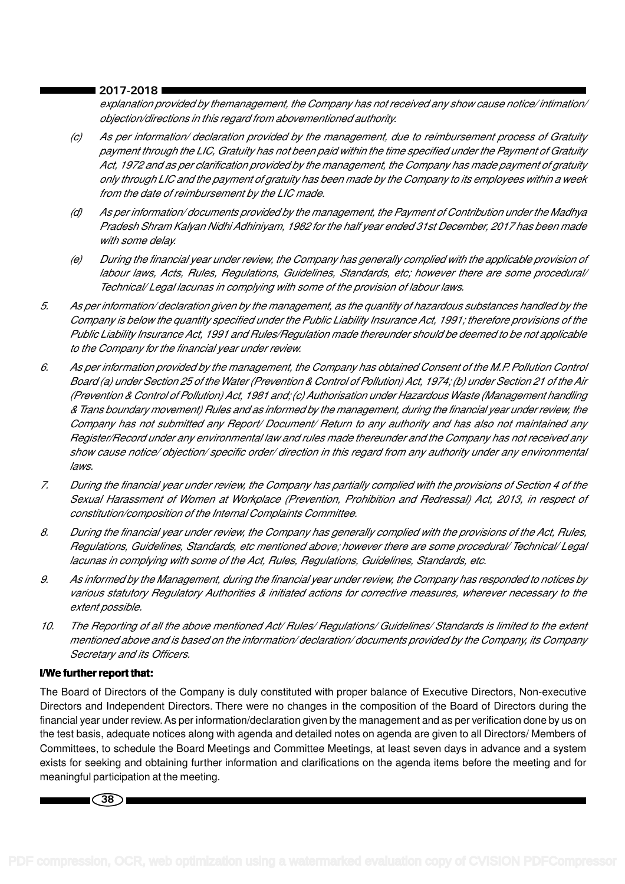*explanation provided by themanagement, the Company has not received any show cause notice/ intimation/ objection/directions in this regard from abovementioned authority.*

- *(c) As per information/ declaration provided by the management, due to reimbursement process of Gratuity payment through the LIC, Gratuity has not been paid within the time specified under the Payment of Gratuity Act, 1972 and as per clarification provided by the management, the Company has made payment of gratuity only through LIC and the payment of gratuity has been made by the Company to its employees within a week from the date of reimbursement by the LIC made.*
- *(d) As per information/ documents provided by the management, the Payment of Contribution under the Madhya Pradesh Shram Kalyan Nidhi Adhiniyam, 1982 for the half year ended 31st December, 2017 has been made with some delay.*
- *(e) During the financial year under review, the Company has generally complied with the applicable provision of labour laws, Acts, Rules, Regulations, Guidelines, Standards, etc; however there are some procedural/ Technical/ Legal lacunas in complying with some of the provision of labour laws.*
- *5. As per information/ declaration given by the management, as the quantity of hazardous substances handled by the Company is below the quantity specified under the Public Liability Insurance Act, 1991; therefore provisions of the Public Liability Insurance Act, 1991 and Rules/Regulation made thereunder should be deemed to be not applicable to the Company for the financial year under review.*
- *6. As per information provided by the management, the Company has obtained Consent of the M.P. Pollution Control Board (a) under Section 25 of the Water (Prevention & Control of Pollution) Act, 1974; (b) under Section 21 of the Air (Prevention & Control of Pollution) Act, 1981 and; (c) Authorisation under Hazardous Waste (Management handling & Trans boundary movement) Rules and as informed by the management, during the financial year under review, the Company has not submitted any Report/ Document/ Return to any authority and has also not maintained any Register/Record under any environmental law and rules made thereunder and the Company has not received any show cause notice/ objection/ specific order/ direction in this regard from any authority under any environmental laws.*
- *7. During the financial year under review, the Company has partially complied with the provisions of Section 4 of the Sexual Harassment of Women at Workplace (Prevention, Prohibition and Redressal) Act, 2013, in respect of constitution/composition of the Internal Complaints Committee.*
- *8. During the financial year under review, the Company has generally complied with the provisions of the Act, Rules, Regulations, Guidelines, Standards, etc mentioned above; however there are some procedural/ Technical/ Legal lacunas in complying with some of the Act, Rules, Regulations, Guidelines, Standards, etc.*
- *9. As informed by the Management, during the financial year under review, the Company has responded to notices by various statutory Regulatory Authorities & initiated actions for corrective measures, wherever necessary to the extent possible.*
- *10. The Reporting of all the above mentioned Act/ Rules/ Regulations/ Guidelines/ Standards is limited to the extent mentioned above and is based on the information/ declaration/ documents provided by the Company, its Company Secretary and its Officers.*

#### **I/We further report that:**

The Board of Directors of the Company is duly constituted with proper balance of Executive Directors, Non-executive Directors and Independent Directors. There were no changes in the composition of the Board of Directors during the financial year under review. As per information/declaration given by the management and as per verification done by us on the test basis, adequate notices along with agenda and detailed notes on agenda are given to all Directors/ Members of Committees, to schedule the Board Meetings and Committee Meetings, at least seven days in advance and a system exists for seeking and obtaining further information and clarifications on the agenda items before the meeting and for meaningful participation at the meeting.

 $\sqrt{38}$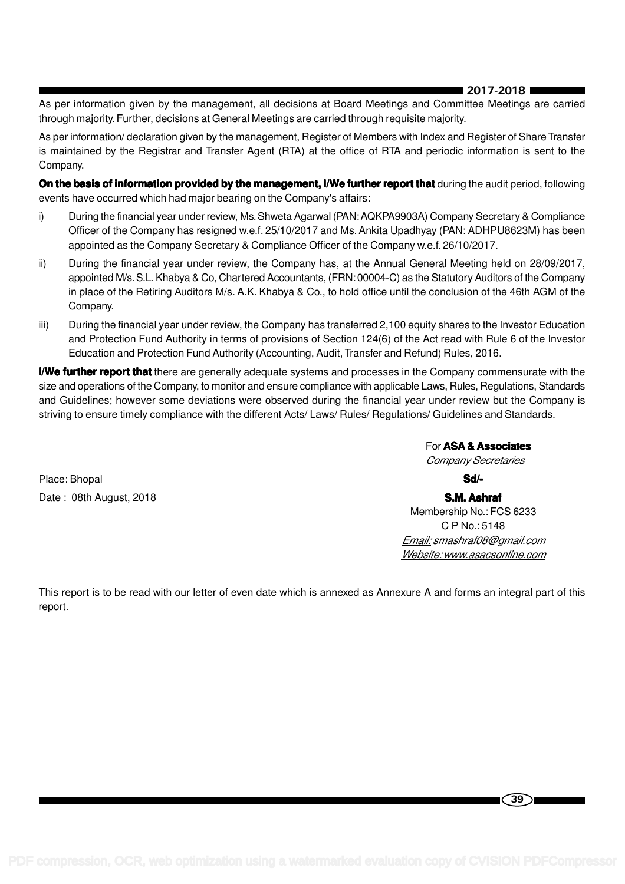■ 2017-2018 ■

As per information given by the management, all decisions at Board Meetings and Committee Meetings are carried through majority. Further, decisions at General Meetings are carried through requisite majority.

As per information/ declaration given by the management, Register of Members with Index and Register of Share Transfer is maintained by the Registrar and Transfer Agent (RTA) at the office of RTA and periodic information is sent to the Company.

**On the basis of information provided by the management, I/We further report that** during the audit period, following events have occurred which had major bearing on the Company's affairs:

- i) During the financial year under review, Ms. Shweta Agarwal (PAN: AQKPA9903A) Company Secretary & Compliance Officer of the Company has resigned w.e.f. 25/10/2017 and Ms. Ankita Upadhyay (PAN: ADHPU8623M) has been appointed as the Company Secretary & Compliance Officer of the Company w.e.f. 26/10/2017.
- ii) During the financial year under review, the Company has, at the Annual General Meeting held on 28/09/2017, appointed M/s. S.L. Khabya & Co, Chartered Accountants, (FRN: 00004-C) as the Statutory Auditors of the Company in place of the Retiring Auditors M/s. A.K. Khabya & Co., to hold office until the conclusion of the 46th AGM of the Company.
- iii) During the financial year under review, the Company has transferred 2,100 equity shares to the Investor Education and Protection Fund Authority in terms of provisions of Section 124(6) of the Act read with Rule 6 of the Investor Education and Protection Fund Authority (Accounting, Audit, Transfer and Refund) Rules, 2016.

**I/We further report that** there are generally adequate systems and processes in the Company commensurate with the size and operations of the Company, to monitor and ensure compliance with applicable Laws, Rules, Regulations, Standards and Guidelines; however some deviations were observed during the financial year under review but the Company is striving to ensure timely compliance with the different Acts/ Laws/ Rules/ Regulations/ Guidelines and Standards.

For **ASA & Associates**

*Company Secretaries*

Place: Bhopal **Sd/-**

Date : 08th August, 2018 **S.M. Ashraf** Membership No.: FCS 6233 C P No.: 5148 *Email: smashraf08@gmail.com Website: www.asacsonline.com*

This report is to be read with our letter of even date which is annexed as Annexure A and forms an integral part of this report.

39 )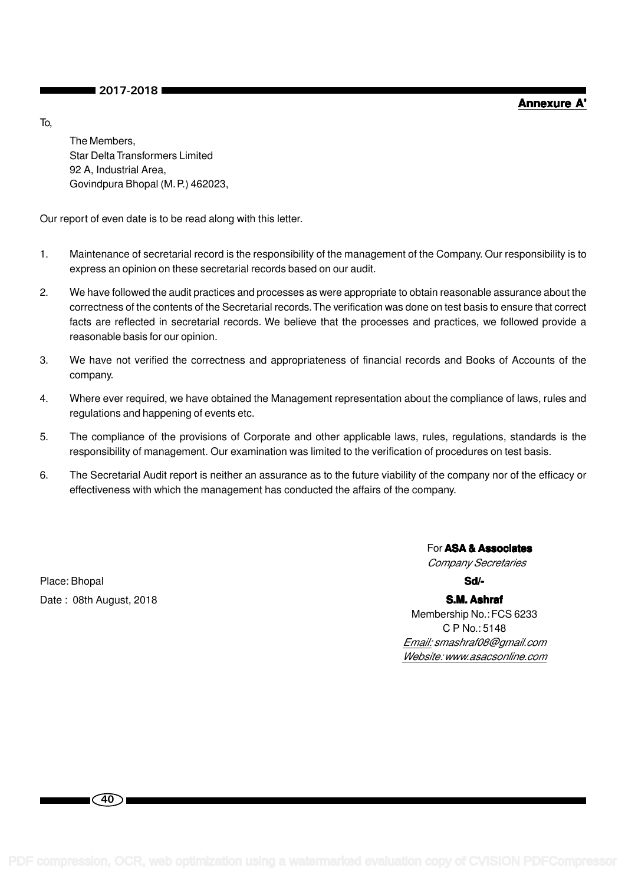$\blacksquare$  2017-2018

To,

**Annexure A'**

The Members, Star Delta Transformers Limited 92 A, Industrial Area, Govindpura Bhopal (M. P.) 462023,

Our report of even date is to be read along with this letter.

- 1. Maintenance of secretarial record is the responsibility of the management of the Company. Our responsibility is to express an opinion on these secretarial records based on our audit.
- 2. We have followed the audit practices and processes as were appropriate to obtain reasonable assurance about the correctness of the contents of the Secretarial records. The verification was done on test basis to ensure that correct facts are reflected in secretarial records. We believe that the processes and practices, we followed provide a reasonable basis for our opinion.
- 3. We have not verified the correctness and appropriateness of financial records and Books of Accounts of the company.
- 4. Where ever required, we have obtained the Management representation about the compliance of laws, rules and regulations and happening of events etc.
- 5. The compliance of the provisions of Corporate and other applicable laws, rules, regulations, standards is the responsibility of management. Our examination was limited to the verification of procedures on test basis.
- 6. The Secretarial Audit report is neither an assurance as to the future viability of the company nor of the efficacy or effectiveness with which the management has conducted the affairs of the company.

Place: Bhopal **Sd/-** Date : 08th August, 2018 **S.M. Ashraf** 

For **ASA & Associates** *Company Secretaries*

Membership No.: FCS 6233 C P No.: 5148 *Email: smashraf08@gmail.com Website: www.asacsonline.com*

 $\bigcirc$ 40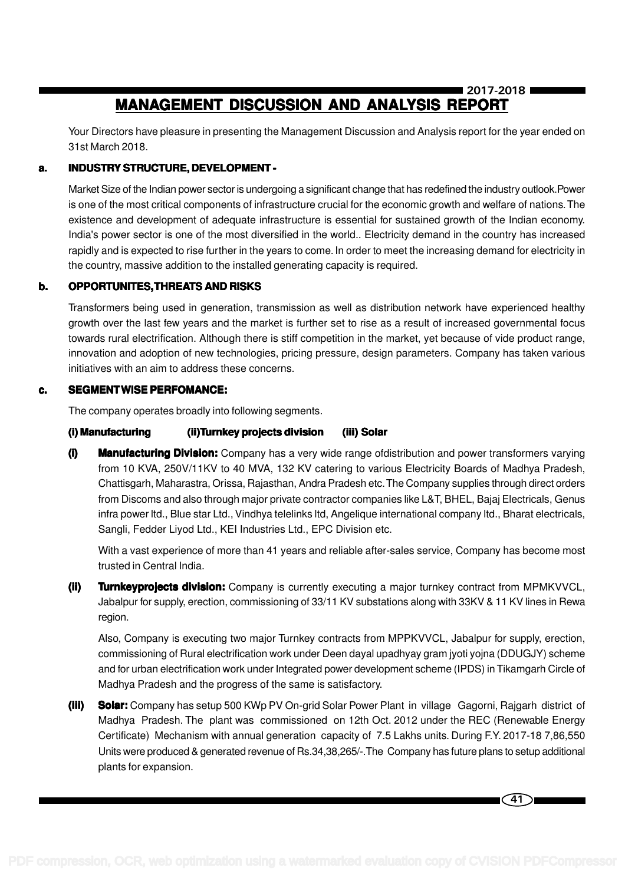# **MANAGEMENT DISCUSSION AND ANALYSIS REPORT**

Your Directors have pleasure in presenting the Management Discussion and Analysis report for the year ended on 31st March 2018.

### **a. INDUSTRY STRUCTURE, DEVELOPMENT -**

Market Size of the Indian power sector is undergoing a significant change that has redefined the industry outlook.Power is one of the most critical components of infrastructure crucial for the economic growth and welfare of nations. The existence and development of adequate infrastructure is essential for sustained growth of the Indian economy. India's power sector is one of the most diversified in the world.. Electricity demand in the country has increased rapidly and is expected to rise further in the years to come. In order to meet the increasing demand for electricity in the country, massive addition to the installed generating capacity is required.

### **b. OPPORTUNITES, THREATS AND RISKS**

Transformers being used in generation, transmission as well as distribution network have experienced healthy growth over the last few years and the market is further set to rise as a result of increased governmental focus towards rural electrification. Although there is stiff competition in the market, yet because of vide product range, innovation and adoption of new technologies, pricing pressure, design parameters. Company has taken various initiatives with an aim to address these concerns.

### **c. SEGMENT WISE PERFOMANCE:**

The company operates broadly into following segments.

### **(i) Manufacturing (ii)Turnkey projects division (iii) Solar**

**(i) Manufacturing Division:** Company has a very wide range ofdistribution and power transformers varying from 10 KVA, 250V/11KV to 40 MVA, 132 KV catering to various Electricity Boards of Madhya Pradesh, Chattisgarh, Maharastra, Orissa, Rajasthan, Andra Pradesh etc.The Company supplies through direct orders from Discoms and also through major private contractor companies like L&T, BHEL, Bajaj Electricals, Genus infra power ltd., Blue star Ltd., Vindhya telelinks ltd, Angelique international company ltd., Bharat electricals, Sangli, Fedder Liyod Ltd., KEI Industries Ltd., EPC Division etc.

With a vast experience of more than 41 years and reliable after-sales service, Company has become most trusted in Central India.

**(ii) Turnkeyprojects division:** Company is currently executing a major turnkey contract from MPMKVVCL, Jabalpur for supply, erection, commissioning of 33/11 KV substations along with 33KV & 11 KV lines in Rewa region.

Also, Company is executing two major Turnkey contracts from MPPKVVCL, Jabalpur for supply, erection, commissioning of Rural electrification work under Deen dayal upadhyay gram jyoti yojna (DDUGJY) scheme and for urban electrification work under Integrated power development scheme (IPDS) in Tikamgarh Circle of Madhya Pradesh and the progress of the same is satisfactory.

**(iii) Solar:** Company has setup 500 KWp PV On-grid Solar Power Plant in village Gagorni, Rajgarh district of Madhya Pradesh. The plant was commissioned on 12th Oct. 2012 under the REC (Renewable Energy Certificate) Mechanism with annual generation capacity of 7.5 Lakhs units. During F.Y. 2017-18 7,86,550 Units were produced & generated revenue of Rs.34,38,265/-.The Company has future plans to setup additional plants for expansion.

 $\bigcirc$ 41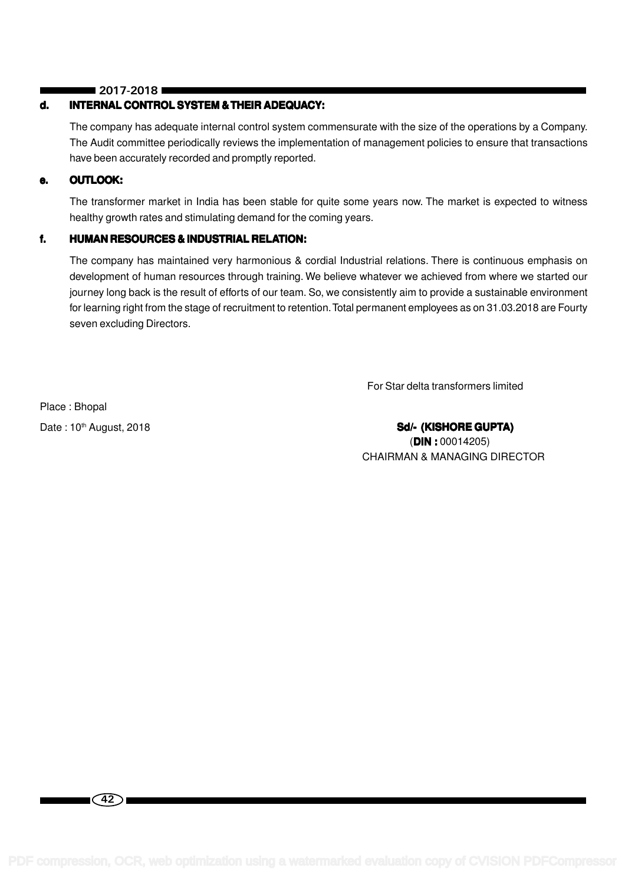$\blacksquare$  2017-2018

### **d. INTERNAL CONTROL SYSTEM & THEIR ADEQUACY:**

The company has adequate internal control system commensurate with the size of the operations by a Company. The Audit committee periodically reviews the implementation of management policies to ensure that transactions have been accurately recorded and promptly reported.

### **e. OUTLOOK:**

The transformer market in India has been stable for quite some years now. The market is expected to witness healthy growth rates and stimulating demand for the coming years.

### **f. HUMAN RESOURCES & INDUSTRIAL RELATION:**

The company has maintained very harmonious & cordial Industrial relations. There is continuous emphasis on development of human resources through training. We believe whatever we achieved from where we started our journey long back is the result of efforts of our team. So, we consistently aim to provide a sustainable environment for learning right from the stage of recruitment to retention. Total permanent employees as on 31.03.2018 are Fourty seven excluding Directors.

For Star delta transformers limited

Place : Bhopal Date : 10<sup>th</sup> August, 2018 **Sd/- (KISHORE GUPTA)** 

 (**DIN :** 00014205) CHAIRMAN & MANAGING DIRECTOR

 $(42)$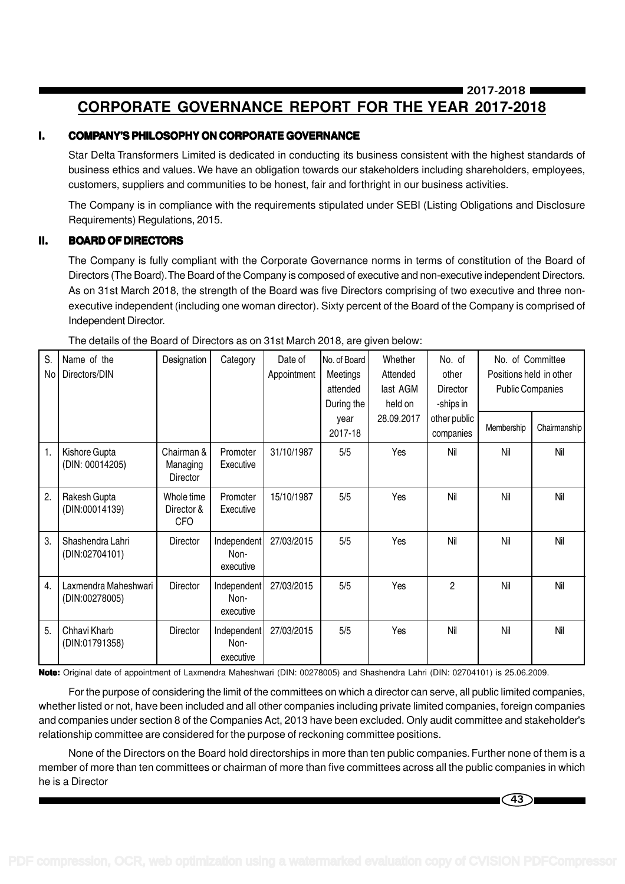### $2017-2018$ **CORPORATE GOVERNANCE REPORT FOR THE YEAR 2017-2018**

### **I. COMPANY'S PHILOSOPHY ON CORPORATE GOVERNANCE**

Star Delta Transformers Limited is dedicated in conducting its business consistent with the highest standards of business ethics and values. We have an obligation towards our stakeholders including shareholders, employees, customers, suppliers and communities to be honest, fair and forthright in our business activities.

The Company is in compliance with the requirements stipulated under SEBI (Listing Obligations and Disclosure Requirements) Regulations, 2015.

### **II. BOARD OF DIRECTORS**

The Company is fully compliant with the Corporate Governance norms in terms of constitution of the Board of Directors (The Board).The Board of the Company is composed of executive and non-executive independent Directors. As on 31st March 2018, the strength of the Board was five Directors comprising of two executive and three nonexecutive independent (including one woman director). Sixty percent of the Board of the Company is comprised of Independent Director.

| S.<br>No         | Name of the<br>Directors/DIN           | Designation                               | Category                         | Date of<br>Appointment | No. of Board<br>Meetings<br>attended<br>During the | Whether<br>Attended<br>last AGM<br>held on | No. of<br>other<br>Director<br>-ships in | No. of Committee<br>Positions held in other<br><b>Public Companies</b> |              |
|------------------|----------------------------------------|-------------------------------------------|----------------------------------|------------------------|----------------------------------------------------|--------------------------------------------|------------------------------------------|------------------------------------------------------------------------|--------------|
|                  |                                        |                                           |                                  |                        | vear<br>2017-18                                    | 28.09.2017                                 | other public<br>companies                | Membership                                                             | Chairmanship |
| 1.               | Kishore Gupta<br>(DIN: 00014205)       | Chairman &<br>Managing<br><b>Director</b> | Promoter<br>Executive            | 31/10/1987             | 5/5                                                | Yes                                        | Nil                                      | Nil                                                                    | Nil          |
| 2.               | Rakesh Gupta<br>(DIN:00014139)         | Whole time<br>Director &<br>CFO           | Promoter<br>Executive            | 15/10/1987             | 5/5                                                | Yes                                        | Nil                                      | Nil                                                                    | Nil          |
| 3.               | Shashendra Lahri<br>(DIN:02704101)     | Director                                  | Independent<br>Non-<br>executive | 27/03/2015             | 5/5                                                | Yes                                        | Nil                                      | Nil                                                                    | Nil          |
| $\overline{4}$ . | Laxmendra Maheshwari<br>(DIN:00278005) | Director                                  | Independent<br>Non-<br>executive | 27/03/2015             | 5/5                                                | Yes                                        | $\overline{2}$                           | Nil                                                                    | Nil          |
| 5.               | Chhavi Kharb<br>(DIN:01791358)         | Director                                  | Independent<br>Non-<br>executive | 27/03/2015             | 5/5                                                | Yes                                        | Nil                                      | Nil                                                                    | Nil          |

The details of the Board of Directors as on 31st March 2018, are given below:

**Note:** Original date of appointment of Laxmendra Maheshwari (DIN: 00278005) and Shashendra Lahri (DIN: 02704101) is 25.06.2009.

For the purpose of considering the limit of the committees on which a director can serve, all public limited companies, whether listed or not, have been included and all other companies including private limited companies, foreign companies and companies under section 8 of the Companies Act, 2013 have been excluded. Only audit committee and stakeholder's relationship committee are considered for the purpose of reckoning committee positions.

None of the Directors on the Board hold directorships in more than ten public companies. Further none of them is a member of more than ten committees or chairman of more than five committees across all the public companies in which he is a Director

 $(43)$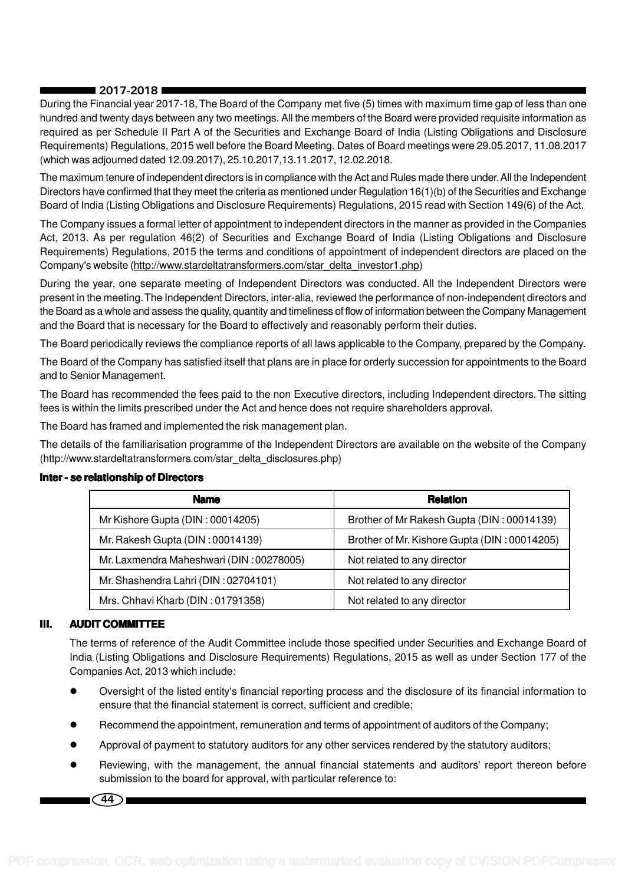During the Financial year 2017-18, The Board of the Company met five (5) times with maximum time gap of less than one hundred and twenty days between any two meetings. All the members of the Board were provided requisite information as required as per Schedule II Part A of the Securities and Exchange Board of India (Listing Obligations and Disclosure Requirements) Regulations, 2015 well before the Board Meeting. Dates of Board meetings were 29.05.2017, 11.08.2017 (which was adjourned dated 12.09.2017), 25.10.2017,13.11.2017, 12.02.2018.

The maximum tenure of independent directors is in compliance with the Act and Rules made there under. All the Independent Directors have confirmed that they meet the criteria as mentioned under Regulation 16(1)(b) of the Securities and Exchange Board of India (Listing Obligations and Disclosure Requirements) Regulations, 2015 read with Section 149(6) of the Act.

The Company issues a formal letter of appointment to independent directors in the manner as provided in the Companies Act, 2013. As per regulation 46(2) of Securities and Exchange Board of India (Listing Obligations and Disclosure Requirements) Regulations, 2015 the terms and conditions of appointment of independent directors are placed on the Company's website (http://www.stardeltatransformers.com/star\_delta\_investor1.php)

During the year, one separate meeting of Independent Directors was conducted. All the Independent Directors were present in the meeting.The Independent Directors, inter-alia, reviewed the performance of non-independent directors and the Board as a whole and assess the quality, quantity and timeliness of flow of information between the Company Management and the Board that is necessary for the Board to effectively and reasonably perform their duties.

The Board periodically reviews the compliance reports of all laws applicable to the Company, prepared by the Company.

The Board of the Company has satisfied itself that plans are in place for orderly succession for appointments to the Board and to Senior Management.

The Board has recommended the fees paid to the non Executive directors, including Independent directors. The sitting fees is within the limits prescribed under the Act and hence does not require shareholders approval.

The Board has framed and implemented the risk management plan.

The details of the familiarisation programme of the Independent Directors are available on the website of the Company (http://www.stardeltatransformers.com/star\_delta\_disclosures.php)

#### **Inter - se relationship of Directors**

| <b>Name</b>                              | <b>Relation</b>                              |
|------------------------------------------|----------------------------------------------|
| Mr Kishore Gupta (DIN: 00014205)         | Brother of Mr Rakesh Gupta (DIN: 00014139)   |
| Mr. Rakesh Gupta (DIN: 00014139)         | Brother of Mr. Kishore Gupta (DIN: 00014205) |
| Mr. Laxmendra Maheshwari (DIN: 00278005) | Not related to any director                  |
| Mr. Shashendra Lahri (DIN: 02704101)     | Not related to any director                  |
| Mrs. Chhavi Kharb (DIN: 01791358)        | Not related to any director                  |

#### **III. AUDIT COMMITTEE**

The terms of reference of the Audit Committee include those specified under Securities and Exchange Board of India (Listing Obligations and Disclosure Requirements) Regulations, 2015 as well as under Section 177 of the Companies Act, 2013 which include:

- l Oversight of the listed entity's financial reporting process and the disclosure of its financial information to ensure that the financial statement is correct, sufficient and credible;
- Recommend the appointment, remuneration and terms of appointment of auditors of the Company;
- l Approval of payment to statutory auditors for any other services rendered by the statutory auditors;
- Reviewing, with the management, the annual financial statements and auditors' report thereon before submission to the board for approval, with particular reference to:

 $\sqrt{44}$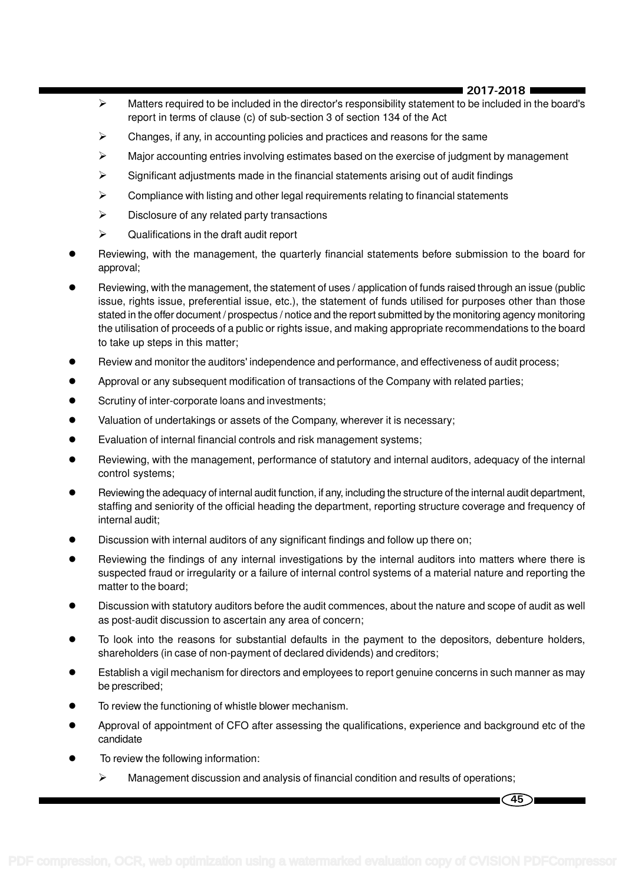■ 2017-2018 ■

 $\widehat{(45)}$ 

- $\triangleright$  Matters required to be included in the director's responsibility statement to be included in the board's report in terms of clause (c) of sub-section 3 of section 134 of the Act
- $\triangleright$  Changes, if any, in accounting policies and practices and reasons for the same
- $\triangleright$  Maior accounting entries involving estimates based on the exercise of judgment by management
- $\triangleright$  Significant adjustments made in the financial statements arising out of audit findings
- $\triangleright$  Compliance with listing and other legal requirements relating to financial statements
- $\triangleright$  Disclosure of any related party transactions
- $\triangleright$  Qualifications in the draft audit report
- Reviewing, with the management, the quarterly financial statements before submission to the board for approval;
- Reviewing, with the management, the statement of uses / application of funds raised through an issue (public issue, rights issue, preferential issue, etc.), the statement of funds utilised for purposes other than those stated in the offer document / prospectus / notice and the report submitted by the monitoring agency monitoring the utilisation of proceeds of a public or rights issue, and making appropriate recommendations to the board to take up steps in this matter;
- Review and monitor the auditors' independence and performance, and effectiveness of audit process;
- l Approval or any subsequent modification of transactions of the Company with related parties;
- Scrutiny of inter-corporate loans and investments;
- Valuation of undertakings or assets of the Company, wherever it is necessary;
- Evaluation of internal financial controls and risk management systems;
- Reviewing, with the management, performance of statutory and internal auditors, adequacy of the internal control systems;
- Reviewing the adequacy of internal audit function, if any, including the structure of the internal audit department, staffing and seniority of the official heading the department, reporting structure coverage and frequency of internal audit;
- Discussion with internal auditors of any significant findings and follow up there on;
- Reviewing the findings of any internal investigations by the internal auditors into matters where there is suspected fraud or irregularity or a failure of internal control systems of a material nature and reporting the matter to the board;
- l Discussion with statutory auditors before the audit commences, about the nature and scope of audit as well as post-audit discussion to ascertain any area of concern;
- To look into the reasons for substantial defaults in the payment to the depositors, debenture holders, shareholders (in case of non-payment of declared dividends) and creditors;
- Establish a vigil mechanism for directors and employees to report genuine concerns in such manner as may be prescribed;
- To review the functioning of whistle blower mechanism.
- Approval of appointment of CFO after assessing the qualifications, experience and background etc of the candidate
- To review the following information:
	- $\triangleright$  Management discussion and analysis of financial condition and results of operations;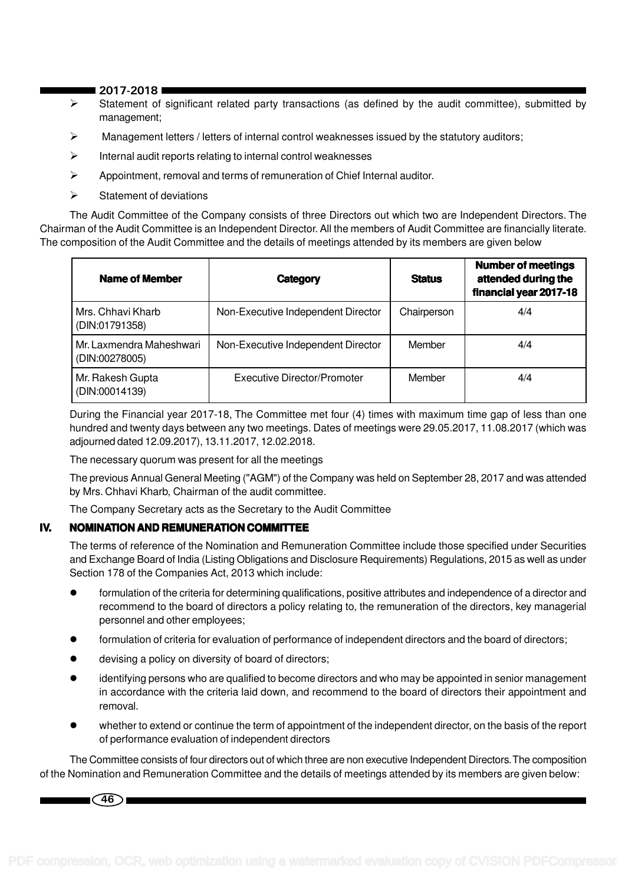- $\triangleright$  Statement of significant related party transactions (as defined by the audit committee), submitted by management;
- Management letters / letters of internal control weaknesses issued by the statutory auditors;
- Internal audit reports relating to internal control weaknesses
- $\triangleright$  Appointment, removal and terms of remuneration of Chief Internal auditor.
- $\triangleright$  Statement of deviations

The Audit Committee of the Company consists of three Directors out which two are Independent Directors. The Chairman of the Audit Committee is an Independent Director. All the members of Audit Committee are financially literate. The composition of the Audit Committee and the details of meetings attended by its members are given below

| <b>Name of Member</b>                      | <b>Category</b>                    | <b>Status</b> | <b>Number of meetings</b><br>attended during the<br>financial year 2017-18 |
|--------------------------------------------|------------------------------------|---------------|----------------------------------------------------------------------------|
| Mrs. Chhavi Kharb<br>(DIN:01791358)        | Non-Executive Independent Director | Chairperson   | 4/4                                                                        |
| Mr. Laxmendra Maheshwari<br>(DIN:00278005) | Non-Executive Independent Director | Member        | 4/4                                                                        |
| Mr. Rakesh Gupta<br>(DIN:00014139)         | <b>Executive Director/Promoter</b> | Member        | 4/4                                                                        |

During the Financial year 2017-18, The Committee met four (4) times with maximum time gap of less than one hundred and twenty days between any two meetings. Dates of meetings were 29.05.2017, 11.08.2017 (which was adjourned dated 12.09.2017), 13.11.2017, 12.02.2018.

The necessary quorum was present for all the meetings

The previous Annual General Meeting ("AGM") of the Company was held on September 28, 2017 and was attended by Mrs. Chhavi Kharb, Chairman of the audit committee.

The Company Secretary acts as the Secretary to the Audit Committee

### **IV. NOMINATION AND REMUNERATION COMMITTEE**

The terms of reference of the Nomination and Remuneration Committee include those specified under Securities and Exchange Board of India (Listing Obligations and Disclosure Requirements) Regulations, 2015 as well as under Section 178 of the Companies Act, 2013 which include:

- formulation of the criteria for determining qualifications, positive attributes and independence of a director and recommend to the board of directors a policy relating to, the remuneration of the directors, key managerial personnel and other employees;
- formulation of criteria for evaluation of performance of independent directors and the board of directors;
- devising a policy on diversity of board of directors;
- identifying persons who are qualified to become directors and who may be appointed in senior management in accordance with the criteria laid down, and recommend to the board of directors their appointment and removal.
- whether to extend or continue the term of appointment of the independent director, on the basis of the report of performance evaluation of independent directors

The Committee consists of four directors out of which three are non executive Independent Directors. The composition of the Nomination and Remuneration Committee and the details of meetings attended by its members are given below:

 $\sqrt{46}$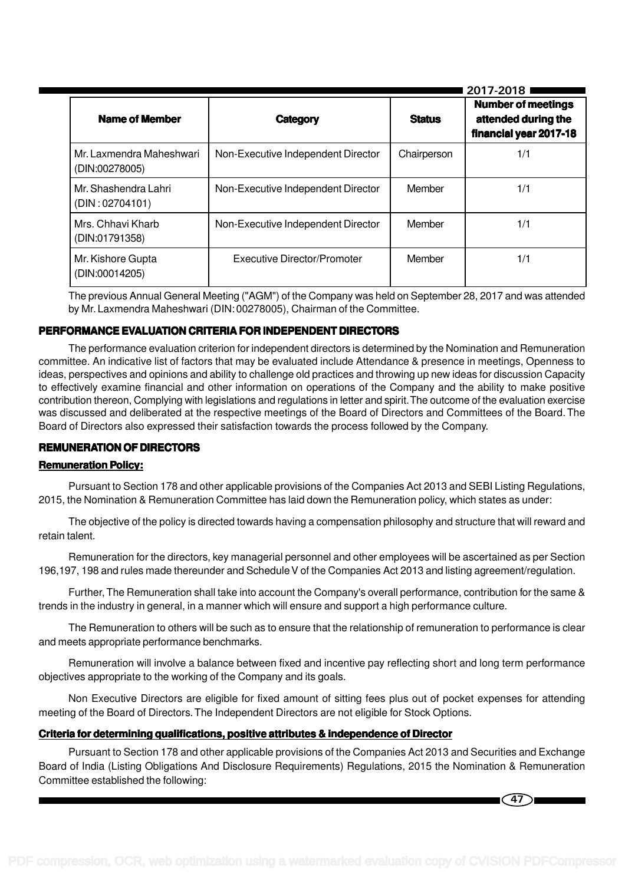|                                            |                                    |               | 2017-2018                                                                  |
|--------------------------------------------|------------------------------------|---------------|----------------------------------------------------------------------------|
| <b>Name of Member</b>                      | <b>Category</b>                    | <b>Status</b> | <b>Number of meetings</b><br>attended during the<br>financial year 2017-18 |
| Mr. Laxmendra Maheshwari<br>(DIN:00278005) | Non-Executive Independent Director | Chairperson   | 1/1                                                                        |
| Mr. Shashendra Lahri<br>(DIN: 02704101)    | Non-Executive Independent Director | Member        | 1/1                                                                        |
| Mrs. Chhavi Kharb<br>(DIN:01791358)        | Non-Executive Independent Director | Member        | 1/1                                                                        |
| Mr. Kishore Gupta<br>(DIN:00014205)        | <b>Executive Director/Promoter</b> | Member        | 1/1                                                                        |

The previous Annual General Meeting ("AGM") of the Company was held on September 28, 2017 and was attended by Mr. Laxmendra Maheshwari (DIN: 00278005), Chairman of the Committee.

### **PERFORMANCE EVALUATION CRITERIA FOR INDEPENDENT DIRECTORS**

The performance evaluation criterion for independent directors is determined by the Nomination and Remuneration committee. An indicative list of factors that may be evaluated include Attendance & presence in meetings, Openness to ideas, perspectives and opinions and ability to challenge old practices and throwing up new ideas for discussion Capacity to effectively examine financial and other information on operations of the Company and the ability to make positive contribution thereon, Complying with legislations and regulations in letter and spirit.The outcome of the evaluation exercise was discussed and deliberated at the respective meetings of the Board of Directors and Committees of the Board.The Board of Directors also expressed their satisfaction towards the process followed by the Company.

### **REMUNERATION OF DIRECTORS**

### **Remuneration Policy:**

Pursuant to Section 178 and other applicable provisions of the Companies Act 2013 and SEBI Listing Regulations, 2015, the Nomination & Remuneration Committee has laid down the Remuneration policy, which states as under:

The objective of the policy is directed towards having a compensation philosophy and structure that will reward and retain talent.

Remuneration for the directors, key managerial personnel and other employees will be ascertained as per Section 196,197, 198 and rules made thereunder and Schedule V of the Companies Act 2013 and listing agreement/regulation.

Further, The Remuneration shall take into account the Company's overall performance, contribution for the same & trends in the industry in general, in a manner which will ensure and support a high performance culture.

The Remuneration to others will be such as to ensure that the relationship of remuneration to performance is clear and meets appropriate performance benchmarks.

Remuneration will involve a balance between fixed and incentive pay reflecting short and long term performance objectives appropriate to the working of the Company and its goals.

Non Executive Directors are eligible for fixed amount of sitting fees plus out of pocket expenses for attending meeting of the Board of Directors. The Independent Directors are not eligible for Stock Options.

### **Criteria for determining qualifications, positive attributes & independence of Director**

Pursuant to Section 178 and other applicable provisions of the Companies Act 2013 and Securities and Exchange Board of India (Listing Obligations And Disclosure Requirements) Regulations, 2015 the Nomination & Remuneration Committee established the following:

47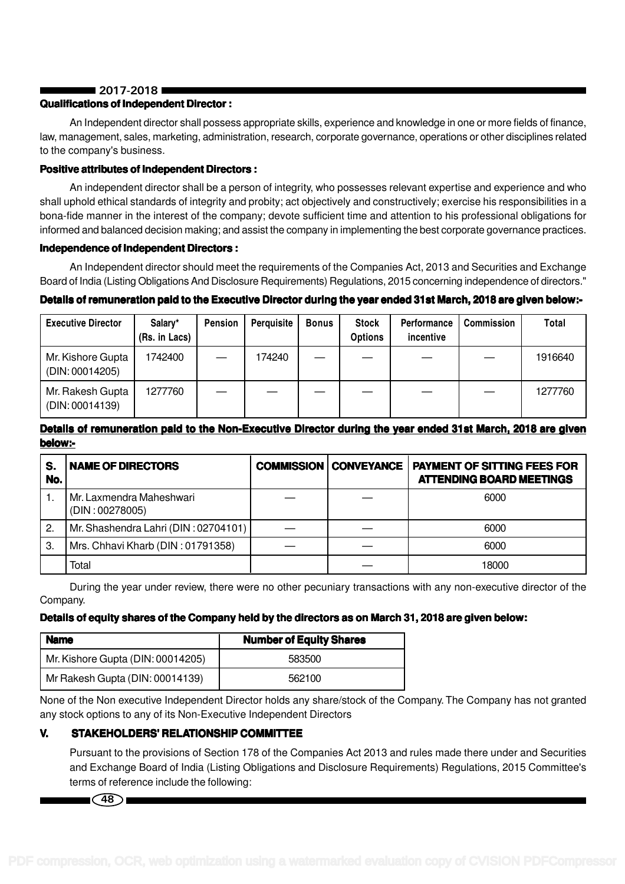#### **Qualifications of Independent Director :**

An Independent director shall possess appropriate skills, experience and knowledge in one or more fields of finance, law, management, sales, marketing, administration, research, corporate governance, operations or other disciplines related to the company's business.

#### **Positive attributes of Independent Directors :**

An independent director shall be a person of integrity, who possesses relevant expertise and experience and who shall uphold ethical standards of integrity and probity; act objectively and constructively; exercise his responsibilities in a bona-fide manner in the interest of the company; devote sufficient time and attention to his professional obligations for informed and balanced decision making; and assist the company in implementing the best corporate governance practices.

#### **Independence of Independent Directors :**

An Independent director should meet the requirements of the Companies Act, 2013 and Securities and Exchange Board of India (Listing Obligations And Disclosure Requirements) Regulations, 2015 concerning independence of directors."

#### **Details of remuneration paid to the Executive Director during the year ended 31st March, 2018 are given below:-**

| <b>Executive Director</b>            | Salary*<br>(Rs. in Lacs) | <b>Pension</b> | Perquisite | <b>Bonus</b> | <b>Stock</b><br><b>Options</b> | <b>Performance</b><br>incentive | <b>Commission</b> | Total   |
|--------------------------------------|--------------------------|----------------|------------|--------------|--------------------------------|---------------------------------|-------------------|---------|
| Mr. Kishore Gupta<br>(DIN: 00014205) | 1742400                  |                | 174240     |              |                                |                                 |                   | 1916640 |
| Mr. Rakesh Gupta<br>(DIN: 00014139)  | 1277760                  |                |            |              |                                |                                 |                   | 1277760 |

### **Details of remuneration paid to the Non-Executive Director during the year ended 31st March, 2018 are given below:-**

| S.<br>No. | <b>NAME OF DIRECTORS</b>                   | <b>COMMISSION   CONVEYANCE</b> | <b>PAYMENT OF SITTING FEES FOR</b><br><b>ATTENDING BOARD MEETINGS</b> |
|-----------|--------------------------------------------|--------------------------------|-----------------------------------------------------------------------|
|           | Mr. Laxmendra Maheshwari<br>(DIN:00278005) |                                | 6000                                                                  |
| 2.        | Mr. Shashendra Lahri (DIN: 02704101)       |                                | 6000                                                                  |
| З.        | Mrs. Chhavi Kharb (DIN: 01791358)          |                                | 6000                                                                  |
|           | Total                                      |                                | 18000                                                                 |

During the year under review, there were no other pecuniary transactions with any non-executive director of the Company.

#### **Details of equity shares of the Company held by the directors as on March 31, 2018 are given below:**

| <b>Name</b>                       | <b>Number of Equity Shares</b> |
|-----------------------------------|--------------------------------|
| Mr. Kishore Gupta (DIN: 00014205) | 583500                         |
| Mr Rakesh Gupta (DIN: 00014139)   | 562100                         |

None of the Non executive Independent Director holds any share/stock of the Company. The Company has not granted any stock options to any of its Non-Executive Independent Directors

### **V. STAKEHOLDERS' RELATIONSHIP COMMITTEE**

Pursuant to the provisions of Section 178 of the Companies Act 2013 and rules made there under and Securities and Exchange Board of India (Listing Obligations and Disclosure Requirements) Regulations, 2015 Committee's terms of reference include the following:

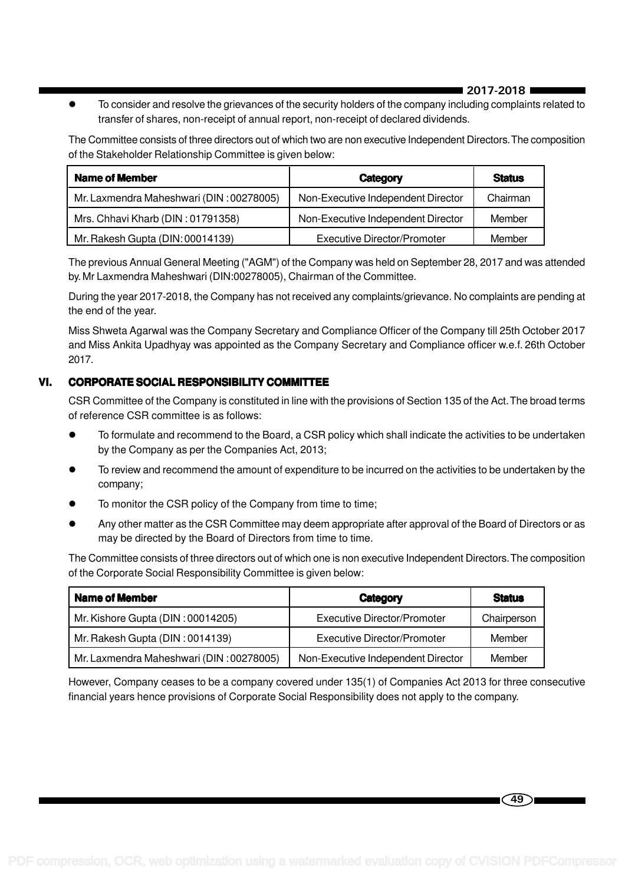■ 2017-2018 ■

l To consider and resolve the grievances of the security holders of the company including complaints related to transfer of shares, non-receipt of annual report, non-receipt of declared dividends.

The Committee consists of three directors out of which two are non executive Independent Directors. The composition of the Stakeholder Relationship Committee is given below:

| <b>Name of Member</b>                    | Category                           | <b>Status</b> |
|------------------------------------------|------------------------------------|---------------|
| Mr. Laxmendra Maheshwari (DIN: 00278005) | Non-Executive Independent Director | Chairman      |
| Mrs. Chhavi Kharb (DIN: 01791358)        | Non-Executive Independent Director | Member        |
| Mr. Rakesh Gupta (DIN: 00014139)         | <b>Executive Director/Promoter</b> | Member        |

The previous Annual General Meeting ("AGM") of the Company was held on September 28, 2017 and was attended by. Mr Laxmendra Maheshwari (DIN:00278005), Chairman of the Committee.

During the year 2017-2018, the Company has not received any complaints/grievance. No complaints are pending at the end of the year.

Miss Shweta Agarwal was the Company Secretary and Compliance Officer of the Company till 25th October 2017 and Miss Ankita Upadhyay was appointed as the Company Secretary and Compliance officer w.e.f. 26th October 2017.

### **VI. CORPORATE SOCIAL RESPONSIBILITY COMMITTEE**

CSR Committee of the Company is constituted in line with the provisions of Section 135 of the Act.The broad terms of reference CSR committee is as follows:

- To formulate and recommend to the Board, a CSR policy which shall indicate the activities to be undertaken by the Company as per the Companies Act, 2013;
- To review and recommend the amount of expenditure to be incurred on the activities to be undertaken by the company;
- To monitor the CSR policy of the Company from time to time;
- l Any other matter as the CSR Committee may deem appropriate after approval of the Board of Directors or as may be directed by the Board of Directors from time to time.

The Committee consists of three directors out of which one is non executive Independent Directors. The composition of the Corporate Social Responsibility Committee is given below:

| <b>Name of Member</b>                    | Category                           | <b>Status</b> |
|------------------------------------------|------------------------------------|---------------|
| Mr. Kishore Gupta (DIN: 00014205)        | <b>Executive Director/Promoter</b> | Chairperson   |
| Mr. Rakesh Gupta (DIN: 0014139)          | <b>Executive Director/Promoter</b> | Member        |
| Mr. Laxmendra Maheshwari (DIN: 00278005) | Non-Executive Independent Director | Member        |

However, Company ceases to be a company covered under 135(1) of Companies Act 2013 for three consecutive financial years hence provisions of Corporate Social Responsibility does not apply to the company.

49 Di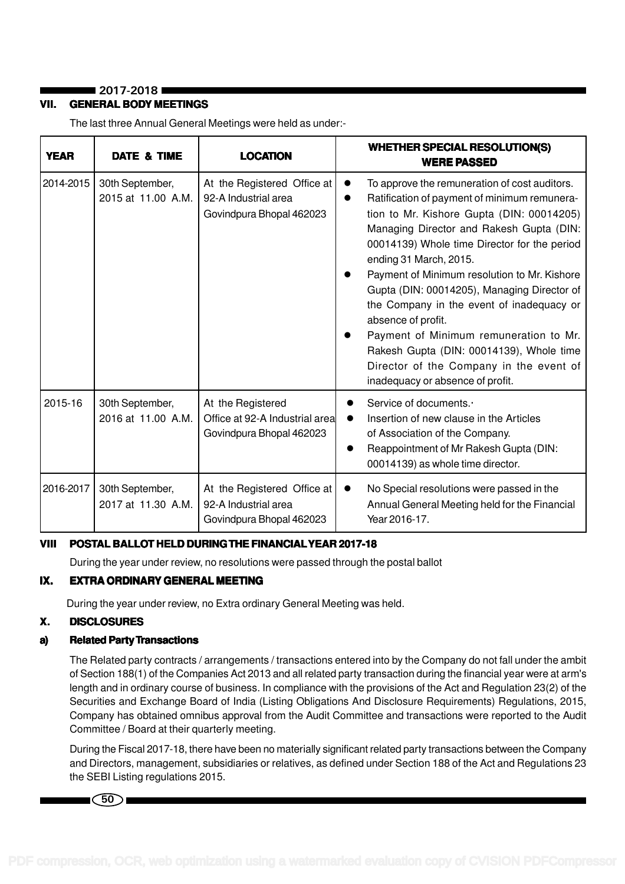### **VII. GENERAL BODY MEETINGS**

| <b>YEAR</b> | DATE & TIME                           | <b>LOCATION</b>                                                                 | <b>WHETHER SPECIAL RESOLUTION(S)</b><br><b>WERE PASSED</b>                                                                                                                                                                                                                                                                                                                                                                                                                                                                                                                                                           |
|-------------|---------------------------------------|---------------------------------------------------------------------------------|----------------------------------------------------------------------------------------------------------------------------------------------------------------------------------------------------------------------------------------------------------------------------------------------------------------------------------------------------------------------------------------------------------------------------------------------------------------------------------------------------------------------------------------------------------------------------------------------------------------------|
| 2014-2015   | 30th September,<br>2015 at 11.00 A.M. | At the Registered Office at<br>92-A Industrial area<br>Govindpura Bhopal 462023 | To approve the remuneration of cost auditors.<br>$\bullet$<br>Ratification of payment of minimum remunera-<br>tion to Mr. Kishore Gupta (DIN: 00014205)<br>Managing Director and Rakesh Gupta (DIN:<br>00014139) Whole time Director for the period<br>ending 31 March, 2015.<br>Payment of Minimum resolution to Mr. Kishore<br>Gupta (DIN: 00014205), Managing Director of<br>the Company in the event of inadequacy or<br>absence of profit.<br>Payment of Minimum remuneration to Mr.<br>Rakesh Gupta (DIN: 00014139), Whole time<br>Director of the Company in the event of<br>inadequacy or absence of profit. |
| 2015-16     | 30th September,<br>2016 at 11.00 A.M. | At the Registered<br>Office at 92-A Industrial area<br>Govindpura Bhopal 462023 | Service of documents.<br>Insertion of new clause in the Articles<br>$\bullet$<br>of Association of the Company.<br>Reappointment of Mr Rakesh Gupta (DIN:<br>00014139) as whole time director.                                                                                                                                                                                                                                                                                                                                                                                                                       |
| 2016-2017   | 30th September,<br>2017 at 11.30 A.M. | At the Registered Office at<br>92-A Industrial area<br>Govindpura Bhopal 462023 | No Special resolutions were passed in the<br>Annual General Meeting held for the Financial<br>Year 2016-17.                                                                                                                                                                                                                                                                                                                                                                                                                                                                                                          |

The last three Annual General Meetings were held as under:-

### **VIII POSTAL BALLOT HELD DURING THE FINANCIAL YEAR 2017-18**

During the year under review, no resolutions were passed through the postal ballot

### **IX. EXTRA ORDINARY GENERAL MEETING**

During the year under review, no Extra ordinary General Meeting was held.

### **X. DISCLOSURES**

### **a) Related Party Transactions**

The Related party contracts / arrangements / transactions entered into by the Company do not fall under the ambit of Section 188(1) of the Companies Act 2013 and all related party transaction during the financial year were at arm's length and in ordinary course of business. In compliance with the provisions of the Act and Regulation 23(2) of the Securities and Exchange Board of India (Listing Obligations And Disclosure Requirements) Regulations, 2015, Company has obtained omnibus approval from the Audit Committee and transactions were reported to the Audit Committee / Board at their quarterly meeting.

During the Fiscal 2017-18, there have been no materially significant related party transactions between the Company and Directors, management, subsidiaries or relatives, as defined under Section 188 of the Act and Regulations 23 the SEBI Listing regulations 2015.

# $\sqrt{50}$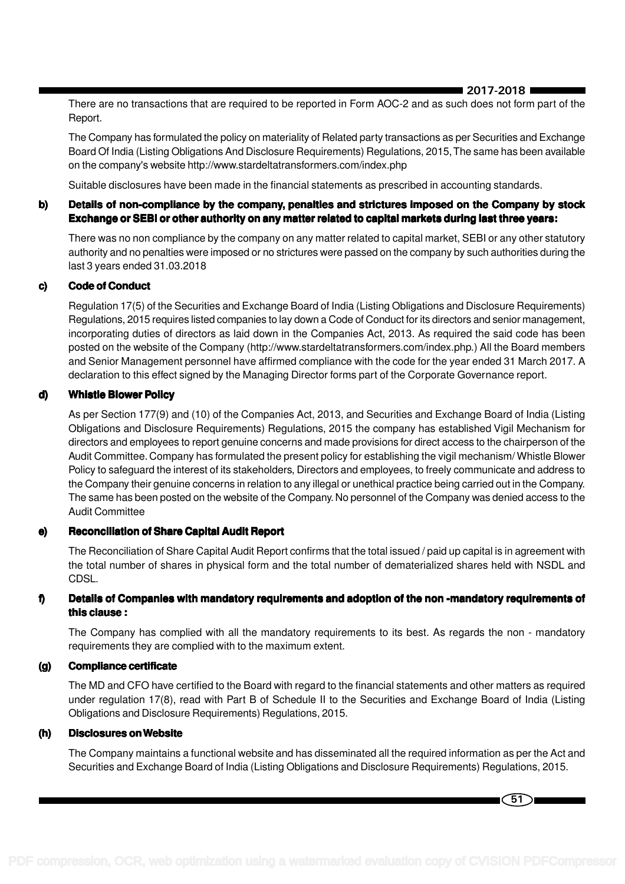There are no transactions that are required to be reported in Form AOC-2 and as such does not form part of the Report.

The Company has formulated the policy on materiality of Related party transactions as per Securities and Exchange Board Of India (Listing Obligations And Disclosure Requirements) Regulations, 2015, The same has been available on the company's website http://www.stardeltatransformers.com/index.php

Suitable disclosures have been made in the financial statements as prescribed in accounting standards.

### **b) Details of non-compliance by the company, penalties and strictures imposed on the Company by stock Exchange or SEBI or other authority on any matter related to capital markets during last three years:**

There was no non compliance by the company on any matter related to capital market, SEBI or any other statutory authority and no penalties were imposed or no strictures were passed on the company by such authorities during the last 3 years ended 31.03.2018

#### **c) Code of Conduct**

Regulation 17(5) of the Securities and Exchange Board of India (Listing Obligations and Disclosure Requirements) Regulations, 2015 requires listed companies to lay down a Code of Conduct for its directors and senior management, incorporating duties of directors as laid down in the Companies Act, 2013. As required the said code has been posted on the website of the Company (http://www.stardeltatransformers.com/index.php.) All the Board members and Senior Management personnel have affirmed compliance with the code for the year ended 31 March 2017. A declaration to this effect signed by the Managing Director forms part of the Corporate Governance report.

#### **d) Whistle Blower Policy**

As per Section 177(9) and (10) of the Companies Act, 2013, and Securities and Exchange Board of India (Listing Obligations and Disclosure Requirements) Regulations, 2015 the company has established Vigil Mechanism for directors and employees to report genuine concerns and made provisions for direct access to the chairperson of the Audit Committee. Company has formulated the present policy for establishing the vigil mechanism/ Whistle Blower Policy to safeguard the interest of its stakeholders, Directors and employees, to freely communicate and address to the Company their genuine concerns in relation to any illegal or unethical practice being carried out in the Company. The same has been posted on the website of the Company. No personnel of the Company was denied access to the Audit Committee

#### **e) Reconciliation of Share Capital Audit Report**

The Reconciliation of Share Capital Audit Report confirms that the total issued / paid up capital is in agreement with the total number of shares in physical form and the total number of dematerialized shares held with NSDL and CDSL.

### **f) Details of Companies with mandatory requirements and adoption of the non -mandatory requirements of this clause :**

The Company has complied with all the mandatory requirements to its best. As regards the non - mandatory requirements they are complied with to the maximum extent.

#### **(g) Compliance certificate**

The MD and CFO have certified to the Board with regard to the financial statements and other matters as required under regulation 17(8), read with Part B of Schedule II to the Securities and Exchange Board of India (Listing Obligations and Disclosure Requirements) Regulations, 2015.

#### **(h) Disclosures on Website**

The Company maintains a functional website and has disseminated all the required information as per the Act and Securities and Exchange Board of India (Listing Obligations and Disclosure Requirements) Regulations, 2015.

 $(51)$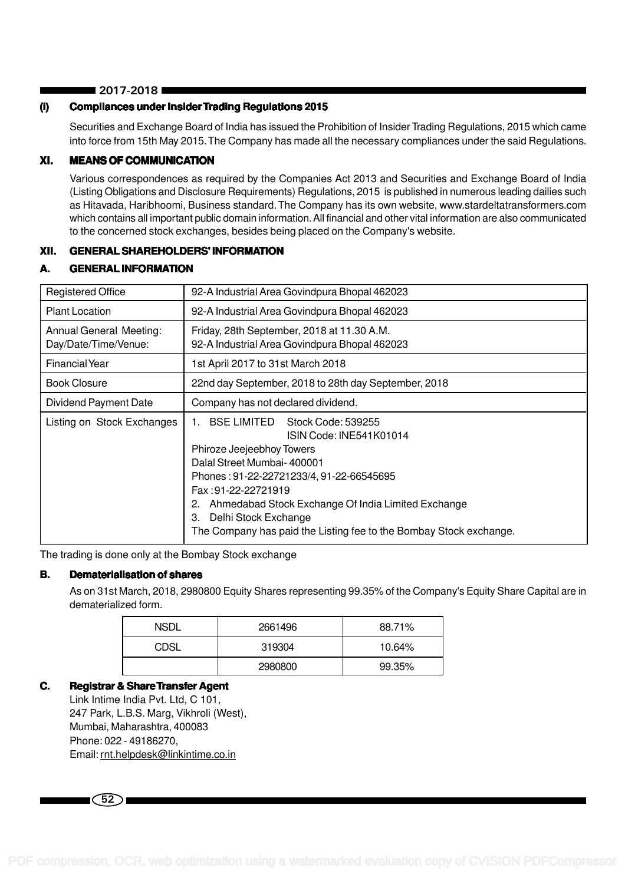$\blacksquare$  2017-2018

### **(i) Compliances under Insider Trading Regulations 2015**

Securities and Exchange Board of India has issued the Prohibition of Insider Trading Regulations, 2015 which came into force from 15th May 2015.The Company has made all the necessary compliances under the said Regulations.

### **XI. MEANS OF COMMUNICATION**

Various correspondences as required by the Companies Act 2013 and Securities and Exchange Board of India (Listing Obligations and Disclosure Requirements) Regulations, 2015 is published in numerous leading dailies such as Hitavada, Haribhoomi, Business standard.The Company has its own website, www.stardeltatransformers.com which contains all important public domain information. All financial and other vital information are also communicated to the concerned stock exchanges, besides being placed on the Company's website.

## **XII. GENERAL SHAREHOLDERS' INFORMATION**

### **A. GENERAL INFORMATION**

| <b>Registered Office</b>                               | 92-A Industrial Area Govindpura Bhopal 462023                                                                                                                                                                                                                                                                                                                           |  |  |  |  |
|--------------------------------------------------------|-------------------------------------------------------------------------------------------------------------------------------------------------------------------------------------------------------------------------------------------------------------------------------------------------------------------------------------------------------------------------|--|--|--|--|
| <b>Plant Location</b>                                  | 92-A Industrial Area Govindpura Bhopal 462023                                                                                                                                                                                                                                                                                                                           |  |  |  |  |
| <b>Annual General Meeting:</b><br>Day/Date/Time/Venue: | Friday, 28th September, 2018 at 11.30 A.M.<br>92-A Industrial Area Govindpura Bhopal 462023                                                                                                                                                                                                                                                                             |  |  |  |  |
| <b>Financial Year</b>                                  | 1st April 2017 to 31st March 2018                                                                                                                                                                                                                                                                                                                                       |  |  |  |  |
| <b>Book Closure</b>                                    | 22nd day September, 2018 to 28th day September, 2018                                                                                                                                                                                                                                                                                                                    |  |  |  |  |
| <b>Dividend Payment Date</b>                           | Company has not declared dividend.                                                                                                                                                                                                                                                                                                                                      |  |  |  |  |
| Listing on Stock Exchanges                             | <b>BSE LIMITED</b><br>Stock Code: 539255<br>1.<br>ISIN Code: INE541K01014<br>Phiroze Jeejeebhoy Towers<br>Dalal Street Mumbai-400001<br>Phones: 91-22-22721233/4, 91-22-66545695<br>Fax: 91-22-22721919<br>Ahmedabad Stock Exchange Of India Limited Exchange<br>2.<br>Delhi Stock Exchange<br>З.<br>The Company has paid the Listing fee to the Bombay Stock exchange. |  |  |  |  |

The trading is done only at the Bombay Stock exchange

### **B. Dematerialisation of shares**

As on 31st March, 2018, 2980800 Equity Shares representing 99.35% of the Company's Equity Share Capital are in dematerialized form.

| <b>NSDL</b> | 2661496 | 88.71% |
|-------------|---------|--------|
| <b>CDSL</b> | 319304  | 10.64% |
|             | 2980800 | 99.35% |

### **C. Registrar & Share Transfer Agent**

Link Intime India Pvt. Ltd, C 101, 247 Park, L.B.S. Marg, Vikhroli (West), Mumbai, Maharashtra, 400083 Phone: 022 - 49186270, Email: rnt.helpdesk@linkintime.co.in

 $\blacksquare$  52  $\blacksquare$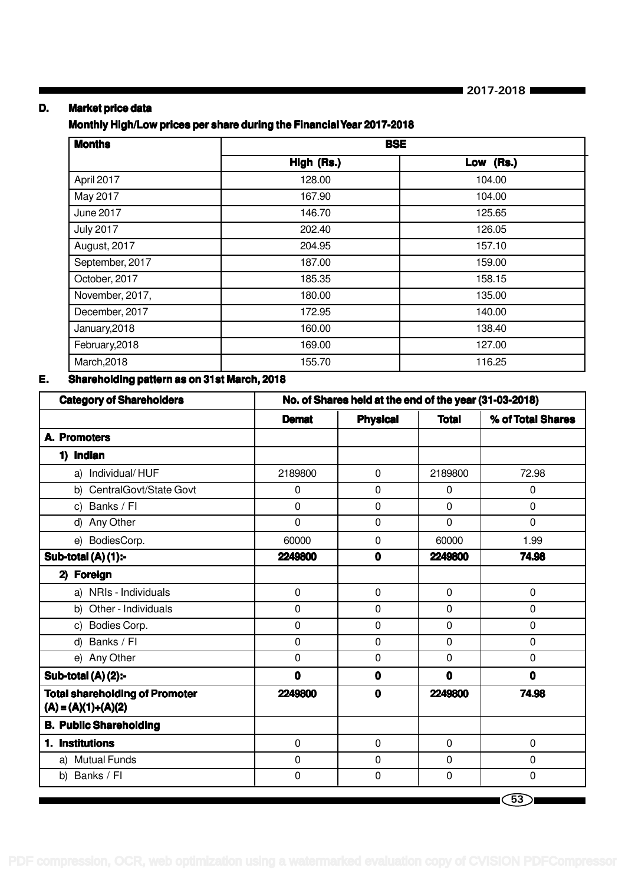### **D. Market price data**

# **Monthly High/Low prices per share during the Financial Year 2017-2018**

| <b>Months</b>    | <b>BSE</b> |           |  |
|------------------|------------|-----------|--|
|                  | High (Rs.) | Low (Rs.) |  |
| April 2017       | 128.00     | 104.00    |  |
| May 2017         | 167.90     | 104.00    |  |
| June 2017        | 146.70     | 125.65    |  |
| <b>July 2017</b> | 202.40     | 126.05    |  |
| August, 2017     | 204.95     | 157.10    |  |
| September, 2017  | 187.00     | 159.00    |  |
| October, 2017    | 185.35     | 158.15    |  |
| November, 2017,  | 180.00     | 135.00    |  |
| December, 2017   | 172.95     | 140.00    |  |
| January, 2018    | 160.00     | 138.40    |  |
| February, 2018   | 169.00     | 127.00    |  |
| March, 2018      | 155.70     | 116.25    |  |

### **E. Shareholding pattern as on 31st March, 2018**

| <b>Category of Shareholders</b>                                | No. of Shares held at the end of the year (31-03-2018) |                 |                |                   |  |
|----------------------------------------------------------------|--------------------------------------------------------|-----------------|----------------|-------------------|--|
|                                                                | <b>Demat</b>                                           | <b>Physical</b> | <b>Total</b>   | % of Total Shares |  |
| A. Promoters                                                   |                                                        |                 |                |                   |  |
| 1) Indian                                                      |                                                        |                 |                |                   |  |
| a) Individual/HUF                                              | 2189800                                                | $\mathbf 0$     | 2189800        | 72.98             |  |
| b) CentralGovt/State Govt                                      | 0                                                      | 0               | 0              | $\mathbf 0$       |  |
| c) Banks / FI                                                  | $\mathbf 0$                                            | 0               | 0              | 0                 |  |
| d) Any Other                                                   | $\overline{0}$                                         | 0               | $\overline{0}$ | 0                 |  |
| e) BodiesCorp.                                                 | 60000                                                  | 0               | 60000          | 1.99              |  |
| <b>Sub-total (A) (1):-</b>                                     | 2249800                                                | $\bf{0}$        | 2249800        | 74.98             |  |
| 2) Foreign                                                     |                                                        |                 |                |                   |  |
| a) NRIs - Individuals                                          | $\mathbf 0$                                            | $\mathbf 0$     | $\overline{0}$ | $\mathbf 0$       |  |
| b) Other - Individuals                                         | $\overline{0}$                                         | $\mathbf 0$     | 0              | $\mathbf 0$       |  |
| Bodies Corp.<br>C)                                             | 0                                                      | $\mathbf 0$     | 0              | 0                 |  |
| d) Banks / FI                                                  | $\mathbf 0$                                            | $\mathbf 0$     | 0              | $\mathbf 0$       |  |
| Any Other<br>e)                                                | $\mathbf 0$                                            | 0               | 0              | $\mathbf 0$       |  |
| <b>Sub-total (A) (2):-</b>                                     | $\mathbf 0$                                            | $\mathbf 0$     | $\mathbf 0$    | $\mathbf 0$       |  |
| <b>Total shareholding of Promoter</b><br>$(A) = (A)(1)+(A)(2)$ | 2249800                                                | $\mathbf 0$     | 2249800        | 74.98             |  |
| <b>B. Public Shareholding</b>                                  |                                                        |                 |                |                   |  |
| 1. Institutions                                                | $\mathbf 0$                                            | $\mathbf 0$     | $\overline{0}$ | $\mathbf 0$       |  |
| a) Mutual Funds                                                | 0                                                      | 0               | 0              | 0                 |  |
| b) Banks / Fl                                                  | 0                                                      | $\mathbf 0$     | 0              | 0                 |  |
|                                                                |                                                        |                 |                | $\sqrt{53}$       |  |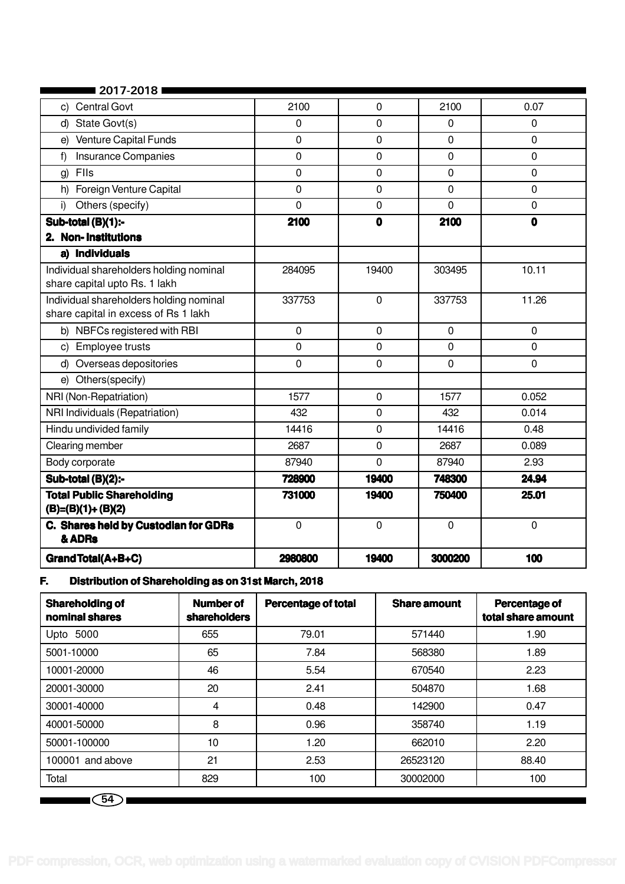| $\sim$ 2017-2018 $\sim$                                                         |                |                |             |                |
|---------------------------------------------------------------------------------|----------------|----------------|-------------|----------------|
| <b>Central Govt</b><br>C)                                                       | 2100           | 0              | 2100        | 0.07           |
| State Govt(s)<br>d)                                                             | 0              | $\mathbf 0$    | 0           | 0              |
| Venture Capital Funds<br>e)                                                     | $\mathbf 0$    | $\pmb{0}$      | 0           | 0              |
| Insurance Companies<br>f                                                        | 0              | 0              | 0           | 0              |
| Flls<br>g)                                                                      | $\mathbf 0$    | $\mathbf 0$    | $\mathbf 0$ | 0              |
| Foreign Venture Capital<br>h)                                                   | 0              | 0              | 0           | $\overline{0}$ |
| Others (specify)<br>i)                                                          | $\mathbf 0$    | $\pmb{0}$      | 0           | $\mathbf 0$    |
| Sub-total (B)(1):-                                                              | 2100           | $\mathbf 0$    | 2100        | $\mathbf{0}$   |
| 2. Non-Institutions                                                             |                |                |             |                |
| a) Individuals                                                                  |                |                |             |                |
| Individual shareholders holding nominal<br>share capital upto Rs. 1 lakh        | 284095         | 19400          | 303495      | 10.11          |
| Individual shareholders holding nominal<br>share capital in excess of Rs 1 lakh | 337753         | $\mathbf 0$    | 337753      | 11.26          |
| b) NBFCs registered with RBI                                                    | $\overline{0}$ | $\mathbf 0$    | $\Omega$    | $\Omega$       |
| Employee trusts<br>C)                                                           | $\mathbf 0$    | $\mathbf 0$    | $\mathbf 0$ | 0              |
| d) Overseas depositories                                                        | $\overline{0}$ | $\overline{0}$ | 0           | 0              |
| e) Others(specify)                                                              |                |                |             |                |
| NRI (Non-Repatriation)                                                          | 1577           | $\mathbf 0$    | 1577        | 0.052          |
| NRI Individuals (Repatriation)                                                  | 432            | $\mathbf 0$    | 432         | 0.014          |
| Hindu undivided family                                                          | 14416          | $\mathbf 0$    | 14416       | 0.48           |
| Clearing member                                                                 | 2687           | $\overline{0}$ | 2687        | 0.089          |
| Body corporate                                                                  | 87940          | 0              | 87940       | 2.93           |
| Sub-total (B)(2):-                                                              | 728900         | 19400          | 748300      | 24.94          |
| <b>Total Public Shareholding</b><br>$(B)=(B)(1)+(B)(2)$                         | 731000         | 19400          | 750400      | 25.01          |
| C. Shares held by Custodian for GDRs<br>& ADRs                                  | $\mathbf 0$    | $\mathbf 0$    | $\mathbf 0$ | $\mathbf 0$    |
| Grand Total(A+B+C)                                                              | 2980800        | 19400          | 3000200     | 100            |

### **F. Distribution of Shareholding as on 31st March, 2018**

| <b>Shareholding of</b><br>nominal shares | <b>Number of</b><br><b>shareholders</b> | <b>Percentage of total</b> | <b>Share amount</b> | Percentage of<br>total share amount |
|------------------------------------------|-----------------------------------------|----------------------------|---------------------|-------------------------------------|
| Upto 5000                                | 655                                     | 79.01                      | 571440              | 1.90                                |
| 5001-10000                               | 65                                      | 7.84                       | 568380              | 1.89                                |
| 10001-20000                              | 46                                      | 5.54                       | 670540              | 2.23                                |
| 20001-30000                              | 20                                      | 2.41                       | 504870              | 1.68                                |
| 30001-40000                              | $\overline{4}$                          | 0.48                       | 142900              | 0.47                                |
| 40001-50000                              | 8                                       | 0.96                       | 358740              | 1.19                                |
| 50001-100000                             | 10                                      | 1.20                       | 662010              | 2.20                                |
| 100001 and above                         | 21                                      | 2.53                       | 26523120            | 88.40                               |
| Total                                    | 829                                     | 100                        | 30002000            | 100                                 |
| 54                                       |                                         |                            |                     |                                     |

 $54$ −€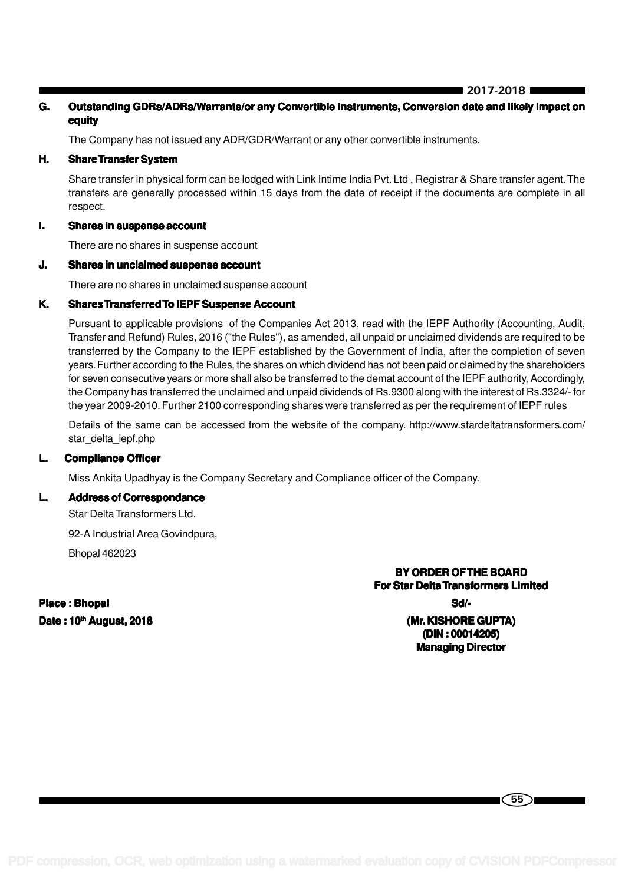### **G. Outstanding GDRs/ADRs/Warrants/or any Convertible instruments, Conversion date and likely impact on equity**

The Company has not issued any ADR/GDR/Warrant or any other convertible instruments.

#### **H. Share Transfer System**

Share transfer in physical form can be lodged with Link Intime India Pvt. Ltd , Registrar & Share transfer agent.The transfers are generally processed within 15 days from the date of receipt if the documents are complete in all respect.

### **I. Shares in suspense account**

There are no shares in suspense account

#### **J. Shares in unclaimed suspense account**

There are no shares in unclaimed suspense account

### **K. Shares Transferred To IEPF Suspense Account**

Pursuant to applicable provisions of the Companies Act 2013, read with the IEPF Authority (Accounting, Audit, Transfer and Refund) Rules, 2016 ("the Rules"), as amended, all unpaid or unclaimed dividends are required to be transferred by the Company to the IEPF established by the Government of India, after the completion of seven years. Further according to the Rules, the shares on which dividend has not been paid or claimed by the shareholders for seven consecutive years or more shall also be transferred to the demat account of the IEPF authority, Accordingly, the Company has transferred the unclaimed and unpaid dividends of Rs.9300 along with the interest of Rs.3324/- for the year 2009-2010. Further 2100 corresponding shares were transferred as per the requirement of IEPF rules

Details of the same can be accessed from the website of the company. http://www.stardeltatransformers.com/ star delta iepf.php

#### **L. Compliance Officer**

Miss Ankita Upadhyay is the Company Secretary and Compliance officer of the Company.

#### **L. Address of Correspondance**

Star Delta Transformers Ltd.

92-A Industrial Area Govindpura,

Bhopal 462023

### **BY ORDER OF THE BOARD For Star Delta Transformers Limited**

**Place : Bhopal Sd/-**

**Date : 10th August, 2018 (Mr. KISHORE GUPTA) (DIN : 00014205) Managing Director**

 $\widehat{55}$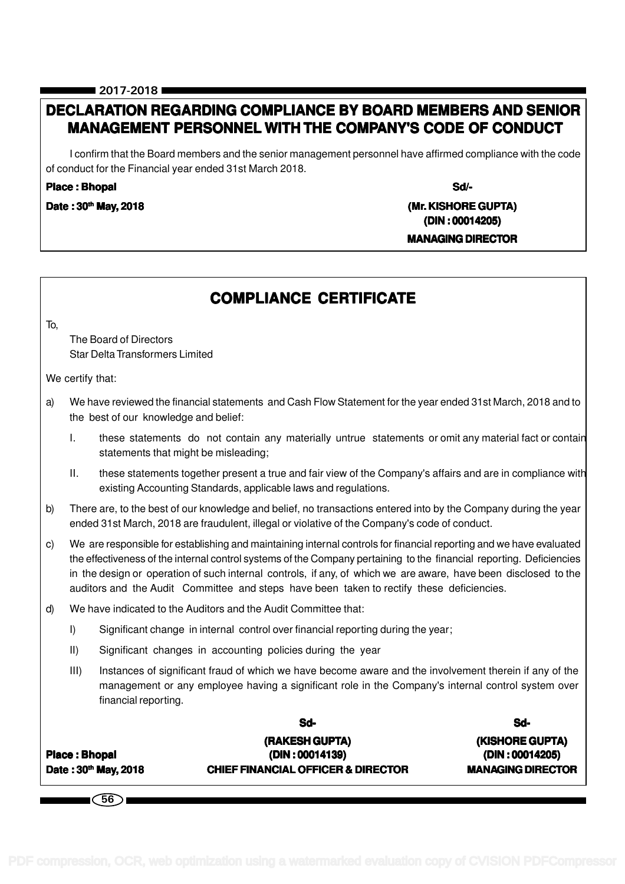$\blacksquare$  2017-2018

# **DECLARATION REGARDING COMPLIANCE BY BOARD MEMBERS AND SENIOR MANAGEMENT PERSONNEL WITH THE COMPANY'S CODE OF CONDUCT**

I confirm that the Board members and the senior management personnel have affirmed compliance with the code of conduct for the Financial year ended 31st March 2018.

#### **Place : Bhopal Sd/-**

**Date : 30th May, 2018 (Mr. KISHORE GUPTA) (DIN : 00014205) MANAGING DIRECTOR**

# **COMPLIANCE CERTIFICATE**

To,

The Board of Directors Star Delta Transformers Limited

We certify that:

a) We have reviewed the financial statements and Cash Flow Statement for the year ended 31st March, 2018 and to the best of our knowledge and belief:

- I. these statements do not contain any materially untrue statements or omit any material fact or contain statements that might be misleading;
- II. these statements together present a true and fair view of the Company's affairs and are in compliance with existing Accounting Standards, applicable laws and regulations.
- b) There are, to the best of our knowledge and belief, no transactions entered into by the Company during the year ended 31st March, 2018 are fraudulent, illegal or violative of the Company's code of conduct.
- c) We are responsible for establishing and maintaining internal controls for financial reporting and we have evaluated the effectiveness of the internal control systems of the Company pertaining to the financial reporting. Deficiencies in the design or operation of such internal controls, if any, of which we are aware, have been disclosed to the auditors and the Audit Committee and steps have been taken to rectify these deficiencies.
- d) We have indicated to the Auditors and the Audit Committee that:
	- I) Significant change in internal control over financial reporting during the year;
	- II) Significant changes in accounting policies during the year
	- III) Instances of significant fraud of which we have become aware and the involvement therein if any of the management or any employee having a significant role in the Company's internal control system over financial reporting.

| Date: 30th May, 2018 | <b>CHIEF FINANCIAL OFFICER &amp; DIRECTOR</b> | <b>MANAGING DIRECTOR</b> |
|----------------------|-----------------------------------------------|--------------------------|
| <b>Place: Bhopal</b> | (DIN: 00014139)                               | (DIN: 00014205)          |
|                      | (RAKESH GUPTA)                                | (KISHORE GUPTA)          |
|                      | Sd-                                           | Sd-                      |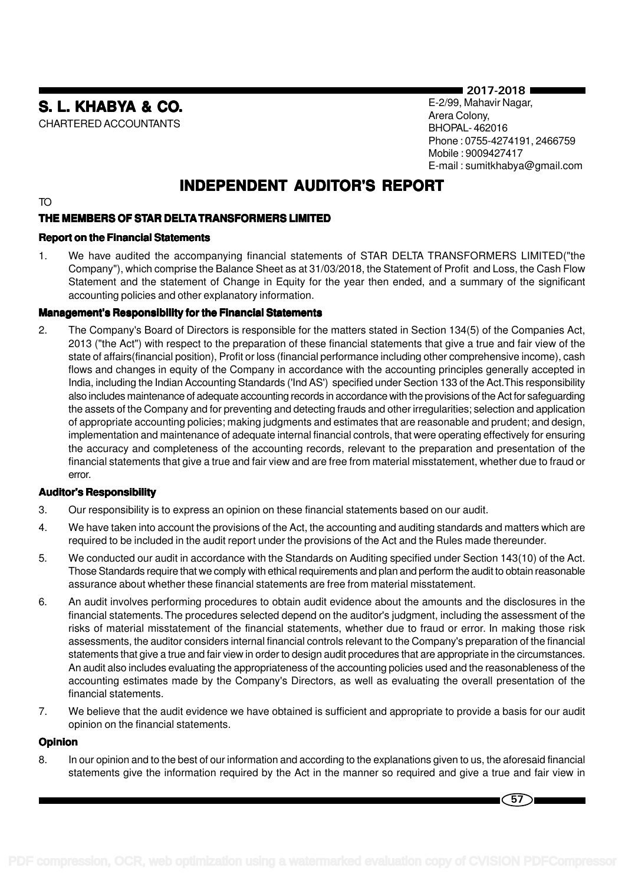**S. L. KHABYA & CO.** CHARTERED ACCOUNTANTS

 $2017-2018$ 

E-2/99, Mahavir Nagar, Arera Colony, BHOPAL- 462016 Phone : 0755-4274191, 2466759 Mobile : 9009427417 E-mail : sumitkhabya@gmail.com

57

# **INDEPENDENT AUDITOR'S REPORT**

TO

### **THE MEMBERS OF STAR DELTA TRANSFORMERS LIMITED**

### **Report on the Financial Statements**

1. We have audited the accompanying financial statements of STAR DELTA TRANSFORMERS LIMITED("the Company"), which comprise the Balance Sheet as at 31/03/2018, the Statement of Profit and Loss, the Cash Flow Statement and the statement of Change in Equity for the year then ended, and a summary of the significant accounting policies and other explanatory information.

### **Management's Responsibility for the Financial Statements**

2. The Company's Board of Directors is responsible for the matters stated in Section 134(5) of the Companies Act, 2013 ("the Act") with respect to the preparation of these financial statements that give a true and fair view of the state of affairs(financial position), Profit or loss (financial performance including other comprehensive income), cash flows and changes in equity of the Company in accordance with the accounting principles generally accepted in India, including the Indian Accounting Standards ('Ind AS') specified under Section 133 of the Act.This responsibility also includes maintenance of adequate accounting records in accordance with the provisions of the Act for safeguarding the assets of the Company and for preventing and detecting frauds and other irregularities; selection and application of appropriate accounting policies; making judgments and estimates that are reasonable and prudent; and design, implementation and maintenance of adequate internal financial controls, that were operating effectively for ensuring the accuracy and completeness of the accounting records, relevant to the preparation and presentation of the financial statements that give a true and fair view and are free from material misstatement, whether due to fraud or error.

### **Auditor's Responsibility**

- 3. Our responsibility is to express an opinion on these financial statements based on our audit.
- 4. We have taken into account the provisions of the Act, the accounting and auditing standards and matters which are required to be included in the audit report under the provisions of the Act and the Rules made thereunder.
- 5. We conducted our audit in accordance with the Standards on Auditing specified under Section 143(10) of the Act. Those Standards require that we comply with ethical requirements and plan and perform the audit to obtain reasonable assurance about whether these financial statements are free from material misstatement.
- 6. An audit involves performing procedures to obtain audit evidence about the amounts and the disclosures in the financial statements. The procedures selected depend on the auditor's judgment, including the assessment of the risks of material misstatement of the financial statements, whether due to fraud or error. In making those risk assessments, the auditor considers internal financial controls relevant to the Company's preparation of the financial statements that give a true and fair view in order to design audit procedures that are appropriate in the circumstances. An audit also includes evaluating the appropriateness of the accounting policies used and the reasonableness of the accounting estimates made by the Company's Directors, as well as evaluating the overall presentation of the financial statements.
- 7. We believe that the audit evidence we have obtained is sufficient and appropriate to provide a basis for our audit opinion on the financial statements.

### **Opinion**

8. In our opinion and to the best of our information and according to the explanations given to us, the aforesaid financial statements give the information required by the Act in the manner so required and give a true and fair view in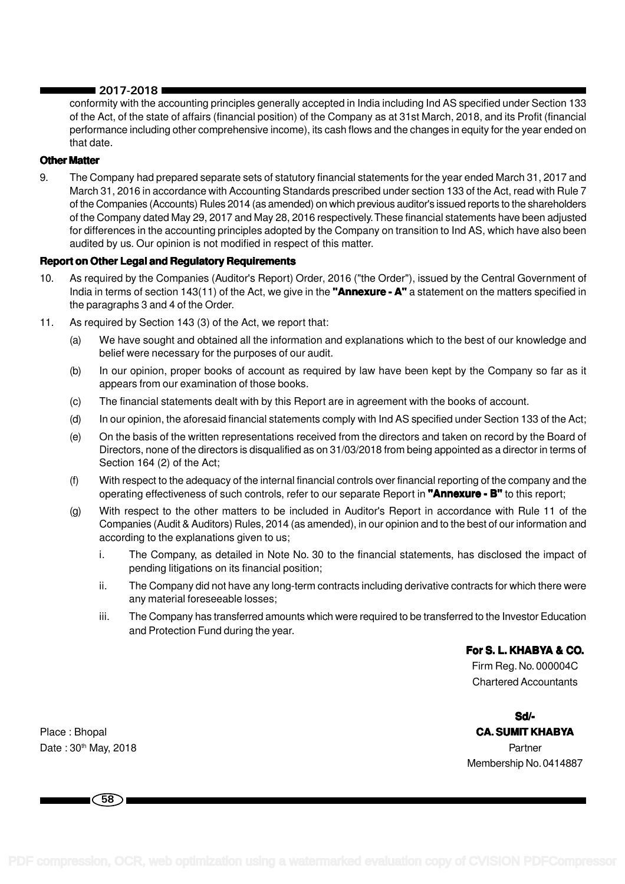#### ■ 2017-2018 ■

conformity with the accounting principles generally accepted in India including Ind AS specified under Section 133 of the Act, of the state of affairs (financial position) of the Company as at 31st March, 2018, and its Profit (financial performance including other comprehensive income), its cash flows and the changes in equity for the year ended on that date.

### **Other Matter**

9. The Company had prepared separate sets of statutory financial statements for the year ended March 31, 2017 and March 31, 2016 in accordance with Accounting Standards prescribed under section 133 of the Act, read with Rule 7 of the Companies (Accounts) Rules 2014 (as amended) on which previous auditor's issued reports to the shareholders of the Company dated May 29, 2017 and May 28, 2016 respectively. These financial statements have been adjusted for differences in the accounting principles adopted by the Company on transition to Ind AS, which have also been audited by us. Our opinion is not modified in respect of this matter.

### **Report on Other Legal and Regulatory Requirements**

- 10. As required by the Companies (Auditor's Report) Order, 2016 ("the Order"), issued by the Central Government of India in terms of section 143(11) of the Act, we give in the **"Annexure - A"** a statement on the matters specified in the paragraphs 3 and 4 of the Order.
- 11. As required by Section 143 (3) of the Act, we report that:
	- (a) We have sought and obtained all the information and explanations which to the best of our knowledge and belief were necessary for the purposes of our audit.
	- (b) In our opinion, proper books of account as required by law have been kept by the Company so far as it appears from our examination of those books.
	- (c) The financial statements dealt with by this Report are in agreement with the books of account.
	- (d) In our opinion, the aforesaid financial statements comply with Ind AS specified under Section 133 of the Act;
	- (e) On the basis of the written representations received from the directors and taken on record by the Board of Directors, none of the directors is disqualified as on 31/03/2018 from being appointed as a director in terms of Section 164 (2) of the Act;
	- (f) With respect to the adequacy of the internal financial controls over financial reporting of the company and the operating effectiveness of such controls, refer to our separate Report in **"Annexure - B"** to this report;
	- (g) With respect to the other matters to be included in Auditor's Report in accordance with Rule 11 of the Companies (Audit & Auditors) Rules, 2014 (as amended), in our opinion and to the best of our information and according to the explanations given to us;
		- i. The Company, as detailed in Note No. 30 to the financial statements, has disclosed the impact of pending litigations on its financial position;
		- ii. The Company did not have any long-term contracts including derivative contracts for which there were any material foreseeable losses;
		- iii. The Company has transferred amounts which were required to be transferred to the Investor Education and Protection Fund during the year.

**For S. L. KHABYA & CO.**

Firm Reg. No. 000004C Chartered Accountants

**Sd/-**

Membership No. 0414887

Place : Bhopal **CA. SUMIT KHABYA** Date : 30<sup>th</sup> May, 2018 **Partner Partner Partner Partner** 

 $\sqrt{58}$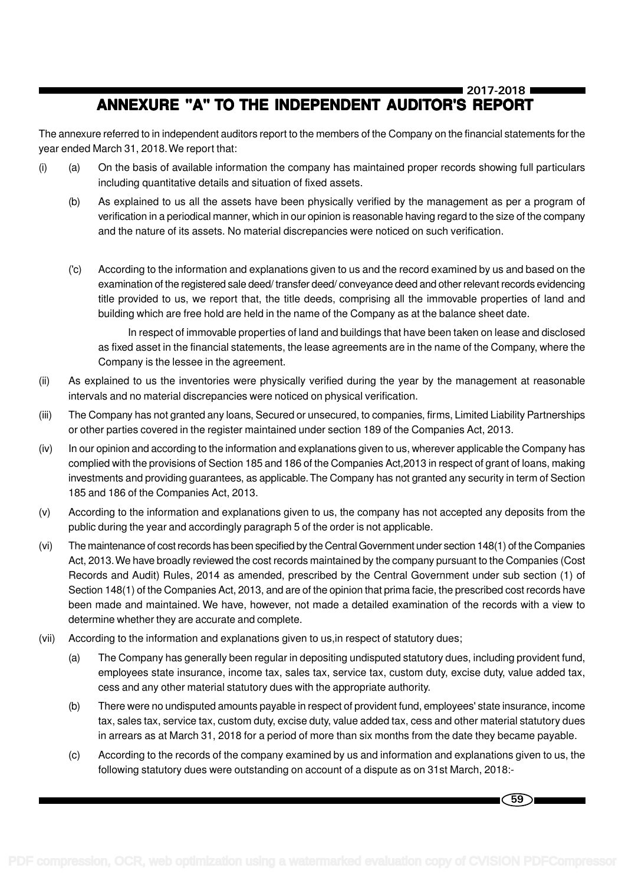### ■ 2017-2018 ■  **ANNEXURE "A" TO THE INDEPENDENT AUDITOR'S REPORT**

The annexure referred to in independent auditors report to the members of the Company on the financial statements for the year ended March 31, 2018. We report that:

- (i) (a) On the basis of available information the company has maintained proper records showing full particulars including quantitative details and situation of fixed assets.
	- (b) As explained to us all the assets have been physically verified by the management as per a program of verification in a periodical manner, which in our opinion is reasonable having regard to the size of the company and the nature of its assets. No material discrepancies were noticed on such verification.
	- ('c) According to the information and explanations given to us and the record examined by us and based on the examination of the registered sale deed/ transfer deed/ conveyance deed and other relevant records evidencing title provided to us, we report that, the title deeds, comprising all the immovable properties of land and building which are free hold are held in the name of the Company as at the balance sheet date.

In respect of immovable properties of land and buildings that have been taken on lease and disclosed as fixed asset in the financial statements, the lease agreements are in the name of the Company, where the Company is the lessee in the agreement.

- (ii) As explained to us the inventories were physically verified during the year by the management at reasonable intervals and no material discrepancies were noticed on physical verification.
- (iii) The Company has not granted any loans, Secured or unsecured, to companies, firms, Limited Liability Partnerships or other parties covered in the register maintained under section 189 of the Companies Act, 2013.
- (iv) In our opinion and according to the information and explanations given to us, wherever applicable the Company has complied with the provisions of Section 185 and 186 of the Companies Act,2013 in respect of grant of loans, making investments and providing guarantees, as applicable. The Company has not granted any security in term of Section 185 and 186 of the Companies Act, 2013.
- (v) According to the information and explanations given to us, the company has not accepted any deposits from the public during the year and accordingly paragraph 5 of the order is not applicable.
- (vi) The maintenance of cost records has been specified by the Central Government under section 148(1) of the Companies Act, 2013. We have broadly reviewed the cost records maintained by the company pursuant to the Companies (Cost Records and Audit) Rules, 2014 as amended, prescribed by the Central Government under sub section (1) of Section 148(1) of the Companies Act, 2013, and are of the opinion that prima facie, the prescribed cost records have been made and maintained. We have, however, not made a detailed examination of the records with a view to determine whether they are accurate and complete.
- (vii) According to the information and explanations given to us,in respect of statutory dues;
	- (a) The Company has generally been regular in depositing undisputed statutory dues, including provident fund, employees state insurance, income tax, sales tax, service tax, custom duty, excise duty, value added tax, cess and any other material statutory dues with the appropriate authority.
	- (b) There were no undisputed amounts payable in respect of provident fund, employees' state insurance, income tax, sales tax, service tax, custom duty, excise duty, value added tax, cess and other material statutory dues in arrears as at March 31, 2018 for a period of more than six months from the date they became payable.
	- (c) According to the records of the company examined by us and information and explanations given to us, the following statutory dues were outstanding on account of a dispute as on 31st March, 2018:-

 $\bigcirc$ 59)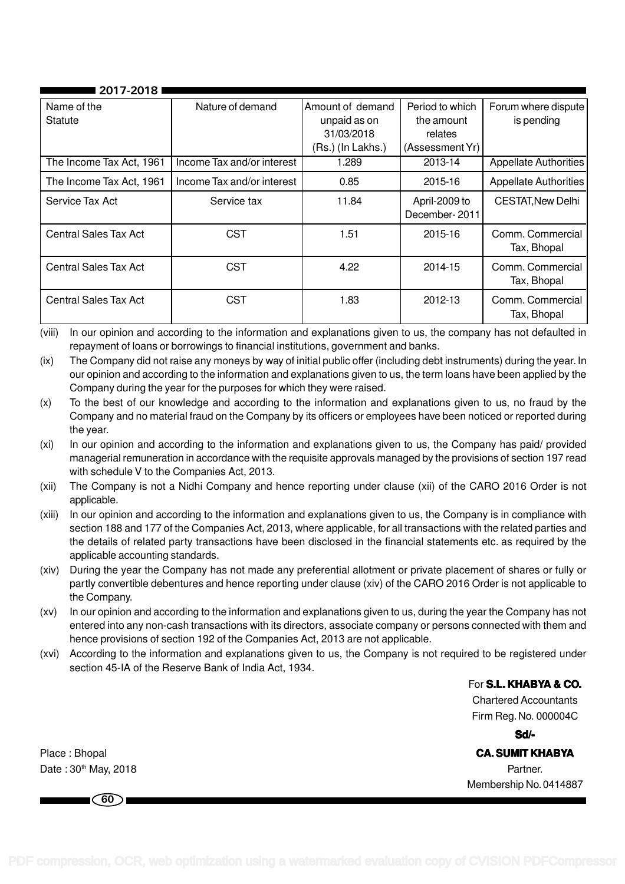| 2017-2018                    |                            |                                                                     |                                                             |                                   |
|------------------------------|----------------------------|---------------------------------------------------------------------|-------------------------------------------------------------|-----------------------------------|
| Name of the<br>Statute       | Nature of demand           | Amount of demand<br>unpaid as on<br>31/03/2018<br>(Rs.) (In Lakhs.) | Period to which<br>the amount<br>relates<br>(Assessment Yr) | Forum where dispute<br>is pending |
| The Income Tax Act, 1961     | Income Tax and/or interest | 1.289                                                               | 2013-14                                                     | <b>Appellate Authorities</b>      |
| The Income Tax Act, 1961     | Income Tax and/or interest | 0.85                                                                | 2015-16                                                     | <b>Appellate Authorities</b>      |
| Service Tax Act              | Service tax                | 11.84                                                               | April-2009 to<br>December-2011                              | CESTAT, New Delhi                 |
| <b>Central Sales Tax Act</b> | <b>CST</b>                 | 1.51                                                                | 2015-16                                                     | Comm. Commercial<br>Tax, Bhopal   |
| Central Sales Tax Act        | <b>CST</b>                 | 4.22                                                                | 2014-15                                                     | Comm. Commercial<br>Tax, Bhopal   |
| Central Sales Tax Act        | <b>CST</b>                 | 1.83                                                                | 2012-13                                                     | Comm. Commercial<br>Tax, Bhopal   |

(viii) In our opinion and according to the information and explanations given to us, the company has not defaulted in repayment of loans or borrowings to financial institutions, government and banks.

(ix) The Company did not raise any moneys by way of initial public offer (including debt instruments) during the year. In our opinion and according to the information and explanations given to us, the term loans have been applied by the Company during the year for the purposes for which they were raised.

- (x) To the best of our knowledge and according to the information and explanations given to us, no fraud by the Company and no material fraud on the Company by its officers or employees have been noticed or reported during the year.
- (xi) In our opinion and according to the information and explanations given to us, the Company has paid/ provided managerial remuneration in accordance with the requisite approvals managed by the provisions of section 197 read with schedule V to the Companies Act, 2013.
- (xii) The Company is not a Nidhi Company and hence reporting under clause (xii) of the CARO 2016 Order is not applicable.
- (xiii) In our opinion and according to the information and explanations given to us, the Company is in compliance with section 188 and 177 of the Companies Act, 2013, where applicable, for all transactions with the related parties and the details of related party transactions have been disclosed in the financial statements etc. as required by the applicable accounting standards.
- (xiv) During the year the Company has not made any preferential allotment or private placement of shares or fully or partly convertible debentures and hence reporting under clause (xiv) of the CARO 2016 Order is not applicable to the Company.
- (xv) In our opinion and according to the information and explanations given to us, during the year the Company has not entered into any non-cash transactions with its directors, associate company or persons connected with them and hence provisions of section 192 of the Companies Act, 2013 are not applicable.
- (xvi) According to the information and explanations given to us, the Company is not required to be registered under section 45-IA of the Reserve Bank of India Act, 1934.

### For **S.L. KHABYA & CO.**

Chartered Accountants Firm Reg. No. 000004C

**Sd/-**

### Place : Bhopal **CA. SUMIT KHABYA**

Membership No. 0414887

Date : 30<sup>th</sup> May, 2018 **Partner.** Partner.

 $\sim$  60  $\sim$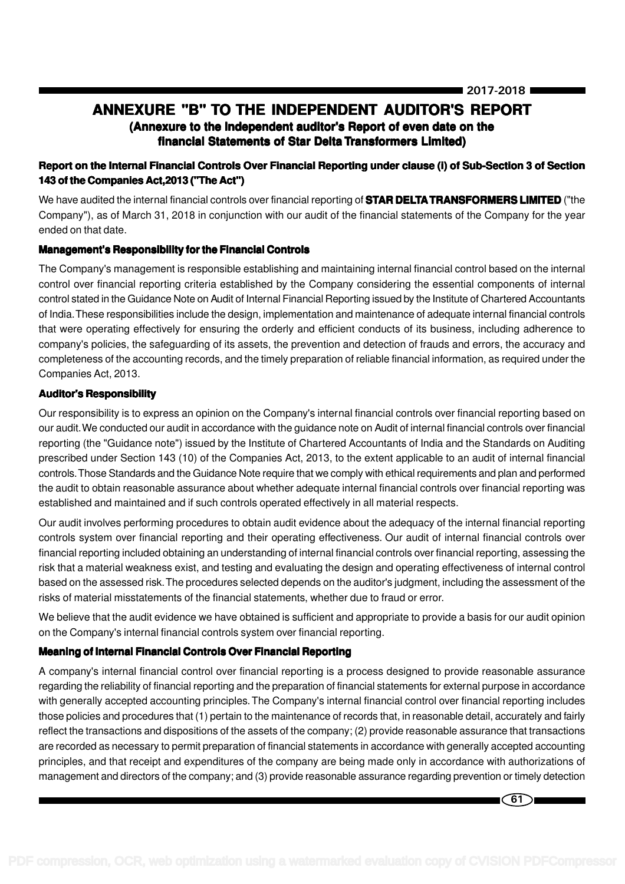# **ANNEXURE "B" TO THE INDEPENDENT AUDITOR'S REPORT**

**(Annexure to the Independent auditor's Report of even date on the financial Statements of Star Delta Transformers Limited)**

### **Report on the Internal Financial Controls Over Financial Reporting under clause (i) of Sub-Section 3 of Section 143 of the Companies Act,2013 ("The Act")**

We have audited the internal financial controls over financial reporting of **STAR DELTA TRANSFORMERS LIMITED** ("the Company"), as of March 31, 2018 in conjunction with our audit of the financial statements of the Company for the year ended on that date.

### **Management's Responsibility for the Financial Controls**

The Company's management is responsible establishing and maintaining internal financial control based on the internal control over financial reporting criteria established by the Company considering the essential components of internal control stated in the Guidance Note on Audit of Internal Financial Reporting issued by the Institute of Chartered Accountants of India.These responsibilities include the design, implementation and maintenance of adequate internal financial controls that were operating effectively for ensuring the orderly and efficient conducts of its business, including adherence to company's policies, the safeguarding of its assets, the prevention and detection of frauds and errors, the accuracy and completeness of the accounting records, and the timely preparation of reliable financial information, as required under the Companies Act, 2013.

### **Auditor's Responsibility**

Our responsibility is to express an opinion on the Company's internal financial controls over financial reporting based on our audit. We conducted our audit in accordance with the guidance note on Audit of internal financial controls over financial reporting (the "Guidance note") issued by the Institute of Chartered Accountants of India and the Standards on Auditing prescribed under Section 143 (10) of the Companies Act, 2013, to the extent applicable to an audit of internal financial controls. Those Standards and the Guidance Note require that we comply with ethical requirements and plan and performed the audit to obtain reasonable assurance about whether adequate internal financial controls over financial reporting was established and maintained and if such controls operated effectively in all material respects.

Our audit involves performing procedures to obtain audit evidence about the adequacy of the internal financial reporting controls system over financial reporting and their operating effectiveness. Our audit of internal financial controls over financial reporting included obtaining an understanding of internal financial controls over financial reporting, assessing the risk that a material weakness exist, and testing and evaluating the design and operating effectiveness of internal control based on the assessed risk.The procedures selected depends on the auditor's judgment, including the assessment of the risks of material misstatements of the financial statements, whether due to fraud or error.

We believe that the audit evidence we have obtained is sufficient and appropriate to provide a basis for our audit opinion on the Company's internal financial controls system over financial reporting.

### **Meaning of Internal Financial Controls Over Financial Reporting**

A company's internal financial control over financial reporting is a process designed to provide reasonable assurance regarding the reliability of financial reporting and the preparation of financial statements for external purpose in accordance with generally accepted accounting principles. The Company's internal financial control over financial reporting includes those policies and procedures that (1) pertain to the maintenance of records that, in reasonable detail, accurately and fairly reflect the transactions and dispositions of the assets of the company; (2) provide reasonable assurance that transactions are recorded as necessary to permit preparation of financial statements in accordance with generally accepted accounting principles, and that receipt and expenditures of the company are being made only in accordance with authorizations of management and directors of the company; and (3) provide reasonable assurance regarding prevention or timely detection

 $\sqrt{61}$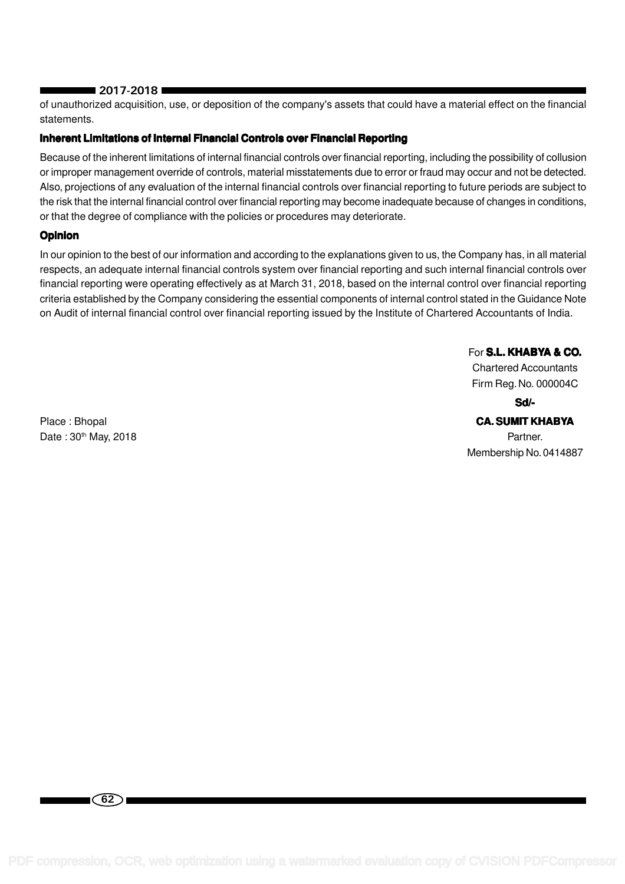#### $\blacksquare$  2017-2018  $\blacksquare$

of unauthorized acquisition, use, or deposition of the company's assets that could have a material effect on the financial statements.

#### **Inherent Limitations of Internal Financial Controls over Financial Reporting**

Because of the inherent limitations of internal financial controls over financial reporting, including the possibility of collusion or improper management override of controls, material misstatements due to error or fraud may occur and not be detected. Also, projections of any evaluation of the internal financial controls over financial reporting to future periods are subject to the risk that the internal financial control over financial reporting may become inadequate because of changes in conditions, or that the degree of compliance with the policies or procedures may deteriorate.

#### **Opinion**

In our opinion to the best of our information and according to the explanations given to us, the Company has, in all material respects, an adequate internal financial controls system over financial reporting and such internal financial controls over financial reporting were operating effectively as at March 31, 2018, based on the internal control over financial reporting criteria established by the Company considering the essential components of internal control stated in the Guidance Note on Audit of internal financial control over financial reporting issued by the Institute of Chartered Accountants of India.

Chartered Accountants Firm Reg. No. 000004C **Sd/-** Place : Bhopal **CA. SUMIT KHABYA** Membership No. 0414887

For **S.L. KHABYA & CO.**

Date : 30<sup>th</sup> May, 2018 **Partner.** 

 $(62)$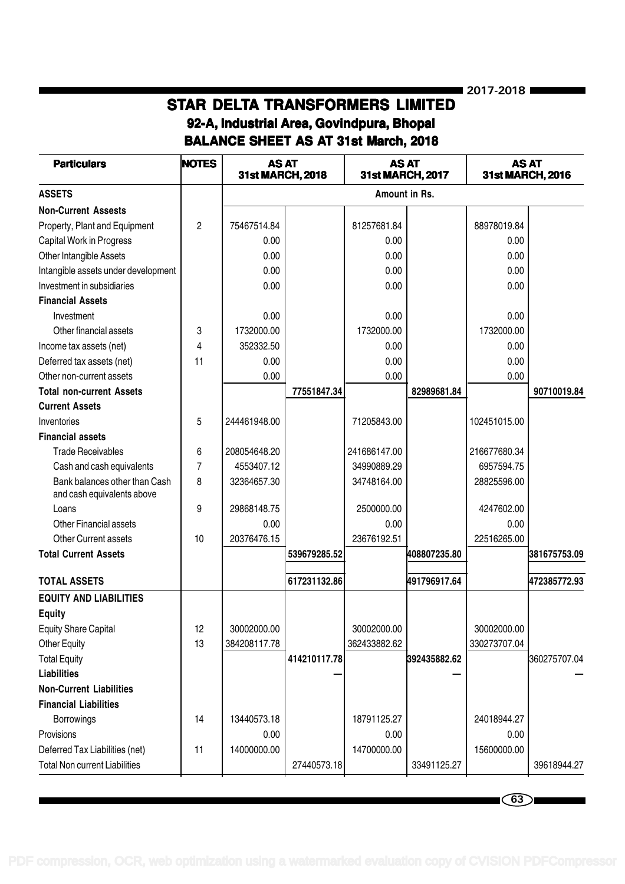$\blacksquare$  2017-2018

# **STAR DELTA TRANSFORMERS LIMITED 92-A, Industrial Area, Govindpura, Bhopal BALANCE SHEET AS AT 31st March, 2018**

| <b>Particulars</b>                                          | <b>NOTES</b>   | <b>AS AT</b><br>31st MARCH, 2018 |              | <b>AS AT</b><br>31st MARCH, 2017 |              | <b>AS AT</b><br>31st MARCH, 2016 |              |
|-------------------------------------------------------------|----------------|----------------------------------|--------------|----------------------------------|--------------|----------------------------------|--------------|
| <b>ASSETS</b>                                               |                |                                  |              | Amount in Rs.                    |              |                                  |              |
| <b>Non-Current Assests</b>                                  |                |                                  |              |                                  |              |                                  |              |
| Property, Plant and Equipment                               | $\overline{c}$ | 75467514.84                      |              | 81257681.84                      |              | 88978019.84                      |              |
| Capital Work in Progress                                    |                | 0.00                             |              | 0.00                             |              | 0.00                             |              |
| Other Intangible Assets                                     |                | 0.00                             |              | 0.00                             |              | 0.00                             |              |
| Intangible assets under development                         |                | 0.00                             |              | 0.00                             |              | 0.00                             |              |
| Investment in subsidiaries                                  |                | 0.00                             |              | 0.00                             |              | 0.00                             |              |
| <b>Financial Assets</b>                                     |                |                                  |              |                                  |              |                                  |              |
| Investment                                                  |                | 0.00                             |              | 0.00                             |              | 0.00                             |              |
| Other financial assets                                      | 3              | 1732000.00                       |              | 1732000.00                       |              | 1732000.00                       |              |
| Income tax assets (net)                                     | 4              | 352332.50                        |              | 0.00                             |              | 0.00                             |              |
| Deferred tax assets (net)                                   | 11             | 0.00                             |              | 0.00                             |              | 0.00                             |              |
| Other non-current assets                                    |                | 0.00                             |              | 0.00                             |              | 0.00                             |              |
| <b>Total non-current Assets</b>                             |                |                                  | 77551847.34  |                                  | 82989681.84  |                                  | 90710019.84  |
| <b>Current Assets</b>                                       |                |                                  |              |                                  |              |                                  |              |
| Inventories                                                 | 5              | 244461948.00                     |              | 71205843.00                      |              | 102451015.00                     |              |
| <b>Financial assets</b>                                     |                |                                  |              |                                  |              |                                  |              |
| <b>Trade Receivables</b>                                    | 6              | 208054648.20                     |              | 241686147.00                     |              | 216677680.34                     |              |
| Cash and cash equivalents                                   | $\overline{7}$ | 4553407.12                       |              | 34990889.29                      |              | 6957594.75                       |              |
| Bank balances other than Cash<br>and cash equivalents above | 8              | 32364657.30                      |              | 34748164.00                      |              | 28825596.00                      |              |
| Loans                                                       | 9              | 29868148.75                      |              | 2500000.00                       |              | 4247602.00                       |              |
| <b>Other Financial assets</b>                               |                | 0.00                             |              | 0.00                             |              | 0.00                             |              |
| Other Current assets                                        | 10             | 20376476.15                      |              | 23676192.51                      |              | 22516265.00                      |              |
| <b>Total Current Assets</b>                                 |                |                                  | 539679285.52 |                                  | 408807235.80 |                                  | 381675753.09 |
| <b>TOTAL ASSETS</b>                                         |                |                                  | 617231132.86 |                                  | 491796917.64 |                                  | 472385772.93 |
| <b>EQUITY AND LIABILITIES</b>                               |                |                                  |              |                                  |              |                                  |              |
| <b>Equity</b>                                               |                |                                  |              |                                  |              |                                  |              |
| <b>Equity Share Capital</b>                                 | 12             | 30002000.00                      |              | 30002000.00                      |              | 30002000.00                      |              |
| <b>Other Equity</b>                                         | 13             | 384208117.78                     |              | 362433882.62                     |              | 330273707.04                     |              |
| <b>Total Equity</b>                                         |                |                                  | 414210117.78 |                                  | 392435882.62 |                                  | 360275707.04 |
| <b>Liabilities</b>                                          |                |                                  |              |                                  |              |                                  |              |
| <b>Non-Current Liabilities</b>                              |                |                                  |              |                                  |              |                                  |              |
| <b>Financial Liabilities</b>                                |                |                                  |              |                                  |              |                                  |              |
| Borrowings                                                  | 14             | 13440573.18                      |              | 18791125.27                      |              | 24018944.27                      |              |
| Provisions                                                  |                | 0.00                             |              | 0.00                             |              | 0.00                             |              |
| Deferred Tax Liabilities (net)                              | 11             | 14000000.00                      |              | 14700000.00                      |              | 15600000.00                      |              |
| <b>Total Non current Liabilities</b>                        |                |                                  | 27440573.18  |                                  | 33491125.27  |                                  | 39618944.27  |

 $\sqrt{63}$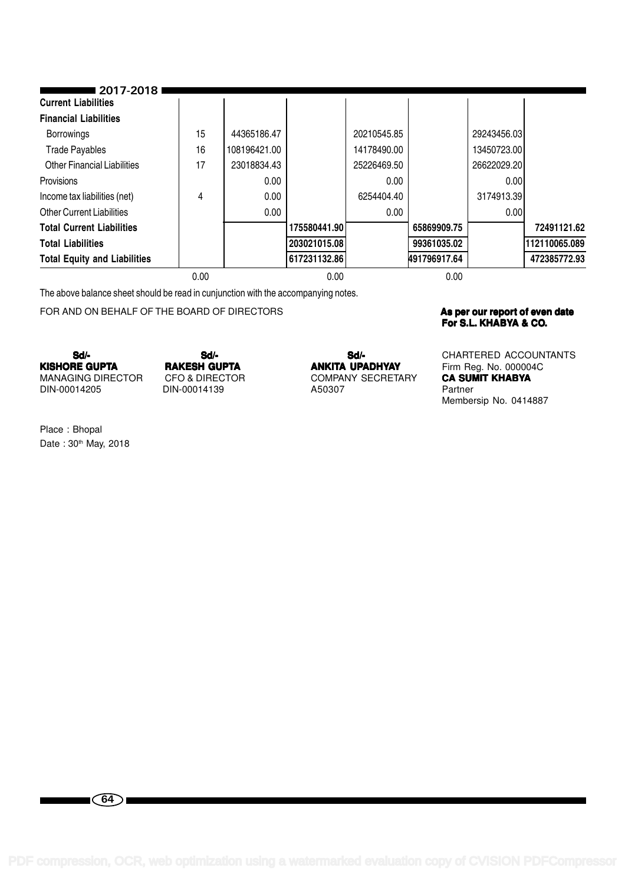| 2017-2018                           |      |              |              |             |              |             |               |
|-------------------------------------|------|--------------|--------------|-------------|--------------|-------------|---------------|
| <b>Current Liabilities</b>          |      |              |              |             |              |             |               |
| <b>Financial Liabilities</b>        |      |              |              |             |              |             |               |
| <b>Borrowings</b>                   | 15   | 44365186.47  |              | 20210545.85 |              | 29243456.03 |               |
| <b>Trade Payables</b>               | 16   | 108196421.00 |              | 14178490.00 |              | 13450723.00 |               |
| <b>Other Financial Liabilities</b>  | 17   | 23018834.43  |              | 25226469.50 |              | 26622029.20 |               |
| Provisions                          |      | 0.00         |              | 0.00        |              | 0.001       |               |
| Income tax liabilities (net)        | 4    | 0.00         |              | 6254404.40  |              | 3174913.39  |               |
| <b>Other Current Liabilities</b>    |      | 0.00         |              | 0.00        |              | 0.00        |               |
| <b>Total Current Liabilities</b>    |      |              | 175580441.90 |             | 65869909.75  |             | 72491121.62   |
| <b>Total Liabilities</b>            |      |              | 203021015.08 |             | 99361035.02  |             | 112110065.089 |
| <b>Total Equity and Liabilities</b> |      |              | 617231132.86 |             | 491796917.64 |             | 472385772.93  |
|                                     | 0.00 |              | 0.00         |             | 0.00         |             |               |

The above balance sheet should be read in cunjunction with the accompanying notes.

FOR AND ON BEHALF OF THE BOARD OF DIRECTORS **As per our report of even date** 

MANAGING DIRECTOR CFO & DIRECTOR COMPANY SECRETARY **CA SUM**<br>DIN-00014205 DIN-00014139 A50307 Partner DIN-00014205

**For S.L. KHABYA & CO.**

**Sd/- Sd/- Sd/- Sd/- Sd/- CHARTERED ACCOUNTANTS**<br>**KISHORE GUPTA RAKESH GUPTA ANKITA UPADHYAY** Firm Req. No. 000004C **RAKESH GUPTA ANKITA UPADHYAY** Firm Reg. No. 000004C<br>CFO & DIRECTOR **COMPANY SECRETARY CA SUMIT KHABYA** Membersip No. 0414887

Place : Bhopal Date: 30th May, 2018

 $\overline{\bullet}$  (64)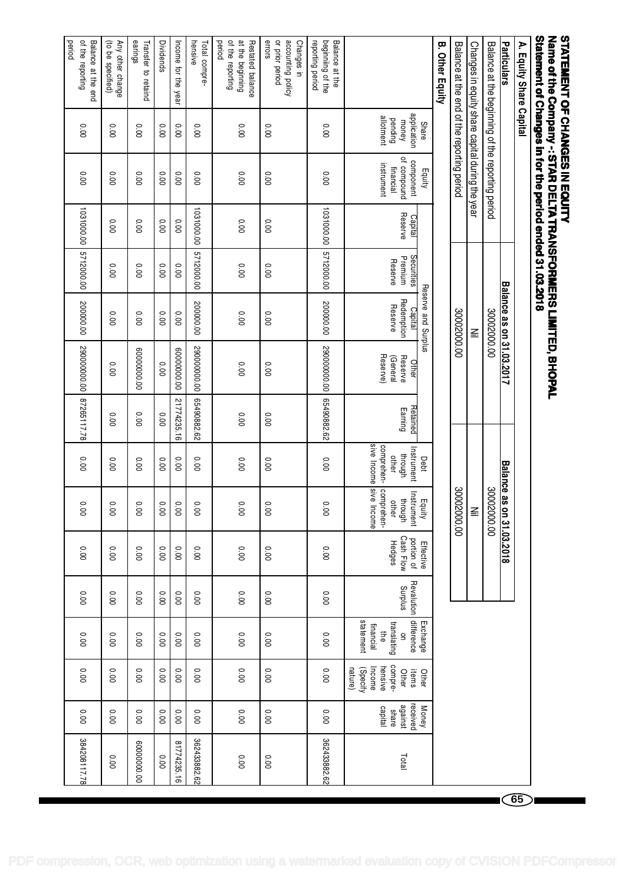| Statement of Changes in for the period ended 31.03.2018<br>Name of the Company -: STAR DELIATRANSPOREERS LIMITED, BHOPAL<br><b>STATEMENT OF CHANGES IN EQUITY</b> |                                              |                                                     |                    |                                  |                                  |                                          |                     |                                              |                                                          |                                   |                       |                                  |                                      |                                         |                         |
|-------------------------------------------------------------------------------------------------------------------------------------------------------------------|----------------------------------------------|-----------------------------------------------------|--------------------|----------------------------------|----------------------------------|------------------------------------------|---------------------|----------------------------------------------|----------------------------------------------------------|-----------------------------------|-----------------------|----------------------------------|--------------------------------------|-----------------------------------------|-------------------------|
| A. Equity Share Capital                                                                                                                                           |                                              |                                                     |                    |                                  |                                  |                                          |                     |                                              |                                                          |                                   |                       |                                  |                                      |                                         | $\overline{\mathsf{a}}$ |
| <b>Particulars</b>                                                                                                                                                |                                              |                                                     |                    |                                  | Balance as on 31.03.2017         |                                          |                     |                                              | <b>Balance as on 31.03.2018</b>                          |                                   |                       |                                  |                                      |                                         |                         |
| Balance at the beginning of the reporting period                                                                                                                  |                                              |                                                     |                    |                                  | 30002000.00                      |                                          |                     |                                              | 30002000.00                                              |                                   |                       |                                  |                                      |                                         |                         |
| Changes in equity share capital during the year                                                                                                                   |                                              |                                                     |                    |                                  | ≧                                |                                          |                     |                                              | $\leq$                                                   |                                   |                       |                                  |                                      |                                         |                         |
| Balance at the end of the reporting period                                                                                                                        |                                              |                                                     |                    |                                  | 30002000.00                      |                                          |                     |                                              | 300C<br>2000.00                                          |                                   |                       |                                  |                                      |                                         |                         |
| <b>B. Other Equity</b>                                                                                                                                            |                                              |                                                     |                    |                                  |                                  |                                          |                     |                                              |                                                          |                                   |                       |                                  |                                      |                                         |                         |
|                                                                                                                                                                   | <b>Share</b>                                 | Equity                                              |                    |                                  | Reserve and Surplus              |                                          |                     | Debt                                         | Equity                                                   | Effective                         |                       | Exchange<br>difference           | Other                                | Money                                   |                         |
|                                                                                                                                                                   | application<br>allotment<br>beuqing<br>money | of compound<br>component<br>instrument<br>financial | Reserve<br>Capital | Premium<br>Securities<br>Reserve | Redemption<br>Reserve<br>Capital | Reserve)<br>(General<br>Reserve<br>Other | Retained<br>Earning | comprehen-<br>Instrument<br>through<br>other | comprehen-<br>  Instrument<br> <br>  Instrument<br>other | Cash Flow<br>portion of<br>Hedges | Revalution<br>SulquuS | translating<br>₿<br>$\mathsf{S}$ | compre-<br>hensive<br>Other<br>items | received<br>against<br>capital<br>share | Total                   |
|                                                                                                                                                                   |                                              |                                                     |                    |                                  |                                  |                                          |                     | sive Income sive                             | Income                                                   |                                   |                       | statement<br>financial           | Income<br>nature)<br>(Specify        |                                         |                         |
| reporting period<br>beginniing of the<br>Balance at the                                                                                                           | 0.00                                         | 0.00                                                | 1031000.00         | 5712000.00                       | 200000.00                        | 290000000.00                             | 65490882.62         | 0.00                                         | 00.0                                                     | 0.00                              | 0.00                  | 0.00                             | 0.00                                 | 0.00                                    | 362433882.62            |
| or prior period<br>accounting policy<br>errors<br>Changes in                                                                                                      | 0.00                                         | 0.00                                                | 0.00               | 00.00                            | 0.00                             | 0.00                                     | 0.00                | 00.00                                        | 0.00                                                     | 0.00                              | 0.00                  | 0.00                             | 0.00                                 | 0.00                                    | 0.00                    |
| of the reporting<br>at the beginning<br>period<br><b>Restated balance</b>                                                                                         | 0.00                                         | 0.00                                                | 0.00               | 0.00                             | 0.00                             | 0.00                                     | 0.00                | 00.00                                        | 0.00                                                     | 0.00                              | 0.00                  | 0.00                             | 0.00                                 | 0.00                                    | 0.00                    |
| hensive<br>Total compre-                                                                                                                                          | 0.00                                         | 0.00                                                | 1031000.00         | 5712000.00                       | 200000.00                        | 290000000.00                             | 65490882.62         | 0.00                                         | 0.00                                                     | 0.00                              | 0.00                  | 0.00                             | 0.00                                 | 0.00                                    | 362433882.62            |
| Income for the year                                                                                                                                               | 0.00                                         | 0.00                                                | 0.00               | 0.00                             | 0.00                             | 00'00000009                              | 21774235.16         | 0.00                                         | 0.00                                                     | 0.00                              | 0.00                  | 0.00                             | 0.00                                 | 0.00                                    | 81774235.16             |
| Dividends                                                                                                                                                         | 0.00                                         | 0.00                                                | 0.00               | 0.00                             | 0.00                             | 0.00                                     | 0.00                | 0.00                                         | 0.00                                                     | 0.00                              | 0.00                  | 0.00                             | 0.00                                 | 0.00                                    | 0.00                    |
| earings<br>Transfer to retaind                                                                                                                                    | 0.00                                         | 0.00                                                | 0.00               | 0.00                             | 0.00                             | 0000000000                               | 0.00                | 0.00                                         | 0.00                                                     | 0.00                              | 0.00                  | 0.00                             | 0.00                                 | 0.00                                    | 00'00000009             |
| Any other change<br>(to be specified)                                                                                                                             | 0.00                                         | 0.00                                                | 0.00               | 0.00                             | 0.00                             | 0.00                                     | 0.00                | 0.00                                         | 0.00                                                     | 0.00                              | 0.00                  | 0.00                             | 0.00                                 | 0.00                                    | 0.00                    |
| period<br>of the reporting<br>Balance at the end                                                                                                                  | 0.00                                         | 0.00                                                | 1031000.00         | 5712000.00                       | 200000.00                        | 290000000.00                             | 87265117.78         | 0.00                                         | 0.00                                                     | 0.00                              | 0.00                  | 0.00                             | 0.00                                 | 0.00                                    | 384208117.78            |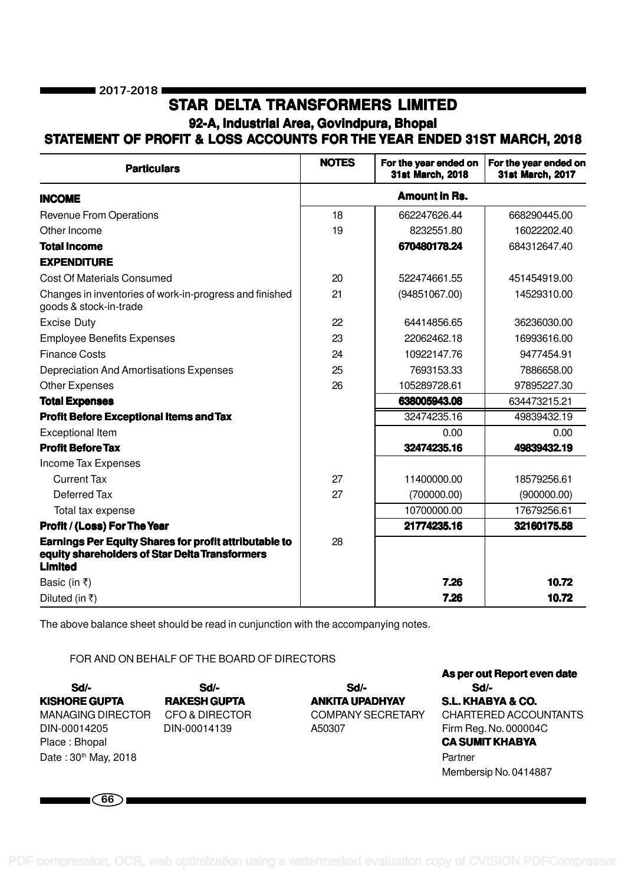# **STAR DELTA TRANSFORMERS LIMITED**

**92-A, Industrial Area, Govindpura, Bhopal**

### **STATEMENT OF PROFIT & LOSS ACCOUNTS FOR THE YEAR ENDED 31ST MARCH, 2018**

| <b>Particulars</b>                                                                                                               | <b>NOTES</b> | For the year ended on<br>31st March, 2018 | For the year ended on<br>31st March, 2017 |
|----------------------------------------------------------------------------------------------------------------------------------|--------------|-------------------------------------------|-------------------------------------------|
| <b>INCOME</b>                                                                                                                    |              | <b>Amount in Rs.</b>                      |                                           |
| <b>Revenue From Operations</b>                                                                                                   | 18           | 662247626.44                              | 668290445.00                              |
| Other Income                                                                                                                     | 19           | 8232551.80                                | 16022202.40                               |
| <b>Total Income</b>                                                                                                              |              | 670480178.24                              | 684312647.40                              |
| <b>EXPENDITURE</b>                                                                                                               |              |                                           |                                           |
| <b>Cost Of Materials Consumed</b>                                                                                                | 20           | 522474661.55                              | 451454919.00                              |
| Changes in inventories of work-in-progress and finished<br>goods & stock-in-trade                                                | 21           | (94851067.00)                             | 14529310.00                               |
| <b>Excise Duty</b>                                                                                                               | 22           | 64414856.65                               | 36236030.00                               |
| <b>Employee Benefits Expenses</b>                                                                                                | 23           | 22062462.18                               | 16993616.00                               |
| <b>Finance Costs</b>                                                                                                             | 24           | 10922147.76                               | 9477454.91                                |
| Depreciation And Amortisations Expenses                                                                                          | 25           | 7693153.33                                | 7886658.00                                |
| <b>Other Expenses</b>                                                                                                            | 26           | 105289728.61                              | 97895227.30                               |
| <b>Total Expenses</b>                                                                                                            |              | 638005943.08                              | 634473215.21                              |
| <b>Profit Before Exceptional Items and Tax</b>                                                                                   |              | 32474235.16                               | 49839432.19                               |
| <b>Exceptional Item</b>                                                                                                          |              | 0.00                                      | 0.00                                      |
| <b>Profit Before Tax</b>                                                                                                         |              | 32474235.16                               | 49839432.19                               |
| Income Tax Expenses                                                                                                              |              |                                           |                                           |
| <b>Current Tax</b>                                                                                                               | 27           | 11400000.00                               | 18579256.61                               |
| Deferred Tax                                                                                                                     | 27           | (700000.00)                               | (900000.00)                               |
| Total tax expense                                                                                                                |              | 10700000.00                               | 17679256.61                               |
| Profit / (Loss) For The Year                                                                                                     |              | 21774235.16                               | 32160175.58                               |
| <b>Earnings Per Equity Shares for profit attributable to</b><br>equity shareholders of Star Delta Transformers<br><b>Limited</b> | 28           |                                           |                                           |
| Basic (in ₹)                                                                                                                     |              | 7.26                                      | 10.72                                     |
| Diluted (in ₹)                                                                                                                   |              | 7.26                                      | 10.72                                     |

The above balance sheet should be read in cunjunction with the accompanying notes.

FOR AND ON BEHALF OF THE BOARD OF DIRECTORS

**KISHORE GUPTA RAKESH GUPTA ANKITA UPADHYAY S.L. KHABYA & CO.** DIN-00014205 DIN-00014139 A50307 Firm Reg. No. 000004C Place : Bhopal **CA SUMIT KHABYA** Date : 30<sup>th</sup> May, 2018 **Partner** 

**Sd/- Sd/- Sd/- Sd/-**

**As per out Report even date** MANAGING DIRECTOR CFO & DIRECTOR COMPANY SECRETARY CHARTERED ACCOUNTANTS Membersip No. 0414887

 $\blacksquare$  (66 )।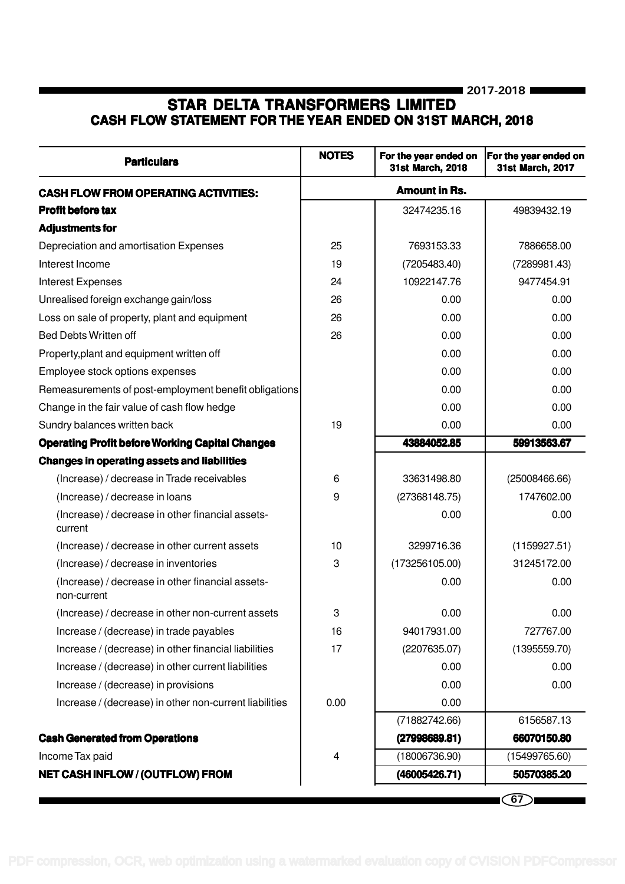# **STAR DELTA TRANSFORMERS LIMITED CASH FLOW STATEMENT FOR THE YEAR ENDED ON 31ST MARCH, 2018**

| <b>Particulars</b>                                              | <b>NOTES</b> | For the year ended on<br>31st March, 2018 | For the year ended on<br>31st March, 2017 |
|-----------------------------------------------------------------|--------------|-------------------------------------------|-------------------------------------------|
| <b>CASH FLOW FROM OPERATING ACTIVITIES:</b>                     |              | <b>Amount in Rs.</b>                      |                                           |
| <b>Profit before tax</b>                                        |              | 32474235.16                               | 49839432.19                               |
| <b>Adjustments for</b>                                          |              |                                           |                                           |
| Depreciation and amortisation Expenses                          | 25           | 7693153.33                                | 7886658.00                                |
| Interest Income                                                 | 19           | (7205483.40)                              | (7289981.43)                              |
| <b>Interest Expenses</b>                                        | 24           | 10922147.76                               | 9477454.91                                |
| Unrealised foreign exchange gain/loss                           | 26           | 0.00                                      | 0.00                                      |
| Loss on sale of property, plant and equipment                   | 26           | 0.00                                      | 0.00                                      |
| <b>Bed Debts Written off</b>                                    | 26           | 0.00                                      | 0.00                                      |
| Property, plant and equipment written off                       |              | 0.00                                      | 0.00                                      |
| Employee stock options expenses                                 |              | 0.00                                      | 0.00                                      |
| Remeasurements of post-employment benefit obligations           |              | 0.00                                      | 0.00                                      |
| Change in the fair value of cash flow hedge                     |              | 0.00                                      | 0.00                                      |
| Sundry balances written back                                    | 19           | 0.00                                      | 0.00                                      |
| <b>Operating Profit before Working Capital Changes</b>          |              | 43884052.85                               | 59913563.67                               |
| <b>Changes in operating assets and liabilities</b>              |              |                                           |                                           |
| (Increase) / decrease in Trade receivables                      | 6            | 33631498.80                               | (25008466.66)                             |
| (Increase) / decrease in loans                                  | 9            | (27368148.75)                             | 1747602.00                                |
| (Increase) / decrease in other financial assets-<br>current     |              | 0.00                                      | 0.00                                      |
| (Increase) / decrease in other current assets                   | 10           | 3299716.36                                | (1159927.51)                              |
| (Increase) / decrease in inventories                            | 3            | (173256105.00)                            | 31245172.00                               |
| (Increase) / decrease in other financial assets-<br>non-current |              | 0.00                                      | 0.00                                      |
| (Increase) / decrease in other non-current assets               | 3            | 0.00                                      | 0.00                                      |
| Increase / (decrease) in trade payables                         | 16           | 94017931.00                               | 727767.00                                 |
| Increase / (decrease) in other financial liabilities            | 17           | (2207635.07)                              | (1395559.70)                              |
| Increase / (decrease) in other current liabilities              |              | 0.00                                      | 0.00                                      |
| Increase / (decrease) in provisions                             |              | 0.00                                      | 0.00                                      |
| Increase / (decrease) in other non-current liabilities          | 0.00         | 0.00                                      |                                           |
|                                                                 |              | (71882742.66)                             | 6156587.13                                |
| <b>Cash Generated from Operations</b>                           |              | (27998689.81)                             | 66070150.80                               |
| Income Tax paid                                                 | 4            | (18006736.90)                             | (15499765.60)                             |
| <b>NET CASH INFLOW / (OUTFLOW) FROM</b>                         |              | (46005426.71)                             | 50570385.20                               |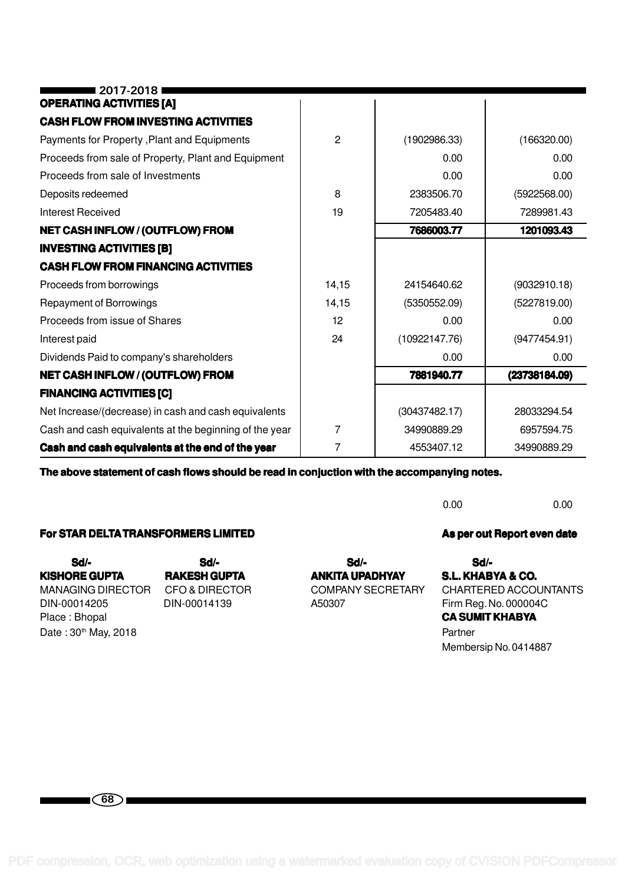| 2017-2018                                              |       |               |               |
|--------------------------------------------------------|-------|---------------|---------------|
| <b>OPERATING ACTIVITIES [A]</b>                        |       |               |               |
| <b>CASH FLOW FROM INVESTING ACTIVITIES</b>             |       |               |               |
| Payments for Property, Plant and Equipments            | 2     | (1902986.33)  | (166320.00)   |
| Proceeds from sale of Property, Plant and Equipment    |       | 0.00          | 0.00          |
| Proceeds from sale of Investments                      |       | 0.00          | 0.00          |
| Deposits redeemed                                      | 8     | 2383506.70    | (5922568.00)  |
| Interest Received                                      | 19    | 7205483.40    | 7289981.43    |
| <b>NET CASH INFLOW / (OUTFLOW) FROM</b>                |       | 7686003.77    | 1201093.43    |
| <b>INVESTING ACTIVITIES [B]</b>                        |       |               |               |
| <b>CASH FLOW FROM FINANCING ACTIVITIES</b>             |       |               |               |
| Proceeds from borrowings                               | 14,15 | 24154640.62   | (9032910.18)  |
| Repayment of Borrowings                                | 14,15 | (5350552.09)  | (5227819.00)  |
| Proceeds from issue of Shares                          | 12    | 0.00          | 0.00          |
| Interest paid                                          | 24    | (10922147.76) | (9477454.91)  |
| Dividends Paid to company's shareholders               |       | 0.00          | 0.00          |
| <b>NET CASH INFLOW / (OUTFLOW) FROM</b>                |       | 7881940.77    | (23738184.09) |
| <b>FINANCING ACTIVITIES [C]</b>                        |       |               |               |
| Net Increase/(decrease) in cash and cash equivalents   |       | (30437482.17) | 28033294.54   |
| Cash and cash equivalents at the beginning of the year | 7     | 34990889.29   | 6957594.75    |
| Cash and cash equivalents at the end of the year       | 7     | 4553407.12    | 34990889.29   |

**The above statement of cash flows should be read in conjuction with the accompanying notes.**

0.00 0.00

### **For STAR DELTA TRANSFORMERS LIMITED As per out Report even date**

Place : Bhopal **CA SUMIT KHABYA** Date : 30<sup>th</sup> May, 2018 **Partner** 

**Sd/- Sd/- Sd/- Sd/- KISHORE GUPTA RAKESH GUPTA ANKITA UPADHYAY S.L. KHABYA & CO.**

MANAGING DIRECTOR CFO & DIRECTOR COMPANY SECRETARY CHARTERED ACCOUNTANTS<br>DIN-00014205 DIN-00014139 A50307 Firm Req. No. 000004C Firm Reg. No. 000004C

Membersip No. 0414887

 $\blacksquare$  68  $\blacksquare$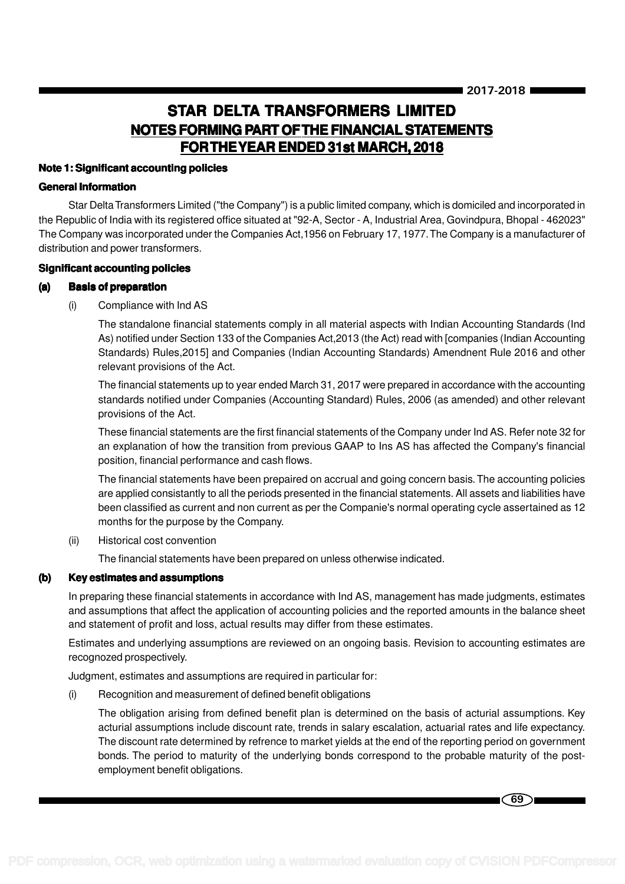# **STAR DELTA TRANSFORMERS LIMITED NOTES FORMING PART OF THE FINANCIAL STATEMENTS FOR THE YEAR ENDED 31st MARCH, 2018**

### **Note 1: Significant accounting policies**

#### **General Information**

Star Delta Transformers Limited ("the Company") is a public limited company, which is domiciled and incorporated in the Republic of India with its registered office situated at "92-A, Sector - A, Industrial Area, Govindpura, Bhopal - 462023" The Company was incorporated under the Companies Act,1956 on February 17, 1977.The Company is a manufacturer of distribution and power transformers.

#### **Significant accounting policies**

#### **(a) Basis of preparation**

(i) Compliance with Ind AS

The standalone financial statements comply in all material aspects with Indian Accounting Standards (Ind As) notified under Section 133 of the Companies Act,2013 (the Act) read with [companies (Indian Accounting Standards) Rules,2015] and Companies (Indian Accounting Standards) Amendnent Rule 2016 and other relevant provisions of the Act.

The financial statements up to year ended March 31, 2017 were prepared in accordance with the accounting standards notified under Companies (Accounting Standard) Rules, 2006 (as amended) and other relevant provisions of the Act.

These financial statements are the first financial statements of the Company under Ind AS. Refer note 32 for an explanation of how the transition from previous GAAP to Ins AS has affected the Company's financial position, financial performance and cash flows.

The financial statements have been prepaired on accrual and going concern basis. The accounting policies are applied consistantly to all the periods presented in the financial statements. All assets and liabilities have been classified as current and non current as per the Companie's normal operating cycle assertained as 12 months for the purpose by the Company.

(ii) Historical cost convention

The financial statements have been prepared on unless otherwise indicated.

### **(b) Key estimates and assumptions**

In preparing these financial statements in accordance with Ind AS, management has made judgments, estimates and assumptions that affect the application of accounting policies and the reported amounts in the balance sheet and statement of profit and loss, actual results may differ from these estimates.

Estimates and underlying assumptions are reviewed on an ongoing basis. Revision to accounting estimates are recognozed prospectively.

Judgment, estimates and assumptions are required in particular for:

(i) Recognition and measurement of defined benefit obligations

The obligation arising from defined benefit plan is determined on the basis of acturial assumptions. Key acturial assumptions include discount rate, trends in salary escalation, actuarial rates and life expectancy. The discount rate determined by refrence to market yields at the end of the reporting period on government bonds. The period to maturity of the underlying bonds correspond to the probable maturity of the postemployment benefit obligations.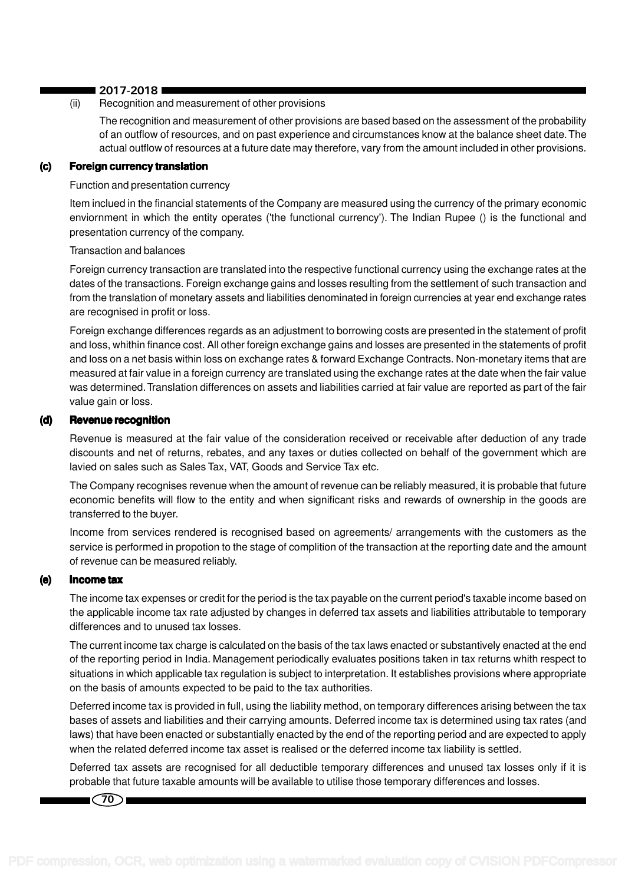#### (ii) Recognition and measurement of other provisions

The recognition and measurement of other provisions are based based on the assessment of the probability of an outflow of resources, and on past experience and circumstances know at the balance sheet date. The actual outflow of resources at a future date may therefore, vary from the amount included in other provisions.

### **(c) Foreign currency translation**

#### Function and presentation currency

Item inclued in the financial statements of the Company are measured using the currency of the primary economic enviornment in which the entity operates ('the functional currency'). The Indian Rupee () is the functional and presentation currency of the company.

#### Transaction and balances

Foreign currency transaction are translated into the respective functional currency using the exchange rates at the dates of the transactions. Foreign exchange gains and losses resulting from the settlement of such transaction and from the translation of monetary assets and liabilities denominated in foreign currencies at year end exchange rates are recognised in profit or loss.

Foreign exchange differences regards as an adjustment to borrowing costs are presented in the statement of profit and loss, whithin finance cost. All other foreign exchange gains and losses are presented in the statements of profit and loss on a net basis within loss on exchange rates & forward Exchange Contracts. Non-monetary items that are measured at fair value in a foreign currency are translated using the exchange rates at the date when the fair value was determined. Translation differences on assets and liabilities carried at fair value are reported as part of the fair value gain or loss.

#### **(d) Revenue recognition**

Revenue is measured at the fair value of the consideration received or receivable after deduction of any trade discounts and net of returns, rebates, and any taxes or duties collected on behalf of the government which are lavied on sales such as Sales Tax, VAT, Goods and Service Tax etc.

The Company recognises revenue when the amount of revenue can be reliably measured, it is probable that future economic benefits will flow to the entity and when significant risks and rewards of ownership in the goods are transferred to the buyer.

Income from services rendered is recognised based on agreements/ arrangements with the customers as the service is performed in propotion to the stage of complition of the transaction at the reporting date and the amount of revenue can be measured reliably.

### **(e) Income tax**

The income tax expenses or credit for the period is the tax payable on the current period's taxable income based on the applicable income tax rate adjusted by changes in deferred tax assets and liabilities attributable to temporary differences and to unused tax losses.

The current income tax charge is calculated on the basis of the tax laws enacted or substantively enacted at the end of the reporting period in India. Management periodically evaluates positions taken in tax returns whith respect to situations in which applicable tax regulation is subject to interpretation. It establishes provisions where appropriate on the basis of amounts expected to be paid to the tax authorities.

Deferred income tax is provided in full, using the liability method, on temporary differences arising between the tax bases of assets and liabilities and their carrying amounts. Deferred income tax is determined using tax rates (and laws) that have been enacted or substantially enacted by the end of the reporting period and are expected to apply when the related deferred income tax asset is realised or the deferred income tax liability is settled.

Deferred tax assets are recognised for all deductible temporary differences and unused tax losses only if it is probable that future taxable amounts will be available to utilise those temporary differences and losses.

 $\blacksquare$ 70  $\blacksquare$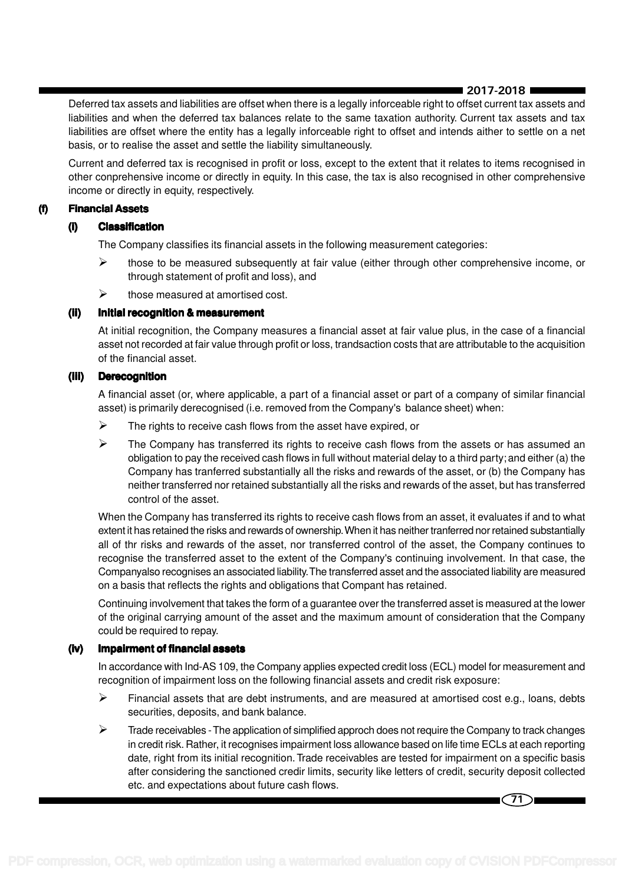■ 2017-2018 ■

71

Deferred tax assets and liabilities are offset when there is a legally inforceable right to offset current tax assets and liabilities and when the deferred tax balances relate to the same taxation authority. Current tax assets and tax liabilities are offset where the entity has a legally inforceable right to offset and intends aither to settle on a net basis, or to realise the asset and settle the liability simultaneously.

Current and deferred tax is recognised in profit or loss, except to the extent that it relates to items recognised in other conprehensive income or directly in equity. In this case, the tax is also recognised in other comprehensive income or directly in equity, respectively.

#### **(f) Financial Assets**

#### **(i) Classification**

The Company classifies its financial assets in the following measurement categories:

- $\triangleright$  those to be measured subsequently at fair value (either through other comprehensive income, or through statement of profit and loss), and
- $\triangleright$  those measured at amortised cost.

#### **(ii) Initial recognition & measurement**

At initial recognition, the Company measures a financial asset at fair value plus, in the case of a financial asset not recorded at fair value through profit or loss, trandsaction costs that are attributable to the acquisition of the financial asset.

#### **(iii) Derecognition**

A financial asset (or, where applicable, a part of a financial asset or part of a company of similar financial asset) is primarily derecognised (i.e. removed from the Company's balance sheet) when:

- $\triangleright$  The rights to receive cash flows from the asset have expired, or
- $\triangleright$  The Company has transferred its rights to receive cash flows from the assets or has assumed an obligation to pay the received cash flows in full without material delay to a third party; and either (a) the Company has tranferred substantially all the risks and rewards of the asset, or (b) the Company has neither transferred nor retained substantially all the risks and rewards of the asset, but has transferred control of the asset.

When the Company has transferred its rights to receive cash flows from an asset, it evaluates if and to what extent it has retained the risks and rewards of ownership. When it has neither tranferred nor retained substantially all of thr risks and rewards of the asset, nor transferred control of the asset, the Company continues to recognise the transferred asset to the extent of the Company's continuing involvement. In that case, the Companyalso recognises an associated liability. The transferred asset and the associated liability are measured on a basis that reflects the rights and obligations that Compant has retained.

Continuing involvement that takes the form of a guarantee over the transferred asset is measured at the lower of the original carrying amount of the asset and the maximum amount of consideration that the Company could be required to repay.

#### **(iv) Impairment of financial assets**

In accordance with Ind-AS 109, the Company applies expected credit loss (ECL) model for measurement and recognition of impairment loss on the following financial assets and credit risk exposure:

- $\triangleright$  Financial assets that are debt instruments, and are measured at amortised cost e.g., loans, debts securities, deposits, and bank balance.
- $\triangleright$  Trade receivables The application of simplified approch does not require the Company to track changes in credit risk. Rather, it recognises impairment loss allowance based on life time ECLs at each reporting date, right from its initial recognition. Trade receivables are tested for impairment on a specific basis after considering the sanctioned credir limits, security like letters of credit, security deposit collected etc. and expectations about future cash flows.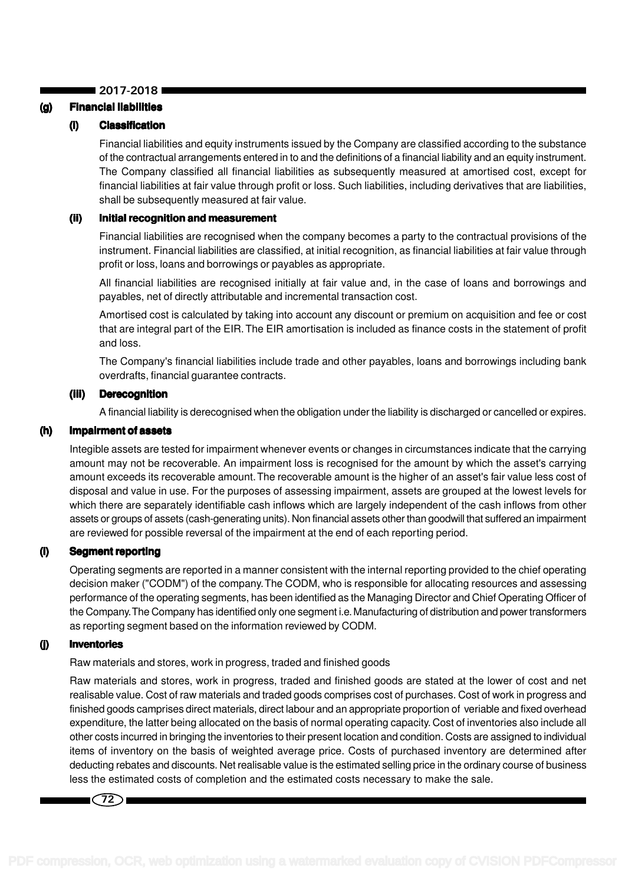$\blacksquare$  2017-2018  $\blacksquare$ 

# **(g) Financial liabilities**

#### **(i) Classification**

Financial liabilities and equity instruments issued by the Company are classified according to the substance of the contractual arrangements entered in to and the definitions of a financial liability and an equity instrument. The Company classified all financial liabilities as subsequently measured at amortised cost, except for financial liabilities at fair value through profit or loss. Such liabilities, including derivatives that are liabilities, shall be subsequently measured at fair value.

#### **(ii) Initial recognition and measurement**

Financial liabilities are recognised when the company becomes a party to the contractual provisions of the instrument. Financial liabilities are classified, at initial recognition, as financial liabilities at fair value through profit or loss, loans and borrowings or payables as appropriate.

All financial liabilities are recognised initially at fair value and, in the case of loans and borrowings and payables, net of directly attributable and incremental transaction cost.

Amortised cost is calculated by taking into account any discount or premium on acquisition and fee or cost that are integral part of the EIR.The EIR amortisation is included as finance costs in the statement of profit and loss.

The Company's financial liabilities include trade and other payables, loans and borrowings including bank overdrafts, financial guarantee contracts.

#### **(iii) Derecognition**

A financial liability is derecognised when the obligation under the liability is discharged or cancelled or expires.

#### **(h) Impairment of assets**

Integible assets are tested for impairment whenever events or changes in circumstances indicate that the carrying amount may not be recoverable. An impairment loss is recognised for the amount by which the asset's carrying amount exceeds its recoverable amount.The recoverable amount is the higher of an asset's fair value less cost of disposal and value in use. For the purposes of assessing impairment, assets are grouped at the lowest levels for which there are separately identifiable cash inflows which are largely independent of the cash inflows from other assets or groups of assets (cash-generating units). Non financial assets other than goodwill that suffered an impairment are reviewed for possible reversal of the impairment at the end of each reporting period.

#### **(i) Segment reporting**

Operating segments are reported in a manner consistent with the internal reporting provided to the chief operating decision maker ("CODM") of the company. The CODM, who is responsible for allocating resources and assessing performance of the operating segments, has been identified as the Managing Director and Chief Operating Officer of the Company. The Company has identified only one segment i.e. Manufacturing of distribution and power transformers as reporting segment based on the information reviewed by CODM.

#### **(j) Inventories**

Raw materials and stores, work in progress, traded and finished goods

Raw materials and stores, work in progress, traded and finished goods are stated at the lower of cost and net realisable value. Cost of raw materials and traded goods comprises cost of purchases. Cost of work in progress and finished goods camprises direct materials, direct labour and an appropriate proportion of veriable and fixed overhead expenditure, the latter being allocated on the basis of normal operating capacity. Cost of inventories also include all other costs incurred in bringing the inventories to their present location and condition. Costs are assigned to individual items of inventory on the basis of weighted average price. Costs of purchased inventory are determined after deducting rebates and discounts. Net realisable value is the estimated selling price in the ordinary course of business less the estimated costs of completion and the estimated costs necessary to make the sale.

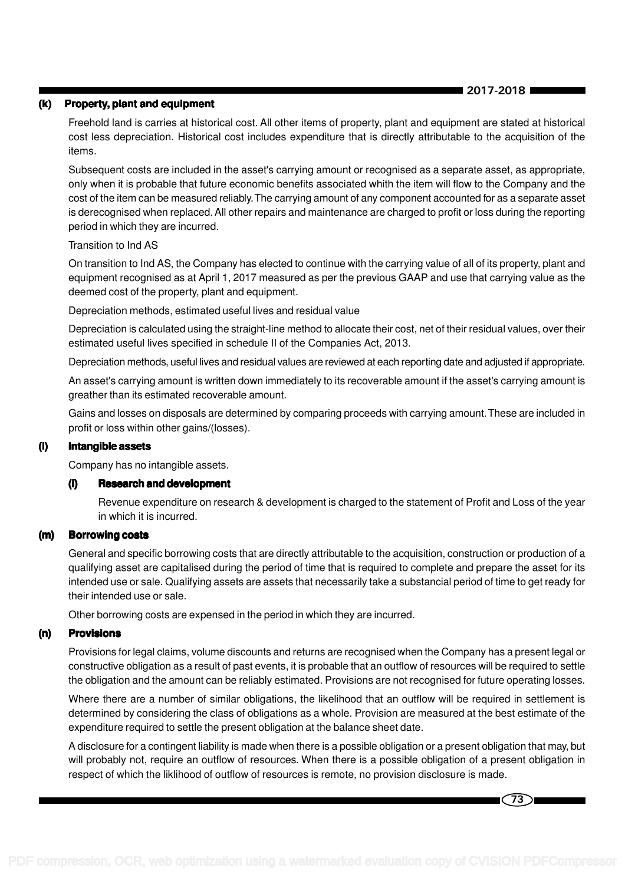73

#### **(k) Property, plant and equipment**

Freehold land is carries at historical cost. All other items of property, plant and equipment are stated at historical cost less depreciation. Historical cost includes expenditure that is directly attributable to the acquisition of the items.

Subsequent costs are included in the asset's carrying amount or recognised as a separate asset, as appropriate, only when it is probable that future economic benefits associated whith the item will flow to the Company and the cost of the item can be measured reliably. The carrying amount of any component accounted for as a separate asset is derecognised when replaced. All other repairs and maintenance are charged to profit or loss during the reporting period in which they are incurred.

#### Transition to Ind AS

On transition to Ind AS, the Company has elected to continue with the carrying value of all of its property, plant and equipment recognised as at April 1, 2017 measured as per the previous GAAP and use that carrying value as the deemed cost of the property, plant and equipment.

Depreciation methods, estimated useful lives and residual value

Depreciation is calculated using the straight-line method to allocate their cost, net of their residual values, over their estimated useful lives specified in schedule II of the Companies Act, 2013.

Depreciation methods, useful lives and residual values are reviewed at each reporting date and adjusted if appropriate.

An asset's carrying amount is written down immediately to its recoverable amount if the asset's carrying amount is greather than its estimated recoverable amount.

Gains and losses on disposals are determined by comparing proceeds with carrying amount.These are included in profit or loss within other gains/(losses).

#### **(l) Intangible assets**

Company has no intangible assets.

#### **(i) Research and development**

Revenue expenditure on research & development is charged to the statement of Profit and Loss of the year in which it is incurred.

#### **(m) Borrowing costs**

General and specific borrowing costs that are directly attributable to the acquisition, construction or production of a qualifying asset are capitalised during the period of time that is required to complete and prepare the asset for its intended use or sale. Qualifying assets are assets that necessarily take a substancial period of time to get ready for their intended use or sale.

Other borrowing costs are expensed in the period in which they are incurred.

#### **(n) Provisions**

Provisions for legal claims, volume discounts and returns are recognised when the Company has a present legal or constructive obligation as a result of past events, it is probable that an outflow of resources will be required to settle the obligation and the amount can be reliably estimated. Provisions are not recognised for future operating losses.

Where there are a number of similar obligations, the likelihood that an outflow will be required in settlement is determined by considering the class of obligations as a whole. Provision are measured at the best estimate of the expenditure required to settle the present obligation at the balance sheet date.

A disclosure for a contingent liability is made when there is a possible obligation or a present obligation that may, but will probably not, require an outflow of resources. When there is a possible obligation of a present obligation in respect of which the liklihood of outflow of resources is remote, no provision disclosure is made.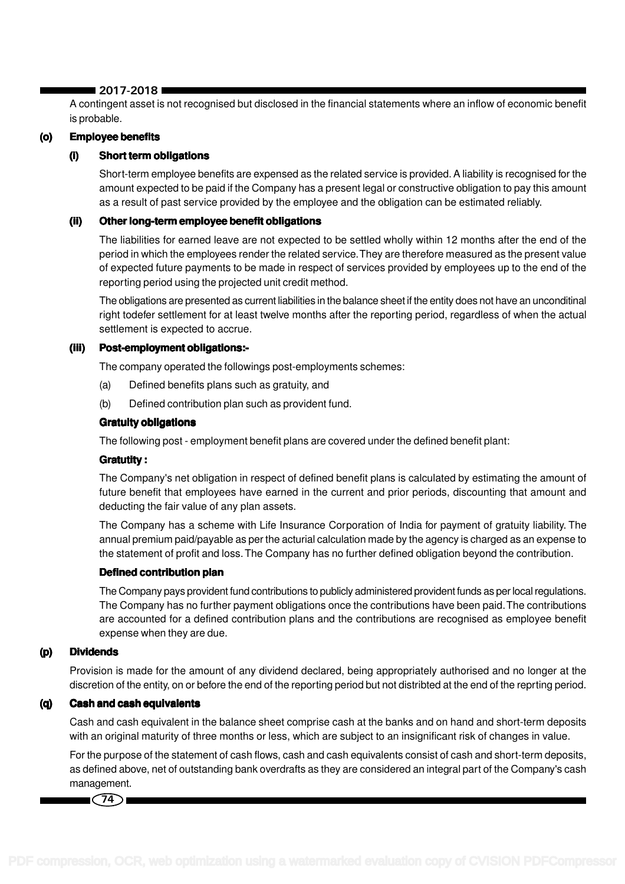#### ■ 2017-2018 ■

A contingent asset is not recognised but disclosed in the financial statements where an inflow of economic benefit is probable.

#### **(o) Employee benefits**

#### **(i) Short term obligations**

Short-term employee benefits are expensed as the related service is provided. A liability is recognised for the amount expected to be paid if the Company has a present legal or constructive obligation to pay this amount as a result of past service provided by the employee and the obligation can be estimated reliably.

#### **(ii) Other long-term employee benefit obligations**

The liabilities for earned leave are not expected to be settled wholly within 12 months after the end of the period in which the employees render the related service. They are therefore measured as the present value of expected future payments to be made in respect of services provided by employees up to the end of the reporting period using the projected unit credit method.

The obligations are presented as current liabilities in the balance sheet if the entity does not have an unconditinal right todefer settlement for at least twelve months after the reporting period, regardless of when the actual settlement is expected to accrue.

# **(iii) Post-employment obligations:-**

The company operated the followings post-employments schemes:

- (a) Defined benefits plans such as gratuity, and
- (b) Defined contribution plan such as provident fund.

#### **Gratuity obligations**

The following post - employment benefit plans are covered under the defined benefit plant:

#### **Gratutity :**

The Company's net obligation in respect of defined benefit plans is calculated by estimating the amount of future benefit that employees have earned in the current and prior periods, discounting that amount and deducting the fair value of any plan assets.

The Company has a scheme with Life Insurance Corporation of India for payment of gratuity liability. The annual premium paid/payable as per the acturial calculation made by the agency is charged as an expense to the statement of profit and loss. The Company has no further defined obligation beyond the contribution.

#### **Defined contribution plan**

The Company pays provident fund contributions to publicly administered provident funds as per local regulations. The Company has no further payment obligations once the contributions have been paid.The contributions are accounted for a defined contribution plans and the contributions are recognised as employee benefit expense when they are due.

#### **(p) Dividends**

Provision is made for the amount of any dividend declared, being appropriately authorised and no longer at the discretion of the entity, on or before the end of the reporting period but not distribted at the end of the reprting period.

#### **(q) Cash and cash equivalents**

Cash and cash equivalent in the balance sheet comprise cash at the banks and on hand and short-term deposits with an original maturity of three months or less, which are subject to an insignificant risk of changes in value.

For the purpose of the statement of cash flows, cash and cash equivalents consist of cash and short-term deposits, as defined above, net of outstanding bank overdrafts as they are considered an integral part of the Company's cash management.

 $\sqrt{74}$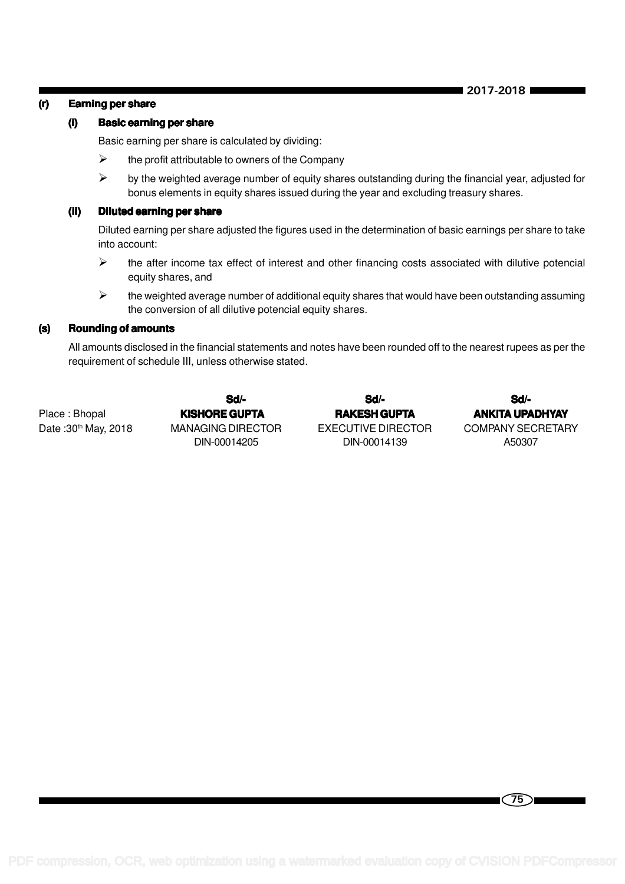#### **(r) Earning per share**

# **(i) Basic earning per share**

Basic earning per share is calculated by dividing:

- $\triangleright$  the profit attributable to owners of the Company
- $\triangleright$  by the weighted average number of equity shares outstanding during the financial year, adjusted for bonus elements in equity shares issued during the year and excluding treasury shares.

#### **(ii) Diluted earning per share**

Diluted earning per share adjusted the figures used in the determination of basic earnings per share to take into account:

- $\triangleright$  the after income tax effect of interest and other financing costs associated with dilutive potencial equity shares, and
- $\triangleright$  the weighted average number of additional equity shares that would have been outstanding assuming the conversion of all dilutive potencial equity shares.

#### **(s) Rounding of amounts**

All amounts disclosed in the financial statements and notes have been rounded off to the nearest rupees as per the requirement of schedule III, unless otherwise stated.

|                                  | Sd/-                                     | Sd/-                               | Sd/-                        |
|----------------------------------|------------------------------------------|------------------------------------|-----------------------------|
| Place: Bhopal                    | KISHORE GUPTA                            | RAKESH GUPTA                       | <b>ANKITA UPADHYAY</b>      |
| Date: 30 <sup>th</sup> May, 2018 | <b>MANAGING DIRECTOR</b><br>DIN-00014205 | EXECUTIVE DIRECTOR<br>DIN-00014139 | COMPANY SECRETARY<br>A50307 |

■ 2017-2018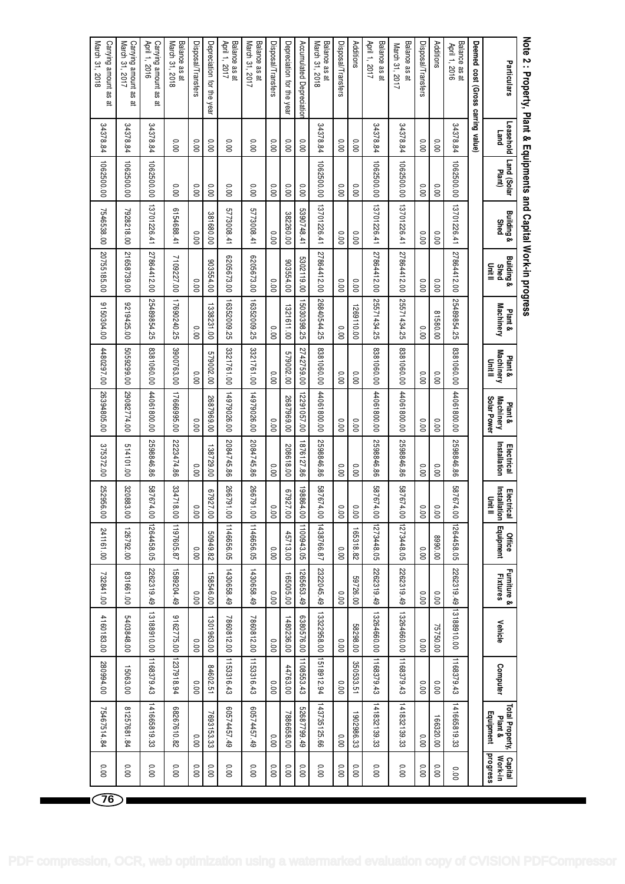| Particulars                                  | Leasehold<br>pue | Land (Solar<br>Plant) | Building &<br>Shed | <b>Building &amp;</b><br>Dinit II<br><b>Shed</b> | Machinery<br>Plant & | Machinery<br>Plant &<br>Unit I | Solar Power<br>Machinery<br>Plant & | Installation<br>Electrical | Installation<br>Elect<br>ş<br>흘<br>incal | Equipment<br>Office | <b>Furniture &amp;</b><br><b>Fixtures</b> | <b>Vehicle</b>         | Computer   | Total Property,<br>Equipment<br>Plant & | progress<br>Work-in<br>Capital |
|----------------------------------------------|------------------|-----------------------|--------------------|--------------------------------------------------|----------------------|--------------------------------|-------------------------------------|----------------------------|------------------------------------------|---------------------|-------------------------------------------|------------------------|------------|-----------------------------------------|--------------------------------|
| Deemed cost (Gross carring value)            |                  |                       |                    |                                                  |                      |                                |                                     |                            |                                          |                     |                                           |                        |            |                                         |                                |
| Balance as at<br>April 1, 2016               | 34378.84         | 1062500.00            | 13701226.41        | 27864412.00                                      | 25489854.25          | 8381060.00                     | 44061800.00                         | 2598846.86                 | 5876<br>74.00                            | 1264458.05          | 2262319.49                                | 13188910.00            | 1168379.43 | 141665819.33                            | 0.00                           |
| Additions                                    | 0.00             | 0.00                  | 0.00               | 0.00                                             | 81580.00             | 0.00                           | 0.00                                | 0.00                       | 0.00                                     | 00'0668             | 0.00                                      | 75750.00               | 0.00       | 166320.00                               | 0.00                           |
| Disposal/Transfers                           | 0.00             | 0.00                  | 0.00               | 0.00                                             | 0.00                 | 0.00                           | 0.00                                | 0.00                       | 0.00                                     | 0.00                | 0.00                                      | 0.00                   | 0.00       | 0.00                                    | 0.00                           |
| Balance as at<br>March 31, 2017              | 34378.84         | 1062500.00            | 13701226.41        | 27864412.00                                      | 25571434.25          | 8381060.00                     | 44061800.00                         | 2598846.86                 | 5876<br>24.00                            | 1273448.05          | 2262319.49                                | 13264660.00 1168379.43 |            | 141832139.33                            | 0.00                           |
| Balance as at<br>April 1, 2017               | 34378.84         | 1062500.00            | 13701226.41        | 27864412.00                                      | 25571434.25          | 8381060.00                     | 44061800.00                         | 2598846.86                 | 3876<br>24.00                            | 1273448.05          | 2262319.49                                | 13264660.00            | 1168379.43 | 141832139.33                            | 0.00                           |
| <b>Additions</b>                             | 0.00             | 0.00                  | 0.00               | 0.00                                             | 1269110.00           | 0.00                           | 0.00                                | 0.00                       | 0.00                                     | 165318.82           | 59726.00                                  | 58298.00               | 350533.51  | 1902986.33                              | 0.00                           |
| Disposal/Transfers                           | 0.00             | 0.00                  | 0.00               | 0.00                                             | 0.00                 | 0.00                           | 0.00                                | 0.00                       | 0.00                                     | 0.00                | 0.00                                      | 0.00                   | 0.00       | 0.00                                    | 0.00                           |
| March 31, 2018<br>Balance as at              | 34378.84         | 1062500.00            | 13701226.41        | 27864412.00                                      | 26840544.25          | 8381060.00                     | 44061800.00                         | 2598846.86                 | 587674.00                                | 1438766.87          | 2322045.49                                | 13322958.00            | 1518912.94 | 143735125.66                            | 0.00                           |
| Accumulated Depreciation                     | 0.00             | 0.00                  | 5390748.41         | 5302119.00                                       | 15030398.25          | 2742759.00                     | 12291057.00                         | 1876127.86                 | 198864.00                                | 1100943.05          | 1265653.49                                | 6380576.00             | 1108553.43 | 67199.49                                | 0.00                           |
| Depreciation for the year                    | 0.00             | 0.00                  | 382260.00          | 903554.00                                        | 1321611.00           | 579002.00                      | 2687969.00                          | 208618.00                  | 67927.00                                 | 45713.00            | 165005.00                                 | 1480236.00             | 44763.00   | 7886658.00                              | 0.00                           |
| Disposal/Transfers                           | 0.00             | 0.00                  | 0.00               | 0.00                                             | 0.00                 | 0.00                           | 0.00                                | 0.00                       | 0.00                                     | 0.00                | 0.00                                      | 0.00                   | 0.00       | 0.00                                    | 0.00                           |
| March 31, 2017<br>Balance as at              | 0.00             | 0.00                  | 5773008.41         | 6205673.00                                       | 16352009.25          | 3321761.00                     | 14979026.00                         | 2084745.86                 | 266791.00                                | 1146656.05          | 1430658.49                                | 7860812.00             | 1153316.43 | 60574457.49                             | 0.00                           |
| April 1, 2017<br>Balance as at               | 0.00             | 0.00                  | 5773008.41         | 6205673.00                                       | 16352009.25          | 3321761.00                     | 14979026.00                         | 2084745.86                 | 266791.00                                | 1146656.05          | 1430658.49                                | 7860812.00             | 1153316.43 | 60574457.49                             | 0.00                           |
| Depreciation for the<br>year                 | 0.00             | 0.00                  | 381680.00          | 903554.00                                        | 1338231.00           | 579002.00                      | 2687969.00                          | 38729.00                   | 2629<br>00'Z                             | 20949.82            | 158546.00                                 | 1301963.00             | 84602.51   | 7693153.33                              | 0.00                           |
| Disposal/Transfers                           | 0.00             | 0.00                  | 0.00               | 0.00                                             | 0.00                 | 0.00                           | 0.00                                | 0.00                       | 0.00                                     | 0.00                | 0.00                                      | 0.00                   | 0.00       | 0.00                                    | 0.00                           |
| March 31, 2018<br>Balance as at              | 00.00            | 0.00                  | 6154688.41         | 7109227.00                                       | 17690240.25          | 3900763.00                     | 17666995.00                         | 2223474.86                 | 3347<br>00.8                             | 1197605.87          | 1589204.49                                | 9162775.00             | 1237918.94 | 68267610.82                             | 0.00                           |
| April 1, 2016<br>Carrying amount as<br>鸟     | 34378.84         | 1062500.00            | 13701226.41        | 27864412.00                                      | 25489854.25          | 8381060.00                     | 44061800.00                         | 2598846.86                 | 5876<br>74.00                            | 1264458.05          | 2262319.49                                | 13188910.00            | 1168379.43 | 141665819.33                            | 0.00                           |
| March 31,<br>Carrying amount as<br>2017<br>鸟 | 34378.84         | 1062500.00            | 7928218.00         | 21658739.00                                      | 9219425.00           | 059299.00                      | 29082774.00                         | 514101.00                  | 32088<br>33.00                           | 26792.00            | 831661.00                                 | 5403848.00             | 15063.00   | 81257681.84                             | 0.00                           |
| March 31, 2018<br>Carrying amount as at      | 34378.84         | 1062500.00            | 7546538.00         | 20755185.00                                      | 0150304.00           | 4480297.00                     | 26394805.00                         | 375372.00                  | 25295<br><b>00.00</b>                    | 241161.00           | 732841.00                                 | 4160183.00             | 280994.00  | 75467514.84                             | 0.00<br>$\overline{76}$        |

# Mote 2 : Property, Plant & Equipments and Capital Work-in proqress Note 2 : Property, Plant & Equipments and Capital Work-in progress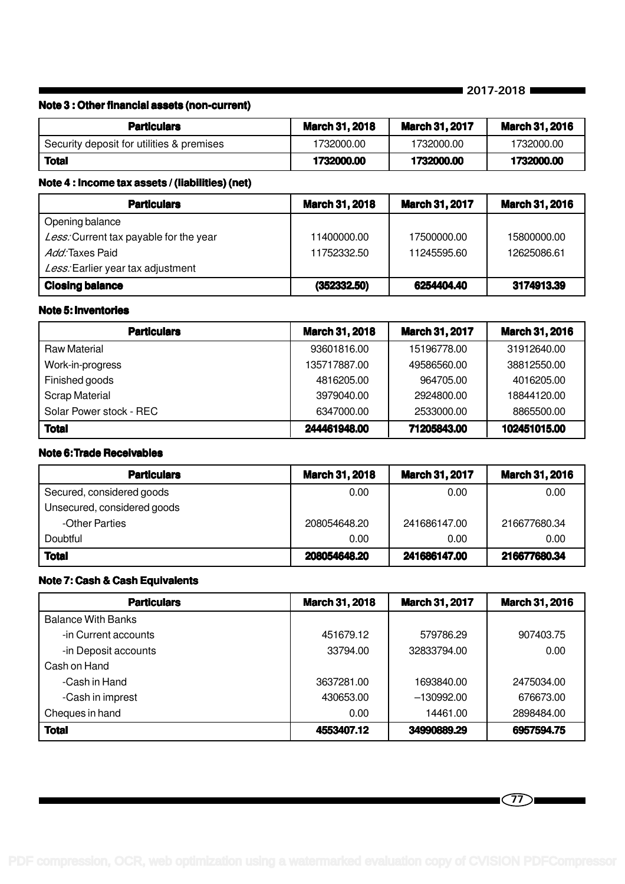#### **Note 3 : Other financial assets (non-current)**

| <b>Particulars</b>                        | <b>March 31, 2018</b> | <b>March 31, 2017</b> | <b>March 31, 2016</b> |
|-------------------------------------------|-----------------------|-----------------------|-----------------------|
| Security deposit for utilities & premises | 1732000.00            | 1732000.00            | 1732000.00            |
| Total                                     | 1732000.00            | 1732000.00            | 1732000.00            |

# **Note 4 : Income tax assets / (liabilities) (net)**

| <b>Particulars</b>                     | <b>March 31, 2018</b> | <b>March 31, 2017</b> | <b>March 31, 2016</b> |
|----------------------------------------|-----------------------|-----------------------|-----------------------|
| Opening balance                        |                       |                       |                       |
| Less: Current tax payable for the year | 11400000.00           | 17500000.00           | 15800000.00           |
| Add: Taxes Paid                        | 11752332.50           | 11245595.60           | 12625086.61           |
| Less: Earlier year tax adjustment      |                       |                       |                       |
| <b>Closing balance</b>                 | (352332.50)           | 6254404.40            | 3174913.39            |

#### **Note 5: Inventories**

| <b>Particulars</b>      | <b>March 31, 2018</b> | <b>March 31, 2017</b> | <b>March 31, 2016</b> |
|-------------------------|-----------------------|-----------------------|-----------------------|
| <b>Raw Material</b>     | 93601816.00           | 15196778.00           | 31912640.00           |
| Work-in-progress        | 135717887.00          | 49586560.00           | 38812550.00           |
| Finished goods          | 4816205.00            | 964705.00             | 4016205.00            |
| <b>Scrap Material</b>   | 3979040.00            | 2924800.00            | 18844120.00           |
| Solar Power stock - REC | 6347000.00            | 2533000.00            | 8865500.00            |
| <b>Total</b>            | 244461948.00          | 71205843.00           | 102451015.00          |

# **Note 6: Trade Receivables**

| <b>Particulars</b>          | <b>March 31, 2018</b> | <b>March 31, 2017</b> | <b>March 31, 2016</b> |
|-----------------------------|-----------------------|-----------------------|-----------------------|
| Secured, considered goods   | 0.00                  | 0.00                  | 0.00                  |
| Unsecured, considered goods |                       |                       |                       |
| -Other Parties              | 208054648.20          | 241686147.00          | 216677680.34          |
| Doubtful                    | 0.00                  | 0.00                  | 0.00                  |
| <b>Total</b>                | 208054648.20          | 241686147.00          | 216677680.34          |

# **Note 7: Cash & Cash Equivalents**

| <b>Particulars</b>        | <b>March 31, 2018</b> | <b>March 31, 2017</b> | <b>March 31, 2016</b> |
|---------------------------|-----------------------|-----------------------|-----------------------|
| <b>Balance With Banks</b> |                       |                       |                       |
| -in Current accounts      | 451679.12             | 579786.29             | 907403.75             |
| -in Deposit accounts      | 33794.00              | 32833794.00           | 0.00                  |
| Cash on Hand              |                       |                       |                       |
| -Cash in Hand             | 3637281.00            | 1693840.00            | 2475034.00            |
| -Cash in imprest          | 430653.00             | $-130992.00$          | 676673.00             |
| Cheques in hand           | 0.00                  | 14461.00              | 2898484.00            |
| <b>Total</b>              | 4553407.12            | 34990889.29           | 6957594.75            |

 $(77)$ 

 $\blacksquare$  2017-2018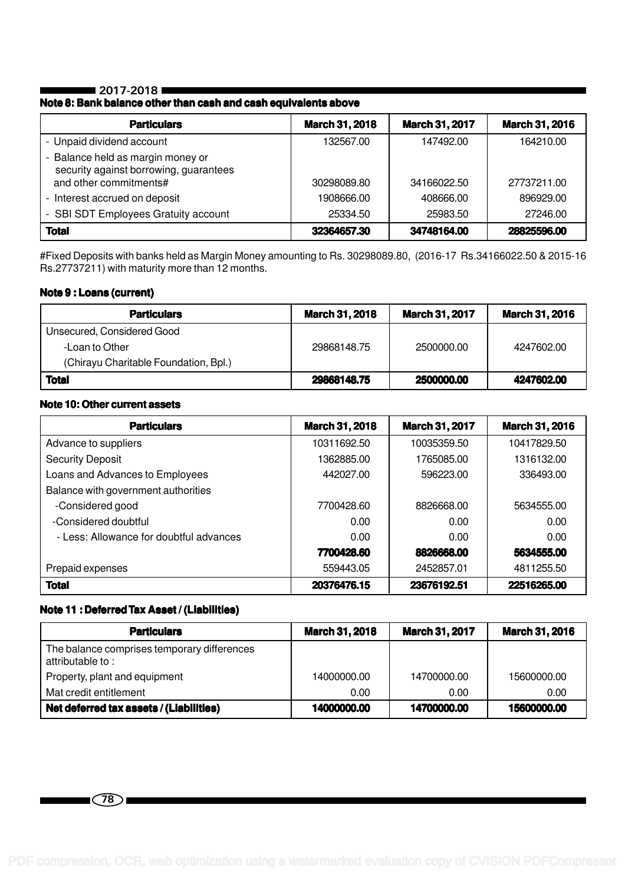#### $2017-2018$

#### **Note 8: Bank balance other than cash and cash equivalents above**

| <b>Particulars</b>                                                                                    | <b>March 31, 2018</b> | <b>March 31, 2017</b> | <b>March 31, 2016</b> |
|-------------------------------------------------------------------------------------------------------|-----------------------|-----------------------|-----------------------|
| - Unpaid dividend account                                                                             | 132567.00             | 147492.00             | 164210.00             |
| - Balance held as margin money or<br>security against borrowing, guarantees<br>and other commitments# | 30298089.80           | 34166022.50           | 27737211.00           |
| - Interest accrued on deposit                                                                         | 1908666.00            | 408666.00             | 896929.00             |
| - SBI SDT Employees Gratuity account                                                                  | 25334.50              | 25983.50              | 27246.00              |
| <b>Total</b>                                                                                          | 32364657.30           | 34748164.00           | 28825596.00           |

#Fixed Deposits with banks held as Margin Money amounting to Rs. 30298089.80, (2016-17 Rs.34166022.50 & 2015-16 Rs.27737211) with maturity more than 12 months.

#### **Note 9 : Loans (current)**

| <b>Particulars</b>                    | <b>March 31, 2018</b> | <b>March 31, 2017</b> | <b>March 31, 2016</b> |
|---------------------------------------|-----------------------|-----------------------|-----------------------|
| Unsecured, Considered Good            |                       |                       |                       |
| -Loan to Other                        | 29868148.75           | 2500000.00            | 4247602.00            |
| (Chirayu Charitable Foundation, Bpl.) |                       |                       |                       |
| <b>Total</b>                          | 29868148.75           | 2500000.00            | 4247602.00            |

#### **Note 10: Other current assets**

| <b>Particulars</b>                      | <b>March 31, 2018</b> | <b>March 31, 2017</b> | <b>March 31, 2016</b> |
|-----------------------------------------|-----------------------|-----------------------|-----------------------|
| Advance to suppliers                    | 10311692.50           | 10035359.50           | 10417829.50           |
| <b>Security Deposit</b>                 | 1362885.00            | 1765085.00            | 1316132.00            |
| Loans and Advances to Employees         | 442027.00             | 596223.00             | 336493.00             |
| Balance with government authorities     |                       |                       |                       |
| -Considered good                        | 7700428.60            | 8826668.00            | 5634555.00            |
| -Considered doubtful                    | 0.00                  | 0.00                  | 0.00                  |
| - Less: Allowance for doubtful advances | 0.00                  | 0.00                  | 0.00                  |
|                                         | 7700428.60            | 8826668.00            | 5634555.00            |
| Prepaid expenses                        | 559443.05             | 2452857.01            | 4811255.50            |
| <b>Total</b>                            | 20376476.15           | 23676192.51           | 22516265.00           |

#### **Note 11 : Deferred Tax Asset / (Liabilities)**

| <b>Particulars</b>                                              | <b>March 31, 2018</b> | <b>March 31, 2017</b> | <b>March 31, 2016</b> |
|-----------------------------------------------------------------|-----------------------|-----------------------|-----------------------|
| The balance comprises temporary differences<br>attributable to: |                       |                       |                       |
| Property, plant and equipment                                   | 14000000.00           | 14700000.00           | 15600000.00           |
| Mat credit entitlement                                          | 0.00                  | 0.00                  | 0.00                  |
| Net deferred tax assets / (Liabilities)                         | 14000000.00           | 14700000.00           | 15600000.00           |

 $(78)$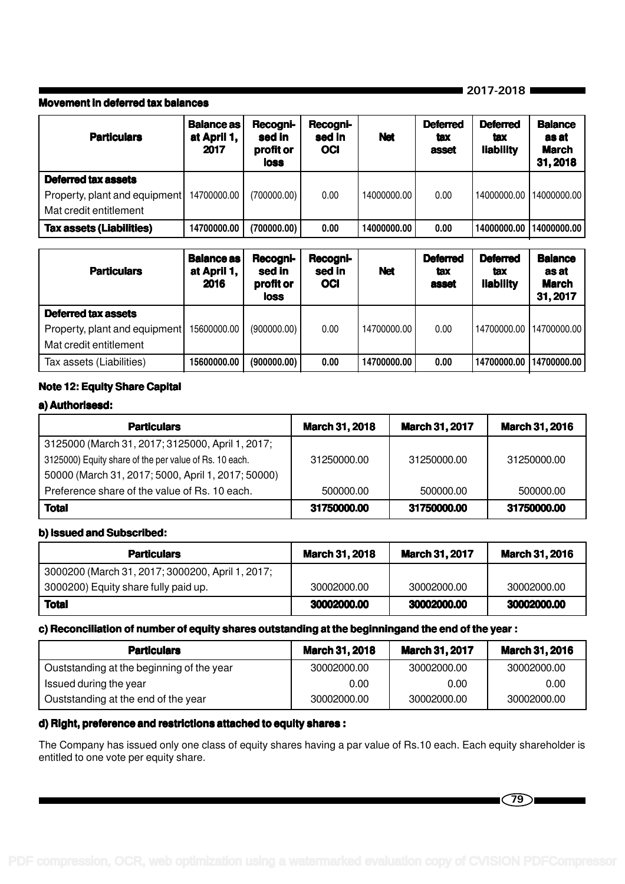#### **Movement in deferred tax balances**

| <b>Particulars</b>              | <b>Balance as</b><br>at April 1,<br>2017 | Recogni-<br>sed in<br>profit or<br>loss | Recogni-<br>sed in<br><b>OCI</b> | <b>Net</b>  | <b>Deferred</b><br><b>tax</b><br>asset | <b>Deferred</b><br>tax<br><b>liability</b> | <b>Balance</b><br><b>as at</b><br><b>March</b><br>31, 2018 |
|---------------------------------|------------------------------------------|-----------------------------------------|----------------------------------|-------------|----------------------------------------|--------------------------------------------|------------------------------------------------------------|
| <b>Deferred tax assets</b>      |                                          |                                         |                                  |             |                                        |                                            |                                                            |
| Property, plant and equipment   | 14700000.00                              | (700000.00)                             | 0.00                             | 14000000.00 | 0.00                                   | 14000000.00                                | 14000000.00                                                |
| Mat credit entitlement          |                                          |                                         |                                  |             |                                        |                                            |                                                            |
| <b>Tax assets (Liabilities)</b> | 14700000.00                              | (700000.00)                             | 0.00                             | 14000000.00 | 0.00                                   | 14000000.00                                | 14000000.00                                                |

| <b>Particulars</b>                                                                    | <b>Balance as</b><br>at April 1,<br>2016 | Recogni-<br>sed in<br>profit or<br>loss | Recogni-<br>sed in<br><b>OCI</b> | <b>Net</b>  | <b>Deferred</b><br><b>tax</b><br>asset | <b>Deferred</b><br><b>tax</b><br>liability | <b>Balance</b><br><b>as at</b><br><b>March</b><br>31, 2017 |
|---------------------------------------------------------------------------------------|------------------------------------------|-----------------------------------------|----------------------------------|-------------|----------------------------------------|--------------------------------------------|------------------------------------------------------------|
| <b>Deferred tax assets</b><br>Property, plant and equipment<br>Mat credit entitlement | 15600000.00                              | (900000.00)                             | 0.00                             | 14700000.00 | 0.00                                   |                                            | 14700000.00   14700000.00                                  |
| Tax assets (Liabilities)                                                              | 15600000.00                              | (900000.00)                             | 0.00                             | 14700000.00 | 0.00                                   |                                            | 14700000.00   14700000.00                                  |

# **Note 12: Equity Share Capital**

#### **a) Authorisesd:**

| <b>Particulars</b>                                     | <b>March 31, 2018</b> | <b>March 31, 2017</b> | <b>March 31, 2016</b> |
|--------------------------------------------------------|-----------------------|-----------------------|-----------------------|
| 3125000 (March 31, 2017; 3125000, April 1, 2017;       |                       |                       |                       |
| 3125000) Equity share of the per value of Rs. 10 each. | 31250000.00           | 31250000.00           | 31250000.00           |
| 50000 (March 31, 2017; 5000, April 1, 2017; 50000)     |                       |                       |                       |
| Preference share of the value of Rs. 10 each.          | 500000.00             | 500000.00             | 500000.00             |
| <b>Total</b>                                           | 31750000.00           | 31750000.00           | 31750000.00           |

# **b) Issued and Subscribed:**

| <b>Particulars</b>                               | <b>March 31, 2018</b> | <b>March 31, 2017</b> | <b>March 31, 2016</b> |
|--------------------------------------------------|-----------------------|-----------------------|-----------------------|
| 3000200 (March 31, 2017; 3000200, April 1, 2017; |                       |                       |                       |
| 3000200) Equity share fully paid up.             | 30002000.00           | 30002000.00           | 30002000.00           |
| <b>Total</b>                                     | 30002000.00           | 30002000.00           | 30002000.00           |

#### **c) Reconciliation of number of equity shares outstanding at the beginningand the end of the year :**

| <b>Particulars</b>                        | <b>March 31, 2018</b> | <b>March 31, 2017</b> | <b>March 31, 2016</b> |
|-------------------------------------------|-----------------------|-----------------------|-----------------------|
| Ouststanding at the beginning of the year | 30002000.00           | 30002000.00           | 30002000.00           |
| Issued during the year                    | 0.00                  | 0.00                  | 0.00                  |
| Ouststanding at the end of the year       | 30002000.00           | 30002000.00           | 30002000.00           |

# **d) Right, preference and restrictions attached to equity shares :**

The Company has issued only one class of equity shares having a par value of Rs.10 each. Each equity shareholder is entitled to one vote per equity share.

 $2017 - 2018$ 

 $(79)$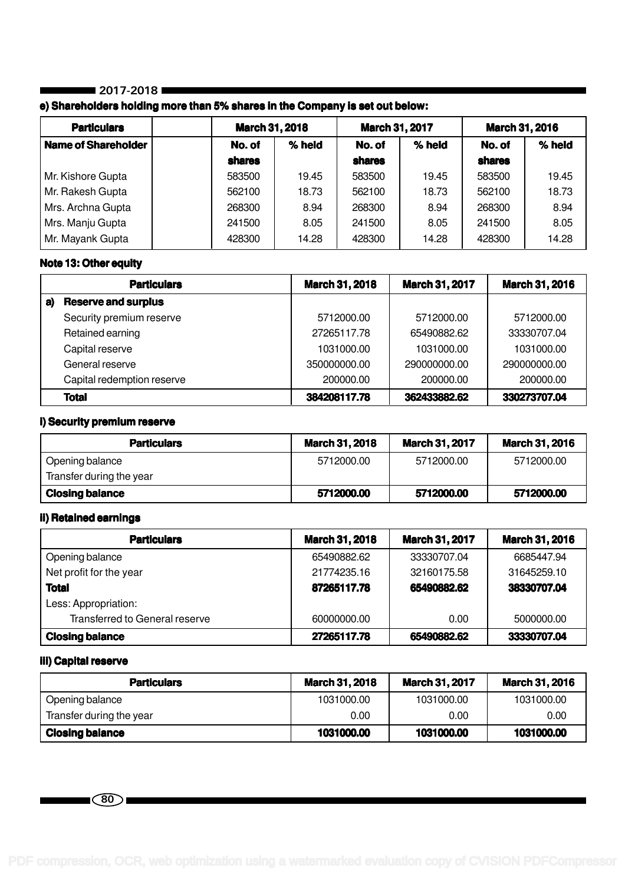#### $\blacksquare$  2017-2018

| <b>Particulars</b>         | <b>March 31, 2018</b> |        | <b>March 31, 2017</b> |        | <b>March 31, 2016</b> |        |
|----------------------------|-----------------------|--------|-----------------------|--------|-----------------------|--------|
| <b>Name of Shareholder</b> | No. of                | % held | No. of                | % held | No. of                | % held |
|                            | <b>shares</b>         |        | <b>shares</b>         |        | <b>shares</b>         |        |
| Mr. Kishore Gupta          | 583500                | 19.45  | 583500                | 19.45  | 583500                | 19.45  |
| Mr. Rakesh Gupta           | 562100                | 18.73  | 562100                | 18.73  | 562100                | 18.73  |
| Mrs. Archna Gupta          | 268300                | 8.94   | 268300                | 8.94   | 268300                | 8.94   |
| Mrs. Manju Gupta           | 241500                | 8.05   | 241500                | 8.05   | 241500                | 8.05   |
| Mr. Mayank Gupta           | 428300                | 14.28  | 428300                | 14.28  | 428300                | 14.28  |

**e) Shareholders holding more than 5% shares in the Company is set out below:**

#### **Note 13: Other equity**

|    | <b>Particulars</b>         | <b>March 31, 2018</b> | <b>March 31, 2017</b> | <b>March 31, 2016</b> |
|----|----------------------------|-----------------------|-----------------------|-----------------------|
| a) | <b>Reserve and surplus</b> |                       |                       |                       |
|    | Security premium reserve   | 5712000.00            | 5712000.00            | 5712000.00            |
|    | Retained earning           | 27265117.78           | 65490882.62           | 33330707.04           |
|    | Capital reserve            | 1031000.00            | 1031000.00            | 1031000.00            |
|    | General reserve            | 350000000.00          | 290000000.00          | 290000000.00          |
|    | Capital redemption reserve | 200000.00             | 200000.00             | 200000.00             |
|    | <b>Total</b>               | 384208117.78          | 362433882.62          | 330273707.04          |

#### **i) Security premium reserve**

| <b>Particulars</b>       | <b>March 31, 2018</b> | <b>March 31, 2017</b> | <b>March 31, 2016</b> |
|--------------------------|-----------------------|-----------------------|-----------------------|
| Opening balance          | 5712000.00            | 5712000.00            | 5712000.00            |
| Transfer during the year |                       |                       |                       |
| <b>Closing balance</b>   | 5712000.00            | 5712000.00            | 5712000.00            |

#### **ii) Retained earnings**

| <b>Particulars</b>             | <b>March 31, 2018</b> | <b>March 31, 2017</b> | <b>March 31, 2016</b> |
|--------------------------------|-----------------------|-----------------------|-----------------------|
| Opening balance                | 65490882.62           | 33330707.04           | 6685447.94            |
| Net profit for the year        | 21774235.16           | 32160175.58           | 31645259.10           |
| <b>Total</b>                   | 87265117.78           | 65490882.62           | 38330707.04           |
| Less: Appropriation:           |                       |                       |                       |
| Transferred to General reserve | 60000000.00           | 0.00                  | 5000000.00            |
| <b>Closing balance</b>         | 27265117.78           | 65490882.62           | 33330707.04           |

#### **iii) Capital reserve**

| <b>Particulars</b>       | <b>March 31, 2018</b> | <b>March 31, 2017</b> | <b>March 31, 2016</b> |
|--------------------------|-----------------------|-----------------------|-----------------------|
| Opening balance          | 1031000.00            | 1031000.00            | 1031000.00            |
| Transfer during the year | 0.00                  | 0.00                  | 0.00                  |
| <b>Closing balance</b>   | 1031000.00            | 1031000.00            | 1031000.00            |

 $\bullet$  (80)  $\bullet$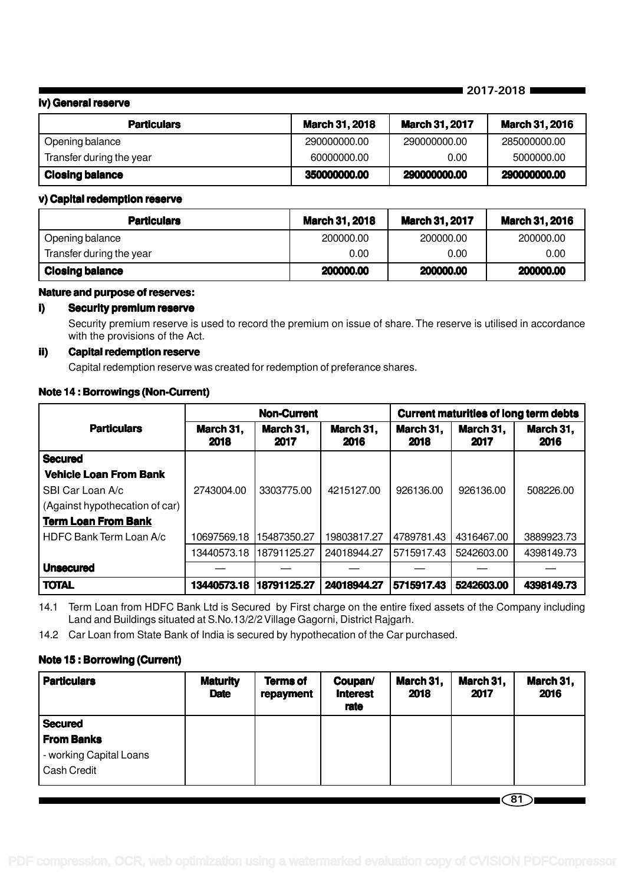#### **iv) General reserve**

| <b>Particulars</b>       | <b>March 31, 2018</b> | <b>March 31, 2017</b> | <b>March 31, 2016</b> |
|--------------------------|-----------------------|-----------------------|-----------------------|
| Opening balance          | 290000000.00          | 290000000.00          | 285000000.00          |
| Transfer during the year | 60000000.00           | 0.00                  | 5000000.00            |
| <b>Closing balance</b>   | 350000000.00          | 290000000.00          | 290000000.00          |

#### **v) Capital redemption reserve**

| <b>Particulars</b>       | <b>March 31, 2018</b> | <b>March 31, 2017</b> | <b>March 31, 2016</b> |
|--------------------------|-----------------------|-----------------------|-----------------------|
| Opening balance          | 200000.00             | 200000.00             | 200000.00             |
| Transfer during the year | 0.00                  | 0.00                  | 0.00                  |
| Closing balance          | 200000.00             | 200000.00             | 200000.00             |

#### **Nature and purpose of reserves:**

#### **i) Security premium reserve**

Security premium reserve is used to record the premium on issue of share. The reserve is utilised in accordance with the provisions of the Act.

#### **ii) Capital redemption reserve**

Capital redemption reserve was created for redemption of preferance shares.

#### **Note 14 : Borrowings (Non-Current)**

|                                | <b>Non-Current</b> |                   |                   | <b>Current maturities of long term debts</b> |                   |                   |
|--------------------------------|--------------------|-------------------|-------------------|----------------------------------------------|-------------------|-------------------|
| <b>Particulars</b>             | March 31,<br>2018  | March 31,<br>2017 | March 31,<br>2016 | March 31,<br>2018                            | March 31,<br>2017 | March 31,<br>2016 |
| <b>Secured</b>                 |                    |                   |                   |                                              |                   |                   |
| <b>Vehicle Loan From Bank</b>  |                    |                   |                   |                                              |                   |                   |
| SBI Car Loan A/c               | 2743004.00         | 3303775.00        | 4215127.00        | 926136.00                                    | 926136.00         | 508226.00         |
| (Against hypothecation of car) |                    |                   |                   |                                              |                   |                   |
| <b>Term Loan From Bank</b>     |                    |                   |                   |                                              |                   |                   |
| HDFC Bank Term Loan A/c        | 10697569.18        | 15487350.27       | 19803817.27       | 4789781.43                                   | 4316467.00        | 3889923.73        |
|                                | 13440573.18        | 18791125.27       | 24018944.27       | 5715917.43                                   | 5242603.00        | 4398149.73        |
| <b>Unsecured</b>               |                    |                   |                   |                                              |                   |                   |
| <b>TOTAL</b>                   | 13440573.18        | 18791125.27       | 24018944.27       | 5715917.43                                   | 5242603.00        | 4398149.73        |

14.1 Term Loan from HDFC Bank Ltd is Secured by First charge on the entire fixed assets of the Company including Land and Buildings situated at S.No.13/2/2 Village Gagorni, District Rajgarh.

14.2 Car Loan from State Bank of India is secured by hypothecation of the Car purchased.

#### **Note 15 : Borrowing (Current)**

| <b>Particulars</b>      | <b>Maturity</b><br><b>Date</b> | <b>Terms of</b><br>repayment | Coupan/<br><b>Interest</b><br>rate | <b>March 31,</b><br>2018 | March 31,<br>2017 | March 31,<br>2016 |
|-------------------------|--------------------------------|------------------------------|------------------------------------|--------------------------|-------------------|-------------------|
| <b>Secured</b>          |                                |                              |                                    |                          |                   |                   |
| <b>From Banks</b>       |                                |                              |                                    |                          |                   |                   |
| - working Capital Loans |                                |                              |                                    |                          |                   |                   |
| <b>Cash Credit</b>      |                                |                              |                                    |                          |                   |                   |
|                         |                                |                              |                                    |                          |                   |                   |

 $\bigcirc$ 81)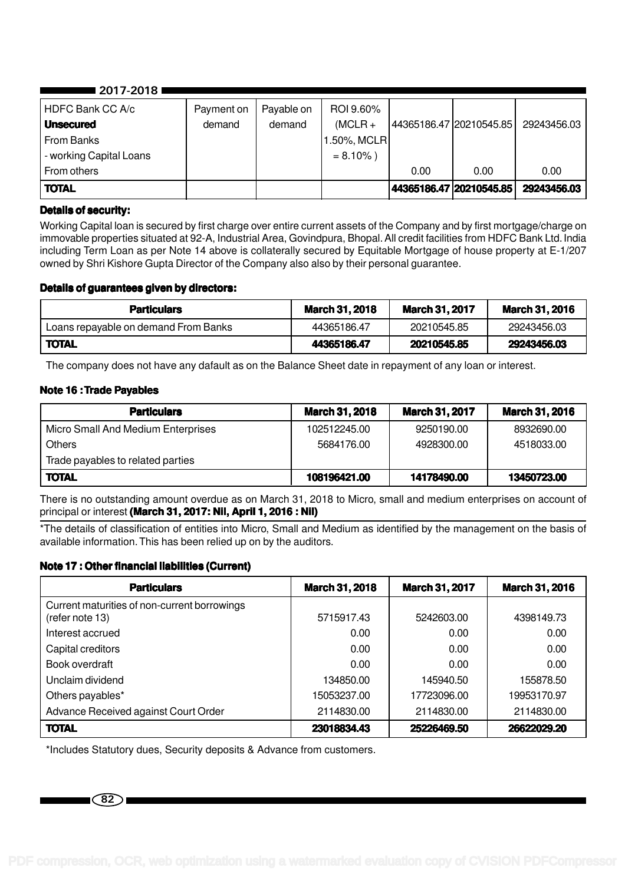| 2017-2018               |            |            |              |                         |                         |             |
|-------------------------|------------|------------|--------------|-------------------------|-------------------------|-------------|
| HDFC Bank CC A/c        | Payment on | Payable on | ROI 9.60%    |                         |                         |             |
| <b>Unsecured</b>        | demand     | demand     | $(MCLR +$    |                         | 44365186.47 20210545.85 | 29243456.03 |
| From Banks              |            |            | 1.50%, MCLR  |                         |                         |             |
| - working Capital Loans |            |            | $= 8.10\%$ ) |                         |                         |             |
| From others             |            |            |              | 0.00                    | 0.00                    | 0.00        |
| <b>TOTAL</b>            |            |            |              | 44365186.47 20210545.85 |                         | 29243456.03 |

#### **Details of security:**

Working Capital loan is secured by first charge over entire current assets of the Company and by first mortgage/charge on immovable properties situated at 92-A, Industrial Area, Govindpura, Bhopal. All credit facilities from HDFC Bank Ltd. India including Term Loan as per Note 14 above is collaterally secured by Equitable Mortgage of house property at E-1/207 owned by Shri Kishore Gupta Director of the Company also also by their personal guarantee.

#### **Details of guarantees given by directors:**

| <b>Particulars</b>                   | <b>March 31, 2018</b> | <b>March 31, 2017</b> | <b>March 31, 2016</b> |
|--------------------------------------|-----------------------|-----------------------|-----------------------|
| Loans repayable on demand From Banks | 44365186.47           | 20210545.85           | 29243456.03           |
| <b>TOTAL</b>                         | 44365186.47           | 20210545.85           | 29243456.03           |

The company does not have any dafault as on the Balance Sheet date in repayment of any loan or interest.

#### **Note 16 : Trade Payables**

| <b>Particulars</b>                 | <b>March 31, 2018</b> | <b>March 31, 2017</b> | <b>March 31, 2016</b> |
|------------------------------------|-----------------------|-----------------------|-----------------------|
| Micro Small And Medium Enterprises | 102512245.00          | 9250190.00            | 8932690.00            |
| Others                             | 5684176.00            | 4928300.00            | 4518033.00            |
| Trade payables to related parties  |                       |                       |                       |
| <b>TOTAL</b>                       | 108196421.00          | 14178490.00           | 13450723.00           |

There is no outstanding amount overdue as on March 31, 2018 to Micro, small and medium enterprises on account of principal or interest **(March 31, 2017: Nil, April 1, 2016 : Nil)**

\*The details of classification of entities into Micro, Small and Medium as identified by the management on the basis of available information.This has been relied up on by the auditors.

#### **Note 17 : Other financial liabilities (Current)**

| <b>Particulars</b>                                              | <b>March 31, 2018</b> | <b>March 31, 2017</b> | <b>March 31, 2016</b> |
|-----------------------------------------------------------------|-----------------------|-----------------------|-----------------------|
| Current maturities of non-current borrowings<br>(refer note 13) | 5715917.43            | 5242603.00            | 4398149.73            |
| Interest accrued                                                | 0.00                  | 0.00                  | 0.00                  |
| Capital creditors                                               | 0.00                  | 0.00                  | 0.00                  |
| Book overdraft                                                  | 0.00                  | 0.00                  | 0.00                  |
| Unclaim dividend                                                | 134850.00             | 145940.50             | 155878.50             |
| Others payables*                                                | 15053237.00           | 17723096.00           | 19953170.97           |
| Advance Received against Court Order                            | 2114830.00            | 2114830.00            | 2114830.00            |
| <b>TOTAL</b>                                                    | 23018834.43           | 25226469.50           | 26622029.20           |

\*Includes Statutory dues, Security deposits & Advance from customers.

 $\binom{82}{ }$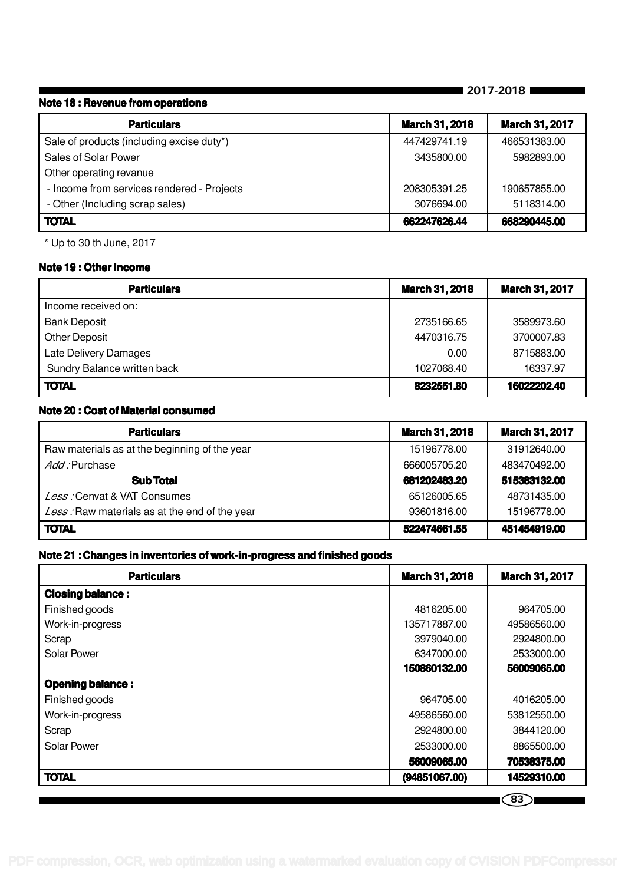**Note 18 : Revenue from operations**

| <b>Particulars</b>                         | <b>March 31, 2018</b> | <b>March 31, 2017</b> |
|--------------------------------------------|-----------------------|-----------------------|
| Sale of products (including excise duty*)  | 447429741.19          | 466531383.00          |
| Sales of Solar Power                       | 3435800.00            | 5982893.00            |
| Other operating revanue                    |                       |                       |
| - Income from services rendered - Projects | 208305391.25          | 190657855.00          |
| - Other (Including scrap sales)            | 3076694.00            | 5118314.00            |
| <b>TOTAL</b>                               | 662247626.44          | 668290445.00          |

\* Up to 30 th June, 2017

#### **Note 19 : Other Income**

| <b>Particulars</b>          | <b>March 31, 2018</b> | <b>March 31, 2017</b> |
|-----------------------------|-----------------------|-----------------------|
| Income received on:         |                       |                       |
| <b>Bank Deposit</b>         | 2735166.65            | 3589973.60            |
| <b>Other Deposit</b>        | 4470316.75            | 3700007.83            |
| Late Delivery Damages       | 0.00                  | 8715883.00            |
| Sundry Balance written back | 1027068.40            | 16337.97              |
| <b>TOTAL</b>                | 8232551.80            | 16022202.40           |

#### **Note 20 : Cost of Material consumed**

| <b>Particulars</b>                            | <b>March 31, 2018</b> | <b>March 31, 2017</b> |
|-----------------------------------------------|-----------------------|-----------------------|
| Raw materials as at the beginning of the year | 15196778.00           | 31912640.00           |
| Add: Purchase                                 | 666005705.20          | 483470492.00          |
| <b>Sub Total</b>                              | 681202483.20          | 515383132.00          |
| Less: Cenvat & VAT Consumes                   | 65126005.65           | 48731435.00           |
| Less: Raw materials as at the end of the year | 93601816.00           | 15196778.00           |
| <b>TOTAL</b>                                  | 522474661.55          | 451454919.00          |

#### **Note 21 : Changes in inventories of work-in-progress and finished goods**

| <b>Particulars</b>      | March 31, 2018 | <b>March 31, 2017</b> |
|-------------------------|----------------|-----------------------|
| <b>Closing balance:</b> |                |                       |
| Finished goods          | 4816205.00     | 964705.00             |
| Work-in-progress        | 135717887.00   | 49586560.00           |
| Scrap                   | 3979040.00     | 2924800.00            |
| Solar Power             | 6347000.00     | 2533000.00            |
|                         | 150860132.00   | 56009065.00           |
| <b>Opening balance:</b> |                |                       |
| Finished goods          | 964705.00      | 4016205.00            |
| Work-in-progress        | 49586560.00    | 53812550.00           |
| Scrap                   | 2924800.00     | 3844120.00            |
| Solar Power             | 2533000.00     | 8865500.00            |
|                         | 56009065.00    | 70538375.00           |
| <b>TOTAL</b>            | (94851067.00)  | 14529310.00           |
|                         |                |                       |

 $\blacksquare$  (83)

 $\blacksquare$  2017-2018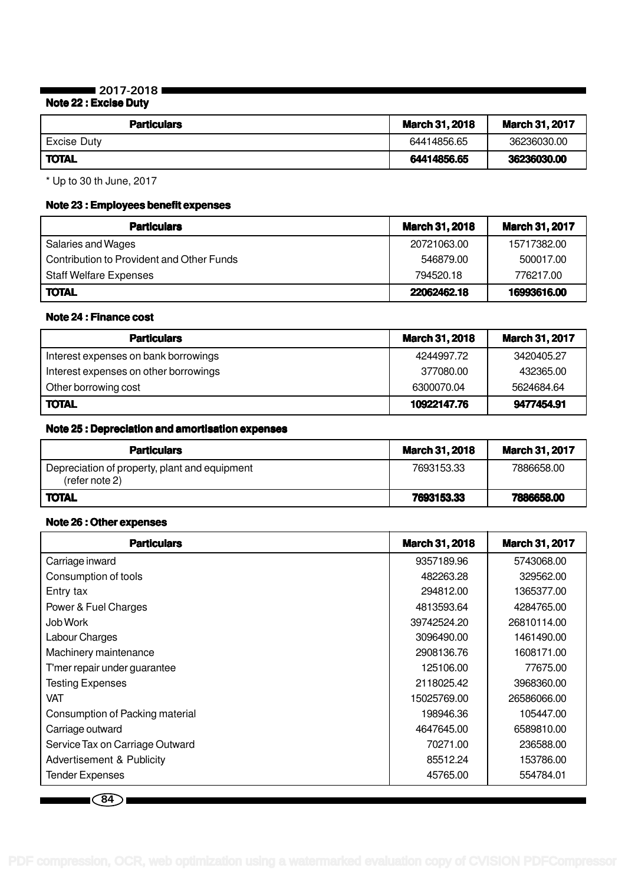# $2017 - 2018$

**Note 22 : Excise Duty**

| <b>Particulars</b> | <b>March 31, 2018</b> | <b>March 31, 2017</b> |
|--------------------|-----------------------|-----------------------|
| <b>Excise Duty</b> | 64414856.65           | 36236030.00           |
| <b>TOTAL</b>       | 64414856.65           | 36236030.00           |

\* Up to 30 th June, 2017

# **Note 23 : Employees benefit expenses**

| <b>Particulars</b>                        | <b>March 31, 2018</b> | <b>March 31, 2017</b> |
|-------------------------------------------|-----------------------|-----------------------|
| Salaries and Wages                        | 20721063.00           | 15717382.00           |
| Contribution to Provident and Other Funds | 546879.00             | 500017.00             |
| <b>Staff Welfare Expenses</b>             | 794520.18             | 776217.00             |
| <b>TOTAL</b>                              | 22062462.18           | 16993616.00           |

# **Note 24 : Finance cost**

| <b>Particulars</b>                    | <b>March 31, 2018</b> | <b>March 31, 2017</b> |
|---------------------------------------|-----------------------|-----------------------|
| Interest expenses on bank borrowings  | 4244997.72            | 3420405.27            |
| Interest expenses on other borrowings | 377080.00             | 432365.00             |
| Other borrowing cost                  | 6300070.04            | 5624684.64            |
| <b>TOTAL</b>                          | 10922147.76           | 9477454.91            |

# **Note 25 : Depreciation and amortisation expenses**

| <b>Particulars</b>                                              | <b>March 31, 2018</b> | <b>March 31, 2017</b> |
|-----------------------------------------------------------------|-----------------------|-----------------------|
| Depreciation of property, plant and equipment<br>(refer note 2) | 7693153.33            | 7886658.00            |
| <b>TOTAL</b>                                                    | 7693153.33            | 7886658.00            |

#### **Note 26 : Other expenses**

| <b>Particulars</b>                   | <b>March 31, 2018</b> | <b>March 31, 2017</b> |
|--------------------------------------|-----------------------|-----------------------|
| Carriage inward                      | 9357189.96            | 5743068.00            |
| Consumption of tools                 | 482263.28             | 329562.00             |
| Entry tax                            | 294812.00             | 1365377.00            |
| Power & Fuel Charges                 | 4813593.64            | 4284765.00            |
| Job Work                             | 39742524.20           | 26810114.00           |
| Labour Charges                       | 3096490.00            | 1461490.00            |
| Machinery maintenance                | 2908136.76            | 1608171.00            |
| T'mer repair under guarantee         | 125106.00             | 77675.00              |
| <b>Testing Expenses</b>              | 2118025.42            | 3968360.00            |
| <b>VAT</b>                           | 15025769.00           | 26586066.00           |
| Consumption of Packing material      | 198946.36             | 105447.00             |
| Carriage outward                     | 4647645.00            | 6589810.00            |
| Service Tax on Carriage Outward      | 70271.00              | 236588.00             |
| <b>Advertisement &amp; Publicity</b> | 85512.24              | 153786.00             |
| <b>Tender Expenses</b>               | 45765.00              | 554784.01             |

 $\overline{\bullet}$ (84)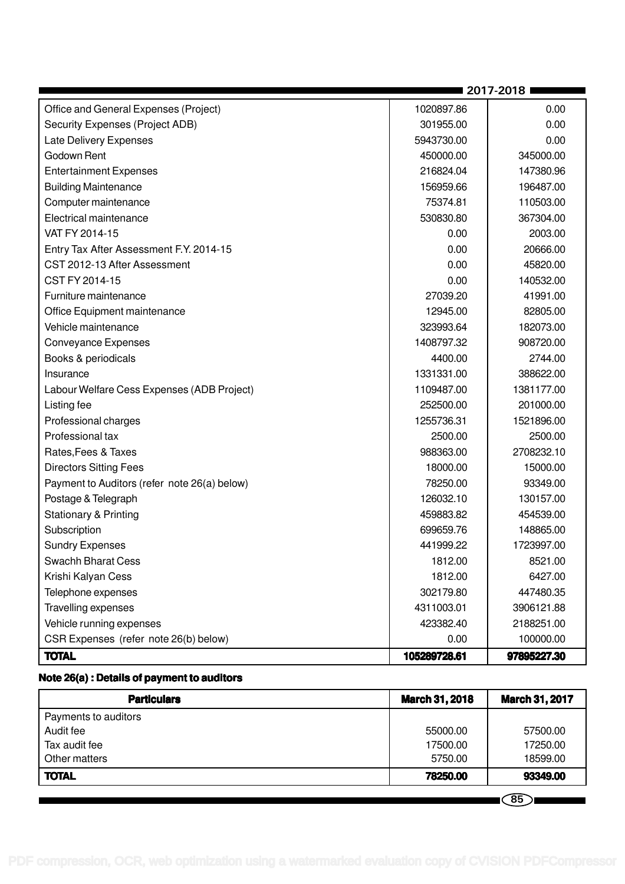| $\blacksquare$ 2017-2018                     |              |             |
|----------------------------------------------|--------------|-------------|
| Office and General Expenses (Project)        | 1020897.86   | 0.00        |
| Security Expenses (Project ADB)              | 301955.00    | 0.00        |
| Late Delivery Expenses                       | 5943730.00   | 0.00        |
| Godown Rent                                  | 450000.00    | 345000.00   |
| <b>Entertainment Expenses</b>                | 216824.04    | 147380.96   |
| <b>Building Maintenance</b>                  | 156959.66    | 196487.00   |
| Computer maintenance                         | 75374.81     | 110503.00   |
| Electrical maintenance                       | 530830.80    | 367304.00   |
| VAT FY 2014-15                               | 0.00         | 2003.00     |
| Entry Tax After Assessment F.Y. 2014-15      | 0.00         | 20666.00    |
| CST 2012-13 After Assessment                 | 0.00         | 45820.00    |
| CST FY 2014-15                               | 0.00         | 140532.00   |
| Furniture maintenance                        | 27039.20     | 41991.00    |
| Office Equipment maintenance                 | 12945.00     | 82805.00    |
| Vehicle maintenance                          | 323993.64    | 182073.00   |
| Conveyance Expenses                          | 1408797.32   | 908720.00   |
| Books & periodicals                          | 4400.00      | 2744.00     |
| Insurance                                    | 1331331.00   | 388622.00   |
| Labour Welfare Cess Expenses (ADB Project)   | 1109487.00   | 1381177.00  |
| Listing fee                                  | 252500.00    | 201000.00   |
| Professional charges                         | 1255736.31   | 1521896.00  |
| Professional tax                             | 2500.00      | 2500.00     |
| Rates, Fees & Taxes                          | 988363.00    | 2708232.10  |
| <b>Directors Sitting Fees</b>                | 18000.00     | 15000.00    |
| Payment to Auditors (refer note 26(a) below) | 78250.00     | 93349.00    |
| Postage & Telegraph                          | 126032.10    | 130157.00   |
| <b>Stationary &amp; Printing</b>             | 459883.82    | 454539.00   |
| Subscription                                 | 699659.76    | 148865.00   |
| <b>Sundry Expenses</b>                       | 441999.22    | 1723997.00  |
| Swachh Bharat Cess                           | 1812.00      | 8521.00     |
| Krishi Kalyan Cess                           | 1812.00      | 6427.00     |
| Telephone expenses                           | 302179.80    | 447480.35   |
| Travelling expenses                          | 4311003.01   | 3906121.88  |
| Vehicle running expenses                     | 423382.40    | 2188251.00  |
| CSR Expenses (refer note 26(b) below)        | 0.00         | 100000.00   |
| <b>TOTAL</b>                                 | 105289728.61 | 97895227.30 |

# **Note 26(a) : Details of payment to auditors**

| <b>Particulars</b>   | <b>March 31, 2018</b> | <b>March 31, 2017</b> |
|----------------------|-----------------------|-----------------------|
| Payments to auditors |                       |                       |
| Audit fee            | 55000.00              | 57500.00              |
| Tax audit fee        | 17500.00              | 17250.00              |
| Other matters        | 5750.00               | 18599.00              |
| <b>TOTAL</b>         | 78250.00              | 93349.00              |
|                      |                       |                       |
|                      |                       | 85                    |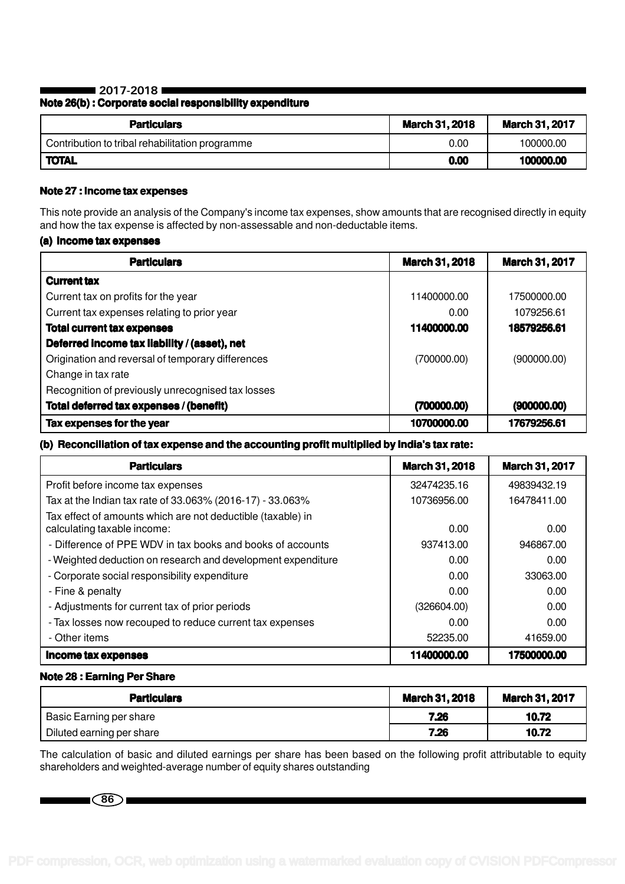#### $2017-2018$

# **Note 26(b) : Corporate social responsibility expenditure**

| <b>Particulars</b>                              | <b>March 31, 2018</b> | <b>March 31, 2017</b> |
|-------------------------------------------------|-----------------------|-----------------------|
| Contribution to tribal rehabilitation programme | 0.00                  | 100000.00             |
| <b>TOTAL</b>                                    | 0.00                  | 100000.00             |

#### **Note 27 : Income tax expenses**

This note provide an analysis of the Company's income tax expenses, show amounts that are recognised directly in equity and how the tax expense is affected by non-assessable and non-deductable items.

#### **(a) Income tax expenses**

| <b>Particulars</b>                                | <b>March 31, 2018</b> | <b>March 31, 2017</b> |
|---------------------------------------------------|-----------------------|-----------------------|
| <b>Current tax</b>                                |                       |                       |
| Current tax on profits for the year               | 11400000.00           | 17500000.00           |
| Current tax expenses relating to prior year       | 0.00                  | 1079256.61            |
| <b>Total current tax expenses</b>                 | 11400000.00           | 18579256.61           |
| Deferred income tax liability / (asset), net      |                       |                       |
| Origination and reversal of temporary differences | (700000.00)           | (900000.00)           |
| Change in tax rate                                |                       |                       |
| Recognition of previously unrecognised tax losses |                       |                       |
| Total deferred tax expenses / (benefit)           | (700000.00)           | (900000.00)           |
| Tax expenses for the year                         | 10700000.00           | 17679256.61           |

#### **(b) Reconciliation of tax expense and the accounting profit multiplied by India's tax rate:**

| <b>Particulars</b>                                                                         | <b>March 31, 2018</b> | <b>March 31, 2017</b> |
|--------------------------------------------------------------------------------------------|-----------------------|-----------------------|
| Profit before income tax expenses                                                          | 32474235.16           | 49839432.19           |
| Tax at the Indian tax rate of 33.063% (2016-17) - 33.063%                                  | 10736956.00           | 16478411.00           |
| Tax effect of amounts which are not deductible (taxable) in<br>calculating taxable income: | 0.00                  | 0.00                  |
| - Difference of PPE WDV in tax books and books of accounts                                 | 937413.00             | 946867.00             |
| - Weighted deduction on research and development expenditure                               | 0.00                  | 0.00                  |
| - Corporate social responsibility expenditure                                              | 0.00                  | 33063.00              |
| - Fine & penalty                                                                           | 0.00                  | 0.00                  |
| - Adjustments for current tax of prior periods                                             | (326604.00)           | 0.00                  |
| - Tax losses now recouped to reduce current tax expenses                                   | 0.00                  | 0.00                  |
| - Other items                                                                              | 52235.00              | 41659.00              |
| Income tax expenses                                                                        | 11400000.00           | 17500000.00           |

#### **Note 28 : Earning Per Share**

| <b>Particulars</b>        | <b>March 31, 2018</b> | <b>March 31, 2017</b> |
|---------------------------|-----------------------|-----------------------|
| Basic Earning per share   | 7.26                  | 10.72                 |
| Diluted earning per share | 7.26                  | 10.72                 |

The calculation of basic and diluted earnings per share has been based on the following profit attributable to equity shareholders and weighted-average number of equity shares outstanding

 $\blacksquare$  (86)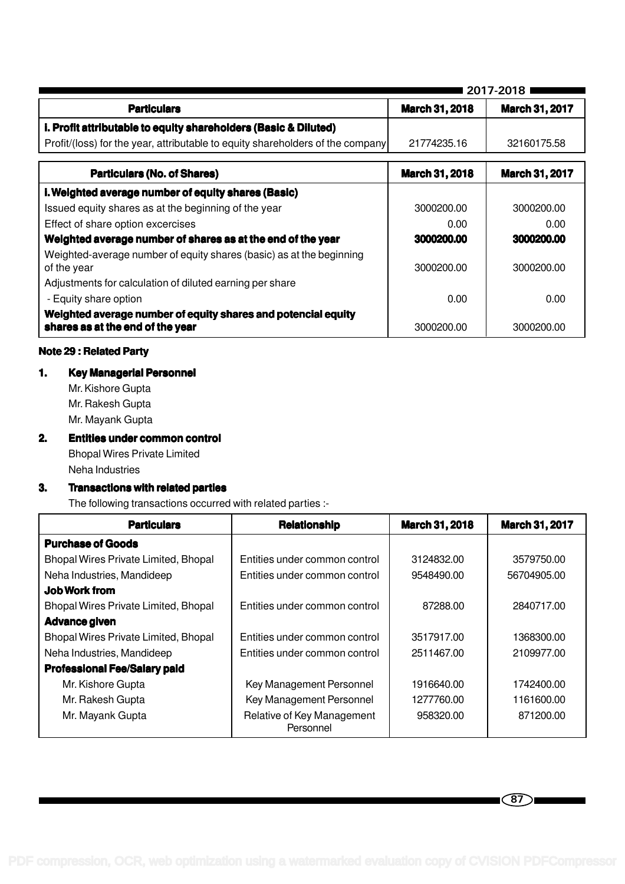|                                                                                                   | 2017-2018             |                       |
|---------------------------------------------------------------------------------------------------|-----------------------|-----------------------|
| <b>Particulars</b>                                                                                | <b>March 31, 2018</b> | <b>March 31, 2017</b> |
| i. Profit attributable to equity shareholders (Basic & Diluted)                                   |                       |                       |
| Profit/(loss) for the year, attributable to equity shareholders of the company                    | 21774235.16           | 32160175.58           |
| <b>Particulars (No. of Shares)</b>                                                                | <b>March 31, 2018</b> | <b>March 31, 2017</b> |
| i. Weighted average number of equity shares (Basic)                                               |                       |                       |
| Issued equity shares as at the beginning of the year                                              | 3000200.00            | 3000200.00            |
| Effect of share option excercises                                                                 | 0.00                  | 0.00                  |
| Weighted average number of shares as at the end of the year                                       | 3000200.00            | 3000200.00            |
| Weighted-average number of equity shares (basic) as at the beginning<br>of the year               | 3000200.00            | 3000200.00            |
| Adjustments for calculation of diluted earning per share                                          |                       |                       |
| - Equity share option                                                                             | 0.00                  | 0.00                  |
| Weighted average number of equity shares and potencial equity<br>shares as at the end of the year | 3000200.00            | 3000200.00            |
| <b>Note 29 : Related Party</b>                                                                    |                       |                       |
| 1.<br><b>Key Managerial Personnel</b>                                                             |                       |                       |

Mr. Kishore Gupta Mr. Rakesh Gupta Mr. Mayank Gupta

# **2. Entities under common control**

Bhopal Wires Private Limited Neha Industries

#### **3. Transactions with related parties**

The following transactions occurred with related parties :-

| <b>Particulars</b>                   | <b>Relationship</b>                     | March 31, 2018 | <b>March 31, 2017</b> |
|--------------------------------------|-----------------------------------------|----------------|-----------------------|
| <b>Purchase of Goods</b>             |                                         |                |                       |
| Bhopal Wires Private Limited, Bhopal | Entities under common control           | 3124832.00     | 3579750.00            |
| Neha Industries, Mandideep           | Entities under common control           | 9548490.00     | 56704905.00           |
| <b>Job Work from</b>                 |                                         |                |                       |
| Bhopal Wires Private Limited, Bhopal | Entities under common control           | 87288.00       | 2840717.00            |
| <b>Advance given</b>                 |                                         |                |                       |
| Bhopal Wires Private Limited, Bhopal | Entities under common control           | 3517917.00     | 1368300.00            |
| Neha Industries, Mandideep           | Entities under common control           | 2511467.00     | 2109977.00            |
| <b>Professional Fee/Salary paid</b>  |                                         |                |                       |
| Mr. Kishore Gupta                    | Key Management Personnel                | 1916640.00     | 1742400.00            |
| Mr. Rakesh Gupta                     | Key Management Personnel                | 1277760.00     | 1161600.00            |
| Mr. Mayank Gupta                     | Relative of Key Management<br>Personnel | 958320.00      | 871200.00             |

 $\overline{\text{87}}$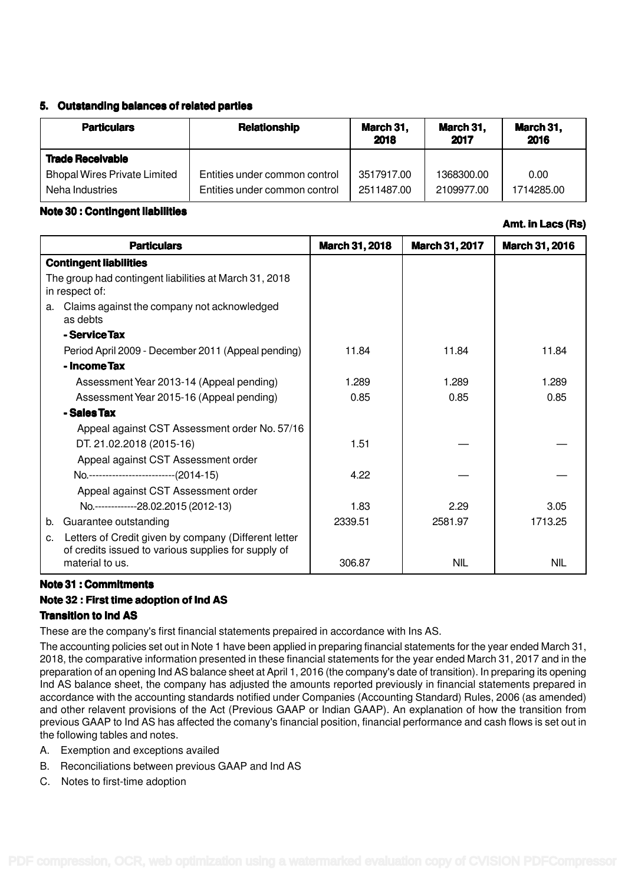#### **5. Outstanding balances of related parties**

| <b>Particulars</b>                                     | <b>Relationship</b>                                            | March 31,<br>2018        | March 31,<br>2017        | March 31,<br>2016  |
|--------------------------------------------------------|----------------------------------------------------------------|--------------------------|--------------------------|--------------------|
| <b>Trade Receivable</b>                                |                                                                |                          |                          |                    |
| <b>Bhopal Wires Private Limited</b><br>Neha Industries | Entities under common control<br>Entities under common control | 3517917.00<br>2511487.00 | 1368300.00<br>2109977.00 | 0.00<br>1714285.00 |

**Amt. in Lacs (Rs)**

#### **Note 30 : Contingent liabilities**

**Particulars March 31, 2018 March 31, 2017 March 31, 2016 Contingent liabilities** The group had contingent liabilities at March 31, 2018 in respect of: a. Claims against the company not acknowledged as debts **- Service Tax** Period April 2009 - December 2011 (Appeal pending) | 11.84 | 11.84 | 11.84 **- Income Tax** Assessment Year 2013-14 (Appeal pending) 1.289 1.289 1.289 Assessment Year 2015-16 (Appeal pending)  $\begin{array}{|c} \hline \text{0.85} \end{array}$  0.85 0.85 0.85 **- Sales Tax** Appeal against CST Assessment order No. 57/16 **DT.** 21.02.2018 (2015-16) 1.51 Appeal against CST Assessment order No.-----------------------------(2014-15) 4.22 Appeal against CST Assessment order No.--------------28.02.2015 (2012-13) 1.83 | 2.29 | 3.05 b. Guarantee outstanding and the 2339.51 | 2581.97 | 1713.25 c. Letters of Credit given by company (Different letter of credits issued to various supplies for supply of material to us. 306.87 NIL NIL

# **Note 31 : Commitments**

# **Note 32 : First time adoption of Ind AS**

#### **Transition to Ind AS**

These are the company's first financial statements prepaired in accordance with Ins AS.

The accounting policies set out in Note 1 have been applied in preparing financial statements for the year ended March 31, 2018, the comparative information presented in these financial statements for the year ended March 31, 2017 and in the preparation of an opening Ind AS balance sheet at April 1, 2016 (the company's date of transition). In preparing its opening Ind AS balance sheet, the company has adjusted the amounts reported previously in financial statements prepared in accordance with the accounting standards notified under Companies (Accounting Standard) Rules, 2006 (as amended) and other relavent provisions of the Act (Previous GAAP or Indian GAAP). An explanation of how the transition from previous GAAP to Ind AS has affected the comany's financial position, financial performance and cash flows is set out in the following tables and notes.

- A. Exemption and exceptions availed
- B. Reconciliations between previous GAAP and Ind AS
- C. Notes to first-time adoption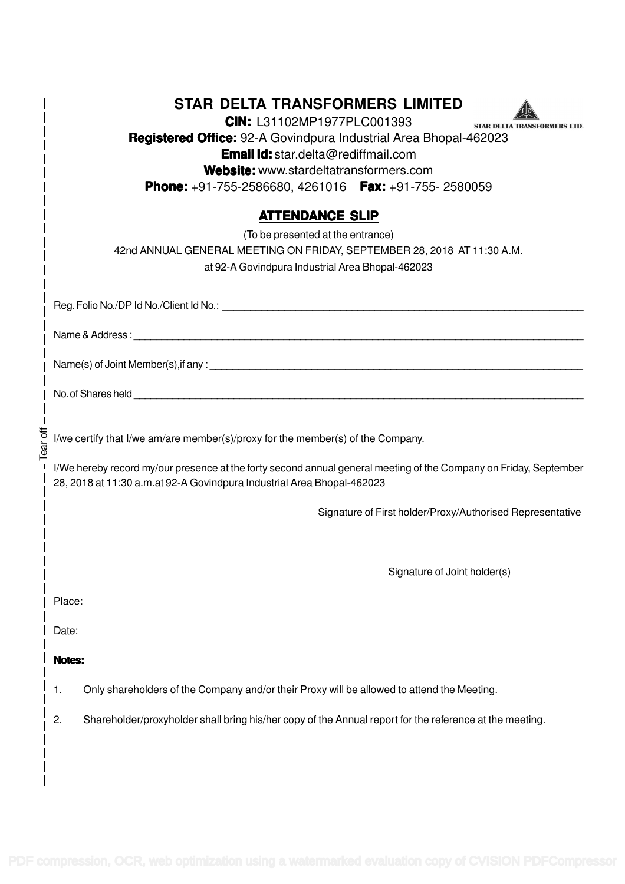|          | <b>STAR DELTA TRANSFORMERS LIMITED</b><br><b>CIN: L31102MP1977PLC001393</b><br><b>STAR DELTA TRANSFORMERS</b><br><b>Registered Office:</b> 92-A Govindpura Industrial Area Bhopal-462023<br><b>Email Id:</b> star.delta@rediffmail.com<br>Website: www.stardeltatransformers.com<br><b>Phone:</b> +91-755-2586680, 4261016 <b>Fax:</b> +91-755-2580059<br><b>ATTENDANCE SLIP</b><br>(To be presented at the entrance)<br>42nd ANNUAL GENERAL MEETING ON FRIDAY, SEPTEMBER 28, 2018 AT 11:30 A.M.<br>at 92-A Govindpura Industrial Area Bhopal-462023 |  |  |  |  |  |
|----------|------------------------------------------------------------------------------------------------------------------------------------------------------------------------------------------------------------------------------------------------------------------------------------------------------------------------------------------------------------------------------------------------------------------------------------------------------------------------------------------------------------------------------------------------------|--|--|--|--|--|
|          |                                                                                                                                                                                                                                                                                                                                                                                                                                                                                                                                                      |  |  |  |  |  |
|          |                                                                                                                                                                                                                                                                                                                                                                                                                                                                                                                                                      |  |  |  |  |  |
|          |                                                                                                                                                                                                                                                                                                                                                                                                                                                                                                                                                      |  |  |  |  |  |
|          |                                                                                                                                                                                                                                                                                                                                                                                                                                                                                                                                                      |  |  |  |  |  |
| Tear off | I/we certify that I/we am/are member(s)/proxy for the member(s) of the Company.<br>I/We hereby record my/our presence at the forty second annual general meeting of the Company on Friday, September<br>28, 2018 at 11:30 a.m.at 92-A Govindpura Industrial Area Bhopal-462023                                                                                                                                                                                                                                                                       |  |  |  |  |  |
|          | Signature of First holder/Proxy/Authorised Representative                                                                                                                                                                                                                                                                                                                                                                                                                                                                                            |  |  |  |  |  |
|          |                                                                                                                                                                                                                                                                                                                                                                                                                                                                                                                                                      |  |  |  |  |  |
|          | Signature of Joint holder(s)                                                                                                                                                                                                                                                                                                                                                                                                                                                                                                                         |  |  |  |  |  |
|          | Place:                                                                                                                                                                                                                                                                                                                                                                                                                                                                                                                                               |  |  |  |  |  |
|          | Date:                                                                                                                                                                                                                                                                                                                                                                                                                                                                                                                                                |  |  |  |  |  |
|          | Notes:                                                                                                                                                                                                                                                                                                                                                                                                                                                                                                                                               |  |  |  |  |  |
|          | Only shareholders of the Company and/or their Proxy will be allowed to attend the Meeting.<br>1.                                                                                                                                                                                                                                                                                                                                                                                                                                                     |  |  |  |  |  |
|          | 2.<br>Shareholder/proxyholder shall bring his/her copy of the Annual report for the reference at the meeting.                                                                                                                                                                                                                                                                                                                                                                                                                                        |  |  |  |  |  |
|          |                                                                                                                                                                                                                                                                                                                                                                                                                                                                                                                                                      |  |  |  |  |  |
|          |                                                                                                                                                                                                                                                                                                                                                                                                                                                                                                                                                      |  |  |  |  |  |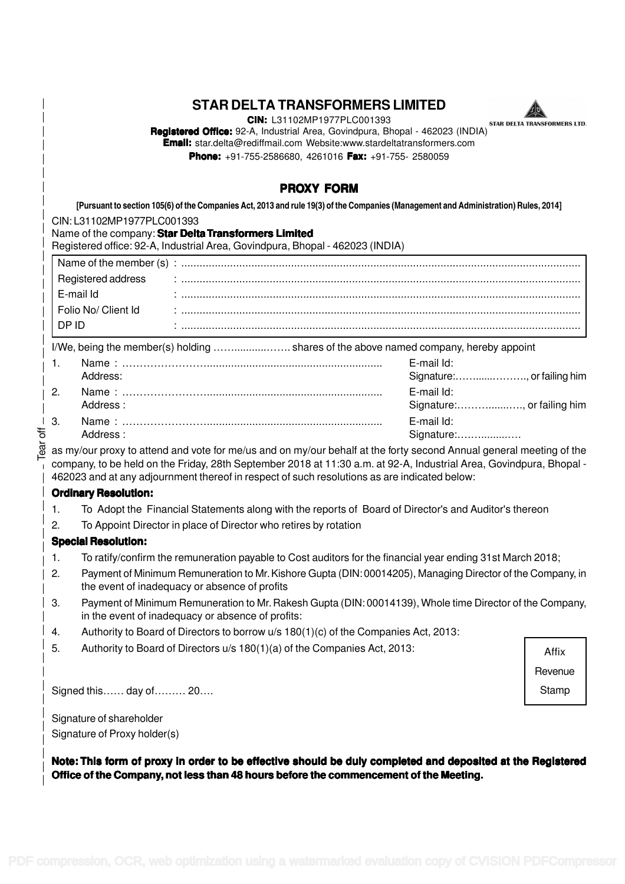|          | <b>STAR DELTA TRANSFORMERS LIMITED</b><br><b>CIN: L31102MP1977PLC001393</b>                                                                                                                                                                                                                                                                |                                                                                                                                                                                                     |  |                                                                           |                                                                                                       |         |  |  |
|----------|--------------------------------------------------------------------------------------------------------------------------------------------------------------------------------------------------------------------------------------------------------------------------------------------------------------------------------------------|-----------------------------------------------------------------------------------------------------------------------------------------------------------------------------------------------------|--|---------------------------------------------------------------------------|-------------------------------------------------------------------------------------------------------|---------|--|--|
|          | <b>STAR DELTA TRANSFORMERS LTD.</b><br>Registered Office: 92-A, Industrial Area, Govindpura, Bhopal - 462023 (INDIA)<br><b>Email:</b> star.delta@rediffmail.com Website:www.stardeltatransformers.com<br>Phone: +91-755-2586680, 4261016 Fax: +91-755- 2580059                                                                             |                                                                                                                                                                                                     |  |                                                                           |                                                                                                       |         |  |  |
| Tear off | <b>PROXY FORM</b>                                                                                                                                                                                                                                                                                                                          |                                                                                                                                                                                                     |  |                                                                           |                                                                                                       |         |  |  |
|          | [Pursuant to section 105(6) of the Companies Act, 2013 and rule 19(3) of the Companies (Management and Administration) Rules, 2014]                                                                                                                                                                                                        |                                                                                                                                                                                                     |  |                                                                           |                                                                                                       |         |  |  |
|          |                                                                                                                                                                                                                                                                                                                                            | CIN: L31102MP1977PLC001393                                                                                                                                                                          |  |                                                                           |                                                                                                       |         |  |  |
|          | Name of the company: Star Delta Transformers Limited                                                                                                                                                                                                                                                                                       |                                                                                                                                                                                                     |  |                                                                           |                                                                                                       |         |  |  |
|          | Registered office: 92-A, Industrial Area, Govindpura, Bhopal - 462023 (INDIA)                                                                                                                                                                                                                                                              |                                                                                                                                                                                                     |  |                                                                           |                                                                                                       |         |  |  |
|          |                                                                                                                                                                                                                                                                                                                                            | Registered address                                                                                                                                                                                  |  |                                                                           |                                                                                                       |         |  |  |
|          |                                                                                                                                                                                                                                                                                                                                            | E-mail Id                                                                                                                                                                                           |  |                                                                           |                                                                                                       |         |  |  |
|          |                                                                                                                                                                                                                                                                                                                                            | Folio No/ Client Id                                                                                                                                                                                 |  |                                                                           |                                                                                                       |         |  |  |
|          | DP ID                                                                                                                                                                                                                                                                                                                                      |                                                                                                                                                                                                     |  |                                                                           |                                                                                                       |         |  |  |
|          | I/We, being the member(s) holding  shares of the above named company, hereby appoint                                                                                                                                                                                                                                                       |                                                                                                                                                                                                     |  |                                                                           |                                                                                                       |         |  |  |
|          | 1.                                                                                                                                                                                                                                                                                                                                         |                                                                                                                                                                                                     |  |                                                                           | E-mail Id:                                                                                            |         |  |  |
|          |                                                                                                                                                                                                                                                                                                                                            | Address:                                                                                                                                                                                            |  |                                                                           | Signature:, or failing him                                                                            |         |  |  |
|          | 2.                                                                                                                                                                                                                                                                                                                                         |                                                                                                                                                                                                     |  |                                                                           | E-mail Id:                                                                                            |         |  |  |
|          |                                                                                                                                                                                                                                                                                                                                            | Address:                                                                                                                                                                                            |  |                                                                           | Signature:, or failing him                                                                            |         |  |  |
|          | 3.                                                                                                                                                                                                                                                                                                                                         | Address:                                                                                                                                                                                            |  |                                                                           | E-mail Id:<br>Signature:                                                                              |         |  |  |
|          | as my/our proxy to attend and vote for me/us and on my/our behalf at the forty second Annual general meeting of the<br>company, to be held on the Friday, 28th September 2018 at 11:30 a.m. at 92-A, Industrial Area, Govindpura, Bhopal -<br>462023 and at any adjournment thereof in respect of such resolutions as are indicated below: |                                                                                                                                                                                                     |  |                                                                           |                                                                                                       |         |  |  |
|          | <b>Ordinary Resolution:</b>                                                                                                                                                                                                                                                                                                                |                                                                                                                                                                                                     |  |                                                                           |                                                                                                       |         |  |  |
|          | 1.                                                                                                                                                                                                                                                                                                                                         |                                                                                                                                                                                                     |  |                                                                           | To Adopt the Financial Statements along with the reports of Board of Director's and Auditor's thereon |         |  |  |
|          | 2.                                                                                                                                                                                                                                                                                                                                         | To Appoint Director in place of Director who retires by rotation                                                                                                                                    |  |                                                                           |                                                                                                       |         |  |  |
|          | <b>Special Resolution:</b>                                                                                                                                                                                                                                                                                                                 |                                                                                                                                                                                                     |  |                                                                           |                                                                                                       |         |  |  |
|          | 1.                                                                                                                                                                                                                                                                                                                                         | To ratify/confirm the remuneration payable to Cost auditors for the financial year ending 31st March 2018;                                                                                          |  |                                                                           |                                                                                                       |         |  |  |
|          |                                                                                                                                                                                                                                                                                                                                            | 2.<br>Payment of Minimum Remuneration to Mr. Kishore Gupta (DIN: 00014205), Managing Director of the Company, in<br>the event of inadequacy or absence of profits                                   |  |                                                                           |                                                                                                       |         |  |  |
|          | 3.                                                                                                                                                                                                                                                                                                                                         | Payment of Minimum Remuneration to Mr. Rakesh Gupta (DIN: 00014139), Whole time Director of the Company,<br>in the event of inadequacy or absence of profits:                                       |  |                                                                           |                                                                                                       |         |  |  |
|          | Authority to Board of Directors to borrow u/s 180(1)(c) of the Companies Act, 2013:<br>4.                                                                                                                                                                                                                                                  |                                                                                                                                                                                                     |  |                                                                           |                                                                                                       |         |  |  |
|          | 5.                                                                                                                                                                                                                                                                                                                                         |                                                                                                                                                                                                     |  | Authority to Board of Directors u/s 180(1)(a) of the Companies Act, 2013: |                                                                                                       | Affix   |  |  |
|          |                                                                                                                                                                                                                                                                                                                                            |                                                                                                                                                                                                     |  |                                                                           |                                                                                                       | Revenue |  |  |
|          |                                                                                                                                                                                                                                                                                                                                            | Signed this day of 20                                                                                                                                                                               |  |                                                                           |                                                                                                       | Stamp   |  |  |
|          | Signature of shareholder                                                                                                                                                                                                                                                                                                                   |                                                                                                                                                                                                     |  |                                                                           |                                                                                                       |         |  |  |
|          | Signature of Proxy holder(s)                                                                                                                                                                                                                                                                                                               |                                                                                                                                                                                                     |  |                                                                           |                                                                                                       |         |  |  |
|          |                                                                                                                                                                                                                                                                                                                                            |                                                                                                                                                                                                     |  |                                                                           |                                                                                                       |         |  |  |
|          |                                                                                                                                                                                                                                                                                                                                            | Note: This form of proxy in order to be effective should be duly completed and deposited at the Registered<br>Office of the Company, not less than 48 hours before the commencement of the Meeting. |  |                                                                           |                                                                                                       |         |  |  |